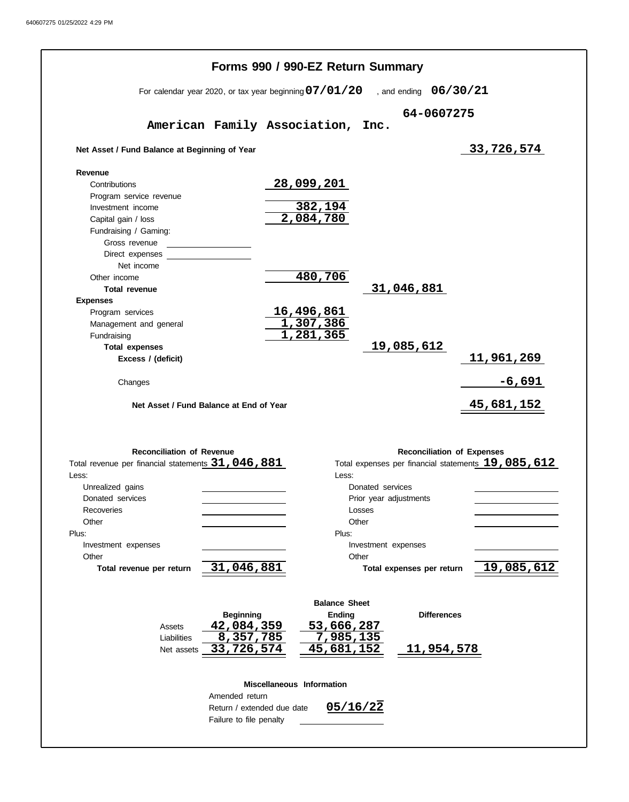|                                                                       |                                              | Forms 990 / 990-EZ Return Summary     |                        |                                   |                                                    |               |
|-----------------------------------------------------------------------|----------------------------------------------|---------------------------------------|------------------------|-----------------------------------|----------------------------------------------------|---------------|
| For calendar year 2020, or tax year beginning $07/01/20$              |                                              |                                       |                        | , and ending $06/30/21$           |                                                    |               |
|                                                                       |                                              |                                       |                        | 64-0607275                        |                                                    |               |
|                                                                       | American Family Association, Inc.            |                                       |                        |                                   |                                                    |               |
| Net Asset / Fund Balance at Beginning of Year                         |                                              |                                       |                        |                                   | 33,726,574                                         |               |
| Revenue                                                               |                                              |                                       |                        |                                   |                                                    |               |
| Contributions                                                         |                                              | 28,099,201                            |                        |                                   |                                                    |               |
| Program service revenue                                               |                                              |                                       |                        |                                   |                                                    |               |
| Investment income                                                     |                                              | 382,194                               |                        |                                   |                                                    |               |
| Capital gain / loss                                                   |                                              | 2,084,780                             |                        |                                   |                                                    |               |
| Fundraising / Gaming:                                                 |                                              |                                       |                        |                                   |                                                    |               |
| Gross revenue                                                         |                                              |                                       |                        |                                   |                                                    |               |
| Direct expenses                                                       |                                              |                                       |                        |                                   |                                                    |               |
| Net income                                                            |                                              |                                       |                        |                                   |                                                    |               |
| Other income                                                          |                                              | 480,706                               |                        |                                   |                                                    |               |
| <b>Total revenue</b>                                                  |                                              |                                       |                        | 31,046,881                        |                                                    |               |
| <b>Expenses</b>                                                       |                                              |                                       |                        |                                   |                                                    |               |
| Program services                                                      |                                              | 16,496,861                            |                        |                                   |                                                    |               |
| Management and general                                                |                                              | 1,307,386                             |                        |                                   |                                                    |               |
| Fundraising                                                           |                                              | $\overline{1,281,365}$                |                        |                                   |                                                    |               |
| <b>Total expenses</b><br>Excess / (deficit)                           |                                              |                                       |                        | 19,085,612                        | <u>11,961,269</u>                                  |               |
| Changes                                                               |                                              |                                       |                        |                                   |                                                    | <u>–6,691</u> |
| Net Asset / Fund Balance at End of Year                               |                                              |                                       |                        |                                   | <u>45,681,152</u>                                  |               |
| <b>Reconciliation of Revenue</b><br>Unrealized gains                  |                                              | Less:                                 | Donated services       | <b>Reconciliation of Expenses</b> | Total expenses per financial statements 19,085,612 |               |
| Donated services                                                      |                                              |                                       | Prior year adjustments |                                   |                                                    |               |
| Recoveries                                                            |                                              |                                       | Losses                 |                                   |                                                    |               |
| Other                                                                 |                                              |                                       | Other                  |                                   |                                                    |               |
|                                                                       |                                              | Plus:                                 |                        |                                   |                                                    |               |
| Investment expenses                                                   |                                              |                                       | Investment expenses    |                                   |                                                    |               |
| Other                                                                 |                                              |                                       | Other                  |                                   |                                                    |               |
| Total revenue per return                                              | 31,046,881                                   |                                       |                        | Total expenses per return         | 19,085,612                                         |               |
|                                                                       | <b>Beginning</b>                             | <b>Balance Sheet</b><br>Ending        |                        | <b>Differences</b>                |                                                    |               |
| Assets                                                                | 42,084,359                                   | 53,666,287                            |                        |                                   |                                                    |               |
| Liabilities<br>Net assets                                             | 8, 357, 785<br>33,726,574                    | 7,985,135<br>45,681,152               |                        | <u>11,954,578</u>                 |                                                    |               |
| Total revenue per financial statements 31, 046, 881<br>Less:<br>Plus: | Amended return<br>Return / extended due date | Miscellaneous Information<br>05/16/22 |                        |                                   |                                                    |               |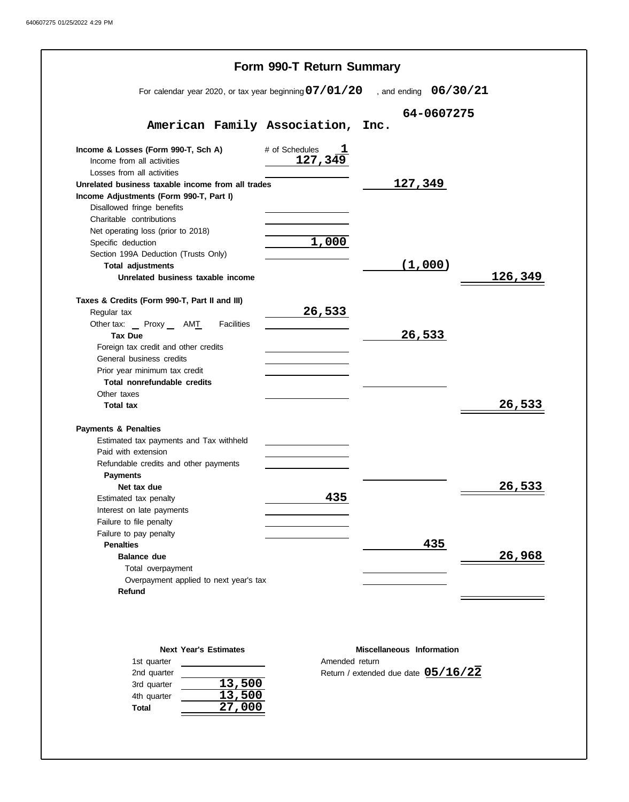|                                                                                                                                                                                                                                                           | Form 990-T Return Summary |            |               |
|-----------------------------------------------------------------------------------------------------------------------------------------------------------------------------------------------------------------------------------------------------------|---------------------------|------------|---------------|
| For calendar year 2020, or tax year beginning $07/01/20$ , and ending $06/30/21$                                                                                                                                                                          |                           |            |               |
| American Family Association, Inc.                                                                                                                                                                                                                         |                           | 64-0607275 |               |
| Income & Losses (Form 990-T, Sch A)<br>Income from all activities<br>Losses from all activities<br>Unrelated business taxable income from all trades<br>Income Adjustments (Form 990-T, Part I)<br>Disallowed fringe benefits<br>Charitable contributions | # of Schedules<br>127,349 | 127,349    |               |
| Net operating loss (prior to 2018)<br>Specific deduction<br>Section 199A Deduction (Trusts Only)<br><b>Total adjustments</b><br>Unrelated business taxable income                                                                                         | 1,000                     | (1,000)    | 126,349       |
| Taxes & Credits (Form 990-T, Part II and III)<br>Regular tax<br>Other tax: _ Proxy _ AMT<br><b>Facilities</b><br><b>Tax Due</b><br>Foreign tax credit and other credits<br>General business credits                                                       | 26,533                    | 26,533     |               |
| Prior year minimum tax credit<br>Total nonrefundable credits<br>Other taxes<br><b>Total tax</b>                                                                                                                                                           |                           |            | <u>26,533</u> |
| <b>Payments &amp; Penalties</b><br>Estimated tax payments and Tax withheld<br>Paid with extension<br>Refundable credits and other payments<br><b>Payments</b><br>Net tax due<br>Estimated tax penalty                                                     | 435                       |            | 26,533        |
| Interest on late payments<br>Failure to file penalty<br>Failure to pay penalty<br><b>Penalties</b><br><b>Balance due</b><br>Total overpayment<br>Overpayment applied to next year's tax<br>Refund                                                         |                           | 435        | 26,968        |

| <b>Next Year's Estimates</b> |  |
|------------------------------|--|
|                              |  |
|                              |  |
| 13,500                       |  |
| 13,500                       |  |
| 27,000                       |  |
|                              |  |

# Return / extended due date **05/16/22 Miscellaneous Information** Amended return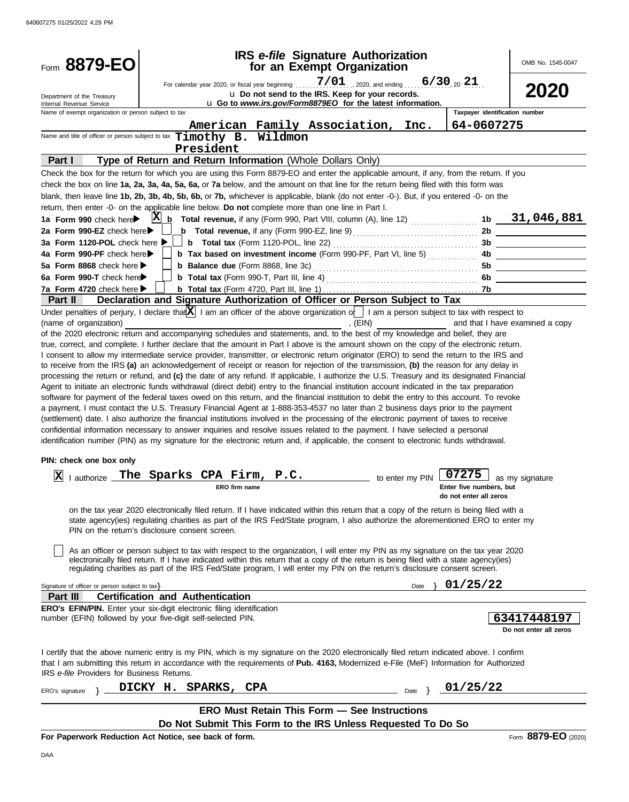| Form 8879-EO                                                | <b>IRS</b> e-file Signature Authorization<br>for an Exempt Organization                                                                                                                                                                                                                                                                                                                                 |                                                 | OMB No. 1545-0047                                  |
|-------------------------------------------------------------|---------------------------------------------------------------------------------------------------------------------------------------------------------------------------------------------------------------------------------------------------------------------------------------------------------------------------------------------------------------------------------------------------------|-------------------------------------------------|----------------------------------------------------|
| Department of the Treasury                                  | u Do not send to the IRS. Keep for your records.                                                                                                                                                                                                                                                                                                                                                        |                                                 | 2020                                               |
| Internal Revenue Service                                    | u Go to www.irs.gov/Form8879EO for the latest information.                                                                                                                                                                                                                                                                                                                                              |                                                 |                                                    |
| Name of exempt organization or person subject to tax        | American Family Association, Inc.                                                                                                                                                                                                                                                                                                                                                                       | Taxpayer identification number<br>64-0607275    |                                                    |
|                                                             | Name and title of officer or person subject to tax Timothy B. Wildmon<br>President                                                                                                                                                                                                                                                                                                                      |                                                 |                                                    |
| Part I                                                      | Type of Return and Return Information (Whole Dollars Only)                                                                                                                                                                                                                                                                                                                                              |                                                 |                                                    |
|                                                             | Check the box for the return for which you are using this Form 8879-EO and enter the applicable amount, if any, from the return. If you<br>check the box on line 1a, 2a, 3a, 4a, 5a, 6a, or 7a below, and the amount on that line for the return being filed with this form was                                                                                                                         |                                                 |                                                    |
|                                                             | blank, then leave line 1b, 2b, 3b, 4b, 5b, 6b, or 7b, whichever is applicable, blank (do not enter -0-). But, if you entered -0- on the                                                                                                                                                                                                                                                                 |                                                 |                                                    |
|                                                             | return, then enter -0- on the applicable line below. Do not complete more than one line in Part I.                                                                                                                                                                                                                                                                                                      |                                                 |                                                    |
| 1a Form 990 check here                                      | $X_{b}$ Total revenue, if any (Form 990, Part VIII, column (A), line 12)  1b $31,046,881$                                                                                                                                                                                                                                                                                                               |                                                 |                                                    |
| 2a Form 990-EZ check here▶<br>3a Form 1120-POL check here ▶ | <b>b</b> Total revenue, if any (Form 990-EZ, line 9) $\ldots$ $\ldots$ $\ldots$ $\ldots$ $\ldots$ 2b $\ldots$                                                                                                                                                                                                                                                                                           |                                                 |                                                    |
| 4a Form 990-PF check here                                   |                                                                                                                                                                                                                                                                                                                                                                                                         |                                                 |                                                    |
| 5a Form 8868 check here ▶                                   |                                                                                                                                                                                                                                                                                                                                                                                                         |                                                 |                                                    |
| 6a Form 990-T check here                                    |                                                                                                                                                                                                                                                                                                                                                                                                         |                                                 | <u> 1989 - Johann Stoff, fransk politik (d. 19</u> |
| 7a Form 4720 check here ▶                                   |                                                                                                                                                                                                                                                                                                                                                                                                         |                                                 |                                                    |
| <b>Part II</b>                                              | Declaration and Signature Authorization of Officer or Person Subject to Tax                                                                                                                                                                                                                                                                                                                             |                                                 |                                                    |
|                                                             | Under penalties of perjury, I declare that $\mathbf{X}$ I am an officer of the above organization of I am a person subject to tax with respect to                                                                                                                                                                                                                                                       |                                                 |                                                    |
| (name of organization)                                      | , (EIN)                                                                                                                                                                                                                                                                                                                                                                                                 |                                                 | and that I have examined a copy                    |
|                                                             | of the 2020 electronic return and accompanying schedules and statements, and, to the best of my knowledge and belief, they are                                                                                                                                                                                                                                                                          |                                                 |                                                    |
|                                                             | true, correct, and complete. I further declare that the amount in Part I above is the amount shown on the copy of the electronic return.                                                                                                                                                                                                                                                                |                                                 |                                                    |
|                                                             | I consent to allow my intermediate service provider, transmitter, or electronic return originator (ERO) to send the return to the IRS and                                                                                                                                                                                                                                                               |                                                 |                                                    |
|                                                             | to receive from the IRS (a) an acknowledgement of receipt or reason for rejection of the transmission, (b) the reason for any delay in                                                                                                                                                                                                                                                                  |                                                 |                                                    |
|                                                             | processing the return or refund, and (c) the date of any refund. If applicable, I authorize the U.S. Treasury and its designated Financial                                                                                                                                                                                                                                                              |                                                 |                                                    |
|                                                             | Agent to initiate an electronic funds withdrawal (direct debit) entry to the financial institution account indicated in the tax preparation<br>software for payment of the federal taxes owed on this return, and the financial institution to debit the entry to this account. To revoke                                                                                                               |                                                 |                                                    |
|                                                             | a payment, I must contact the U.S. Treasury Financial Agent at 1-888-353-4537 no later than 2 business days prior to the payment                                                                                                                                                                                                                                                                        |                                                 |                                                    |
|                                                             | (settlement) date. I also authorize the financial institutions involved in the processing of the electronic payment of taxes to receive                                                                                                                                                                                                                                                                 |                                                 |                                                    |
|                                                             | confidential information necessary to answer inquiries and resolve issues related to the payment. I have selected a personal                                                                                                                                                                                                                                                                            |                                                 |                                                    |
|                                                             | identification number (PIN) as my signature for the electronic return and, if applicable, the consent to electronic funds withdrawal.                                                                                                                                                                                                                                                                   |                                                 |                                                    |
|                                                             |                                                                                                                                                                                                                                                                                                                                                                                                         |                                                 |                                                    |
| PIN: check one box only                                     |                                                                                                                                                                                                                                                                                                                                                                                                         |                                                 |                                                    |
| $\mathbf{X}$ I authorize                                    | The Sparks CPA Firm, P.C.                                                                                                                                                                                                                                                                                                                                                                               | to enter my PIN $\boxed{07275}$ as my signature |                                                    |
|                                                             | <b>ERO firm name</b>                                                                                                                                                                                                                                                                                                                                                                                    | Enter five numbers, but                         |                                                    |
|                                                             |                                                                                                                                                                                                                                                                                                                                                                                                         | do not enter all zeros                          |                                                    |
|                                                             | on the tax year 2020 electronically filed return. If I have indicated within this return that a copy of the return is being filed with a<br>state agency(ies) regulating charities as part of the IRS Fed/State program, I also authorize the aforementioned ERO to enter my<br>PIN on the return's disclosure consent screen.                                                                          |                                                 |                                                    |
|                                                             |                                                                                                                                                                                                                                                                                                                                                                                                         |                                                 |                                                    |
|                                                             | As an officer or person subject to tax with respect to the organization, I will enter my PIN as my signature on the tax year 2020<br>electronically filed return. If I have indicated within this return that a copy of the return is being filed with a state agency(ies)<br>regulating charities as part of the IRS Fed/State program, I will enter my PIN on the return's disclosure consent screen. |                                                 |                                                    |
| Signature of officer or person subject to tax>              | Date                                                                                                                                                                                                                                                                                                                                                                                                    | 01/25/22                                        |                                                    |
| Part III                                                    | <b>Certification and Authentication</b>                                                                                                                                                                                                                                                                                                                                                                 |                                                 |                                                    |
|                                                             | ERO's EFIN/PIN. Enter your six-digit electronic filing identification                                                                                                                                                                                                                                                                                                                                   |                                                 |                                                    |
|                                                             | number (EFIN) followed by your five-digit self-selected PIN.                                                                                                                                                                                                                                                                                                                                            |                                                 | 63417448197<br>Do not enter all zeros              |
|                                                             | I certify that the above numeric entry is my PIN, which is my signature on the 2020 electronically filed return indicated above. I confirm                                                                                                                                                                                                                                                              |                                                 |                                                    |
| IRS e-file Providers for Business Returns.                  | that I am submitting this return in accordance with the requirements of Pub. 4163, Modernized e-File (MeF) Information for Authorized                                                                                                                                                                                                                                                                   |                                                 |                                                    |
| ERO's signature                                             | DICKY H. SPARKS, CPA<br>Date $\}$                                                                                                                                                                                                                                                                                                                                                                       | 01/25/22                                        |                                                    |
|                                                             | <b>ERO Must Retain This Form - See Instructions</b>                                                                                                                                                                                                                                                                                                                                                     |                                                 |                                                    |
|                                                             | Do Not Submit This Form to the IRS Unless Requested To Do So                                                                                                                                                                                                                                                                                                                                            |                                                 |                                                    |
|                                                             | For Paperwork Reduction Act Notice, see back of form.                                                                                                                                                                                                                                                                                                                                                   |                                                 | Form 8879-EO (2020)                                |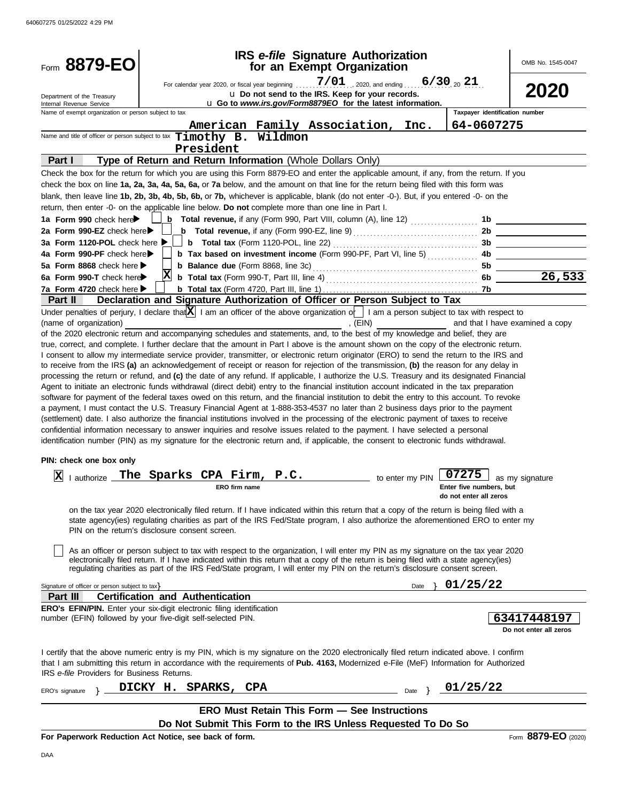| Form 8879-EO                                                                     |                                                                                                                                                                                                                                                                                      | <b>IRS</b> e-file Signature Authorization<br>for an Exempt Organization                           |        |                                                 | OMB No. 1545-0047               |
|----------------------------------------------------------------------------------|--------------------------------------------------------------------------------------------------------------------------------------------------------------------------------------------------------------------------------------------------------------------------------------|---------------------------------------------------------------------------------------------------|--------|-------------------------------------------------|---------------------------------|
| Department of the Treasury                                                       |                                                                                                                                                                                                                                                                                      | u Do not send to the IRS. Keep for your records.                                                  |        |                                                 | 2020                            |
| Internal Revenue Service<br>Name of exempt organization or person subject to tax |                                                                                                                                                                                                                                                                                      | u Go to www.irs.gov/Form8879EO for the latest information.                                        |        | Taxpayer identification number                  |                                 |
|                                                                                  |                                                                                                                                                                                                                                                                                      | American Family Association, Inc.                                                                 |        | 64-0607275                                      |                                 |
|                                                                                  | Name and title of officer or person subject to tax Timothy B. Wildmon<br>President                                                                                                                                                                                                   |                                                                                                   |        |                                                 |                                 |
| Part I                                                                           | Type of Return and Return Information (Whole Dollars Only)                                                                                                                                                                                                                           |                                                                                                   |        |                                                 |                                 |
|                                                                                  | Check the box for the return for which you are using this Form 8879-EO and enter the applicable amount, if any, from the return. If you                                                                                                                                              |                                                                                                   |        |                                                 |                                 |
|                                                                                  | check the box on line 1a, 2a, 3a, 4a, 5a, 6a, or 7a below, and the amount on that line for the return being filed with this form was                                                                                                                                                 |                                                                                                   |        |                                                 |                                 |
|                                                                                  | blank, then leave line 1b, 2b, 3b, 4b, 5b, 6b, or 7b, whichever is applicable, blank (do not enter -0-). But, if you entered -0- on the                                                                                                                                              |                                                                                                   |        |                                                 |                                 |
|                                                                                  | return, then enter -0- on the applicable line below. Do not complete more than one line in Part I.                                                                                                                                                                                   |                                                                                                   |        |                                                 |                                 |
|                                                                                  | 1a Form 990 check here LA b Total revenue, if any (Form 990, Part VIII, column (A), line 12) <b>Access 19th Summer La Convent Convent Convent Convent Convent Convent Convent Convent Convent Convent Convent Convent Convent Co</b>                                                 |                                                                                                   |        |                                                 |                                 |
| 2a Form 990-EZ check here                                                        | $\Box$ <b>b</b> Total revenue, if any (Form 990-EZ, line 9) $\Box$ $\Box$ $\Box$ $\Box$                                                                                                                                                                                              |                                                                                                   |        |                                                 | 2b                              |
| 3a Form 1120-POL check here ▶                                                    |                                                                                                                                                                                                                                                                                      | <b>b</b> Total tax (Form 1120-POL, line 22) $\ldots$ $\ldots$ $\ldots$ $\ldots$ $\ldots$ $\ldots$ |        |                                                 |                                 |
| 4a Form 990-PF check here                                                        |                                                                                                                                                                                                                                                                                      |                                                                                                   |        |                                                 |                                 |
| 5a Form 8868 check here ▶                                                        |                                                                                                                                                                                                                                                                                      |                                                                                                   |        |                                                 |                                 |
| 6a Form 990-T check here                                                         |                                                                                                                                                                                                                                                                                      |                                                                                                   |        |                                                 | 26,533                          |
| 7a Form 4720 check here $\blacktriangleright$                                    |                                                                                                                                                                                                                                                                                      |                                                                                                   |        |                                                 |                                 |
| <b>Part II</b>                                                                   | Declaration and Signature Authorization of Officer or Person Subject to Tax                                                                                                                                                                                                          |                                                                                                   |        |                                                 |                                 |
|                                                                                  | Under penalties of perjury, I declare that $X$ I am an officer of the above organization of I am a person subject to tax with respect to                                                                                                                                             |                                                                                                   |        |                                                 |                                 |
| (name of organization)                                                           |                                                                                                                                                                                                                                                                                      | , (EIN)                                                                                           |        |                                                 | and that I have examined a copy |
|                                                                                  | of the 2020 electronic return and accompanying schedules and statements, and, to the best of my knowledge and belief, they are                                                                                                                                                       |                                                                                                   |        |                                                 |                                 |
|                                                                                  | true, correct, and complete. I further declare that the amount in Part I above is the amount shown on the copy of the electronic return.                                                                                                                                             |                                                                                                   |        |                                                 |                                 |
|                                                                                  | I consent to allow my intermediate service provider, transmitter, or electronic return originator (ERO) to send the return to the IRS and                                                                                                                                            |                                                                                                   |        |                                                 |                                 |
|                                                                                  | to receive from the IRS (a) an acknowledgement of receipt or reason for rejection of the transmission, (b) the reason for any delay in<br>processing the return or refund, and (c) the date of any refund. If applicable, I authorize the U.S. Treasury and its designated Financial |                                                                                                   |        |                                                 |                                 |
|                                                                                  | Agent to initiate an electronic funds withdrawal (direct debit) entry to the financial institution account indicated in the tax preparation                                                                                                                                          |                                                                                                   |        |                                                 |                                 |
|                                                                                  | software for payment of the federal taxes owed on this return, and the financial institution to debit the entry to this account. To revoke                                                                                                                                           |                                                                                                   |        |                                                 |                                 |
|                                                                                  | a payment, I must contact the U.S. Treasury Financial Agent at 1-888-353-4537 no later than 2 business days prior to the payment                                                                                                                                                     |                                                                                                   |        |                                                 |                                 |
|                                                                                  | (settlement) date. I also authorize the financial institutions involved in the processing of the electronic payment of taxes to receive                                                                                                                                              |                                                                                                   |        |                                                 |                                 |
|                                                                                  | confidential information necessary to answer inquiries and resolve issues related to the payment. I have selected a personal                                                                                                                                                         |                                                                                                   |        |                                                 |                                 |
|                                                                                  | identification number (PIN) as my signature for the electronic return and, if applicable, the consent to electronic funds withdrawal.                                                                                                                                                |                                                                                                   |        |                                                 |                                 |
|                                                                                  |                                                                                                                                                                                                                                                                                      |                                                                                                   |        |                                                 |                                 |
| PIN: check one box only                                                          |                                                                                                                                                                                                                                                                                      |                                                                                                   |        |                                                 |                                 |
| $\overline{\mathbf{v}}$ .<br>I authorize<br>▵                                    | The Sparks CPA Firm, P.C.                                                                                                                                                                                                                                                            |                                                                                                   |        | to enter my PIN $\boxed{07275}$ as my signature |                                 |
|                                                                                  | ERO firm name                                                                                                                                                                                                                                                                        |                                                                                                   |        | Enter five numbers, but                         |                                 |
|                                                                                  |                                                                                                                                                                                                                                                                                      |                                                                                                   |        | do not enter all zeros                          |                                 |
|                                                                                  | on the tax year 2020 electronically filed return. If I have indicated within this return that a copy of the return is being filed with a                                                                                                                                             |                                                                                                   |        |                                                 |                                 |
|                                                                                  | state agency(ies) regulating charities as part of the IRS Fed/State program, I also authorize the aforementioned ERO to enter my                                                                                                                                                     |                                                                                                   |        |                                                 |                                 |
|                                                                                  | PIN on the return's disclosure consent screen.                                                                                                                                                                                                                                       |                                                                                                   |        |                                                 |                                 |
|                                                                                  |                                                                                                                                                                                                                                                                                      |                                                                                                   |        |                                                 |                                 |
|                                                                                  | As an officer or person subject to tax with respect to the organization, I will enter my PIN as my signature on the tax year 2020<br>electronically filed return. If I have indicated within this return that a copy of the return is being filed with a state agency(ies)           |                                                                                                   |        |                                                 |                                 |
|                                                                                  | regulating charities as part of the IRS Fed/State program, I will enter my PIN on the return's disclosure consent screen.                                                                                                                                                            |                                                                                                   |        |                                                 |                                 |
|                                                                                  |                                                                                                                                                                                                                                                                                      |                                                                                                   |        | 01/25/22                                        |                                 |
| Signature of officer or person subject to tax><br>Part III                       | <b>Certification and Authentication</b>                                                                                                                                                                                                                                              |                                                                                                   | Date   |                                                 |                                 |
|                                                                                  | ERO's EFIN/PIN. Enter your six-digit electronic filing identification                                                                                                                                                                                                                |                                                                                                   |        |                                                 |                                 |
|                                                                                  | number (EFIN) followed by your five-digit self-selected PIN.                                                                                                                                                                                                                         |                                                                                                   |        |                                                 | 63417448197                     |
|                                                                                  |                                                                                                                                                                                                                                                                                      |                                                                                                   |        |                                                 | Do not enter all zeros          |
|                                                                                  |                                                                                                                                                                                                                                                                                      |                                                                                                   |        |                                                 |                                 |
|                                                                                  | I certify that the above numeric entry is my PIN, which is my signature on the 2020 electronically filed return indicated above. I confirm                                                                                                                                           |                                                                                                   |        |                                                 |                                 |
|                                                                                  | that I am submitting this return in accordance with the requirements of Pub. 4163, Modernized e-File (MeF) Information for Authorized                                                                                                                                                |                                                                                                   |        |                                                 |                                 |
| IRS e-file Providers for Business Returns.                                       |                                                                                                                                                                                                                                                                                      |                                                                                                   |        |                                                 |                                 |
| ERO's signature                                                                  | DICKY H. SPARKS, CPA                                                                                                                                                                                                                                                                 |                                                                                                   | Date } | 01/25/22                                        |                                 |
|                                                                                  |                                                                                                                                                                                                                                                                                      |                                                                                                   |        |                                                 |                                 |
|                                                                                  |                                                                                                                                                                                                                                                                                      | <b>ERO Must Retain This Form - See Instructions</b>                                               |        |                                                 |                                 |
|                                                                                  | Do Not Submit This Form to the IRS Unless Requested To Do So                                                                                                                                                                                                                         |                                                                                                   |        |                                                 |                                 |
|                                                                                  | For Paperwork Reduction Act Notice, see back of form.                                                                                                                                                                                                                                |                                                                                                   |        |                                                 | Form 8879-EO (2020)             |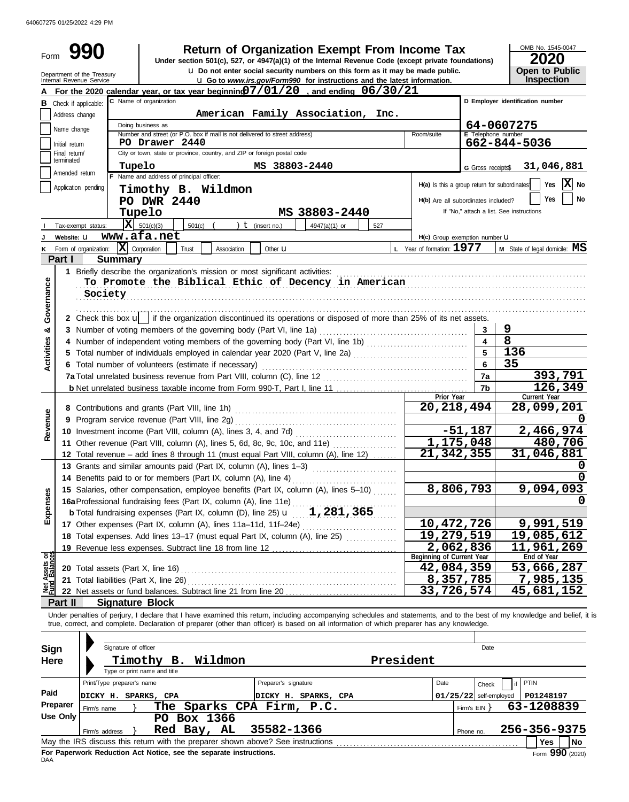640607275 01/25/2022 4:29 PM

|                   |                             |                                                        |                                                                               | <b>Return of Organization Exempt From Income Tax</b>                                                                                                                                                                                                                                                                     |                             |                                              | OMB No. 1545-0047                        |
|-------------------|-----------------------------|--------------------------------------------------------|-------------------------------------------------------------------------------|--------------------------------------------------------------------------------------------------------------------------------------------------------------------------------------------------------------------------------------------------------------------------------------------------------------------------|-----------------------------|----------------------------------------------|------------------------------------------|
| Form              |                             | 990                                                    |                                                                               | Under section 501(c), 527, or 4947(a)(1) of the Internal Revenue Code (except private foundations)                                                                                                                                                                                                                       |                             |                                              | <b>2020</b>                              |
|                   |                             | Department of the Treasury<br>Internal Revenue Service |                                                                               | <b>u</b> Do not enter social security numbers on this form as it may be made public.                                                                                                                                                                                                                                     |                             |                                              | <b>Open to Public</b>                    |
|                   |                             |                                                        |                                                                               | <b>u</b> Go to www.irs.gov/Form990 for instructions and the latest information.                                                                                                                                                                                                                                          |                             |                                              | Inspection                               |
|                   |                             |                                                        | C Name of organization                                                        | For the 2020 calendar year, or tax year beginning $07/01/20$ , and ending $06/30/21$                                                                                                                                                                                                                                     |                             |                                              | D Employer identification number         |
|                   |                             | <b>B</b> Check if applicable:                          |                                                                               | American Family Association,                                                                                                                                                                                                                                                                                             | Inc.                        |                                              |                                          |
|                   | Address change              |                                                        | Doing business as                                                             |                                                                                                                                                                                                                                                                                                                          |                             |                                              | 64-0607275                               |
|                   | Name change                 |                                                        | Number and street (or P.O. box if mail is not delivered to street address)    |                                                                                                                                                                                                                                                                                                                          | Room/suite                  | E Telephone number                           |                                          |
|                   | Initial return              |                                                        | PO Drawer 2440                                                                |                                                                                                                                                                                                                                                                                                                          |                             |                                              | 662-844-5036                             |
|                   | Final return/<br>terminated |                                                        | City or town, state or province, country, and ZIP or foreign postal code      |                                                                                                                                                                                                                                                                                                                          |                             |                                              |                                          |
|                   | Amended return              |                                                        | Tupelo                                                                        | MS 38803-2440                                                                                                                                                                                                                                                                                                            |                             | G Gross receipts\$                           | 31,046,881                               |
|                   |                             |                                                        | F Name and address of principal officer:                                      |                                                                                                                                                                                                                                                                                                                          |                             | H(a) Is this a group return for subordinates | $ \mathbf{X} $ No<br>Yes                 |
|                   |                             | Application pending                                    | Timothy B. Wildmon                                                            |                                                                                                                                                                                                                                                                                                                          |                             |                                              | No<br>Yes                                |
|                   |                             |                                                        | PO DWR 2440                                                                   |                                                                                                                                                                                                                                                                                                                          |                             | H(b) Are all subordinates included?          | If "No," attach a list. See instructions |
|                   |                             |                                                        | Tupelo                                                                        | MS 38803-2440                                                                                                                                                                                                                                                                                                            |                             |                                              |                                          |
|                   |                             | Tax-exempt status:                                     | $ \mathbf{X} $ 501(c)(3)<br>501(c)                                            | $t$ (insert no.)<br>4947(a)(1) or<br>527                                                                                                                                                                                                                                                                                 |                             |                                              |                                          |
|                   | Website: U                  |                                                        | www.afa.net                                                                   |                                                                                                                                                                                                                                                                                                                          |                             | H(c) Group exemption number <b>U</b>         |                                          |
|                   | Part I                      | K Form of organization:                                | $ \mathbf{X} $ Corporation<br>Trust<br>Association                            | Other $\mathbf u$                                                                                                                                                                                                                                                                                                        | L Year of formation: $1977$ |                                              | M State of legal domicile: MS            |
|                   |                             | <b>Summary</b>                                         |                                                                               |                                                                                                                                                                                                                                                                                                                          |                             |                                              |                                          |
|                   |                             |                                                        | 1 Briefly describe the organization's mission or most significant activities: | To Promote the Biblical Ethic of Decency in American                                                                                                                                                                                                                                                                     |                             |                                              |                                          |
|                   |                             |                                                        |                                                                               |                                                                                                                                                                                                                                                                                                                          |                             |                                              |                                          |
| Governance        |                             | Society                                                |                                                                               |                                                                                                                                                                                                                                                                                                                          |                             |                                              |                                          |
|                   |                             |                                                        |                                                                               |                                                                                                                                                                                                                                                                                                                          |                             |                                              |                                          |
|                   |                             |                                                        |                                                                               | 2 Check this box u   if the organization discontinued its operations or disposed of more than 25% of its net assets.                                                                                                                                                                                                     |                             |                                              |                                          |
| త                 |                             |                                                        |                                                                               |                                                                                                                                                                                                                                                                                                                          |                             | 3                                            | 9                                        |
|                   |                             |                                                        |                                                                               | 4 Number of independent voting members of the governing body (Part VI, line 1b)                                                                                                                                                                                                                                          |                             | $\overline{\mathbf{4}}$                      | 8                                        |
| <b>Activities</b> |                             |                                                        |                                                                               |                                                                                                                                                                                                                                                                                                                          |                             | 5                                            | 136                                      |
|                   |                             |                                                        | 6 Total number of volunteers (estimate if necessary)                          |                                                                                                                                                                                                                                                                                                                          |                             | 6                                            | 35                                       |
|                   |                             |                                                        |                                                                               |                                                                                                                                                                                                                                                                                                                          |                             | 7a                                           | 393,791                                  |
|                   |                             |                                                        |                                                                               |                                                                                                                                                                                                                                                                                                                          |                             | 7b                                           | 126,349                                  |
|                   |                             |                                                        |                                                                               |                                                                                                                                                                                                                                                                                                                          | Prior Year                  |                                              | Current Year                             |
|                   |                             |                                                        |                                                                               |                                                                                                                                                                                                                                                                                                                          |                             | 20,218,494                                   | 28,099,201                               |
| Revenue           |                             |                                                        | 9 Program service revenue (Part VIII, line 2g)                                |                                                                                                                                                                                                                                                                                                                          |                             |                                              |                                          |
|                   |                             |                                                        |                                                                               |                                                                                                                                                                                                                                                                                                                          |                             | $-51,187$<br>1,175,048                       | 2,466,974                                |
|                   |                             |                                                        |                                                                               | 11 Other revenue (Part VIII, column (A), lines 5, 6d, 8c, 9c, 10c, and 11e)                                                                                                                                                                                                                                              |                             |                                              | 480,706                                  |
|                   |                             |                                                        |                                                                               | 12 Total revenue - add lines 8 through 11 (must equal Part VIII, column (A), line 12)                                                                                                                                                                                                                                    |                             | 21,342,355                                   | 31,046,881                               |
|                   |                             |                                                        | 13 Grants and similar amounts paid (Part IX, column (A), lines 1-3)           |                                                                                                                                                                                                                                                                                                                          |                             |                                              | $\overline{0}$                           |
|                   |                             |                                                        | 14 Benefits paid to or for members (Part IX, column (A), line 4)              |                                                                                                                                                                                                                                                                                                                          |                             |                                              |                                          |
| Expenses          |                             |                                                        |                                                                               | 15 Salaries, other compensation, employee benefits (Part IX, column (A), lines 5-10)                                                                                                                                                                                                                                     |                             | 8,806,793                                    | 9,094,093                                |
|                   |                             |                                                        | 16a Professional fundraising fees (Part IX, column (A), line 11e)             |                                                                                                                                                                                                                                                                                                                          |                             |                                              | 0                                        |
|                   |                             |                                                        | <b>b</b> Total fundraising expenses (Part IX, column (D), line 25) <b>u</b>   | 1,281,365                                                                                                                                                                                                                                                                                                                |                             |                                              |                                          |
|                   |                             |                                                        |                                                                               | 17 Other expenses (Part IX, column (A), lines 11a-11d, 11f-24e)                                                                                                                                                                                                                                                          |                             | 10,472,726                                   | 9,991,519                                |
|                   |                             |                                                        |                                                                               | 18 Total expenses. Add lines 13-17 (must equal Part IX, column (A), line 25)                                                                                                                                                                                                                                             |                             | 19,279,519                                   | 19,085,612                               |
|                   |                             |                                                        | 19 Revenue less expenses. Subtract line 18 from line 12                       |                                                                                                                                                                                                                                                                                                                          | Beginning of Current Year   | 2,062,836                                    | 11,961,269<br>End of Year                |
| et Assets or      |                             |                                                        |                                                                               |                                                                                                                                                                                                                                                                                                                          |                             | 42,084,359                                   | 53,666,287                               |
|                   |                             |                                                        |                                                                               |                                                                                                                                                                                                                                                                                                                          |                             | 8,357,785                                    | 7,985,135                                |
|                   |                             |                                                        |                                                                               |                                                                                                                                                                                                                                                                                                                          |                             | 33,726,574                                   | 45,681,152                               |
|                   | Part II                     | <b>Signature Block</b>                                 |                                                                               |                                                                                                                                                                                                                                                                                                                          |                             |                                              |                                          |
|                   |                             |                                                        |                                                                               |                                                                                                                                                                                                                                                                                                                          |                             |                                              |                                          |
|                   |                             |                                                        |                                                                               | Under penalties of perjury, I declare that I have examined this return, including accompanying schedules and statements, and to the best of my knowledge and belief, it is<br>true, correct, and complete. Declaration of preparer (other than officer) is based on all information of which preparer has any knowledge. |                             |                                              |                                          |
|                   |                             |                                                        |                                                                               |                                                                                                                                                                                                                                                                                                                          |                             |                                              |                                          |
|                   |                             | Signature of officer                                   |                                                                               |                                                                                                                                                                                                                                                                                                                          |                             | Date                                         |                                          |
| <b>Sign</b>       |                             |                                                        |                                                                               |                                                                                                                                                                                                                                                                                                                          |                             |                                              |                                          |
| <b>Here</b>       |                             |                                                        | Timothy B. Wildmon<br>Type or print name and title                            |                                                                                                                                                                                                                                                                                                                          | President                   |                                              |                                          |
|                   |                             | Print/Type preparer's name                             |                                                                               | Preparer's signature                                                                                                                                                                                                                                                                                                     | Date                        |                                              | <b>PTIN</b>                              |
| Paid              |                             |                                                        |                                                                               |                                                                                                                                                                                                                                                                                                                          |                             | Check                                        |                                          |
|                   | Preparer                    | DICKY H. SPARKS, CPA                                   |                                                                               | DICKY H. SPARKS, CPA                                                                                                                                                                                                                                                                                                     |                             | $01/25/22$ self-employed                     | P01248197                                |
|                   | Use Only                    | Firm's name                                            | The Sparks CPA Firm, P.C.                                                     |                                                                                                                                                                                                                                                                                                                          |                             | Firm's $EIN$ }                               | 63-1208839                               |
|                   |                             |                                                        | PO Box 1366                                                                   |                                                                                                                                                                                                                                                                                                                          |                             |                                              |                                          |
|                   |                             | Firm's address                                         | Red Bay, AL                                                                   | 35582-1366                                                                                                                                                                                                                                                                                                               |                             | Phone no.                                    | 256-356-9375                             |
|                   |                             |                                                        |                                                                               |                                                                                                                                                                                                                                                                                                                          |                             |                                              | Yes<br><b>No</b>                         |

|          | i illie i ypo proparol o rialito                                                        |  |             |             |  | , roparoro orginataro                                                           |  | <b>DUV</b> |              | <b>UNECK</b>             |              | . |            |      |
|----------|-----------------------------------------------------------------------------------------|--|-------------|-------------|--|---------------------------------------------------------------------------------|--|------------|--------------|--------------------------|--------------|---|------------|------|
| Paid     | DICKY H.                                                                                |  | SPARKS, CPA |             |  | DICKY H. SPARKS, CPA                                                            |  |            |              | $01/25/22$ self-employed |              |   | P01248197  |      |
| Preparer | Firm's name                                                                             |  |             |             |  | The Sparks CPA Firm, P.C.                                                       |  |            | Firm's $EIN$ |                          |              |   | 63-1208839 |      |
| Use Only |                                                                                         |  |             | PO Box 1366 |  |                                                                                 |  |            |              |                          |              |   |            |      |
|          | Firm's address                                                                          |  |             |             |  | Red Bay, AL 35582-1366                                                          |  |            | Phone no.    |                          | 256-356-9375 |   |            |      |
|          |                                                                                         |  |             |             |  | May the IRS discuss this return with the preparer shown above? See instructions |  |            |              |                          |              |   | Yes        | l No |
| DAA      | Form $990$ (2020)<br>For Paperwork Reduction Act Notice, see the separate instructions. |  |             |             |  |                                                                                 |  |            |              |                          |              |   |            |      |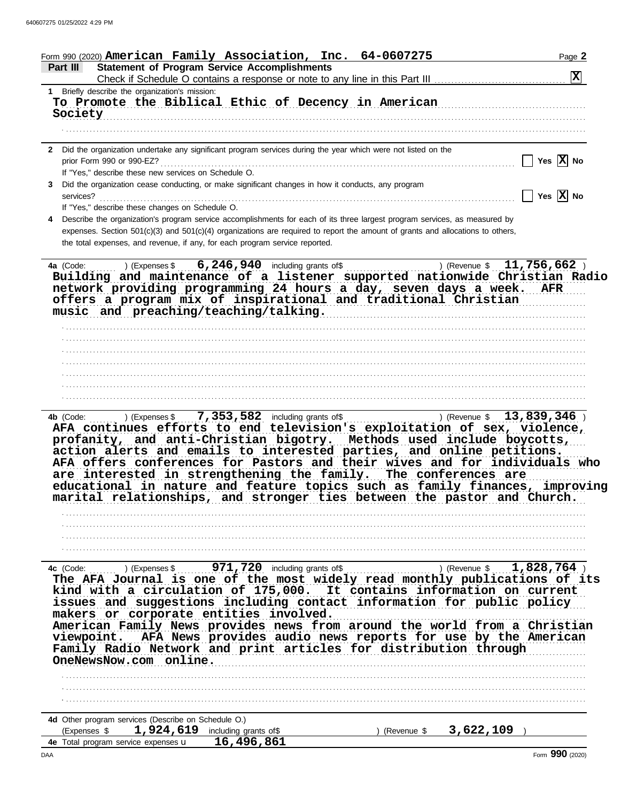| <b>Statement of Program Service Accomplishments</b><br>Part III<br>1 Briefly describe the organization's mission:<br>To Promote the Biblical Ethic of Decency in American                                                                                                                                                                                                                                                                                                                                                     | $\boxed{\mathbf{X}}$               |
|-------------------------------------------------------------------------------------------------------------------------------------------------------------------------------------------------------------------------------------------------------------------------------------------------------------------------------------------------------------------------------------------------------------------------------------------------------------------------------------------------------------------------------|------------------------------------|
|                                                                                                                                                                                                                                                                                                                                                                                                                                                                                                                               |                                    |
|                                                                                                                                                                                                                                                                                                                                                                                                                                                                                                                               |                                    |
| Society                                                                                                                                                                                                                                                                                                                                                                                                                                                                                                                       |                                    |
|                                                                                                                                                                                                                                                                                                                                                                                                                                                                                                                               |                                    |
| 2 Did the organization undertake any significant program services during the year which were not listed on the                                                                                                                                                                                                                                                                                                                                                                                                                |                                    |
| If "Yes," describe these new services on Schedule O.                                                                                                                                                                                                                                                                                                                                                                                                                                                                          | $\Box$ Yes $\boxed{\textbf{X}}$ No |
| Did the organization cease conducting, or make significant changes in how it conducts, any program                                                                                                                                                                                                                                                                                                                                                                                                                            |                                    |
|                                                                                                                                                                                                                                                                                                                                                                                                                                                                                                                               | $\Box$ Yes $\boxed{\textbf{X}}$ No |
| If "Yes," describe these changes on Schedule O.                                                                                                                                                                                                                                                                                                                                                                                                                                                                               |                                    |
| Describe the organization's program service accomplishments for each of its three largest program services, as measured by<br>expenses. Section 501(c)(3) and 501(c)(4) organizations are required to report the amount of grants and allocations to others,<br>the total expenses, and revenue, if any, for each program service reported.                                                                                                                                                                                   |                                    |
| 4a (Code: (256,662) (Expenses \$6,246,940 including grants of \$1,1,1956,662)<br>Building and maintenance of a listener supported nationwide Christian Radio<br>network providing programming 24 hours a day, seven days a week. AFR<br>offers a program mix of inspirational and traditional Christian<br>music and preaching/teaching/talking.                                                                                                                                                                              |                                    |
|                                                                                                                                                                                                                                                                                                                                                                                                                                                                                                                               |                                    |
|                                                                                                                                                                                                                                                                                                                                                                                                                                                                                                                               |                                    |
|                                                                                                                                                                                                                                                                                                                                                                                                                                                                                                                               |                                    |
|                                                                                                                                                                                                                                                                                                                                                                                                                                                                                                                               |                                    |
|                                                                                                                                                                                                                                                                                                                                                                                                                                                                                                                               |                                    |
|                                                                                                                                                                                                                                                                                                                                                                                                                                                                                                                               |                                    |
| AFA continues efforts to end television's exploitation of sex, violence,<br>profanity, and anti-Christian bigotry. Methods used include boycotts,<br>action alerts and emails to interested parties, and online petitions.<br>AFA offers conferences for Pastors and their wives and for individuals who<br>are interested in strengthening the family. The conferences are<br>are interested in strengthening the ramily. The conferences are<br>educational in nature and feature topics such as family finances, improving |                                    |
| marital relationships, and stronger ties between the pastor and Church.                                                                                                                                                                                                                                                                                                                                                                                                                                                       |                                    |
|                                                                                                                                                                                                                                                                                                                                                                                                                                                                                                                               |                                    |
|                                                                                                                                                                                                                                                                                                                                                                                                                                                                                                                               |                                    |
|                                                                                                                                                                                                                                                                                                                                                                                                                                                                                                                               |                                    |
| 4c (Code:  ) (Expenses \$  971, 720 including grants of \$<br>) (Revenue \$1,828,764)<br>The AFA Journal is one of the most widely read monthly publications of its<br>kind with a circulation of 175,000. It contains information on current<br>issues and suggestions including contact information for public policy                                                                                                                                                                                                       |                                    |
| makers or corporate entities involved.<br>American Family News provides news from around the world from a Christian<br>viewpoint. AFA News provides audio news reports for use by the American<br>Family Radio Network and print articles for distribution through                                                                                                                                                                                                                                                            |                                    |
| OneNewsNow.com online.                                                                                                                                                                                                                                                                                                                                                                                                                                                                                                        |                                    |
|                                                                                                                                                                                                                                                                                                                                                                                                                                                                                                                               |                                    |
|                                                                                                                                                                                                                                                                                                                                                                                                                                                                                                                               |                                    |
| 4d Other program services (Describe on Schedule O.)                                                                                                                                                                                                                                                                                                                                                                                                                                                                           |                                    |
|                                                                                                                                                                                                                                                                                                                                                                                                                                                                                                                               |                                    |
| 3,622,109<br>$1,924,619$ including grants of \$<br>(Expenses \$<br>(Revenue \$<br>4e Total program service expenses u<br>16,496,861                                                                                                                                                                                                                                                                                                                                                                                           |                                    |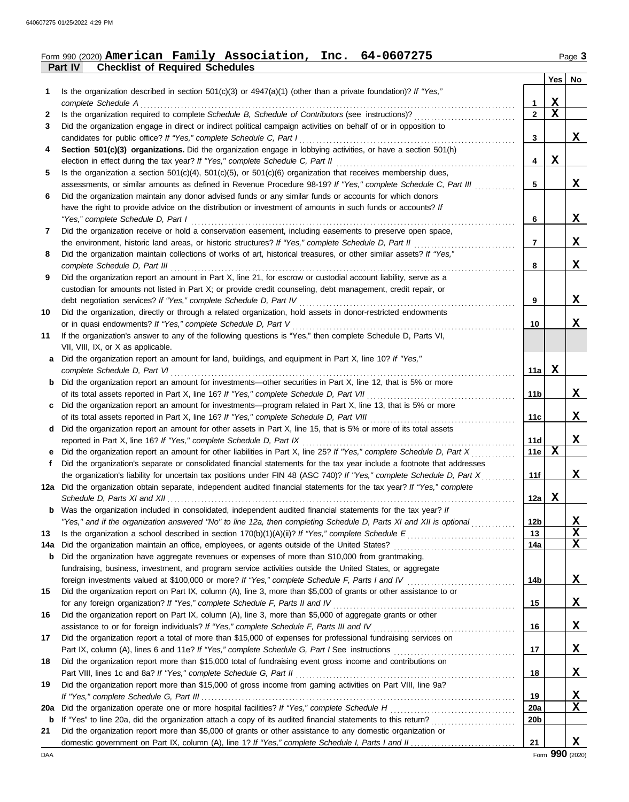# **Part IV Checklist of Required Schedules** Form 990 (2020) **American Family Association, Inc. 64-0607275** Page 3

|     |                                                                                                                                                                                                                    |                 |                  | $Yes \mid No$ |
|-----|--------------------------------------------------------------------------------------------------------------------------------------------------------------------------------------------------------------------|-----------------|------------------|---------------|
| 1   | Is the organization described in section $501(c)(3)$ or $4947(a)(1)$ (other than a private foundation)? If "Yes,"                                                                                                  |                 |                  |               |
|     | complete Schedule A                                                                                                                                                                                                | 1               | X<br>$\mathbf x$ |               |
| 2   | Is the organization required to complete Schedule B, Schedule of Contributors (see instructions)?                                                                                                                  | $\mathbf{2}$    |                  |               |
| 3   | Did the organization engage in direct or indirect political campaign activities on behalf of or in opposition to<br>candidates for public office? If "Yes," complete Schedule C, Part I                            | 3               |                  | X             |
| 4   | Section 501(c)(3) organizations. Did the organization engage in lobbying activities, or have a section 501(h)                                                                                                      |                 |                  |               |
|     | election in effect during the tax year? If "Yes," complete Schedule C, Part II                                                                                                                                     | 4               | X                |               |
| 5   | Is the organization a section $501(c)(4)$ , $501(c)(5)$ , or $501(c)(6)$ organization that receives membership dues,                                                                                               |                 |                  |               |
|     | assessments, or similar amounts as defined in Revenue Procedure 98-19? If "Yes," complete Schedule C, Part III                                                                                                     | 5               |                  | X             |
| 6   | Did the organization maintain any donor advised funds or any similar funds or accounts for which donors                                                                                                            |                 |                  |               |
|     | have the right to provide advice on the distribution or investment of amounts in such funds or accounts? If                                                                                                        |                 |                  |               |
|     | "Yes," complete Schedule D, Part I                                                                                                                                                                                 | 6               |                  | X             |
| 7   | Did the organization receive or hold a conservation easement, including easements to preserve open space,                                                                                                          |                 |                  |               |
|     | the environment, historic land areas, or historic structures? If "Yes," complete Schedule D, Part II                                                                                                               | 7               |                  | X             |
| 8   | Did the organization maintain collections of works of art, historical treasures, or other similar assets? If "Yes,"                                                                                                |                 |                  |               |
|     | complete Schedule D, Part III                                                                                                                                                                                      | 8               |                  | X             |
| 9   | Did the organization report an amount in Part X, line 21, for escrow or custodial account liability, serve as a                                                                                                    |                 |                  |               |
|     | custodian for amounts not listed in Part X; or provide credit counseling, debt management, credit repair, or                                                                                                       |                 |                  |               |
|     | debt negotiation services? If "Yes," complete Schedule D, Part IV                                                                                                                                                  | 9               |                  | X             |
| 10  | Did the organization, directly or through a related organization, hold assets in donor-restricted endowments                                                                                                       |                 |                  |               |
|     | or in quasi endowments? If "Yes," complete Schedule D, Part V                                                                                                                                                      | 10              |                  | X             |
| 11  | If the organization's answer to any of the following questions is "Yes," then complete Schedule D, Parts VI,                                                                                                       |                 |                  |               |
|     | VII, VIII, IX, or X as applicable.                                                                                                                                                                                 |                 |                  |               |
| a   | Did the organization report an amount for land, buildings, and equipment in Part X, line 10? If "Yes,"                                                                                                             |                 |                  |               |
|     | complete Schedule D, Part VI                                                                                                                                                                                       | 11a             | X                |               |
|     | <b>b</b> Did the organization report an amount for investments—other securities in Part X, line 12, that is 5% or more<br>of its total assets reported in Part X, line 16? If "Yes," complete Schedule D, Part VII | 11b             |                  | X             |
| C.  | Did the organization report an amount for investments—program related in Part X, line 13, that is 5% or more                                                                                                       |                 |                  |               |
|     | of its total assets reported in Part X, line 16? If "Yes," complete Schedule D, Part VIII                                                                                                                          | 11c             |                  | X             |
| d   | Did the organization report an amount for other assets in Part X, line 15, that is 5% or more of its total assets                                                                                                  |                 |                  |               |
|     | reported in Part X, line 16? If "Yes," complete Schedule D, Part IX                                                                                                                                                | 11d             |                  | X             |
| e.  | Did the organization report an amount for other liabilities in Part X, line 25? If "Yes," complete Schedule D, Part X                                                                                              | 11e             | $\mathbf X$      |               |
| f.  | Did the organization's separate or consolidated financial statements for the tax year include a footnote that addresses                                                                                            |                 |                  |               |
|     | the organization's liability for uncertain tax positions under FIN 48 (ASC 740)? If "Yes," complete Schedule D, Part X                                                                                             | 11f             |                  | x             |
|     | 12a Did the organization obtain separate, independent audited financial statements for the tax year? If "Yes," complete                                                                                            |                 |                  |               |
|     | Schedule D, Parts XI and XII                                                                                                                                                                                       | 12a             | X                |               |
|     | <b>b</b> Was the organization included in consolidated, independent audited financial statements for the tax year? If                                                                                              |                 |                  |               |
|     | "Yes," and if the organization answered "No" to line 12a, then completing Schedule D, Parts XI and XII is optional                                                                                                 | 12 <sub>b</sub> |                  | X             |
| 13  |                                                                                                                                                                                                                    | 13              |                  | X             |
| 14a | Did the organization maintain an office, employees, or agents outside of the United States?                                                                                                                        | 14a             |                  | X             |
| b   | Did the organization have aggregate revenues or expenses of more than \$10,000 from grantmaking,                                                                                                                   |                 |                  |               |
|     | fundraising, business, investment, and program service activities outside the United States, or aggregate                                                                                                          |                 |                  |               |
|     |                                                                                                                                                                                                                    | 14b             |                  | X             |
| 15  | Did the organization report on Part IX, column (A), line 3, more than \$5,000 of grants or other assistance to or                                                                                                  |                 |                  |               |
| 16  | for any foreign organization? If "Yes," complete Schedule F, Parts II and IV<br>Did the organization report on Part IX, column (A), line 3, more than \$5,000 of aggregate grants or other                         | 15              |                  | X             |
|     |                                                                                                                                                                                                                    | 16              |                  | X             |
| 17  | Did the organization report a total of more than \$15,000 of expenses for professional fundraising services on                                                                                                     |                 |                  |               |
|     |                                                                                                                                                                                                                    | 17              |                  | X             |
| 18  | Did the organization report more than \$15,000 total of fundraising event gross income and contributions on                                                                                                        |                 |                  |               |
|     | Part VIII, lines 1c and 8a? If "Yes," complete Schedule G, Part II                                                                                                                                                 | 18              |                  | X             |
| 19  | Did the organization report more than \$15,000 of gross income from gaming activities on Part VIII, line 9a?                                                                                                       |                 |                  |               |
|     |                                                                                                                                                                                                                    | 19              |                  | X             |
| 20a | Did the organization operate one or more hospital facilities? If "Yes," complete Schedule H                                                                                                                        | <b>20a</b>      |                  | X             |
| b   |                                                                                                                                                                                                                    | 20 <sub>b</sub> |                  |               |
| 21  | Did the organization report more than \$5,000 of grants or other assistance to any domestic organization or                                                                                                        |                 |                  |               |
|     |                                                                                                                                                                                                                    | 21              |                  | X             |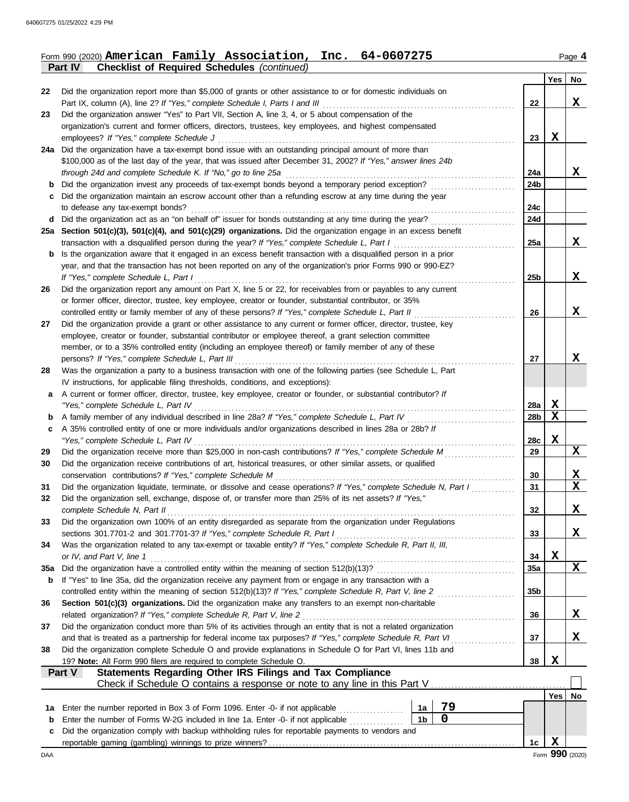#### <u>Form 990 (2020)</u> American Family Association, Inc. 64-0607275 Page 4 **American Family Association, Inc. 64-0607275**

|     | Part IV<br><b>Checklist of Required Schedules (continued)</b>                                                                                                                               |            |     |                         |
|-----|---------------------------------------------------------------------------------------------------------------------------------------------------------------------------------------------|------------|-----|-------------------------|
|     |                                                                                                                                                                                             |            | Yes | No.                     |
| 22  | Did the organization report more than \$5,000 of grants or other assistance to or for domestic individuals on                                                                               |            |     |                         |
|     | Part IX, column (A), line 2? If "Yes," complete Schedule I, Parts I and III                                                                                                                 | 22         |     | x                       |
| 23  | Did the organization answer "Yes" to Part VII, Section A, line 3, 4, or 5 about compensation of the                                                                                         |            |     |                         |
|     | organization's current and former officers, directors, trustees, key employees, and highest compensated                                                                                     |            |     |                         |
|     | employees? If "Yes," complete Schedule J                                                                                                                                                    | 23         | X   |                         |
|     | 24a Did the organization have a tax-exempt bond issue with an outstanding principal amount of more than                                                                                     |            |     |                         |
|     | \$100,000 as of the last day of the year, that was issued after December 31, 2002? If "Yes," answer lines 24b                                                                               |            |     |                         |
|     | through 24d and complete Schedule K. If "No," go to line 25a                                                                                                                                | 24a        |     | x                       |
|     | Did the organization invest any proceeds of tax-exempt bonds beyond a temporary period exception?                                                                                           | 24b        |     |                         |
|     | Did the organization maintain an escrow account other than a refunding escrow at any time during the year                                                                                   |            |     |                         |
|     | to defease any tax-exempt bonds?<br>Did the organization act as an "on behalf of" issuer for bonds outstanding at any time during the year?                                                 | 24c<br>24d |     |                         |
| d   | 25a Section 501(c)(3), 501(c)(4), and 501(c)(29) organizations. Did the organization engage in an excess benefit                                                                            |            |     |                         |
|     | transaction with a disqualified person during the year? If "Yes," complete Schedule L, Part I                                                                                               | 25a        |     | X                       |
| b   | Is the organization aware that it engaged in an excess benefit transaction with a disqualified person in a prior                                                                            |            |     |                         |
|     | year, and that the transaction has not been reported on any of the organization's prior Forms 990 or 990-EZ?                                                                                |            |     |                         |
|     | If "Yes," complete Schedule L, Part I                                                                                                                                                       | 25b        |     | X                       |
| 26  | Did the organization report any amount on Part X, line 5 or 22, for receivables from or payables to any current                                                                             |            |     |                         |
|     | or former officer, director, trustee, key employee, creator or founder, substantial contributor, or 35%                                                                                     |            |     |                         |
|     | controlled entity or family member of any of these persons? If "Yes," complete Schedule L, Part II                                                                                          | 26         |     | X                       |
| 27  | Did the organization provide a grant or other assistance to any current or former officer, director, trustee, key                                                                           |            |     |                         |
|     | employee, creator or founder, substantial contributor or employee thereof, a grant selection committee                                                                                      |            |     |                         |
|     | member, or to a 35% controlled entity (including an employee thereof) or family member of any of these                                                                                      |            |     |                         |
|     | persons? If "Yes," complete Schedule L, Part III                                                                                                                                            | 27         |     | x                       |
| 28  | Was the organization a party to a business transaction with one of the following parties (see Schedule L, Part                                                                              |            |     |                         |
|     | IV instructions, for applicable filing thresholds, conditions, and exceptions):                                                                                                             |            |     |                         |
| a   | A current or former officer, director, trustee, key employee, creator or founder, or substantial contributor? If                                                                            |            |     |                         |
|     | "Yes," complete Schedule L, Part IV                                                                                                                                                         | 28a        | X   |                         |
| b   |                                                                                                                                                                                             | 28b        | X   |                         |
| c   | A 35% controlled entity of one or more individuals and/or organizations described in lines 28a or 28b? If                                                                                   |            |     |                         |
|     | "Yes," complete Schedule L, Part IV                                                                                                                                                         | 28c        | X   |                         |
| 29  | Did the organization receive more than \$25,000 in non-cash contributions? If "Yes," complete Schedule M                                                                                    | 29         |     | X                       |
| 30  | Did the organization receive contributions of art, historical treasures, or other similar assets, or qualified                                                                              |            |     |                         |
|     | conservation contributions? If "Yes," complete Schedule M                                                                                                                                   | 30         |     | <u>x</u>                |
| 31  | Did the organization liquidate, terminate, or dissolve and cease operations? If "Yes," complete Schedule N, Part I                                                                          | 31         |     | $\overline{\mathbf{x}}$ |
| 32  | Did the organization sell, exchange, dispose of, or transfer more than 25% of its net assets? If "Yes,"                                                                                     |            |     |                         |
|     | complete Schedule N, Part II                                                                                                                                                                | 32         |     | X                       |
| 33  | Did the organization own 100% of an entity disregarded as separate from the organization under Regulations                                                                                  |            |     |                         |
|     | sections 301.7701-2 and 301.7701-3? If "Yes," complete Schedule R, Part I<br>Was the organization related to any tax-exempt or taxable entity? If "Yes," complete Schedule R, Part II, III, | 33         |     | X                       |
| 34  | or IV, and Part V, line 1                                                                                                                                                                   | 34         | X   |                         |
| 35a |                                                                                                                                                                                             | 35a        |     | X                       |
| b   | If "Yes" to line 35a, did the organization receive any payment from or engage in any transaction with a                                                                                     |            |     |                         |
|     | controlled entity within the meaning of section 512(b)(13)? If "Yes," complete Schedule R, Part V, line 2                                                                                   | 35b        |     |                         |
| 36  | Section 501(c)(3) organizations. Did the organization make any transfers to an exempt non-charitable                                                                                        |            |     |                         |
|     | related organization? If "Yes," complete Schedule R, Part V, line 2                                                                                                                         | 36         |     | X                       |
| 37  | Did the organization conduct more than 5% of its activities through an entity that is not a related organization                                                                            |            |     |                         |
|     | and that is treated as a partnership for federal income tax purposes? If "Yes," complete Schedule R, Part VI                                                                                | 37         |     | X                       |
| 38  | Did the organization complete Schedule O and provide explanations in Schedule O for Part VI, lines 11b and                                                                                  |            |     |                         |
|     | 19? Note: All Form 990 filers are required to complete Schedule O.                                                                                                                          | 38         | X   |                         |
|     | Statements Regarding Other IRS Filings and Tax Compliance<br>Part V                                                                                                                         |            |     |                         |
|     | Check if Schedule O contains a response or note to any line in this Part V                                                                                                                  |            |     |                         |
|     |                                                                                                                                                                                             |            | Yes | No                      |
| 1a  | 79<br>Enter the number reported in Box 3 of Form 1096. Enter -0- if not applicable <i>mimimimimimimimimimi</i><br>1a                                                                        |            |     |                         |
| b   | 0<br>1 <sub>b</sub><br>Enter the number of Forms W-2G included in line 1a. Enter -0- if not applicable                                                                                      |            |     |                         |
| c   | Did the organization comply with backup withholding rules for reportable payments to vendors and                                                                                            |            |     |                         |
|     |                                                                                                                                                                                             | 1c         | X   |                         |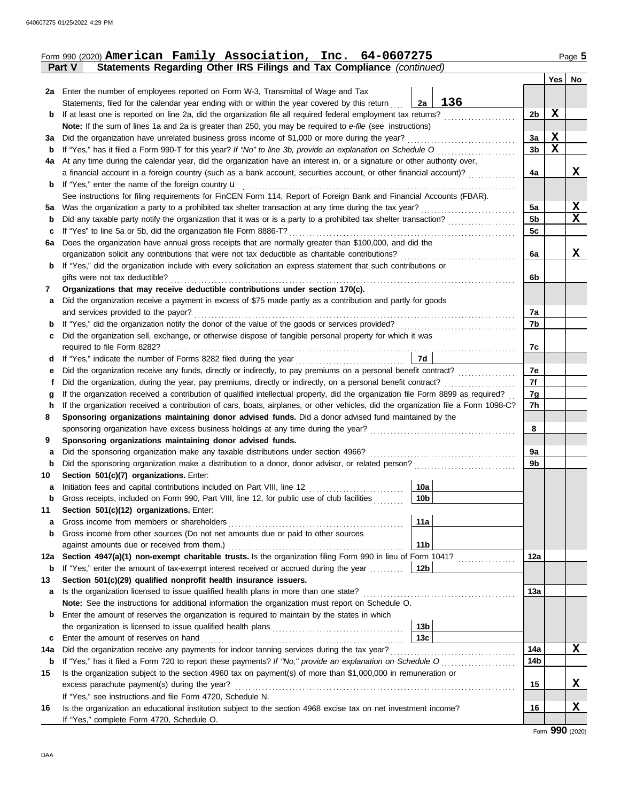|        | Form 990 (2020) American Family Association, Inc. 64-0607275                                                                                                                                                                                     |                |                  | Page 5      |
|--------|--------------------------------------------------------------------------------------------------------------------------------------------------------------------------------------------------------------------------------------------------|----------------|------------------|-------------|
|        | Statements Regarding Other IRS Filings and Tax Compliance (continued)<br>Part V                                                                                                                                                                  |                |                  |             |
|        |                                                                                                                                                                                                                                                  |                | Yes <sub>1</sub> | No          |
|        | 2a Enter the number of employees reported on Form W-3, Transmittal of Wage and Tax                                                                                                                                                               |                |                  |             |
|        | 136<br>Statements, filed for the calendar year ending with or within the year covered by this return<br>2a                                                                                                                                       |                |                  |             |
| b      | If at least one is reported on line 2a, did the organization file all required federal employment tax returns?                                                                                                                                   | 2b             | $\mathbf X$      |             |
|        | Note: If the sum of lines 1a and 2a is greater than 250, you may be required to e-file (see instructions)                                                                                                                                        |                |                  |             |
| За     | Did the organization have unrelated business gross income of \$1,000 or more during the year?                                                                                                                                                    | 3a             | $\mathbf x$      |             |
| b      |                                                                                                                                                                                                                                                  | 3 <sub>b</sub> | $\mathbf X$      |             |
| 4a     | At any time during the calendar year, did the organization have an interest in, or a signature or other authority over,                                                                                                                          |                |                  |             |
|        | a financial account in a foreign country (such as a bank account, securities account, or other financial account)?                                                                                                                               | 4a             |                  | X           |
| b      | If "Yes," enter the name of the foreign country <b>u</b>                                                                                                                                                                                         |                |                  |             |
|        | See instructions for filing requirements for FinCEN Form 114, Report of Foreign Bank and Financial Accounts (FBAR).                                                                                                                              |                |                  |             |
| 5а     | Was the organization a party to a prohibited tax shelter transaction at any time during the tax year?                                                                                                                                            | 5a             |                  | X           |
| b      | Did any taxable party notify the organization that it was or is a party to a prohibited tax shelter transaction?                                                                                                                                 | 5 <sub>b</sub> |                  | $\mathbf x$ |
| c      | If "Yes" to line 5a or 5b, did the organization file Form 8886-T?                                                                                                                                                                                | 5c             |                  |             |
| 6a     | Does the organization have annual gross receipts that are normally greater than \$100,000, and did the                                                                                                                                           |                |                  |             |
|        | organization solicit any contributions that were not tax deductible as charitable contributions?                                                                                                                                                 | 6a             |                  | X           |
| b      | If "Yes," did the organization include with every solicitation an express statement that such contributions or                                                                                                                                   |                |                  |             |
|        | gifts were not tax deductible?                                                                                                                                                                                                                   | 6b             |                  |             |
| 7      | Organizations that may receive deductible contributions under section 170(c).                                                                                                                                                                    |                |                  |             |
| a      | Did the organization receive a payment in excess of \$75 made partly as a contribution and partly for goods                                                                                                                                      |                |                  |             |
|        | and services provided to the payor?                                                                                                                                                                                                              | 7a             |                  |             |
| b      | If "Yes," did the organization notify the donor of the value of the goods or services provided?                                                                                                                                                  | 7b             |                  |             |
| с      | Did the organization sell, exchange, or otherwise dispose of tangible personal property for which it was                                                                                                                                         |                |                  |             |
|        | 7d                                                                                                                                                                                                                                               | 7c             |                  |             |
| d      |                                                                                                                                                                                                                                                  | 7e             |                  |             |
| е<br>f |                                                                                                                                                                                                                                                  | 7f             |                  |             |
|        | Did the organization, during the year, pay premiums, directly or indirectly, on a personal benefit contract?<br>If the organization received a contribution of qualified intellectual property, did the organization file Form 8899 as required? | 7g             |                  |             |
| g<br>h | If the organization received a contribution of cars, boats, airplanes, or other vehicles, did the organization file a Form 1098-C?                                                                                                               | 7h             |                  |             |
| 8      | Sponsoring organizations maintaining donor advised funds. Did a donor advised fund maintained by the                                                                                                                                             |                |                  |             |
|        |                                                                                                                                                                                                                                                  | 8              |                  |             |
| 9      | Sponsoring organizations maintaining donor advised funds.                                                                                                                                                                                        |                |                  |             |
| a      | Did the sponsoring organization make any taxable distributions under section 4966?                                                                                                                                                               | 9a             |                  |             |
| b      | Did the sponsoring organization make a distribution to a donor, donor advisor, or related person?                                                                                                                                                | 9b             |                  |             |
| 10     | Section 501(c)(7) organizations. Enter:                                                                                                                                                                                                          |                |                  |             |
|        | 10a <br>Initiation fees and capital contributions included on Part VIII, line 12 [11][11][11][11][11][11][11][11][11][                                                                                                                           |                |                  |             |
| b      | Gross receipts, included on Form 990, Part VIII, line 12, for public use of club facilities<br>10b                                                                                                                                               |                |                  |             |
| 11     | Section 501(c)(12) organizations. Enter:                                                                                                                                                                                                         |                |                  |             |
| a      | 11a<br>Gross income from members or shareholders                                                                                                                                                                                                 |                |                  |             |
| b      | Gross income from other sources (Do not net amounts due or paid to other sources                                                                                                                                                                 |                |                  |             |
|        | against amounts due or received from them.)<br>11 <sub>b</sub>                                                                                                                                                                                   |                |                  |             |
| 12a    | Section 4947(a)(1) non-exempt charitable trusts. Is the organization filing Form 990 in lieu of Form 1041?                                                                                                                                       | 12a            |                  |             |
| b      | If "Yes," enter the amount of tax-exempt interest received or accrued during the year<br>12 <sub>b</sub>                                                                                                                                         |                |                  |             |
| 13     | Section 501(c)(29) qualified nonprofit health insurance issuers.                                                                                                                                                                                 |                |                  |             |
| a      | Is the organization licensed to issue qualified health plans in more than one state?                                                                                                                                                             | 13а            |                  |             |
|        | Note: See the instructions for additional information the organization must report on Schedule O.                                                                                                                                                |                |                  |             |
| b      | Enter the amount of reserves the organization is required to maintain by the states in which                                                                                                                                                     |                |                  |             |
|        | 13 <sub>b</sub>                                                                                                                                                                                                                                  |                |                  |             |
| с      | 13 <sub>c</sub><br>Enter the amount of reserves on hand                                                                                                                                                                                          |                |                  |             |
| 14a    | Did the organization receive any payments for indoor tanning services during the tax year?                                                                                                                                                       | 14a            |                  | x           |
| b      | If "Yes," has it filed a Form 720 to report these payments? If "No," provide an explanation on Schedule O                                                                                                                                        | 14b            |                  |             |
| 15     | Is the organization subject to the section 4960 tax on payment(s) of more than \$1,000,000 in remuneration or                                                                                                                                    |                |                  |             |
|        | excess parachute payment(s) during the year?                                                                                                                                                                                                     | 15             |                  | X.          |
|        | If "Yes," see instructions and file Form 4720, Schedule N.                                                                                                                                                                                       |                |                  |             |
| 16     | Is the organization an educational institution subject to the section 4968 excise tax on net investment income?                                                                                                                                  | 16             |                  | X           |
|        | If "Yes," complete Form 4720, Schedule O.                                                                                                                                                                                                        |                |                  |             |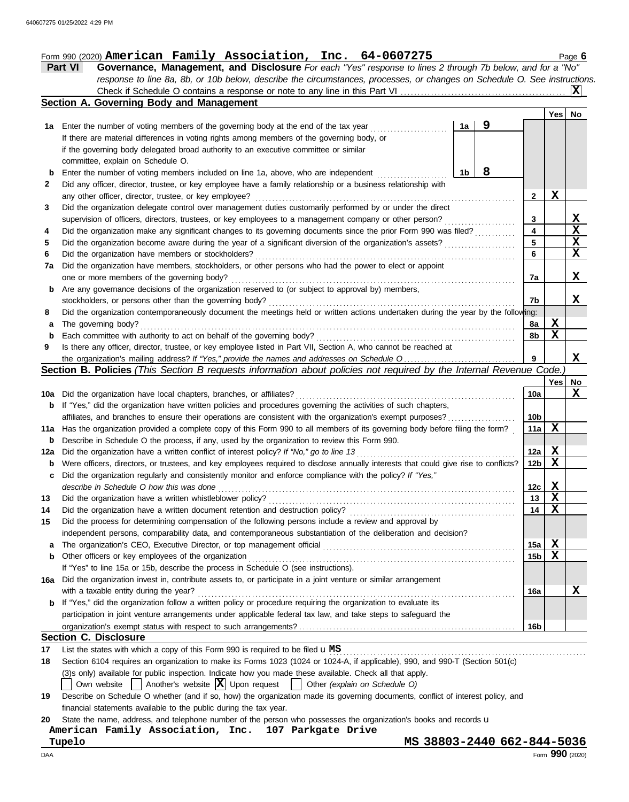$\overline{a}$ 

# Form 990 (2020) American Family Association, Inc. 64-0607275 Page 6

| <b>Part VI</b> | <b>Governance, Management, and Disclosure</b> For each "Yes" response to lines 2 through 7b below, and for a "No"         |
|----------------|---------------------------------------------------------------------------------------------------------------------------|
|                | response to line 8a, 8b, or 10b below, describe the circumstances, processes, or changes on Schedule O. See instructions. |
|                |                                                                                                                           |

| 1а<br>b | Enter the number of voting members of the governing body at the end of the tax year                                                 | 1a | 9 |                         |             |                         |
|---------|-------------------------------------------------------------------------------------------------------------------------------------|----|---|-------------------------|-------------|-------------------------|
|         |                                                                                                                                     |    |   |                         |             |                         |
|         | If there are material differences in voting rights among members of the governing body, or                                          |    |   |                         |             |                         |
|         | if the governing body delegated broad authority to an executive committee or similar                                                |    |   |                         |             |                         |
|         | committee, explain on Schedule O.                                                                                                   |    |   |                         |             |                         |
|         | Enter the number of voting members included on line 1a, above, who are independent                                                  | 1b | 8 |                         |             |                         |
| 2       | Did any officer, director, trustee, or key employee have a family relationship or a business relationship with                      |    |   |                         |             |                         |
|         | any other officer, director, trustee, or key employee?                                                                              |    |   | 2                       | X           |                         |
| 3       | Did the organization delegate control over management duties customarily performed by or under the direct                           |    |   |                         |             |                         |
|         | supervision of officers, directors, trustees, or key employees to a management company or other person?                             |    |   | 3                       |             |                         |
|         | Did the organization make any significant changes to its governing documents since the prior Form 990 was filed?                    |    |   | $\overline{\mathbf{4}}$ |             | $rac{X}{X}$             |
| 5       | Did the organization become aware during the year of a significant diversion of the organization's assets?                          |    |   | 5                       |             | $\overline{\mathbf{x}}$ |
| 6       | Did the organization have members or stockholders?                                                                                  |    |   | 6                       |             | $\overline{\mathbf{x}}$ |
| 7а      | Did the organization have members, stockholders, or other persons who had the power to elect or appoint                             |    |   |                         |             |                         |
|         | one or more members of the governing body?                                                                                          |    |   | 7a                      |             | X                       |
| b       | Are any governance decisions of the organization reserved to (or subject to approval by) members,                                   |    |   |                         |             |                         |
|         | stockholders, or persons other than the governing body?                                                                             |    |   | 7b                      |             | X                       |
| 8       | Did the organization contemporaneously document the meetings held or written actions undertaken during the year by the following:   |    |   |                         |             |                         |
| a       | The governing body?                                                                                                                 |    |   | 8a                      | X           |                         |
| b       | Each committee with authority to act on behalf of the governing body?                                                               |    |   | 8b                      | X           |                         |
| 9       | Is there any officer, director, trustee, or key employee listed in Part VII, Section A, who cannot be reached at                    |    |   |                         |             |                         |
|         |                                                                                                                                     |    |   | 9                       |             | X                       |
|         | Section B. Policies (This Section B requests information about policies not required by the Internal Revenue Code.                  |    |   |                         |             |                         |
|         |                                                                                                                                     |    |   |                         | Yes         | No                      |
| 10a     | Did the organization have local chapters, branches, or affiliates?                                                                  |    |   | 10a                     |             | X                       |
| b       | If "Yes," did the organization have written policies and procedures governing the activities of such chapters,                      |    |   |                         |             |                         |
|         | affiliates, and branches to ensure their operations are consistent with the organization's exempt purposes?                         |    |   | 10 <sub>b</sub>         |             |                         |
| 11a     | Has the organization provided a complete copy of this Form 990 to all members of its governing body before filing the form?         |    |   | 11a                     | X           |                         |
| b       | Describe in Schedule O the process, if any, used by the organization to review this Form 990.                                       |    |   |                         |             |                         |
| 12a     | Did the organization have a written conflict of interest policy? If "No," go to line 13                                             |    |   | 12a                     | Х           |                         |
| b       | Were officers, directors, or trustees, and key employees required to disclose annually interests that could give rise to conflicts? |    |   | 12 <sub>b</sub>         | X           |                         |
| c       | Did the organization regularly and consistently monitor and enforce compliance with the policy? If "Yes,"                           |    |   |                         |             |                         |
|         | describe in Schedule O how this was done                                                                                            |    |   | 12c                     | X           |                         |
| 13      | Did the organization have a written whistleblower policy?                                                                           |    |   | 13                      | X           |                         |
| 14      | Did the organization have a written document retention and destruction policy?                                                      |    |   | 14                      | X           |                         |
| 15      | Did the process for determining compensation of the following persons include a review and approval by                              |    |   |                         |             |                         |
|         | independent persons, comparability data, and contemporaneous substantiation of the deliberation and decision?                       |    |   |                         |             |                         |
|         |                                                                                                                                     |    |   | 15a                     | X           |                         |
| a       | Other officers or key employees of the organization                                                                                 |    |   | 15 <sub>b</sub>         | $\mathbf X$ |                         |
| b       | If "Yes" to line 15a or 15b, describe the process in Schedule O (see instructions).                                                 |    |   |                         |             |                         |
|         |                                                                                                                                     |    |   |                         |             |                         |
| 16a     | Did the organization invest in, contribute assets to, or participate in a joint venture or similar arrangement                      |    |   |                         |             |                         |
|         | with a taxable entity during the year?                                                                                              |    |   | 16a                     |             | X                       |
| b       | If "Yes," did the organization follow a written policy or procedure requiring the organization to evaluate its                      |    |   |                         |             |                         |
|         | participation in joint venture arrangements under applicable federal tax law, and take steps to safeguard the                       |    |   |                         |             |                         |
|         |                                                                                                                                     |    |   | 16 <sub>b</sub>         |             |                         |
| 17      | <b>Section C. Disclosure</b><br>List the states with which a copy of this Form 990 is required to be filed <b>uMS</b>               |    |   |                         |             |                         |

**18** Section 6104 requires an organization to make its Forms 1023 (1024 or 1024-A, if applicable), 990, and 990-T (Section 501(c)

(3)s only) available for public inspection. Indicate how you made these available. Check all that apply.

|  |  |  |  |  |  | Own website     Another's website   X Upon request     Other (explain on Schedule O) |  |  |  |  |  |  |
|--|--|--|--|--|--|--------------------------------------------------------------------------------------|--|--|--|--|--|--|
|--|--|--|--|--|--|--------------------------------------------------------------------------------------|--|--|--|--|--|--|

**19** Describe on Schedule O whether (and if so, how) the organization made its governing documents, conflict of interest policy, and financial statements available to the public during the tax year.

**20** State the name, address, and telephone number of the person who possesses the organization's books and records  $\bf u$ 

**American Family Association, Inc. 107 Parkgate Drive**

**Tupelo MS 38803-2440 662-844-5036**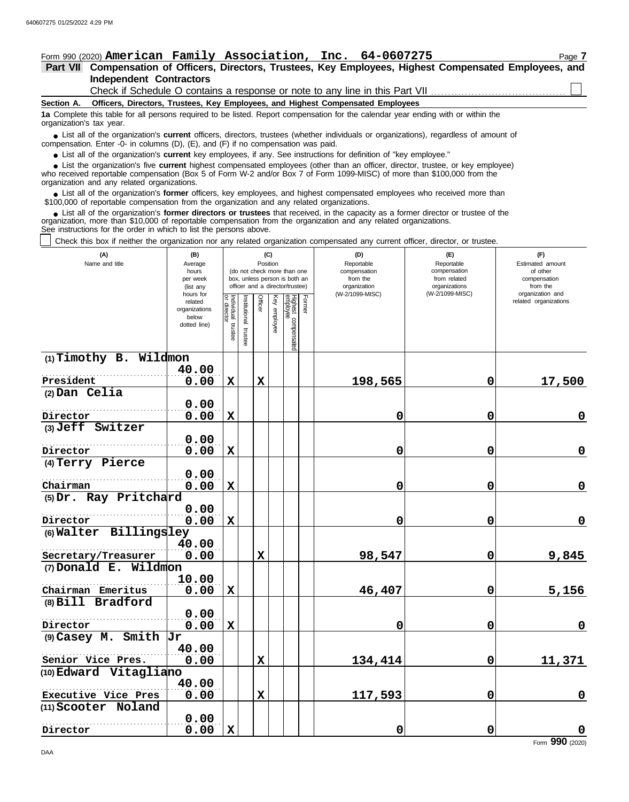# Form 990 (2020) **American Family Association, Inc. 64-0607275** Page 7

**Independent Contractors Part VII Compensation of Officers, Directors, Trustees, Key Employees, Highest Compensated Employees, and**

Check if Schedule O contains a response or note to any line in this Part VII

**Section A. Officers, Directors, Trustees, Key Employees, and Highest Compensated Employees**

**1a** Complete this table for all persons required to be listed. Report compensation for the calendar year ending with or within the organization's tax year.

■ List all of the organization's **current** officers, directors, trustees (whether individuals or organizations), regardless of amount of the organization Enter -0- in columns (D), (E), and (E) if no compensation was paid compensation. Enter -0- in columns (D), (E), and (F) if no compensation was paid.

● List all of the organization's **current** key employees, if any. See instructions for definition of "key employee."

who received reportable compensation (Box 5 of Form W-2 and/or Box 7 of Form 1099-MISC) of more than \$100,000 from the organization and any related organizations. ■ List the organization's five **current** highest compensated employees (other than an officer, director, trustee, or key employee)<br>
a received reportable compensation (Box 5 of Form W-2 and/or Box 7 of Form 1099-MISC) of

■ List all of the organization's **former** officers, key employees, and highest compensated employees who received more than<br>00,000 of reportable compensation from the organization and any related organizations \$100,000 of reportable compensation from the organization and any related organizations.

■ List all of the organization's **former directors or trustees** that received, in the capacity as a former director or trustee of the<br>enization, more than \$10,000 of reportable compensation from the organization and any r organization, more than \$10,000 of reportable compensation from the organization and any related organizations. See instructions for the order in which to list the persons above.

Check this box if neither the organization nor any related organization compensated any current officer, director, or trustee.

| (A)<br>Name and title                      | (B)<br>Average<br>hours<br>per week<br>(list any               |                                   |                            | (C)<br>Position         |                 | (do not check more than one<br>box, unless person is both an<br>officer and a director/trustee) | (D)<br>Reportable<br>compensation<br>from the<br>organization | (E)<br>Reportable<br>compensation<br>from related<br>organizations | (F)<br>Estimated amount<br>of other<br>compensation<br>from the |
|--------------------------------------------|----------------------------------------------------------------|-----------------------------------|----------------------------|-------------------------|-----------------|-------------------------------------------------------------------------------------------------|---------------------------------------------------------------|--------------------------------------------------------------------|-----------------------------------------------------------------|
|                                            | hours for<br>related<br>organizations<br>below<br>dotted line) | Individual trustee<br>or director | Institutional<br>  trustee | Officer                 | Key<br>employee | Former<br>Highest compensated<br>employee                                                       | (W-2/1099-MISC)                                               | (W-2/1099-MISC)                                                    | organization and<br>related organizations                       |
| (1) Timothy B. Wildmon                     |                                                                |                                   |                            |                         |                 |                                                                                                 |                                                               |                                                                    |                                                                 |
|                                            | 40.00                                                          |                                   |                            |                         |                 |                                                                                                 |                                                               |                                                                    |                                                                 |
| President                                  | 0.00                                                           | $\mathbf X$                       |                            | $\mathbf x$             |                 |                                                                                                 | 198,565                                                       | 0                                                                  | 17,500                                                          |
| (2) Dan Celia                              |                                                                |                                   |                            |                         |                 |                                                                                                 |                                                               |                                                                    |                                                                 |
|                                            | 0.00                                                           |                                   |                            |                         |                 |                                                                                                 |                                                               |                                                                    |                                                                 |
| Director                                   | 0.00                                                           | $\mathbf x$                       |                            |                         |                 |                                                                                                 | 0                                                             | 0                                                                  | $\mathbf 0$                                                     |
| (3) Jeff Switzer                           |                                                                |                                   |                            |                         |                 |                                                                                                 |                                                               |                                                                    |                                                                 |
|                                            | 0.00                                                           |                                   |                            |                         |                 |                                                                                                 |                                                               |                                                                    |                                                                 |
| Director                                   | 0.00                                                           | $\mathbf x$                       |                            |                         |                 |                                                                                                 | 0                                                             | 0                                                                  | $\mathbf 0$                                                     |
| (4) Terry Pierce                           |                                                                |                                   |                            |                         |                 |                                                                                                 |                                                               |                                                                    |                                                                 |
|                                            | 0.00                                                           |                                   |                            |                         |                 |                                                                                                 |                                                               |                                                                    |                                                                 |
| Chairman                                   | 0.00                                                           | $\mathbf x$                       |                            |                         |                 |                                                                                                 | 0                                                             | 0                                                                  | $\mathbf 0$                                                     |
| (5) Dr. Ray Pritchard                      |                                                                |                                   |                            |                         |                 |                                                                                                 |                                                               |                                                                    |                                                                 |
|                                            | 0.00                                                           |                                   |                            |                         |                 |                                                                                                 |                                                               |                                                                    |                                                                 |
| Director                                   | 0.00                                                           | $\mathbf x$                       |                            |                         |                 |                                                                                                 | 0                                                             | 0                                                                  | $\mathbf 0$                                                     |
| (6) Walter Billingsley                     |                                                                |                                   |                            |                         |                 |                                                                                                 |                                                               |                                                                    |                                                                 |
|                                            | 40.00                                                          |                                   |                            |                         |                 |                                                                                                 |                                                               |                                                                    |                                                                 |
| Secretary/Treasurer                        | 0.00                                                           |                                   |                            | $\overline{\mathbf{X}}$ |                 |                                                                                                 | 98,547                                                        | 0                                                                  | 9,845                                                           |
| (7) Donald E. Wildmon                      |                                                                |                                   |                            |                         |                 |                                                                                                 |                                                               |                                                                    |                                                                 |
|                                            | 10.00                                                          |                                   |                            |                         |                 |                                                                                                 |                                                               |                                                                    |                                                                 |
| Chairman Emeritus                          | 0.00                                                           | $\mathbf x$                       |                            |                         |                 |                                                                                                 | 46,407                                                        | 0                                                                  | 5,156                                                           |
| (8) Bill Bradford                          |                                                                |                                   |                            |                         |                 |                                                                                                 |                                                               |                                                                    |                                                                 |
|                                            | 0.00                                                           |                                   |                            |                         |                 |                                                                                                 |                                                               |                                                                    |                                                                 |
| Director                                   | 0.00                                                           | $\mathbf x$                       |                            |                         |                 |                                                                                                 | 0                                                             | 0                                                                  | $\mathbf 0$                                                     |
| (9) Casey M. Smith                         | Jr                                                             |                                   |                            |                         |                 |                                                                                                 |                                                               |                                                                    |                                                                 |
|                                            | 40.00                                                          |                                   |                            |                         |                 |                                                                                                 |                                                               |                                                                    |                                                                 |
| Senior Vice Pres.                          | 0.00                                                           |                                   |                            | X                       |                 |                                                                                                 | 134,414                                                       | 0                                                                  | 11,371                                                          |
| (10) Edward Vitagliano                     | 40.00                                                          |                                   |                            |                         |                 |                                                                                                 |                                                               |                                                                    |                                                                 |
|                                            |                                                                |                                   |                            |                         |                 |                                                                                                 |                                                               |                                                                    | $\mathbf 0$                                                     |
| Executive Vice Pres<br>(11) Scooter Noland | 0.00                                                           |                                   |                            | $\mathbf x$             |                 |                                                                                                 | 117,593                                                       | 0                                                                  |                                                                 |
|                                            | 0.00                                                           |                                   |                            |                         |                 |                                                                                                 |                                                               |                                                                    |                                                                 |
| Director                                   | 0.00                                                           | $\mathbf x$                       |                            |                         |                 |                                                                                                 | 0                                                             | 0                                                                  | $\mathbf 0$                                                     |
|                                            |                                                                |                                   |                            |                         |                 |                                                                                                 |                                                               |                                                                    |                                                                 |

Form **990** (2020)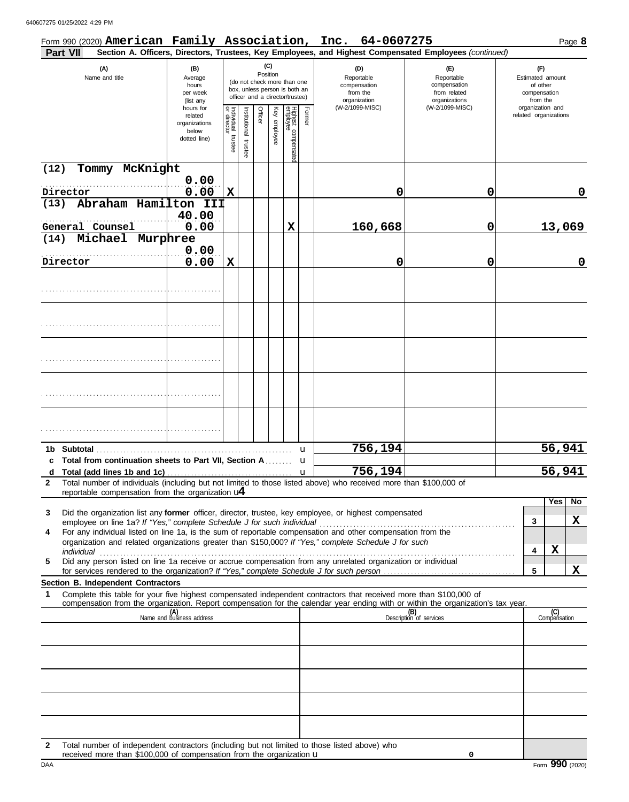|                   | <b>Part VII</b> |                                                                        |                                                                |                                        |                         |         |                 |                                                                                                 |        | Form 990 (2020) American Family Association, Inc. 64-0607275                                                                                                                                                         | Section A. Officers, Directors, Trustees, Key Employees, and Highest Compensated Employees (continued)                           |                                                                 | Page 8              |   |
|-------------------|-----------------|------------------------------------------------------------------------|----------------------------------------------------------------|----------------------------------------|-------------------------|---------|-----------------|-------------------------------------------------------------------------------------------------|--------|----------------------------------------------------------------------------------------------------------------------------------------------------------------------------------------------------------------------|----------------------------------------------------------------------------------------------------------------------------------|-----------------------------------------------------------------|---------------------|---|
|                   |                 | (A)<br>Name and title                                                  | (B)<br>Average<br>hours<br>per week<br>(list any               |                                        |                         |         | (C)<br>Position | (do not check more than one<br>box, unless person is both an<br>officer and a director/trustee) |        | (D)<br>Reportable<br>compensation<br>from the<br>organization                                                                                                                                                        | (E)<br>Reportable<br>compensation<br>from related<br>organizations                                                               | (F)<br>Estimated amount<br>of other<br>compensation<br>from the |                     |   |
|                   |                 |                                                                        | hours for<br>related<br>organizations<br>below<br>dotted line) | Individual 1<br>or director<br>trustee | nstitutional<br>trustee | Officer | Key employee    | Highest compensated<br>employee                                                                 | Former | (W-2/1099-MISC)                                                                                                                                                                                                      | (W-2/1099-MISC)                                                                                                                  | organization and<br>related organizations                       |                     |   |
| (12)              |                 | Tommy McKnight                                                         |                                                                |                                        |                         |         |                 |                                                                                                 |        |                                                                                                                                                                                                                      |                                                                                                                                  |                                                                 |                     |   |
|                   | Director        |                                                                        | 0.00<br>0.00                                                   | $\mathbf x$                            |                         |         |                 |                                                                                                 |        | 0                                                                                                                                                                                                                    | 0                                                                                                                                |                                                                 |                     | 0 |
| (13)              |                 | Abraham Hamilton III                                                   |                                                                |                                        |                         |         |                 |                                                                                                 |        |                                                                                                                                                                                                                      |                                                                                                                                  |                                                                 |                     |   |
|                   |                 |                                                                        | 40.00                                                          |                                        |                         |         |                 |                                                                                                 |        |                                                                                                                                                                                                                      |                                                                                                                                  |                                                                 |                     |   |
| (14)              |                 | General Counsel<br>Michael Murphree                                    | 0.00                                                           |                                        |                         |         |                 | X                                                                                               |        | 160,668                                                                                                                                                                                                              | 0                                                                                                                                |                                                                 | 13,069              |   |
|                   | Director        |                                                                        | 0.00<br>0.00                                                   | X                                      |                         |         |                 |                                                                                                 |        | 0                                                                                                                                                                                                                    | 0                                                                                                                                |                                                                 |                     | 0 |
|                   |                 |                                                                        |                                                                |                                        |                         |         |                 |                                                                                                 |        |                                                                                                                                                                                                                      |                                                                                                                                  |                                                                 |                     |   |
|                   |                 |                                                                        |                                                                |                                        |                         |         |                 |                                                                                                 |        |                                                                                                                                                                                                                      |                                                                                                                                  |                                                                 |                     |   |
|                   |                 |                                                                        |                                                                |                                        |                         |         |                 |                                                                                                 |        |                                                                                                                                                                                                                      |                                                                                                                                  |                                                                 |                     |   |
|                   |                 |                                                                        |                                                                |                                        |                         |         |                 |                                                                                                 |        |                                                                                                                                                                                                                      |                                                                                                                                  |                                                                 |                     |   |
|                   |                 |                                                                        |                                                                |                                        |                         |         |                 |                                                                                                 |        |                                                                                                                                                                                                                      |                                                                                                                                  |                                                                 |                     |   |
|                   |                 |                                                                        |                                                                |                                        |                         |         |                 |                                                                                                 | u      | 756,194                                                                                                                                                                                                              |                                                                                                                                  |                                                                 | 56,941              |   |
| d<br>$\mathbf{2}$ |                 | c Total from continuation sheets to Part VII, Section A                |                                                                |                                        |                         |         |                 |                                                                                                 | u<br>u | 756,194<br>Total number of individuals (including but not limited to those listed above) who received more than \$100,000 of                                                                                         |                                                                                                                                  |                                                                 | 56,941              |   |
|                   |                 | reportable compensation from the organization $\mathbf{u4}$            |                                                                |                                        |                         |         |                 |                                                                                                 |        |                                                                                                                                                                                                                      |                                                                                                                                  |                                                                 | Yes  <br>No         |   |
| 3                 |                 |                                                                        |                                                                |                                        |                         |         |                 |                                                                                                 |        | Did the organization list any former officer, director, trustee, key employee, or highest compensated                                                                                                                |                                                                                                                                  |                                                                 |                     |   |
| 4                 |                 | employee on line 1a? If "Yes," complete Schedule J for such individual |                                                                |                                        |                         |         |                 |                                                                                                 |        | For any individual listed on line 1a, is the sum of reportable compensation and other compensation from the<br>organization and related organizations greater than \$150,000? If "Yes," complete Schedule J for such |                                                                                                                                  | 3                                                               | X                   |   |
| 5                 | individual      |                                                                        |                                                                |                                        |                         |         |                 |                                                                                                 |        | Did any person listed on line 1a receive or accrue compensation from any unrelated organization or individual                                                                                                        |                                                                                                                                  | 4<br>5                                                          | $\mathbf x$<br>X    |   |
|                   |                 | Section B. Independent Contractors                                     |                                                                |                                        |                         |         |                 |                                                                                                 |        |                                                                                                                                                                                                                      |                                                                                                                                  |                                                                 |                     |   |
| 1                 |                 |                                                                        |                                                                |                                        |                         |         |                 |                                                                                                 |        | Complete this table for your five highest compensated independent contractors that received more than \$100,000 of                                                                                                   | compensation from the organization. Report compensation for the calendar year ending with or within the organization's tax year. |                                                                 |                     |   |
|                   |                 |                                                                        | (A)<br>Name and business address                               |                                        |                         |         |                 |                                                                                                 |        |                                                                                                                                                                                                                      | (B)<br>Description of services                                                                                                   |                                                                 | (C)<br>Compensation |   |
|                   |                 |                                                                        |                                                                |                                        |                         |         |                 |                                                                                                 |        |                                                                                                                                                                                                                      |                                                                                                                                  |                                                                 |                     |   |
|                   |                 |                                                                        |                                                                |                                        |                         |         |                 |                                                                                                 |        |                                                                                                                                                                                                                      |                                                                                                                                  |                                                                 |                     |   |
|                   |                 |                                                                        |                                                                |                                        |                         |         |                 |                                                                                                 |        |                                                                                                                                                                                                                      |                                                                                                                                  |                                                                 |                     |   |
|                   |                 |                                                                        |                                                                |                                        |                         |         |                 |                                                                                                 |        |                                                                                                                                                                                                                      |                                                                                                                                  |                                                                 |                     |   |
|                   |                 |                                                                        |                                                                |                                        |                         |         |                 |                                                                                                 |        |                                                                                                                                                                                                                      |                                                                                                                                  |                                                                 |                     |   |

| Total number of independent contractors (including but not limited to those listed above) who |
|-----------------------------------------------------------------------------------------------|
| received more than \$100,000 of compensation from the organization $\mathbf u$                |

**0**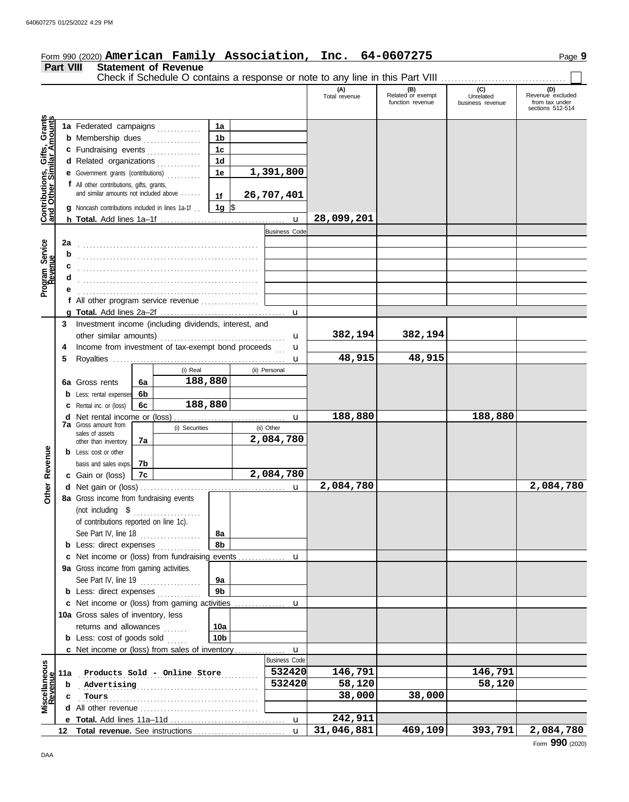|                                                                  |                  |                                                                                            |    |                                                          |                      |                            | Form 990 (2020) American Family Association, Inc. 64-0607275 |                                                                               |                               | Page 9                                                 |
|------------------------------------------------------------------|------------------|--------------------------------------------------------------------------------------------|----|----------------------------------------------------------|----------------------|----------------------------|--------------------------------------------------------------|-------------------------------------------------------------------------------|-------------------------------|--------------------------------------------------------|
|                                                                  | <b>Part VIII</b> |                                                                                            |    | <b>Statement of Revenue</b>                              |                      |                            |                                                              | Check if Schedule O contains a response or note to any line in this Part VIII |                               |                                                        |
|                                                                  |                  |                                                                                            |    |                                                          |                      |                            | (A)                                                          |                                                                               | (C)                           | (D)                                                    |
|                                                                  |                  |                                                                                            |    |                                                          |                      |                            | Total revenue                                                | (B)<br>Related or exempt<br>function revenue                                  | Unrelated<br>business revenue | Revenue excluded<br>from tax under<br>sections 512-514 |
|                                                                  |                  | 1a Federated campaigns                                                                     |    |                                                          | 1a                   |                            |                                                              |                                                                               |                               |                                                        |
|                                                                  |                  | <b>b</b> Membership dues                                                                   |    |                                                          | 1 <sub>b</sub>       |                            |                                                              |                                                                               |                               |                                                        |
|                                                                  |                  | c Fundraising events                                                                       |    |                                                          | 1 <sub>c</sub>       |                            |                                                              |                                                                               |                               |                                                        |
|                                                                  |                  | d Related organizations                                                                    |    |                                                          | 1 <sub>d</sub>       |                            |                                                              |                                                                               |                               |                                                        |
|                                                                  |                  | e Government grants (contributions)                                                        |    |                                                          | 1e                   | 1,391,800                  |                                                              |                                                                               |                               |                                                        |
| <b>Contributions, Gifts, Grants</b><br>and Other Similar Amounts |                  | <b>f</b> All other contributions, gifts, grants,<br>and similar amounts not included above |    |                                                          | 1f                   | 26,707,401                 |                                                              |                                                                               |                               |                                                        |
|                                                                  |                  | <b>g</b> Noncash contributions included in lines 1a-1f.                                    |    |                                                          | 1g $\frac{1}{3}$     |                            |                                                              |                                                                               |                               |                                                        |
|                                                                  |                  |                                                                                            |    |                                                          |                      | $\mathbf{u}$               | 28,099,201                                                   |                                                                               |                               |                                                        |
|                                                                  |                  |                                                                                            |    |                                                          |                      | <b>Business Code</b>       |                                                              |                                                                               |                               |                                                        |
| Program Service<br>Revenue                                       | 2a<br>b          |                                                                                            |    |                                                          |                      |                            |                                                              |                                                                               |                               |                                                        |
|                                                                  | c                |                                                                                            |    |                                                          |                      |                            |                                                              |                                                                               |                               |                                                        |
|                                                                  | d                |                                                                                            |    |                                                          |                      |                            |                                                              |                                                                               |                               |                                                        |
|                                                                  |                  |                                                                                            |    |                                                          |                      |                            |                                                              |                                                                               |                               |                                                        |
|                                                                  |                  | f All other program service revenue                                                        |    |                                                          |                      |                            |                                                              |                                                                               |                               |                                                        |
|                                                                  |                  |                                                                                            |    |                                                          |                      | $\mathbf u$                |                                                              |                                                                               |                               |                                                        |
|                                                                  | 3                | Investment income (including dividends, interest, and                                      |    |                                                          |                      |                            |                                                              |                                                                               |                               |                                                        |
|                                                                  |                  |                                                                                            |    |                                                          |                      | u                          | 382,194                                                      | 382,194                                                                       |                               |                                                        |
|                                                                  | 4                | Income from investment of tax-exempt bond proceeds                                         |    |                                                          |                      | u                          |                                                              |                                                                               |                               |                                                        |
|                                                                  | 5                |                                                                                            |    |                                                          |                      | u                          | 48,915                                                       | 48,915                                                                        |                               |                                                        |
|                                                                  |                  |                                                                                            |    | (i) Real                                                 |                      | (ii) Personal              |                                                              |                                                                               |                               |                                                        |
|                                                                  |                  | 6a Gross rents                                                                             | 6a | 188,880                                                  |                      |                            |                                                              |                                                                               |                               |                                                        |
|                                                                  |                  | <b>b</b> Less: rental expenses                                                             | 6b |                                                          |                      |                            |                                                              |                                                                               |                               |                                                        |
|                                                                  |                  | <b>c</b> Rental inc. or (loss)                                                             | 6c | 188,880                                                  |                      |                            | 188,880                                                      |                                                                               | 188,880                       |                                                        |
|                                                                  |                  | <b>7a</b> Gross amount from                                                                |    | (i) Securities                                           |                      | $\mathbf{u}$<br>(ii) Other |                                                              |                                                                               |                               |                                                        |
|                                                                  |                  | sales of assets                                                                            | 7a |                                                          |                      | 2,084,780                  |                                                              |                                                                               |                               |                                                        |
|                                                                  |                  | other than inventory<br><b>b</b> Less: cost or other                                       |    |                                                          |                      |                            |                                                              |                                                                               |                               |                                                        |
| Revenue                                                          |                  | basis and sales exps.                                                                      | 7b |                                                          |                      |                            |                                                              |                                                                               |                               |                                                        |
|                                                                  |                  | c Gain or (loss)                                                                           | 7c |                                                          |                      | 2,084,780                  |                                                              |                                                                               |                               |                                                        |
|                                                                  |                  | d Net gain or (loss)                                                                       |    |                                                          |                      |                            | 2,084,780                                                    |                                                                               |                               | 2,084,780                                              |
| Other                                                            |                  | 8a Gross income from fundraising events                                                    |    |                                                          |                      |                            |                                                              |                                                                               |                               |                                                        |
|                                                                  |                  | (not including \$                                                                          |    | .                                                        |                      |                            |                                                              |                                                                               |                               |                                                        |
|                                                                  |                  | of contributions reported on line 1c).                                                     |    |                                                          |                      |                            |                                                              |                                                                               |                               |                                                        |
|                                                                  |                  | See Part IV, line 18                                                                       |    | <u>.</u><br>1986 - Paul Barbara, papa pada ang pangangan | 8а                   |                            |                                                              |                                                                               |                               |                                                        |
|                                                                  |                  | <b>b</b> Less: direct expenses                                                             |    |                                                          | 8b                   |                            |                                                              |                                                                               |                               |                                                        |
|                                                                  |                  | <b>c</b> Net income or (loss) from fundraising events                                      |    |                                                          |                      | u                          |                                                              |                                                                               |                               |                                                        |
|                                                                  |                  | 9a Gross income from gaming activities.                                                    |    |                                                          |                      |                            |                                                              |                                                                               |                               |                                                        |
|                                                                  |                  | See Part IV, line 19                                                                       |    | .                                                        | 9a<br>9 <sub>b</sub> |                            |                                                              |                                                                               |                               |                                                        |
|                                                                  |                  | <b>b</b> Less: direct expenses<br>c Net income or (loss) from gaming activities            |    |                                                          |                      | u                          |                                                              |                                                                               |                               |                                                        |
|                                                                  |                  | 10a Gross sales of inventory, less                                                         |    |                                                          |                      |                            |                                                              |                                                                               |                               |                                                        |
|                                                                  |                  | returns and allowances                                                                     |    |                                                          | 10a                  |                            |                                                              |                                                                               |                               |                                                        |
|                                                                  |                  | <b>b</b> Less: cost of goods sold                                                          |    |                                                          | 10 <sub>b</sub>      |                            |                                                              |                                                                               |                               |                                                        |
|                                                                  |                  | c Net income or (loss) from sales of inventory                                             |    |                                                          |                      | $\mathbf{u}$               |                                                              |                                                                               |                               |                                                        |
|                                                                  |                  |                                                                                            |    |                                                          |                      | <b>Business Code</b>       |                                                              |                                                                               |                               |                                                        |
| Miscellaneous<br>Revenue                                         | 11a              |                                                                                            |    | Products Sold - Online Store                             |                      | 532420                     | 146,791                                                      |                                                                               | 146,791                       |                                                        |
|                                                                  | b                | Advertising                                                                                |    |                                                          |                      | 532420                     | 58,120                                                       |                                                                               | 58,120                        |                                                        |
|                                                                  | c                | Tours                                                                                      |    |                                                          |                      |                            | 38,000                                                       | 38,000                                                                        |                               |                                                        |
|                                                                  |                  |                                                                                            |    |                                                          |                      |                            |                                                              |                                                                               |                               |                                                        |
|                                                                  |                  |                                                                                            |    |                                                          |                      | u                          | 242,911                                                      |                                                                               |                               |                                                        |
|                                                                  |                  |                                                                                            |    |                                                          |                      | $\mathbf{u}$               | 31,046,881                                                   | 469,109                                                                       | 393,791                       | 2,084,780                                              |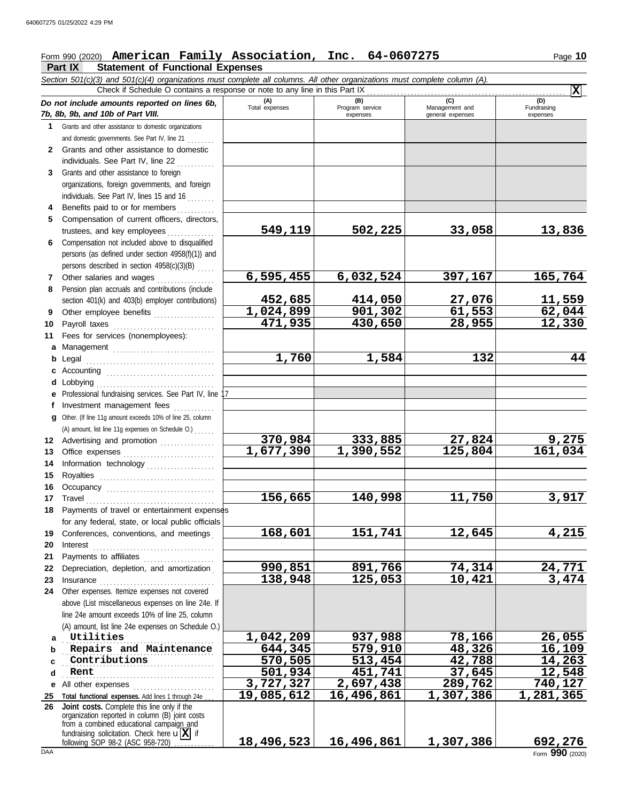# Form 990 (2020) Page **10 American Family Association, Inc. 64-0607275**

**Part IX Statement of Functional Expenses**

*Section 501(c)(3) and 501(c)(4) organizations must complete all columns. All other organizations must complete column (A).* Check if Schedule O contains a response or note to any line in this Part IX

|              | Check if Schedule O contains a response or note to any line in this Part IX                                                                                                                                                    |                       | $\vert \mathbf{x} \vert$           |                                           |                                |
|--------------|--------------------------------------------------------------------------------------------------------------------------------------------------------------------------------------------------------------------------------|-----------------------|------------------------------------|-------------------------------------------|--------------------------------|
|              | Do not include amounts reported on lines 6b,<br>7b, 8b, 9b, and 10b of Part VIII.                                                                                                                                              | (A)<br>Total expenses | (B)<br>Program service<br>expenses | (C)<br>Management and<br>general expenses | (D)<br>Fundraising<br>expenses |
| 1            | Grants and other assistance to domestic organizations                                                                                                                                                                          |                       |                                    |                                           |                                |
|              | and domestic governments. See Part IV, line 21                                                                                                                                                                                 |                       |                                    |                                           |                                |
| $\mathbf{2}$ | Grants and other assistance to domestic                                                                                                                                                                                        |                       |                                    |                                           |                                |
|              | individuals. See Part IV, line 22                                                                                                                                                                                              |                       |                                    |                                           |                                |
| 3            | Grants and other assistance to foreign                                                                                                                                                                                         |                       |                                    |                                           |                                |
|              | organizations, foreign governments, and foreign                                                                                                                                                                                |                       |                                    |                                           |                                |
|              | individuals. See Part IV, lines 15 and 16                                                                                                                                                                                      |                       |                                    |                                           |                                |
|              | Benefits paid to or for members                                                                                                                                                                                                |                       |                                    |                                           |                                |
| 5            | Compensation of current officers, directors,                                                                                                                                                                                   |                       |                                    |                                           |                                |
|              | trustees, and key employees                                                                                                                                                                                                    | 549,119               | 502,225                            | 33,058                                    | 13,836                         |
| 6            | Compensation not included above to disqualified                                                                                                                                                                                |                       |                                    |                                           |                                |
|              | persons (as defined under section 4958(f)(1)) and                                                                                                                                                                              |                       |                                    |                                           |                                |
|              | persons described in section 4958(c)(3)(B)                                                                                                                                                                                     |                       |                                    |                                           |                                |
| 7            | Other salaries and wages                                                                                                                                                                                                       | 6,595,455             | 6,032,524                          | 397,167                                   | 165,764                        |
| 8            | Pension plan accruals and contributions (include                                                                                                                                                                               |                       |                                    |                                           |                                |
|              | section 401(k) and 403(b) employer contributions)                                                                                                                                                                              | 452,685               | 414,050                            | <u>27,076</u>                             | 11,559                         |
| 9            | Other employee benefits                                                                                                                                                                                                        | 1,024,899             | 901,302                            | 61,553                                    | 62,044                         |
| 10           |                                                                                                                                                                                                                                | 471,935               | 430,650                            | 28,955                                    | 12,330                         |
| 11           | Fees for services (nonemployees):                                                                                                                                                                                              |                       |                                    |                                           |                                |
|              |                                                                                                                                                                                                                                |                       |                                    |                                           |                                |
| b            | Legal                                                                                                                                                                                                                          | 1,760                 | 1,584                              | 132                                       | 44                             |
|              |                                                                                                                                                                                                                                |                       |                                    |                                           |                                |
|              |                                                                                                                                                                                                                                |                       |                                    |                                           |                                |
|              | e Professional fundraising services. See Part IV, line 17                                                                                                                                                                      |                       |                                    |                                           |                                |
| Ť.           | Investment management fees                                                                                                                                                                                                     |                       |                                    |                                           |                                |
| a            | Other. (If line 11g amount exceeds 10% of line 25, column                                                                                                                                                                      |                       |                                    |                                           |                                |
|              | (A) amount, list line 11g expenses on Schedule O.)                                                                                                                                                                             |                       |                                    |                                           |                                |
|              | 12 Advertising and promotion                                                                                                                                                                                                   | 370,984               | 333,885                            | 27,824                                    | 9,275                          |
| 13           |                                                                                                                                                                                                                                | 1,677,390             | 1,390,552                          | 125,804                                   | 161,034                        |
| 14           | Information technology                                                                                                                                                                                                         |                       |                                    |                                           |                                |
| 15<br>16     |                                                                                                                                                                                                                                |                       |                                    |                                           |                                |
| 17           |                                                                                                                                                                                                                                | 156,665               | 140,998                            | 11,750                                    | 3,917                          |
| 18           | Payments of travel or entertainment expenses                                                                                                                                                                                   |                       |                                    |                                           |                                |
|              | for any federal, state, or local public officials                                                                                                                                                                              |                       |                                    |                                           |                                |
| 19           | Conferences, conventions, and meetings                                                                                                                                                                                         | 168,601               | 151,741                            | 12,645                                    | 4,215                          |
| 20           | Interest                                                                                                                                                                                                                       |                       |                                    |                                           |                                |
| 21           | Payments to affiliates                                                                                                                                                                                                         |                       |                                    |                                           |                                |
| 22           | Depreciation, depletion, and amortization                                                                                                                                                                                      | 990,851               | 891,766                            | 74,314                                    | <u>24,771</u>                  |
| 23           | Insurance with the continuum of the continuum of the continuum of the continuum of the continuum of the continuum of the continuum of the continuum of the continuum of the continuum of the continuum of the continuum of the | 138,948               | 125,053                            | 10,421                                    | 3,474                          |
| 24           | Other expenses. Itemize expenses not covered                                                                                                                                                                                   |                       |                                    |                                           |                                |
|              | above (List miscellaneous expenses on line 24e. If                                                                                                                                                                             |                       |                                    |                                           |                                |
|              | line 24e amount exceeds 10% of line 25, column                                                                                                                                                                                 |                       |                                    |                                           |                                |
|              | (A) amount, list line 24e expenses on Schedule O.)                                                                                                                                                                             |                       |                                    |                                           |                                |
| a            | Utilities                                                                                                                                                                                                                      | 1,042,209             | 937,988                            | <u>78,166</u>                             | 26,055                         |
| b            | Repairs and Maintenance                                                                                                                                                                                                        | 644,345               | 579,910                            | 48,326                                    | 16,109                         |
| c            | Contributions                                                                                                                                                                                                                  | 570,505               | 513,454                            | 42,788                                    | 14,263                         |
| d            | Rent                                                                                                                                                                                                                           | 501,934               | 451,741                            | 37,645                                    | <u>12,548</u>                  |
|              | e All other expenses                                                                                                                                                                                                           | 3,727,327             | $\overline{2,697,438}$             | 289,762                                   | 740,127                        |
| 25           | Total functional expenses. Add lines 1 through 24e                                                                                                                                                                             | 19,085,612            | 16,496,861                         | 1,307,386                                 | $\overline{1,281,365}$         |
| 26           | Joint costs. Complete this line only if the<br>organization reported in column (B) joint costs                                                                                                                                 |                       |                                    |                                           |                                |
|              | from a combined educational campaign and                                                                                                                                                                                       |                       |                                    |                                           |                                |
|              | fundraising solicitation. Check here $\mathbf{u} \mathbf{X} $ if                                                                                                                                                               |                       |                                    |                                           |                                |
|              | following SOP 98-2 (ASC 958-720)                                                                                                                                                                                               | 18,496,523            | 16,496,861                         | 1,307,386                                 | 692,276                        |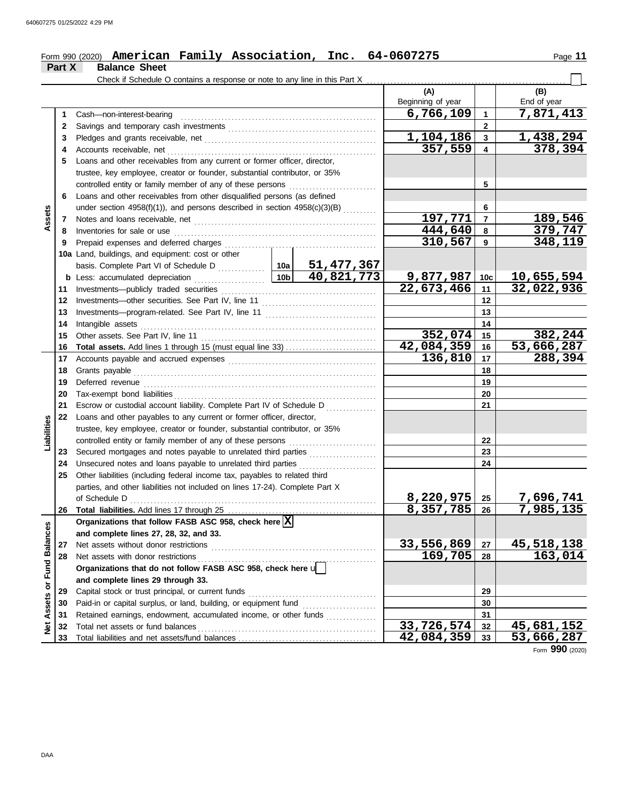#### Form 990 (2020) Page **11 American Family Association, Inc. 64-0607275**

|                      | Part X | <b>Balance Sheet</b>                                                                                                                                                                                                           |                 |            |                          |                         |                    |
|----------------------|--------|--------------------------------------------------------------------------------------------------------------------------------------------------------------------------------------------------------------------------------|-----------------|------------|--------------------------|-------------------------|--------------------|
|                      |        | Check if Schedule O contains a response or note to any line in this Part X                                                                                                                                                     |                 |            |                          |                         |                    |
|                      |        |                                                                                                                                                                                                                                |                 |            | (A)<br>Beginning of year |                         | (B)<br>End of year |
|                      | 1      | Cash-non-interest-bearing                                                                                                                                                                                                      |                 |            | 6,766,109                | $\mathbf{1}$            | 7,871,413          |
|                      | 2      |                                                                                                                                                                                                                                |                 |            |                          | $\mathbf{2}$            |                    |
|                      | 3      |                                                                                                                                                                                                                                |                 |            | 1,104,186                | $\mathbf{3}$            | 1,438,294          |
|                      | 4      |                                                                                                                                                                                                                                |                 |            | 357,559                  | $\overline{\mathbf{4}}$ | 378,394            |
|                      | 5      | Loans and other receivables from any current or former officer, director,                                                                                                                                                      |                 |            |                          |                         |                    |
|                      |        | trustee, key employee, creator or founder, substantial contributor, or 35%                                                                                                                                                     |                 |            |                          |                         |                    |
|                      |        | controlled entity or family member of any of these persons [                                                                                                                                                                   |                 |            |                          | 5                       |                    |
|                      | 6      | Loans and other receivables from other disqualified persons (as defined                                                                                                                                                        |                 |            |                          |                         |                    |
|                      |        | under section 4958(f)(1)), and persons described in section $4958(c)(3)(B)$                                                                                                                                                    |                 |            |                          | 6                       |                    |
| Assets               | 7      |                                                                                                                                                                                                                                |                 |            | 197,771                  | $\overline{7}$          | 189,546            |
|                      | 8      | Inventories for sale or use                                                                                                                                                                                                    |                 |            | 444,640                  | 8                       | 379,747            |
|                      | 9      |                                                                                                                                                                                                                                |                 |            | 310,567                  | 9                       | 348,119            |
|                      |        | 10a Land, buildings, and equipment: cost or other                                                                                                                                                                              |                 |            |                          |                         |                    |
|                      |        |                                                                                                                                                                                                                                |                 |            |                          |                         |                    |
|                      |        |                                                                                                                                                                                                                                | 10 <sub>b</sub> | 40,821,773 | 9,877,987                | 10c                     | 10,655,594         |
|                      | 11     |                                                                                                                                                                                                                                |                 |            | $\overline{22,673,466}$  | 11                      | 32,022,936         |
|                      | 12     |                                                                                                                                                                                                                                |                 |            |                          | 12                      |                    |
|                      | 13     |                                                                                                                                                                                                                                |                 |            |                          | 13                      |                    |
|                      | 14     | Intangible assets                                                                                                                                                                                                              |                 |            |                          | 14                      |                    |
|                      | 15     | Other assets. See Part IV, line 11                                                                                                                                                                                             |                 |            | 352,074                  | 15                      | 382,244            |
|                      | 16     |                                                                                                                                                                                                                                |                 |            | 42,084,359               | 16                      | 53,666,287         |
|                      | 17     | Accounts payable and accrued expenses [[11][11] Accounts payable and accrued expenses [[11] Accounts are not accrued to a set of the set of the set of the set of the set of the set of the set of the set of the set of the s |                 |            | 136,810                  | 17                      | 288,394            |
|                      | 18     | Grants payable                                                                                                                                                                                                                 |                 |            |                          | 18                      |                    |
|                      | 19     |                                                                                                                                                                                                                                |                 |            |                          | 19                      |                    |
|                      | 20     |                                                                                                                                                                                                                                |                 |            |                          | 20                      |                    |
|                      | 21     | Escrow or custodial account liability. Complete Part IV of Schedule D                                                                                                                                                          |                 |            |                          | 21                      |                    |
|                      | 22     | Loans and other payables to any current or former officer, director,                                                                                                                                                           |                 |            |                          |                         |                    |
| Liabilities          |        | trustee, key employee, creator or founder, substantial contributor, or 35%                                                                                                                                                     |                 |            |                          |                         |                    |
|                      |        | controlled entity or family member of any of these persons [                                                                                                                                                                   |                 |            |                          | 22                      |                    |
|                      | 23     | Secured mortgages and notes payable to unrelated third parties                                                                                                                                                                 |                 |            |                          | 23                      |                    |
|                      | 24     | Unsecured notes and loans payable to unrelated third parties                                                                                                                                                                   |                 |            |                          | 24                      |                    |
|                      | 25     | Other liabilities (including federal income tax, payables to related third                                                                                                                                                     |                 |            |                          |                         |                    |
|                      |        | parties, and other liabilities not included on lines 17-24). Complete Part X                                                                                                                                                   |                 |            | 8,220,975                |                         | 7,696,741          |
|                      | 26     | of Schedule D                                                                                                                                                                                                                  |                 |            | 8,357,785                | 25<br>26                | 7,985,135          |
|                      |        | Organizations that follow FASB ASC 958, check here $ \overline{X} $                                                                                                                                                            |                 |            |                          |                         |                    |
| <b>Fund Balances</b> |        | and complete lines 27, 28, 32, and 33.                                                                                                                                                                                         |                 |            |                          |                         |                    |
|                      | 27     | Net assets without donor restrictions                                                                                                                                                                                          |                 |            | 33,556,869               | 27                      | <u>45,518,138</u>  |
|                      | 28     | Net assets with donor restrictions                                                                                                                                                                                             |                 |            | 169,705                  | 28                      | 163,014            |
|                      |        | Organizations that do not follow FASB ASC 958, check here u                                                                                                                                                                    |                 |            |                          |                         |                    |
|                      |        | and complete lines 29 through 33.                                                                                                                                                                                              |                 |            |                          |                         |                    |
| ŏ                    | 29     | Capital stock or trust principal, or current funds                                                                                                                                                                             |                 |            |                          | 29                      |                    |
|                      | 30     | Paid-in or capital surplus, or land, building, or equipment fund                                                                                                                                                               |                 |            |                          | 30                      |                    |
| Assets               | 31     | Retained earnings, endowment, accumulated income, or other funds                                                                                                                                                               |                 |            |                          | 31                      |                    |
| ě                    | 32     |                                                                                                                                                                                                                                |                 |            | 33,726,574               | 32                      | 45,681,152         |
|                      | 33     |                                                                                                                                                                                                                                |                 |            | 42,084,359               | 33                      | 53,666,287         |

Form **990** (2020)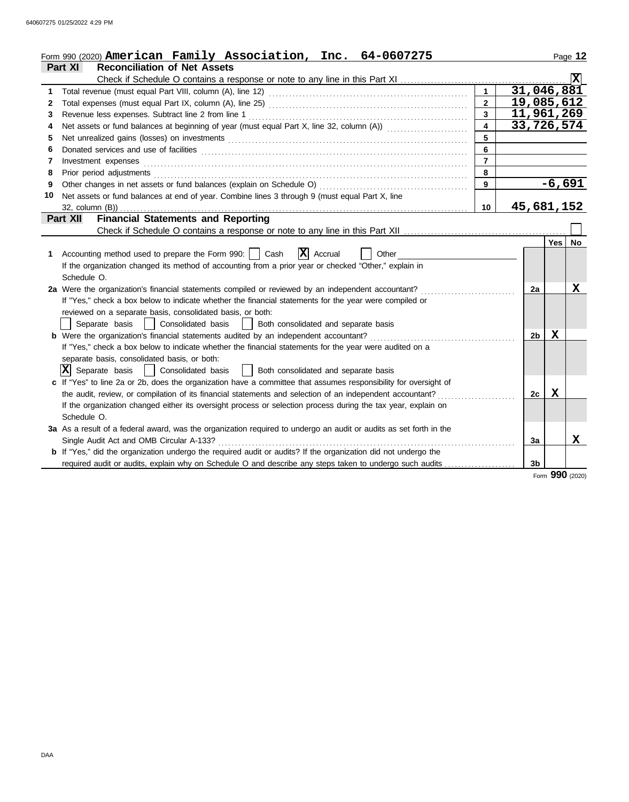| <b>Reconciliation of Net Assets</b><br>Part XI<br>Check if Schedule O contains a response or note to any line in this Part XI<br>31,046,881<br>1<br>1<br>19,085,612<br>$\mathbf{2}$<br>2<br>$\overline{11}$ , 961, 269<br>$\mathbf{3}$<br>Revenue less expenses. Subtract line 2 from line 1<br>3<br>33,726,574<br>Net assets or fund balances at beginning of year (must equal Part X, line 32, column (A))<br>$\overline{\mathbf{4}}$<br>4<br>5<br>Net unrealized gains (losses) on investments [11] matter contracts and the state of the state of the state of the state of the state of the state of the state of the state of the state of the state of the state of the stat<br>5<br>6<br>6<br>$\overline{7}$<br>Investment expenses<br>7<br>Prior period adjustments [11, 12] and the contract of the contract of the contract of the contract of the contract of the contract of the contract of the contract of the contract of the contract of the contract of the cont<br>8<br>8<br>$-6,691$<br>Other changes in net assets or fund balances (explain on Schedule O)<br>9<br>9<br>10<br>Net assets or fund balances at end of year. Combine lines 3 through 9 (must equal Part X, line<br>45,681,152<br>10<br>32, column (B))<br><b>Financial Statements and Reporting</b><br>Part XII<br>Yes  <br>$ \mathbf{X} $ Accrual<br>Accounting method used to prepare the Form 990:     Cash<br>Other<br>1.<br>If the organization changed its method of accounting from a prior year or checked "Other," explain in<br>Schedule O.<br>2a Were the organization's financial statements compiled or reviewed by an independent accountant?<br>2a<br>If "Yes," check a box below to indicate whether the financial statements for the year were compiled or<br>reviewed on a separate basis, consolidated basis, or both:<br>  Both consolidated and separate basis<br>Separate basis<br>Consolidated basis<br>$\mathbf x$<br><b>b</b> Were the organization's financial statements audited by an independent accountant?<br>2 <sub>b</sub><br>If "Yes," check a box below to indicate whether the financial statements for the year were audited on a<br>separate basis, consolidated basis, or both:<br>$ \mathbf{X} $ Separate basis<br>Consolidated basis<br>  Both consolidated and separate basis<br>c If "Yes" to line 2a or 2b, does the organization have a committee that assumes responsibility for oversight of<br>X<br>the audit, review, or compilation of its financial statements and selection of an independent accountant?<br>2c<br>If the organization changed either its oversight process or selection process during the tax year, explain on<br>Schedule O.<br>3a As a result of a federal award, was the organization required to undergo an audit or audits as set forth in the<br>Single Audit Act and OMB Circular A-133?<br>3a | Form 990 (2020) American Family Association, Inc. 64-0607275                                                   |  | Page 12   |
|----------------------------------------------------------------------------------------------------------------------------------------------------------------------------------------------------------------------------------------------------------------------------------------------------------------------------------------------------------------------------------------------------------------------------------------------------------------------------------------------------------------------------------------------------------------------------------------------------------------------------------------------------------------------------------------------------------------------------------------------------------------------------------------------------------------------------------------------------------------------------------------------------------------------------------------------------------------------------------------------------------------------------------------------------------------------------------------------------------------------------------------------------------------------------------------------------------------------------------------------------------------------------------------------------------------------------------------------------------------------------------------------------------------------------------------------------------------------------------------------------------------------------------------------------------------------------------------------------------------------------------------------------------------------------------------------------------------------------------------------------------------------------------------------------------------------------------------------------------------------------------------------------------------------------------------------------------------------------------------------------------------------------------------------------------------------------------------------------------------------------------------------------------------------------------------------------------------------------------------------------------------------------------------------------------------------------------------------------------------------------------------------------------------------------------------------------------------------------------------------------------------------------------------------------------------------------------------------------------------------------------------------------------------------------------------------------------------------------------------------------------------------------------------------------------------------------------------------------------------|----------------------------------------------------------------------------------------------------------------|--|-----------|
|                                                                                                                                                                                                                                                                                                                                                                                                                                                                                                                                                                                                                                                                                                                                                                                                                                                                                                                                                                                                                                                                                                                                                                                                                                                                                                                                                                                                                                                                                                                                                                                                                                                                                                                                                                                                                                                                                                                                                                                                                                                                                                                                                                                                                                                                                                                                                                                                                                                                                                                                                                                                                                                                                                                                                                                                                                                                |                                                                                                                |  |           |
|                                                                                                                                                                                                                                                                                                                                                                                                                                                                                                                                                                                                                                                                                                                                                                                                                                                                                                                                                                                                                                                                                                                                                                                                                                                                                                                                                                                                                                                                                                                                                                                                                                                                                                                                                                                                                                                                                                                                                                                                                                                                                                                                                                                                                                                                                                                                                                                                                                                                                                                                                                                                                                                                                                                                                                                                                                                                |                                                                                                                |  |           |
|                                                                                                                                                                                                                                                                                                                                                                                                                                                                                                                                                                                                                                                                                                                                                                                                                                                                                                                                                                                                                                                                                                                                                                                                                                                                                                                                                                                                                                                                                                                                                                                                                                                                                                                                                                                                                                                                                                                                                                                                                                                                                                                                                                                                                                                                                                                                                                                                                                                                                                                                                                                                                                                                                                                                                                                                                                                                |                                                                                                                |  |           |
|                                                                                                                                                                                                                                                                                                                                                                                                                                                                                                                                                                                                                                                                                                                                                                                                                                                                                                                                                                                                                                                                                                                                                                                                                                                                                                                                                                                                                                                                                                                                                                                                                                                                                                                                                                                                                                                                                                                                                                                                                                                                                                                                                                                                                                                                                                                                                                                                                                                                                                                                                                                                                                                                                                                                                                                                                                                                |                                                                                                                |  |           |
|                                                                                                                                                                                                                                                                                                                                                                                                                                                                                                                                                                                                                                                                                                                                                                                                                                                                                                                                                                                                                                                                                                                                                                                                                                                                                                                                                                                                                                                                                                                                                                                                                                                                                                                                                                                                                                                                                                                                                                                                                                                                                                                                                                                                                                                                                                                                                                                                                                                                                                                                                                                                                                                                                                                                                                                                                                                                |                                                                                                                |  |           |
|                                                                                                                                                                                                                                                                                                                                                                                                                                                                                                                                                                                                                                                                                                                                                                                                                                                                                                                                                                                                                                                                                                                                                                                                                                                                                                                                                                                                                                                                                                                                                                                                                                                                                                                                                                                                                                                                                                                                                                                                                                                                                                                                                                                                                                                                                                                                                                                                                                                                                                                                                                                                                                                                                                                                                                                                                                                                |                                                                                                                |  |           |
|                                                                                                                                                                                                                                                                                                                                                                                                                                                                                                                                                                                                                                                                                                                                                                                                                                                                                                                                                                                                                                                                                                                                                                                                                                                                                                                                                                                                                                                                                                                                                                                                                                                                                                                                                                                                                                                                                                                                                                                                                                                                                                                                                                                                                                                                                                                                                                                                                                                                                                                                                                                                                                                                                                                                                                                                                                                                |                                                                                                                |  |           |
|                                                                                                                                                                                                                                                                                                                                                                                                                                                                                                                                                                                                                                                                                                                                                                                                                                                                                                                                                                                                                                                                                                                                                                                                                                                                                                                                                                                                                                                                                                                                                                                                                                                                                                                                                                                                                                                                                                                                                                                                                                                                                                                                                                                                                                                                                                                                                                                                                                                                                                                                                                                                                                                                                                                                                                                                                                                                |                                                                                                                |  |           |
|                                                                                                                                                                                                                                                                                                                                                                                                                                                                                                                                                                                                                                                                                                                                                                                                                                                                                                                                                                                                                                                                                                                                                                                                                                                                                                                                                                                                                                                                                                                                                                                                                                                                                                                                                                                                                                                                                                                                                                                                                                                                                                                                                                                                                                                                                                                                                                                                                                                                                                                                                                                                                                                                                                                                                                                                                                                                |                                                                                                                |  |           |
|                                                                                                                                                                                                                                                                                                                                                                                                                                                                                                                                                                                                                                                                                                                                                                                                                                                                                                                                                                                                                                                                                                                                                                                                                                                                                                                                                                                                                                                                                                                                                                                                                                                                                                                                                                                                                                                                                                                                                                                                                                                                                                                                                                                                                                                                                                                                                                                                                                                                                                                                                                                                                                                                                                                                                                                                                                                                |                                                                                                                |  |           |
|                                                                                                                                                                                                                                                                                                                                                                                                                                                                                                                                                                                                                                                                                                                                                                                                                                                                                                                                                                                                                                                                                                                                                                                                                                                                                                                                                                                                                                                                                                                                                                                                                                                                                                                                                                                                                                                                                                                                                                                                                                                                                                                                                                                                                                                                                                                                                                                                                                                                                                                                                                                                                                                                                                                                                                                                                                                                |                                                                                                                |  |           |
|                                                                                                                                                                                                                                                                                                                                                                                                                                                                                                                                                                                                                                                                                                                                                                                                                                                                                                                                                                                                                                                                                                                                                                                                                                                                                                                                                                                                                                                                                                                                                                                                                                                                                                                                                                                                                                                                                                                                                                                                                                                                                                                                                                                                                                                                                                                                                                                                                                                                                                                                                                                                                                                                                                                                                                                                                                                                |                                                                                                                |  |           |
|                                                                                                                                                                                                                                                                                                                                                                                                                                                                                                                                                                                                                                                                                                                                                                                                                                                                                                                                                                                                                                                                                                                                                                                                                                                                                                                                                                                                                                                                                                                                                                                                                                                                                                                                                                                                                                                                                                                                                                                                                                                                                                                                                                                                                                                                                                                                                                                                                                                                                                                                                                                                                                                                                                                                                                                                                                                                |                                                                                                                |  |           |
|                                                                                                                                                                                                                                                                                                                                                                                                                                                                                                                                                                                                                                                                                                                                                                                                                                                                                                                                                                                                                                                                                                                                                                                                                                                                                                                                                                                                                                                                                                                                                                                                                                                                                                                                                                                                                                                                                                                                                                                                                                                                                                                                                                                                                                                                                                                                                                                                                                                                                                                                                                                                                                                                                                                                                                                                                                                                |                                                                                                                |  |           |
|                                                                                                                                                                                                                                                                                                                                                                                                                                                                                                                                                                                                                                                                                                                                                                                                                                                                                                                                                                                                                                                                                                                                                                                                                                                                                                                                                                                                                                                                                                                                                                                                                                                                                                                                                                                                                                                                                                                                                                                                                                                                                                                                                                                                                                                                                                                                                                                                                                                                                                                                                                                                                                                                                                                                                                                                                                                                |                                                                                                                |  |           |
|                                                                                                                                                                                                                                                                                                                                                                                                                                                                                                                                                                                                                                                                                                                                                                                                                                                                                                                                                                                                                                                                                                                                                                                                                                                                                                                                                                                                                                                                                                                                                                                                                                                                                                                                                                                                                                                                                                                                                                                                                                                                                                                                                                                                                                                                                                                                                                                                                                                                                                                                                                                                                                                                                                                                                                                                                                                                |                                                                                                                |  | <b>No</b> |
|                                                                                                                                                                                                                                                                                                                                                                                                                                                                                                                                                                                                                                                                                                                                                                                                                                                                                                                                                                                                                                                                                                                                                                                                                                                                                                                                                                                                                                                                                                                                                                                                                                                                                                                                                                                                                                                                                                                                                                                                                                                                                                                                                                                                                                                                                                                                                                                                                                                                                                                                                                                                                                                                                                                                                                                                                                                                |                                                                                                                |  |           |
|                                                                                                                                                                                                                                                                                                                                                                                                                                                                                                                                                                                                                                                                                                                                                                                                                                                                                                                                                                                                                                                                                                                                                                                                                                                                                                                                                                                                                                                                                                                                                                                                                                                                                                                                                                                                                                                                                                                                                                                                                                                                                                                                                                                                                                                                                                                                                                                                                                                                                                                                                                                                                                                                                                                                                                                                                                                                |                                                                                                                |  |           |
|                                                                                                                                                                                                                                                                                                                                                                                                                                                                                                                                                                                                                                                                                                                                                                                                                                                                                                                                                                                                                                                                                                                                                                                                                                                                                                                                                                                                                                                                                                                                                                                                                                                                                                                                                                                                                                                                                                                                                                                                                                                                                                                                                                                                                                                                                                                                                                                                                                                                                                                                                                                                                                                                                                                                                                                                                                                                |                                                                                                                |  |           |
|                                                                                                                                                                                                                                                                                                                                                                                                                                                                                                                                                                                                                                                                                                                                                                                                                                                                                                                                                                                                                                                                                                                                                                                                                                                                                                                                                                                                                                                                                                                                                                                                                                                                                                                                                                                                                                                                                                                                                                                                                                                                                                                                                                                                                                                                                                                                                                                                                                                                                                                                                                                                                                                                                                                                                                                                                                                                |                                                                                                                |  | X         |
|                                                                                                                                                                                                                                                                                                                                                                                                                                                                                                                                                                                                                                                                                                                                                                                                                                                                                                                                                                                                                                                                                                                                                                                                                                                                                                                                                                                                                                                                                                                                                                                                                                                                                                                                                                                                                                                                                                                                                                                                                                                                                                                                                                                                                                                                                                                                                                                                                                                                                                                                                                                                                                                                                                                                                                                                                                                                |                                                                                                                |  |           |
|                                                                                                                                                                                                                                                                                                                                                                                                                                                                                                                                                                                                                                                                                                                                                                                                                                                                                                                                                                                                                                                                                                                                                                                                                                                                                                                                                                                                                                                                                                                                                                                                                                                                                                                                                                                                                                                                                                                                                                                                                                                                                                                                                                                                                                                                                                                                                                                                                                                                                                                                                                                                                                                                                                                                                                                                                                                                |                                                                                                                |  |           |
|                                                                                                                                                                                                                                                                                                                                                                                                                                                                                                                                                                                                                                                                                                                                                                                                                                                                                                                                                                                                                                                                                                                                                                                                                                                                                                                                                                                                                                                                                                                                                                                                                                                                                                                                                                                                                                                                                                                                                                                                                                                                                                                                                                                                                                                                                                                                                                                                                                                                                                                                                                                                                                                                                                                                                                                                                                                                |                                                                                                                |  |           |
|                                                                                                                                                                                                                                                                                                                                                                                                                                                                                                                                                                                                                                                                                                                                                                                                                                                                                                                                                                                                                                                                                                                                                                                                                                                                                                                                                                                                                                                                                                                                                                                                                                                                                                                                                                                                                                                                                                                                                                                                                                                                                                                                                                                                                                                                                                                                                                                                                                                                                                                                                                                                                                                                                                                                                                                                                                                                |                                                                                                                |  |           |
|                                                                                                                                                                                                                                                                                                                                                                                                                                                                                                                                                                                                                                                                                                                                                                                                                                                                                                                                                                                                                                                                                                                                                                                                                                                                                                                                                                                                                                                                                                                                                                                                                                                                                                                                                                                                                                                                                                                                                                                                                                                                                                                                                                                                                                                                                                                                                                                                                                                                                                                                                                                                                                                                                                                                                                                                                                                                |                                                                                                                |  |           |
|                                                                                                                                                                                                                                                                                                                                                                                                                                                                                                                                                                                                                                                                                                                                                                                                                                                                                                                                                                                                                                                                                                                                                                                                                                                                                                                                                                                                                                                                                                                                                                                                                                                                                                                                                                                                                                                                                                                                                                                                                                                                                                                                                                                                                                                                                                                                                                                                                                                                                                                                                                                                                                                                                                                                                                                                                                                                |                                                                                                                |  |           |
|                                                                                                                                                                                                                                                                                                                                                                                                                                                                                                                                                                                                                                                                                                                                                                                                                                                                                                                                                                                                                                                                                                                                                                                                                                                                                                                                                                                                                                                                                                                                                                                                                                                                                                                                                                                                                                                                                                                                                                                                                                                                                                                                                                                                                                                                                                                                                                                                                                                                                                                                                                                                                                                                                                                                                                                                                                                                |                                                                                                                |  |           |
|                                                                                                                                                                                                                                                                                                                                                                                                                                                                                                                                                                                                                                                                                                                                                                                                                                                                                                                                                                                                                                                                                                                                                                                                                                                                                                                                                                                                                                                                                                                                                                                                                                                                                                                                                                                                                                                                                                                                                                                                                                                                                                                                                                                                                                                                                                                                                                                                                                                                                                                                                                                                                                                                                                                                                                                                                                                                |                                                                                                                |  |           |
|                                                                                                                                                                                                                                                                                                                                                                                                                                                                                                                                                                                                                                                                                                                                                                                                                                                                                                                                                                                                                                                                                                                                                                                                                                                                                                                                                                                                                                                                                                                                                                                                                                                                                                                                                                                                                                                                                                                                                                                                                                                                                                                                                                                                                                                                                                                                                                                                                                                                                                                                                                                                                                                                                                                                                                                                                                                                |                                                                                                                |  |           |
|                                                                                                                                                                                                                                                                                                                                                                                                                                                                                                                                                                                                                                                                                                                                                                                                                                                                                                                                                                                                                                                                                                                                                                                                                                                                                                                                                                                                                                                                                                                                                                                                                                                                                                                                                                                                                                                                                                                                                                                                                                                                                                                                                                                                                                                                                                                                                                                                                                                                                                                                                                                                                                                                                                                                                                                                                                                                |                                                                                                                |  |           |
|                                                                                                                                                                                                                                                                                                                                                                                                                                                                                                                                                                                                                                                                                                                                                                                                                                                                                                                                                                                                                                                                                                                                                                                                                                                                                                                                                                                                                                                                                                                                                                                                                                                                                                                                                                                                                                                                                                                                                                                                                                                                                                                                                                                                                                                                                                                                                                                                                                                                                                                                                                                                                                                                                                                                                                                                                                                                |                                                                                                                |  |           |
|                                                                                                                                                                                                                                                                                                                                                                                                                                                                                                                                                                                                                                                                                                                                                                                                                                                                                                                                                                                                                                                                                                                                                                                                                                                                                                                                                                                                                                                                                                                                                                                                                                                                                                                                                                                                                                                                                                                                                                                                                                                                                                                                                                                                                                                                                                                                                                                                                                                                                                                                                                                                                                                                                                                                                                                                                                                                |                                                                                                                |  | X         |
|                                                                                                                                                                                                                                                                                                                                                                                                                                                                                                                                                                                                                                                                                                                                                                                                                                                                                                                                                                                                                                                                                                                                                                                                                                                                                                                                                                                                                                                                                                                                                                                                                                                                                                                                                                                                                                                                                                                                                                                                                                                                                                                                                                                                                                                                                                                                                                                                                                                                                                                                                                                                                                                                                                                                                                                                                                                                | b If "Yes," did the organization undergo the required audit or audits? If the organization did not undergo the |  |           |
| 3 <sub>b</sub><br>required audit or audits, explain why on Schedule O and describe any steps taken to undergo such audits                                                                                                                                                                                                                                                                                                                                                                                                                                                                                                                                                                                                                                                                                                                                                                                                                                                                                                                                                                                                                                                                                                                                                                                                                                                                                                                                                                                                                                                                                                                                                                                                                                                                                                                                                                                                                                                                                                                                                                                                                                                                                                                                                                                                                                                                                                                                                                                                                                                                                                                                                                                                                                                                                                                                      |                                                                                                                |  |           |

Form **990** (2020)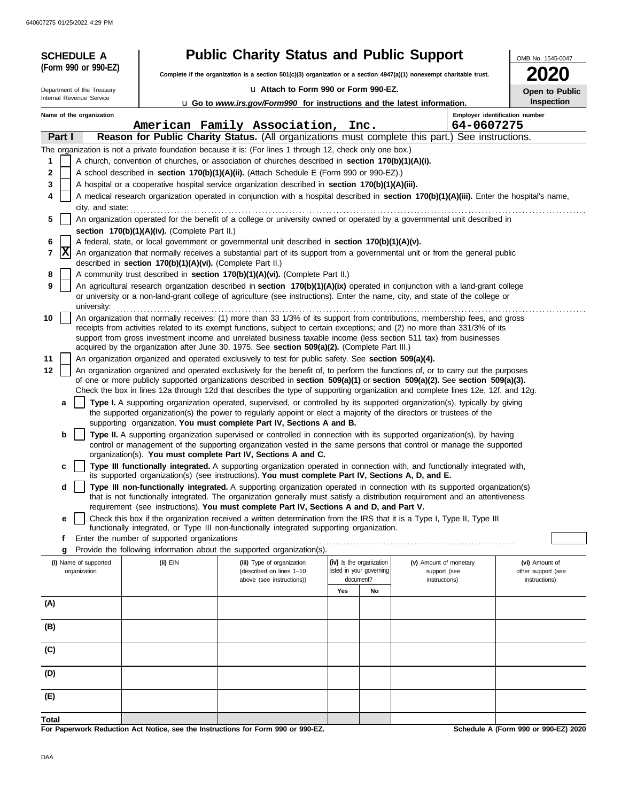| <b>SCHEDULE A</b>                                                                                                                                                                                                                                              | <b>Public Charity Status and Public Support</b>                                                                                |                                                      |    |                                        | OMB No. 1545-0047                    |  |  |  |  |  |  |  |  |
|----------------------------------------------------------------------------------------------------------------------------------------------------------------------------------------------------------------------------------------------------------------|--------------------------------------------------------------------------------------------------------------------------------|------------------------------------------------------|----|----------------------------------------|--------------------------------------|--|--|--|--|--|--|--|--|
| (Form 990 or 990-EZ)                                                                                                                                                                                                                                           | Complete if the organization is a section 501(c)(3) organization or a section $4947(a)(1)$ nonexempt charitable trust.         |                                                      |    |                                        |                                      |  |  |  |  |  |  |  |  |
| Department of the Treasury                                                                                                                                                                                                                                     | u Attach to Form 990 or Form 990-EZ.                                                                                           |                                                      |    |                                        | Open to Public                       |  |  |  |  |  |  |  |  |
| Internal Revenue Service                                                                                                                                                                                                                                       | u Go to www.irs.gov/Form990 for instructions and the latest information.                                                       |                                                      |    |                                        | Inspection                           |  |  |  |  |  |  |  |  |
| Name of the organization                                                                                                                                                                                                                                       |                                                                                                                                |                                                      |    |                                        | Employer identification number       |  |  |  |  |  |  |  |  |
| Part I<br>Reason for Public Charity Status. (All organizations must complete this part.) See instructions.                                                                                                                                                     | American Family Association,                                                                                                   | Inc.                                                 |    | 64-0607275                             |                                      |  |  |  |  |  |  |  |  |
| The organization is not a private foundation because it is: (For lines 1 through 12, check only one box.)                                                                                                                                                      |                                                                                                                                |                                                      |    |                                        |                                      |  |  |  |  |  |  |  |  |
| A church, convention of churches, or association of churches described in section 170(b)(1)(A)(i).<br>1                                                                                                                                                        |                                                                                                                                |                                                      |    |                                        |                                      |  |  |  |  |  |  |  |  |
| A school described in section 170(b)(1)(A)(ii). (Attach Schedule E (Form 990 or 990-EZ).)<br>2                                                                                                                                                                 |                                                                                                                                |                                                      |    |                                        |                                      |  |  |  |  |  |  |  |  |
| A hospital or a cooperative hospital service organization described in section 170(b)(1)(A)(iii).<br>3                                                                                                                                                         |                                                                                                                                |                                                      |    |                                        |                                      |  |  |  |  |  |  |  |  |
| A medical research organization operated in conjunction with a hospital described in section 170(b)(1)(A)(iii). Enter the hospital's name,<br>4                                                                                                                |                                                                                                                                |                                                      |    |                                        |                                      |  |  |  |  |  |  |  |  |
| city, and state:                                                                                                                                                                                                                                               |                                                                                                                                |                                                      |    |                                        |                                      |  |  |  |  |  |  |  |  |
| section 170(b)(1)(A)(iv). (Complete Part II.)                                                                                                                                                                                                                  | An organization operated for the benefit of a college or university owned or operated by a governmental unit described in<br>5 |                                                      |    |                                        |                                      |  |  |  |  |  |  |  |  |
| A federal, state, or local government or governmental unit described in section 170(b)(1)(A)(v).<br>6                                                                                                                                                          |                                                                                                                                |                                                      |    |                                        |                                      |  |  |  |  |  |  |  |  |
| X<br>An organization that normally receives a substantial part of its support from a governmental unit or from the general public<br>7                                                                                                                         |                                                                                                                                |                                                      |    |                                        |                                      |  |  |  |  |  |  |  |  |
| described in section 170(b)(1)(A)(vi). (Complete Part II.)                                                                                                                                                                                                     |                                                                                                                                |                                                      |    |                                        |                                      |  |  |  |  |  |  |  |  |
| A community trust described in section 170(b)(1)(A)(vi). (Complete Part II.)<br>8<br>9<br>An agricultural research organization described in section 170(b)(1)(A)(ix) operated in conjunction with a land-grant college                                        |                                                                                                                                |                                                      |    |                                        |                                      |  |  |  |  |  |  |  |  |
| or university or a non-land-grant college of agriculture (see instructions). Enter the name, city, and state of the college or<br>university:                                                                                                                  |                                                                                                                                |                                                      |    |                                        |                                      |  |  |  |  |  |  |  |  |
| 10<br>An organization that normally receives: (1) more than 33 1/3% of its support from contributions, membership fees, and gross                                                                                                                              |                                                                                                                                |                                                      |    |                                        |                                      |  |  |  |  |  |  |  |  |
| receipts from activities related to its exempt functions, subject to certain exceptions; and (2) no more than 331/3% of its<br>support from gross investment income and unrelated business taxable income (less section 511 tax) from businesses               |                                                                                                                                |                                                      |    |                                        |                                      |  |  |  |  |  |  |  |  |
| acquired by the organization after June 30, 1975. See section 509(a)(2). (Complete Part III.)                                                                                                                                                                  |                                                                                                                                |                                                      |    |                                        |                                      |  |  |  |  |  |  |  |  |
| 11<br>An organization organized and operated exclusively to test for public safety. See section 509(a)(4).                                                                                                                                                     |                                                                                                                                |                                                      |    |                                        |                                      |  |  |  |  |  |  |  |  |
| 12<br>An organization organized and operated exclusively for the benefit of, to perform the functions of, or to carry out the purposes                                                                                                                         |                                                                                                                                |                                                      |    |                                        |                                      |  |  |  |  |  |  |  |  |
| of one or more publicly supported organizations described in section 509(a)(1) or section 509(a)(2). See section 509(a)(3).<br>Check the box in lines 12a through 12d that describes the type of supporting organization and complete lines 12e, 12f, and 12g. |                                                                                                                                |                                                      |    |                                        |                                      |  |  |  |  |  |  |  |  |
| Type I. A supporting organization operated, supervised, or controlled by its supported organization(s), typically by giving<br>a                                                                                                                               |                                                                                                                                |                                                      |    |                                        |                                      |  |  |  |  |  |  |  |  |
| the supported organization(s) the power to regularly appoint or elect a majority of the directors or trustees of the                                                                                                                                           |                                                                                                                                |                                                      |    |                                        |                                      |  |  |  |  |  |  |  |  |
| supporting organization. You must complete Part IV, Sections A and B.<br>b<br>Type II. A supporting organization supervised or controlled in connection with its supported organization(s), by having                                                          |                                                                                                                                |                                                      |    |                                        |                                      |  |  |  |  |  |  |  |  |
| control or management of the supporting organization vested in the same persons that control or manage the supported                                                                                                                                           |                                                                                                                                |                                                      |    |                                        |                                      |  |  |  |  |  |  |  |  |
| organization(s). You must complete Part IV, Sections A and C.                                                                                                                                                                                                  |                                                                                                                                |                                                      |    |                                        |                                      |  |  |  |  |  |  |  |  |
| Type III functionally integrated. A supporting organization operated in connection with, and functionally integrated with,<br>c<br>its supported organization(s) (see instructions). You must complete Part IV, Sections A, D, and E.                          |                                                                                                                                |                                                      |    |                                        |                                      |  |  |  |  |  |  |  |  |
| Type III non-functionally integrated. A supporting organization operated in connection with its supported organization(s)<br>d                                                                                                                                 |                                                                                                                                |                                                      |    |                                        |                                      |  |  |  |  |  |  |  |  |
| that is not functionally integrated. The organization generally must satisfy a distribution requirement and an attentiveness                                                                                                                                   |                                                                                                                                |                                                      |    |                                        |                                      |  |  |  |  |  |  |  |  |
| requirement (see instructions). You must complete Part IV, Sections A and D, and Part V.                                                                                                                                                                       |                                                                                                                                |                                                      |    |                                        |                                      |  |  |  |  |  |  |  |  |
| Check this box if the organization received a written determination from the IRS that it is a Type I, Type II, Type III<br>е<br>functionally integrated, or Type III non-functionally integrated supporting organization.                                      |                                                                                                                                |                                                      |    |                                        |                                      |  |  |  |  |  |  |  |  |
| Enter the number of supported organizations<br>f                                                                                                                                                                                                               |                                                                                                                                |                                                      |    |                                        |                                      |  |  |  |  |  |  |  |  |
| Provide the following information about the supported organization(s).<br>g                                                                                                                                                                                    |                                                                                                                                |                                                      |    |                                        |                                      |  |  |  |  |  |  |  |  |
| (i) Name of supported<br>(ii) EIN<br>organization                                                                                                                                                                                                              | (iii) Type of organization<br>(described on lines 1-10                                                                         | (iv) Is the organization<br>listed in your governing |    | (v) Amount of monetary<br>support (see | (vi) Amount of<br>other support (see |  |  |  |  |  |  |  |  |
|                                                                                                                                                                                                                                                                | above (see instructions))                                                                                                      | document?                                            |    | instructions)                          | instructions)                        |  |  |  |  |  |  |  |  |
|                                                                                                                                                                                                                                                                |                                                                                                                                | Yes                                                  | No |                                        |                                      |  |  |  |  |  |  |  |  |
| (A)                                                                                                                                                                                                                                                            |                                                                                                                                |                                                      |    |                                        |                                      |  |  |  |  |  |  |  |  |
| (B)                                                                                                                                                                                                                                                            |                                                                                                                                |                                                      |    |                                        |                                      |  |  |  |  |  |  |  |  |
|                                                                                                                                                                                                                                                                |                                                                                                                                |                                                      |    |                                        |                                      |  |  |  |  |  |  |  |  |
| (C)                                                                                                                                                                                                                                                            |                                                                                                                                |                                                      |    |                                        |                                      |  |  |  |  |  |  |  |  |
|                                                                                                                                                                                                                                                                |                                                                                                                                |                                                      |    |                                        |                                      |  |  |  |  |  |  |  |  |
| (D)                                                                                                                                                                                                                                                            |                                                                                                                                |                                                      |    |                                        |                                      |  |  |  |  |  |  |  |  |
| (E)                                                                                                                                                                                                                                                            |                                                                                                                                |                                                      |    |                                        |                                      |  |  |  |  |  |  |  |  |
| Total                                                                                                                                                                                                                                                          |                                                                                                                                |                                                      |    |                                        |                                      |  |  |  |  |  |  |  |  |

**For Paperwork Reduction Act Notice, see the Instructions for Form 990 or 990-EZ.**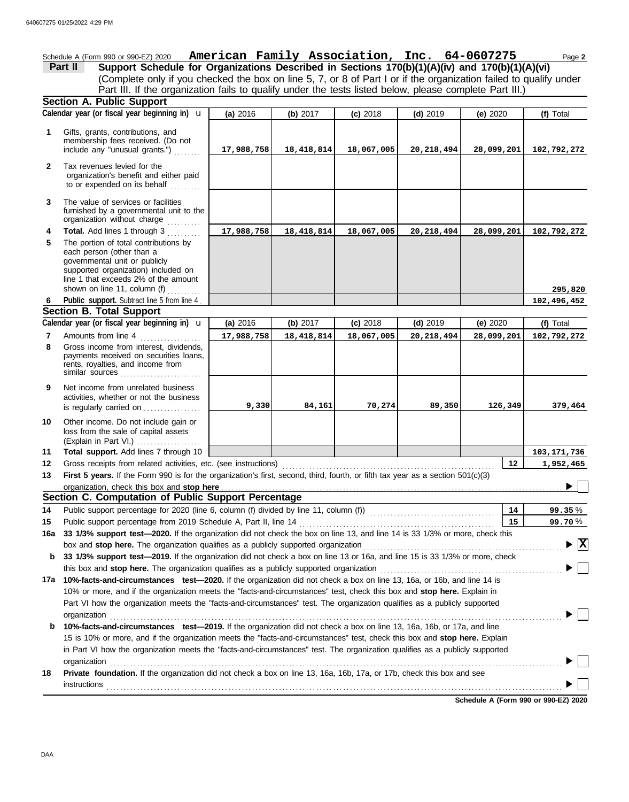(Explain in Part VI.) . . . . . . . . . . . . . . . . . . . governmental unit or publicly **Section A. Public Support Total support.** Add lines 7 through 10 loss from the sale of capital assets Other income. Do not include gain or is regularly carried on . . . . . . . . . . . . . . . activities, whether or not the business Net income from unrelated business rents, royalties, and income from payments received on securities loans, Gross income from interest, dividends, line 1 that exceeds 2% of the amount supported organization) included on each person (other than a The portion of total contributions by **Total.** Add lines 1 through 3 .......... The value of services or facilities to or expended on its behalf ......... organization's benefit and either paid Tax revenues levied for the First 5 years. If the Form 990 is for the organization's first, second, third, fourth, or fifth tax year as a section 501(c)(3) Gross receipts from related activities, etc. (see instructions) . . . . . . . . . . . . . . . . . . . . . . . . . . . . . . . . . . . . . . . . . . . . . . . . . . . . . . . . . . . . . . . Amounts from line 4 Public support. Subtract line 5 from line 4 include any "unusual grants.") . . . . . . . . membership fees received. (Do not Gifts, grants, contributions, and Schedule A (Form 990 or 990-EZ) 2020 Page **2 American Family Association, Inc. 64-0607275 13 12 11 9 8 6 4 3 2 1 (a)** 2016 **(b)** 2017 **(c)** 2018 **(d)** 2019 **(e)** 2020 (Complete only if you checked the box on line 5, 7, or 8 of Part I or if the organization failed to qualify under **Part II Support Schedule for Organizations Described in Sections 170(b)(1)(A)(iv) and 170(b)(1)(A)(vi)** Calendar year (or fiscal year beginning in) **u** | (a) 2016 | (b) 2017 | (c) 2018 | (d) 2019 | (e) 2020 | (f) Total furnished by a governmental unit to the organization without charge **5 Section B. Total Support 7** similar sources **10** organization, check this box and stop here **Section C. Computation of Public Support Percentage 12 14** Public support percentage for 2020 (line 6, column (f) divided by line 11, column (f)) . . . . . . . . . . . . . . . . . . . . . . . . . . . . . . . . . . . . . . Public support percentage from 2019 Schedule A, Part II, line 14 . . . . . . . . . . . . . . . . . . . . . . . . . . . . . . . . . . . . . . . . . . . . . . . . . . . . . . . . . . **15 16a 33 1/3% support test—2020.** If the organization did not check the box on line 13, and line 14 is 33 1/3% or more, check this box and stop here. The organization qualifies as a publicly supported organization ............... **b 33 1/3% support test—2019.** If the organization did not check a box on line 13 or 16a, and line 15 is 33 1/3% or more, check this box and **stop here.** The organization qualifies as a publicly supported organization . . . . . . . . . . . . . . . . . . . . . . . . . . . . . . . . . . . . . . . . . . . . . . . . . . . . . . **17a 10%-facts-and-circumstances test—2020.** If the organization did not check a box on line 13, 16a, or 16b, and line 14 is 10% or more, and if the organization meets the "facts-and-circumstances" test, check this box and **stop here.** Explain in Part VI how the organization meets the "facts-and-circumstances" test. The organization qualifies as a publicly supported **b 10%-facts-and-circumstances test—2019.** If the organization did not check a box on line 13, 16a, 16b, or 17a, and line in Part VI how the organization meets the "facts-and-circumstances" test. The organization qualifies as a publicly supported 15 is 10% or more, and if the organization meets the "facts-and-circumstances" test, check this box and **stop here.** Explain **18 Private foundation.** If the organization did not check a box on line 13, 16a, 16b, 17a, or 17b, check this box and see **14 15** % **99.35** % **99.70** Calendar year (or fiscal year beginning in)  $\bf{u}$  (a) 2016 (b) 2017 (c) 2018 (d) 2019 (e) 2020 (f) Total Part III. If the organization fails to qualify under the tests listed below, please complete Part III.) **(a)** 2016 shown on line 11, column (f)  $\ldots$ organization www.community.com/www.community.com/www.community.com/www.community.com/www.community.com/www.com organization and the contract of the contract of the contract of the contract of the contract of the contract of the contract of the contract of the contract of the contract of the contract of the contract of the contract **instructions** u **(b)** 2017 **(c)** 2018 **(d)** 2019 **(e)** 2020 **17,988,758 18,418,814 18,067,005 20,218,494 28,099,201 102,792,272 17,988,758 18,418,814 18,067,005 20,218,494 28,099,201 102,792,272 295,820 102,496,452 17,988,758 18,418,814 18,067,005 20,218,494 28,099,201 102,792,272 9,330 84,161 70,274 89,350 126,349 379,464 103,171,736 1,952,465 X**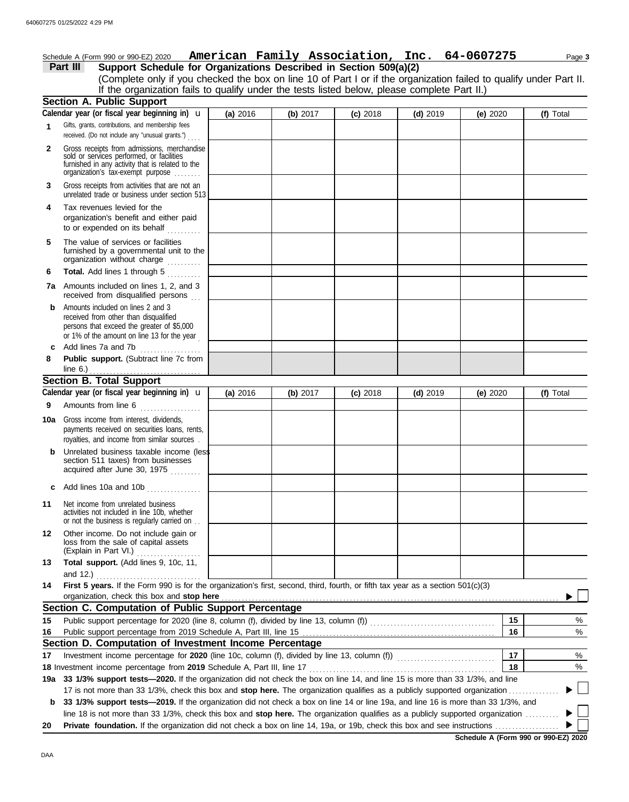|     | Schedule A (Form 990 or 990-EZ) 2020                                                                                                                                                                                                                            | American Family Association, Inc. 64-0607275 |            |            |            |          |    | Page 3    |
|-----|-----------------------------------------------------------------------------------------------------------------------------------------------------------------------------------------------------------------------------------------------------------------|----------------------------------------------|------------|------------|------------|----------|----|-----------|
|     | Support Schedule for Organizations Described in Section 509(a)(2)<br>Part III                                                                                                                                                                                   |                                              |            |            |            |          |    |           |
|     | (Complete only if you checked the box on line 10 of Part I or if the organization failed to qualify under Part II.                                                                                                                                              |                                              |            |            |            |          |    |           |
|     | If the organization fails to qualify under the tests listed below, please complete Part II.)                                                                                                                                                                    |                                              |            |            |            |          |    |           |
|     | <b>Section A. Public Support</b><br>Calendar year (or fiscal year beginning in) $\mathbf u$                                                                                                                                                                     |                                              |            |            |            |          |    |           |
|     | Gifts, grants, contributions, and membership fees                                                                                                                                                                                                               | (a) 2016                                     | (b) $2017$ | $(c)$ 2018 | $(d)$ 2019 | (e) 2020 |    | (f) Total |
|     | received. (Do not include any "unusual grants.")                                                                                                                                                                                                                |                                              |            |            |            |          |    |           |
| 2   | Gross receipts from admissions, merchandise<br>sold or services performed, or facilities<br>furnished in any activity that is related to the<br>organization's tax-exempt purpose                                                                               |                                              |            |            |            |          |    |           |
| 3   | Gross receipts from activities that are not an<br>unrelated trade or business under section 513                                                                                                                                                                 |                                              |            |            |            |          |    |           |
| 4   | Tax revenues levied for the<br>organization's benefit and either paid<br>to or expended on its behalf                                                                                                                                                           |                                              |            |            |            |          |    |           |
| 5   | The value of services or facilities<br>furnished by a governmental unit to the<br>organization without charge                                                                                                                                                   |                                              |            |            |            |          |    |           |
| 6   | Total. Add lines 1 through 5                                                                                                                                                                                                                                    |                                              |            |            |            |          |    |           |
|     | 7a Amounts included on lines 1, 2, and 3<br>received from disqualified persons                                                                                                                                                                                  |                                              |            |            |            |          |    |           |
| b   | Amounts included on lines 2 and 3<br>received from other than disqualified<br>persons that exceed the greater of \$5,000<br>or 1% of the amount on line 13 for the year                                                                                         |                                              |            |            |            |          |    |           |
| c   | Add lines 7a and 7b                                                                                                                                                                                                                                             |                                              |            |            |            |          |    |           |
| 8   | Public support. (Subtract line 7c from                                                                                                                                                                                                                          |                                              |            |            |            |          |    |           |
|     | line $6$ .)                                                                                                                                                                                                                                                     |                                              |            |            |            |          |    |           |
|     | <b>Section B. Total Support</b>                                                                                                                                                                                                                                 |                                              |            |            |            |          |    |           |
|     | Calendar year (or fiscal year beginning in) $\mathbf u$                                                                                                                                                                                                         | (a) 2016                                     | (b) $2017$ | $(c)$ 2018 | $(d)$ 2019 | (e) 2020 |    | (f) Total |
| 9   | Amounts from line 6                                                                                                                                                                                                                                             |                                              |            |            |            |          |    |           |
|     | <b>10a</b> Gross income from interest, dividends,<br>payments received on securities loans, rents,<br>royalties, and income from similar sources.                                                                                                               |                                              |            |            |            |          |    |           |
| b   | Unrelated business taxable income (less<br>section 511 taxes) from businesses<br>acquired after June 30, 1975                                                                                                                                                   |                                              |            |            |            |          |    |           |
| C   | Add lines 10a and 10b<br>.                                                                                                                                                                                                                                      |                                              |            |            |            |          |    |           |
| 11  | Net income from unrelated business<br>activities not included in line 10b, whether<br>or not the business is regularly carried on                                                                                                                               |                                              |            |            |            |          |    |           |
| 12  | Other income. Do not include gain or<br>loss from the sale of capital assets<br>(Explain in Part VI.)                                                                                                                                                           |                                              |            |            |            |          |    |           |
| 13  | Total support. (Add lines 9, 10c, 11,                                                                                                                                                                                                                           |                                              |            |            |            |          |    |           |
| 14  | and 12.) $\ldots$<br>First 5 years. If the Form 990 is for the organization's first, second, third, fourth, or fifth tax year as a section 501(c)(3)                                                                                                            |                                              |            |            |            |          |    |           |
|     | organization, check this box and stop here                                                                                                                                                                                                                      |                                              |            |            |            |          |    |           |
|     | Section C. Computation of Public Support Percentage                                                                                                                                                                                                             |                                              |            |            |            |          |    |           |
| 15  |                                                                                                                                                                                                                                                                 |                                              |            |            |            |          | 15 | ℅         |
| 16  |                                                                                                                                                                                                                                                                 |                                              |            |            |            |          | 16 | %         |
|     | Section D. Computation of Investment Income Percentage                                                                                                                                                                                                          |                                              |            |            |            |          |    |           |
| 17  |                                                                                                                                                                                                                                                                 |                                              |            |            |            |          | 17 | %         |
|     |                                                                                                                                                                                                                                                                 |                                              |            |            |            |          | 18 | %         |
| 19а | 33 1/3% support tests-2020. If the organization did not check the box on line 14, and line 15 is more than 33 1/3%, and line                                                                                                                                    |                                              |            |            |            |          |    |           |
| b   | 17 is not more than 33 1/3%, check this box and stop here. The organization qualifies as a publicly supported organization<br>33 1/3% support tests-2019. If the organization did not check a box on line 14 or line 19a, and line 16 is more than 33 1/3%, and |                                              |            |            |            |          |    |           |
|     | line 18 is not more than 33 1/3%, check this box and stop here. The organization qualifies as a publicly supported organization                                                                                                                                 |                                              |            |            |            |          |    |           |
| 20  |                                                                                                                                                                                                                                                                 |                                              |            |            |            |          |    |           |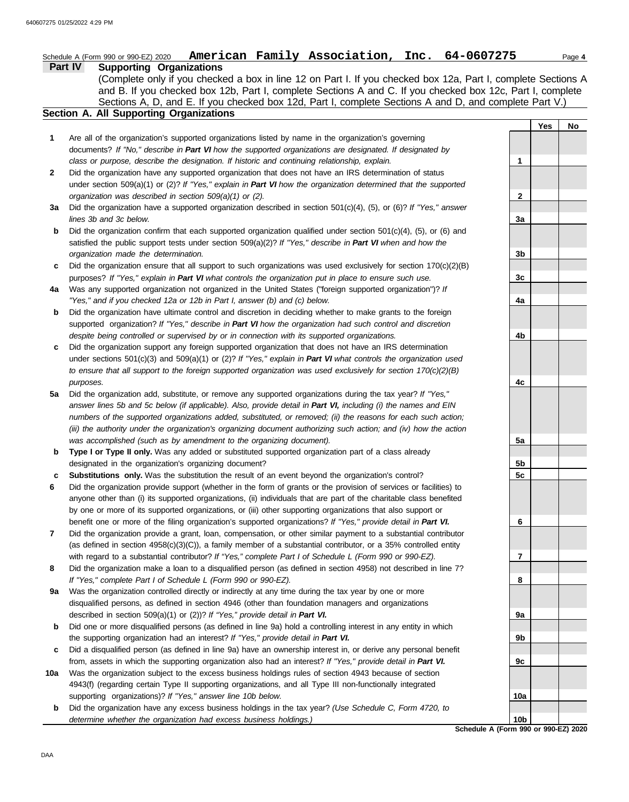|     | American Family Association, Inc. 64-0607275<br>Schedule A (Form 990 or 990-EZ) 2020                                |                 |     | Page 4 |
|-----|---------------------------------------------------------------------------------------------------------------------|-----------------|-----|--------|
|     | Part IV<br><b>Supporting Organizations</b>                                                                          |                 |     |        |
|     | (Complete only if you checked a box in line 12 on Part I. If you checked box 12a, Part I, complete Sections A       |                 |     |        |
|     | and B. If you checked box 12b, Part I, complete Sections A and C. If you checked box 12c, Part I, complete          |                 |     |        |
|     | Sections A, D, and E. If you checked box 12d, Part I, complete Sections A and D, and complete Part V.)              |                 |     |        |
|     | Section A. All Supporting Organizations                                                                             |                 |     |        |
|     |                                                                                                                     |                 | Yes | No     |
| 1   | Are all of the organization's supported organizations listed by name in the organization's governing                |                 |     |        |
|     | documents? If "No," describe in Part VI how the supported organizations are designated. If designated by            |                 |     |        |
|     | class or purpose, describe the designation. If historic and continuing relationship, explain.                       | 1               |     |        |
| 2   | Did the organization have any supported organization that does not have an IRS determination of status              |                 |     |        |
|     | under section 509(a)(1) or (2)? If "Yes," explain in Part VI how the organization determined that the supported     |                 |     |        |
|     | organization was described in section $509(a)(1)$ or (2).                                                           | $\mathbf{2}$    |     |        |
| За  | Did the organization have a supported organization described in section 501(c)(4), (5), or (6)? If "Yes," answer    |                 |     |        |
|     | lines 3b and 3c below.                                                                                              | За              |     |        |
| b   | Did the organization confirm that each supported organization qualified under section $501(c)(4)$ , (5), or (6) and |                 |     |        |
|     | satisfied the public support tests under section $509(a)(2)?$ If "Yes," describe in Part VI when and how the        |                 |     |        |
|     | organization made the determination.                                                                                | 3b              |     |        |
| c   | Did the organization ensure that all support to such organizations was used exclusively for section $170(c)(2)(B)$  |                 |     |        |
|     | purposes? If "Yes," explain in Part VI what controls the organization put in place to ensure such use.              | 3c              |     |        |
| 4a  | Was any supported organization not organized in the United States ("foreign supported organization")? If            |                 |     |        |
|     | "Yes," and if you checked 12a or 12b in Part I, answer (b) and (c) below.                                           | 4a              |     |        |
| b   | Did the organization have ultimate control and discretion in deciding whether to make grants to the foreign         |                 |     |        |
|     | supported organization? If "Yes," describe in Part VI how the organization had such control and discretion          |                 |     |        |
|     | despite being controlled or supervised by or in connection with its supported organizations.                        | 4b              |     |        |
| c   | Did the organization support any foreign supported organization that does not have an IRS determination             |                 |     |        |
|     | under sections $501(c)(3)$ and $509(a)(1)$ or (2)? If "Yes," explain in Part VI what controls the organization used |                 |     |        |
|     | to ensure that all support to the foreign supported organization was used exclusively for section 170(c)(2)(B)      |                 |     |        |
|     | purposes.                                                                                                           | 4c              |     |        |
| 5a  | Did the organization add, substitute, or remove any supported organizations during the tax year? If "Yes,"          |                 |     |        |
|     | answer lines 5b and 5c below (if applicable). Also, provide detail in Part VI, including (i) the names and EIN      |                 |     |        |
|     | numbers of the supported organizations added, substituted, or removed; (ii) the reasons for each such action;       |                 |     |        |
|     | (iii) the authority under the organization's organizing document authorizing such action; and (iv) how the action   |                 |     |        |
|     | was accomplished (such as by amendment to the organizing document).                                                 | 5a              |     |        |
| b   | Type I or Type II only. Was any added or substituted supported organization part of a class already                 |                 |     |        |
|     | designated in the organization's organizing document?                                                               | 5b              |     |        |
| c   | Substitutions only. Was the substitution the result of an event beyond the organization's control?                  | 5c              |     |        |
| 6   | Did the organization provide support (whether in the form of grants or the provision of services or facilities) to  |                 |     |        |
|     | anyone other than (i) its supported organizations, (ii) individuals that are part of the charitable class benefited |                 |     |        |
|     | by one or more of its supported organizations, or (iii) other supporting organizations that also support or         |                 |     |        |
|     | benefit one or more of the filing organization's supported organizations? If "Yes," provide detail in Part VI.      | 6               |     |        |
| 7   | Did the organization provide a grant, loan, compensation, or other similar payment to a substantial contributor     |                 |     |        |
|     | (as defined in section $4958(c)(3)(C)$ ), a family member of a substantial contributor, or a 35% controlled entity  |                 |     |        |
|     | with regard to a substantial contributor? If "Yes," complete Part I of Schedule L (Form 990 or 990-EZ).             | 7               |     |        |
| 8   | Did the organization make a loan to a disqualified person (as defined in section 4958) not described in line 7?     |                 |     |        |
|     | If "Yes," complete Part I of Schedule L (Form 990 or 990-EZ).                                                       | 8               |     |        |
| 9a  | Was the organization controlled directly or indirectly at any time during the tax year by one or more               |                 |     |        |
|     | disqualified persons, as defined in section 4946 (other than foundation managers and organizations                  |                 |     |        |
|     | described in section 509(a)(1) or (2))? If "Yes," provide detail in Part VI.                                        | 9а              |     |        |
| b   | Did one or more disqualified persons (as defined in line 9a) hold a controlling interest in any entity in which     |                 |     |        |
|     | the supporting organization had an interest? If "Yes," provide detail in Part VI.                                   | 9b              |     |        |
| c   | Did a disqualified person (as defined in line 9a) have an ownership interest in, or derive any personal benefit     |                 |     |        |
|     | from, assets in which the supporting organization also had an interest? If "Yes," provide detail in Part VI.        | 9c              |     |        |
| 10a | Was the organization subject to the excess business holdings rules of section 4943 because of section               |                 |     |        |
|     | 4943(f) (regarding certain Type II supporting organizations, and all Type III non-functionally integrated           |                 |     |        |
|     | supporting organizations)? If "Yes," answer line 10b below.                                                         | 10a             |     |        |
| b   | Did the organization have any excess business holdings in the tax year? (Use Schedule C, Form 4720, to              |                 |     |        |
|     | determine whether the organization had excess business holdings.)                                                   | 10 <sub>b</sub> |     |        |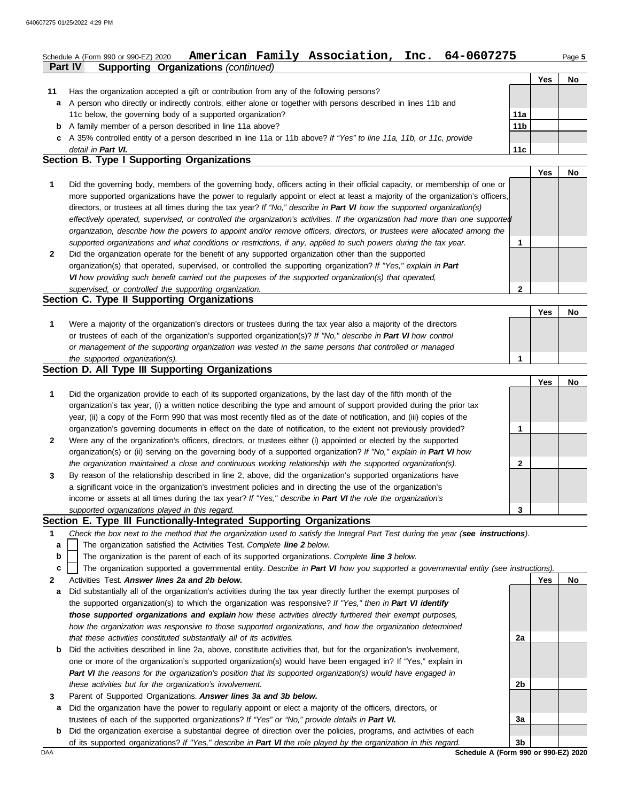# **Part IV Supporting Organizations** *(continued)* Schedule A (Form 990 or 990-EZ) 2020 Page **5 American Family Association, Inc. 64-0607275**

|    |                                                                                                                      |                 | Yes | No |
|----|----------------------------------------------------------------------------------------------------------------------|-----------------|-----|----|
| 11 | Has the organization accepted a gift or contribution from any of the following persons?                              |                 |     |    |
| a  | A person who directly or indirectly controls, either alone or together with persons described in lines 11b and       |                 |     |    |
|    | 11c below, the governing body of a supported organization?                                                           | 11a             |     |    |
| b  | A family member of a person described in line 11a above?                                                             | 11 <sub>b</sub> |     |    |
|    | c A 35% controlled entity of a person described in line 11a or 11b above? If "Yes" to line 11a, 11b, or 11c, provide |                 |     |    |
|    | detail in Part VI.                                                                                                   | 11c             |     |    |

### **Section B. Type I Supporting Organizations**

|              |                                                                                                                                |   | Yes | No |
|--------------|--------------------------------------------------------------------------------------------------------------------------------|---|-----|----|
|              | Did the governing body, members of the governing body, officers acting in their official capacity, or membership of one or     |   |     |    |
|              | more supported organizations have the power to regularly appoint or elect at least a majority of the organization's officers,  |   |     |    |
|              | directors, or trustees at all times during the tax year? If "No," describe in Part VI how the supported organization(s)        |   |     |    |
|              | effectively operated, supervised, or controlled the organization's activities. If the organization had more than one supported |   |     |    |
|              | organization, describe how the powers to appoint and/or remove officers, directors, or trustees were allocated among the       |   |     |    |
|              | supported organizations and what conditions or restrictions, if any, applied to such powers during the tax year.               |   |     |    |
| $\mathbf{2}$ | Did the organization operate for the benefit of any supported organization other than the supported                            |   |     |    |
|              | organization(s) that operated, supervised, or controlled the supporting organization? If "Yes," explain in Part                |   |     |    |
|              | VI how providing such benefit carried out the purposes of the supported organization(s) that operated,                         |   |     |    |
|              | supervised, or controlled the supporting organization.                                                                         | ◠ |     |    |
|              | Section C. Type II Supporting Organizations                                                                                    |   |     |    |

|                                                                                                                  | Yes | No |
|------------------------------------------------------------------------------------------------------------------|-----|----|
| Were a majority of the organization's directors or trustees during the tax year also a majority of the directors |     |    |
| or trustees of each of the organization's supported organization(s)? If "No," describe in Part VI how control    |     |    |
| or management of the supporting organization was vested in the same persons that controlled or managed           |     |    |
| the supported organization(s).                                                                                   |     |    |

### **Section D. All Type III Supporting Organizations**

|                |                                                                                                                        |   | Yes | No |
|----------------|------------------------------------------------------------------------------------------------------------------------|---|-----|----|
| 1              | Did the organization provide to each of its supported organizations, by the last day of the fifth month of the         |   |     |    |
|                | organization's tax year, (i) a written notice describing the type and amount of support provided during the prior tax  |   |     |    |
|                | year, (ii) a copy of the Form 990 that was most recently filed as of the date of notification, and (iii) copies of the |   |     |    |
|                | organization's governing documents in effect on the date of notification, to the extent not previously provided?       |   |     |    |
| $\overline{2}$ | Were any of the organization's officers, directors, or trustees either (i) appointed or elected by the supported       |   |     |    |
|                | organization(s) or (ii) serving on the governing body of a supported organization? If "No," explain in Part VI how     |   |     |    |
|                | the organization maintained a close and continuous working relationship with the supported organization(s).            | 2 |     |    |
| 3              | By reason of the relationship described in line 2, above, did the organization's supported organizations have          |   |     |    |
|                | a significant voice in the organization's investment policies and in directing the use of the organization's           |   |     |    |
|                | income or assets at all times during the tax year? If "Yes," describe in Part VI the role the organization's           |   |     |    |
|                | supported organizations played in this regard.                                                                         |   |     |    |

#### **Section E. Type III Functionally-Integrated Supporting Organizations**

- **1** *Check the box next to the method that the organization used to satisfy the Integral Part Test during the year (see instructions).*
	- The organization satisfied the Activities Test. *Complete line 2 below.* **a**
	- The organization is the parent of each of its supported organizations. *Complete line 3 below.* **b**
	- The organization supported a governmental entity. *Describe in Part VI how you supported a governmental entity (see instructions).* **c**
- **2** Activities Test. *Answer lines 2a and 2b below.*
- **a** Did substantially all of the organization's activities during the tax year directly further the exempt purposes of the supported organization(s) to which the organization was responsive? *If "Yes," then in Part VI identify those supported organizations and explain how these activities directly furthered their exempt purposes, how the organization was responsive to those supported organizations, and how the organization determined that these activities constituted substantially all of its activities.*
- **b** Did the activities described in line 2a, above, constitute activities that, but for the organization's involvement, one or more of the organization's supported organization(s) would have been engaged in? If "Yes," explain in *Part VI the reasons for the organization's position that its supported organization(s) would have engaged in these activities but for the organization's involvement.*
- **3** Parent of Supported Organizations. *Answer lines 3a and 3b below.*
	- **a** Did the organization have the power to regularly appoint or elect a majority of the officers, directors, or trustees of each of the supported organizations? *If "Yes" or "No," provide details in Part VI.*
- **b** Did the organization exercise a substantial degree of direction over the policies, programs, and activities of each of its supported organizations? *If "Yes," describe in Part VI the role played by the organization in this regard.*

**Yes No 2a 2b 3a 3b**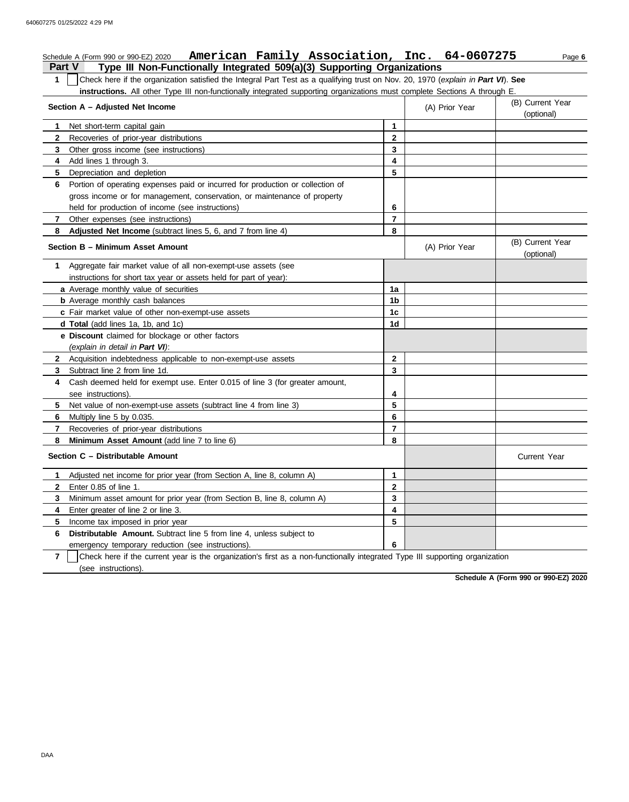|                | American Family Association, Inc. 64-0607275<br>Schedule A (Form 990 or 990-EZ) 2020                                             |              |                | Page 6                         |
|----------------|----------------------------------------------------------------------------------------------------------------------------------|--------------|----------------|--------------------------------|
| <b>Part V</b>  | Type III Non-Functionally Integrated 509(a)(3) Supporting Organizations                                                          |              |                |                                |
| 1              | Check here if the organization satisfied the Integral Part Test as a qualifying trust on Nov. 20, 1970 (explain in Part VI). See |              |                |                                |
|                | instructions. All other Type III non-functionally integrated supporting organizations must complete Sections A through E.        |              |                |                                |
|                | Section A – Adjusted Net Income                                                                                                  |              | (A) Prior Year | (B) Current Year<br>(optional) |
| 1.             | Net short-term capital gain                                                                                                      | 1            |                |                                |
| $\mathbf{2}$   | Recoveries of prior-year distributions                                                                                           | $\mathbf{2}$ |                |                                |
| 3              | Other gross income (see instructions)                                                                                            | 3            |                |                                |
| 4              | Add lines 1 through 3.                                                                                                           | 4            |                |                                |
| 5              | Depreciation and depletion                                                                                                       | 5            |                |                                |
| 6.             | Portion of operating expenses paid or incurred for production or collection of                                                   |              |                |                                |
|                | gross income or for management, conservation, or maintenance of property                                                         |              |                |                                |
|                | held for production of income (see instructions)                                                                                 | 6            |                |                                |
| $\mathbf{7}$   | Other expenses (see instructions)                                                                                                | 7            |                |                                |
| 8              | Adjusted Net Income (subtract lines 5, 6, and 7 from line 4)                                                                     | 8            |                |                                |
|                | Section B - Minimum Asset Amount                                                                                                 |              | (A) Prior Year | (B) Current Year<br>(optional) |
| 1.             | Aggregate fair market value of all non-exempt-use assets (see                                                                    |              |                |                                |
|                | instructions for short tax year or assets held for part of year):                                                                |              |                |                                |
|                | a Average monthly value of securities                                                                                            | 1a           |                |                                |
|                | <b>b</b> Average monthly cash balances                                                                                           | 1b           |                |                                |
|                | c Fair market value of other non-exempt-use assets                                                                               | 1c           |                |                                |
|                | d Total (add lines 1a, 1b, and 1c)                                                                                               | 1d           |                |                                |
|                | e Discount claimed for blockage or other factors                                                                                 |              |                |                                |
|                | (explain in detail in Part VI):                                                                                                  |              |                |                                |
|                | 2 Acquisition indebtedness applicable to non-exempt-use assets                                                                   | 2            |                |                                |
| 3              | Subtract line 2 from line 1d.                                                                                                    | 3            |                |                                |
| 4              | Cash deemed held for exempt use. Enter 0.015 of line 3 (for greater amount,                                                      |              |                |                                |
|                | see instructions).                                                                                                               | 4            |                |                                |
| 5.             | Net value of non-exempt-use assets (subtract line 4 from line 3)                                                                 | 5            |                |                                |
| 6              | Multiply line 5 by 0.035.                                                                                                        | 6            |                |                                |
| 7              | Recoveries of prior-year distributions                                                                                           | 7            |                |                                |
| 8              | Minimum Asset Amount (add line 7 to line 6)                                                                                      | 8            |                |                                |
|                | Section C - Distributable Amount                                                                                                 |              |                | <b>Current Year</b>            |
| $\mathbf{1}$   | Adjusted net income for prior year (from Section A, line 8, column A)                                                            | 1            |                |                                |
| $\mathbf{2}$   | Enter 0.85 of line 1.                                                                                                            | 2            |                |                                |
| 3              | Minimum asset amount for prior year (from Section B, line 8, column A)                                                           | 3            |                |                                |
| 4              | Enter greater of line 2 or line 3.                                                                                               | 4            |                |                                |
| 5              | Income tax imposed in prior year                                                                                                 | 5            |                |                                |
| 6              | Distributable Amount. Subtract line 5 from line 4, unless subject to                                                             |              |                |                                |
|                | emergency temporary reduction (see instructions).                                                                                | 6            |                |                                |
| $\overline{7}$ | Check here if the current year is the organization's first as a non-functionally integrated Type III supporting organization     |              |                |                                |

-<br>(see instructions).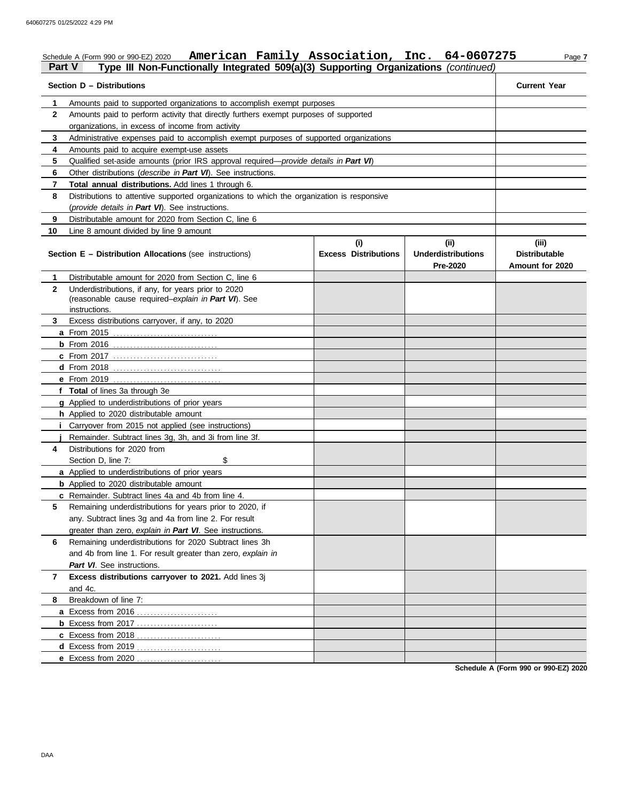# Schedule A (Form 990 or 990-EZ) 2020 Page **7 American Family Association, Inc. 64-0607275 Part V Type III Non-Functionally Integrated 509(a)(3) Supporting Organizations** *(continued)*

| Section D - Distributions | <b>Current Year</b>                                                                           |                                    |                                                      |                                                |  |  |
|---------------------------|-----------------------------------------------------------------------------------------------|------------------------------------|------------------------------------------------------|------------------------------------------------|--|--|
| 1                         |                                                                                               |                                    |                                                      |                                                |  |  |
| $\mathbf{2}$              | Amounts paid to perform activity that directly furthers exempt purposes of supported          |                                    |                                                      |                                                |  |  |
|                           | organizations, in excess of income from activity                                              |                                    |                                                      |                                                |  |  |
| 3                         | Administrative expenses paid to accomplish exempt purposes of supported organizations         |                                    |                                                      |                                                |  |  |
| 4                         | Amounts paid to acquire exempt-use assets                                                     |                                    |                                                      |                                                |  |  |
| 5                         | Qualified set-aside amounts (prior IRS approval required— <i>provide details in Part VI</i> ) |                                    |                                                      |                                                |  |  |
| 6                         | Other distributions (describe in Part VI). See instructions.                                  |                                    |                                                      |                                                |  |  |
| 7                         | Total annual distributions. Add lines 1 through 6.                                            |                                    |                                                      |                                                |  |  |
| 8                         | Distributions to attentive supported organizations to which the organization is responsive    |                                    |                                                      |                                                |  |  |
|                           | (provide details in Part VI). See instructions.                                               |                                    |                                                      |                                                |  |  |
| 9                         | Distributable amount for 2020 from Section C, line 6                                          |                                    |                                                      |                                                |  |  |
| 10                        | Line 8 amount divided by line 9 amount                                                        |                                    |                                                      |                                                |  |  |
|                           | <b>Section E – Distribution Allocations (see instructions)</b>                                | (i)<br><b>Excess Distributions</b> | (ii)<br><b>Underdistributions</b><br><b>Pre-2020</b> | (iii)<br><b>Distributable</b>                  |  |  |
|                           | Distributable amount for 2020 from Section C, line 6                                          |                                    |                                                      | Amount for 2020                                |  |  |
| 1<br>$\mathbf{2}$         | Underdistributions, if any, for years prior to 2020                                           |                                    |                                                      |                                                |  |  |
|                           | (reasonable cause required-explain in Part VI). See<br>instructions.                          |                                    |                                                      |                                                |  |  |
| 3                         | Excess distributions carryover, if any, to 2020                                               |                                    |                                                      |                                                |  |  |
|                           |                                                                                               |                                    |                                                      |                                                |  |  |
|                           |                                                                                               |                                    |                                                      |                                                |  |  |
|                           | <b>c</b> From 2017                                                                            |                                    |                                                      |                                                |  |  |
|                           |                                                                                               |                                    |                                                      |                                                |  |  |
|                           |                                                                                               |                                    |                                                      |                                                |  |  |
|                           | f Total of lines 3a through 3e                                                                |                                    |                                                      |                                                |  |  |
|                           | g Applied to underdistributions of prior years                                                |                                    |                                                      |                                                |  |  |
|                           | h Applied to 2020 distributable amount                                                        |                                    |                                                      |                                                |  |  |
|                           | <i>i</i> Carryover from 2015 not applied (see instructions)                                   |                                    |                                                      |                                                |  |  |
|                           | Remainder. Subtract lines 3g, 3h, and 3i from line 3f.                                        |                                    |                                                      |                                                |  |  |
| 4                         | Distributions for 2020 from                                                                   |                                    |                                                      |                                                |  |  |
|                           | Section D, line 7:<br>\$                                                                      |                                    |                                                      |                                                |  |  |
|                           | a Applied to underdistributions of prior years                                                |                                    |                                                      |                                                |  |  |
|                           | <b>b</b> Applied to 2020 distributable amount                                                 |                                    |                                                      |                                                |  |  |
|                           | c Remainder. Subtract lines 4a and 4b from line 4.                                            |                                    |                                                      |                                                |  |  |
| 5                         | Remaining underdistributions for years prior to 2020, if                                      |                                    |                                                      |                                                |  |  |
|                           | any. Subtract lines 3g and 4a from line 2. For result                                         |                                    |                                                      |                                                |  |  |
|                           | greater than zero, explain in Part VI. See instructions.                                      |                                    |                                                      |                                                |  |  |
| 6                         | Remaining underdistributions for 2020 Subtract lines 3h                                       |                                    |                                                      |                                                |  |  |
|                           | and 4b from line 1. For result greater than zero, explain in                                  |                                    |                                                      |                                                |  |  |
|                           | Part VI. See instructions.                                                                    |                                    |                                                      |                                                |  |  |
| $\mathbf{7}$              | Excess distributions carryover to 2021. Add lines 3j<br>and 4c.                               |                                    |                                                      |                                                |  |  |
| 8                         | Breakdown of line 7:                                                                          |                                    |                                                      |                                                |  |  |
|                           |                                                                                               |                                    |                                                      |                                                |  |  |
|                           |                                                                                               |                                    |                                                      |                                                |  |  |
|                           |                                                                                               |                                    |                                                      |                                                |  |  |
|                           |                                                                                               |                                    |                                                      |                                                |  |  |
|                           |                                                                                               |                                    |                                                      | <b>Calcadrile A (Ferma 000 ex 000 F7) 2020</b> |  |  |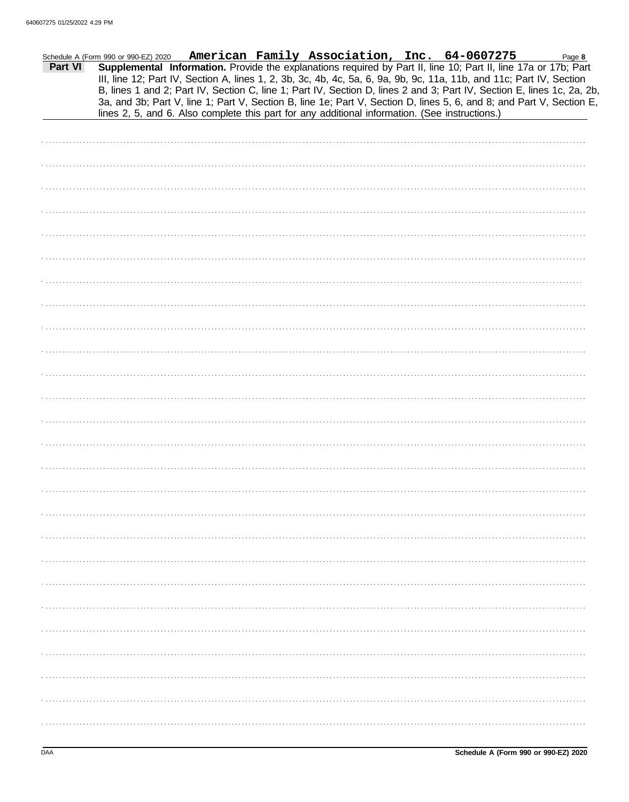| Supplemental Information. Provide the explanations required by Part II, line 10; Part II, line 17a or 17b; Part<br>Part VI<br>III, line 12; Part IV, Section A, lines 1, 2, 3b, 3c, 4b, 4c, 5a, 6, 9a, 9b, 9c, 11a, 11b, and 11c; Part IV, Section<br>B, lines 1 and 2; Part IV, Section C, line 1; Part IV, Section D, lines 2 and 3; Part IV, Section E, lines 1c, 2a, 2b,<br>3a, and 3b; Part V, line 1; Part V, Section B, line 1e; Part V, Section D, lines 5, 6, and 8; and Part V, Section E,<br>lines 2, 5, and 6. Also complete this part for any additional information. (See instructions.) | Schedule A (Form 990 or 990-EZ) 2020 |  |  | American Family Association, Inc. 64-0607275 | Page 8 |
|--------------------------------------------------------------------------------------------------------------------------------------------------------------------------------------------------------------------------------------------------------------------------------------------------------------------------------------------------------------------------------------------------------------------------------------------------------------------------------------------------------------------------------------------------------------------------------------------------------|--------------------------------------|--|--|----------------------------------------------|--------|
|                                                                                                                                                                                                                                                                                                                                                                                                                                                                                                                                                                                                        |                                      |  |  |                                              |        |
|                                                                                                                                                                                                                                                                                                                                                                                                                                                                                                                                                                                                        |                                      |  |  |                                              |        |
|                                                                                                                                                                                                                                                                                                                                                                                                                                                                                                                                                                                                        |                                      |  |  |                                              |        |
|                                                                                                                                                                                                                                                                                                                                                                                                                                                                                                                                                                                                        |                                      |  |  |                                              |        |
|                                                                                                                                                                                                                                                                                                                                                                                                                                                                                                                                                                                                        |                                      |  |  |                                              |        |
|                                                                                                                                                                                                                                                                                                                                                                                                                                                                                                                                                                                                        |                                      |  |  |                                              |        |
|                                                                                                                                                                                                                                                                                                                                                                                                                                                                                                                                                                                                        |                                      |  |  |                                              |        |
|                                                                                                                                                                                                                                                                                                                                                                                                                                                                                                                                                                                                        |                                      |  |  |                                              |        |
|                                                                                                                                                                                                                                                                                                                                                                                                                                                                                                                                                                                                        |                                      |  |  |                                              |        |
|                                                                                                                                                                                                                                                                                                                                                                                                                                                                                                                                                                                                        |                                      |  |  |                                              |        |
|                                                                                                                                                                                                                                                                                                                                                                                                                                                                                                                                                                                                        |                                      |  |  |                                              |        |
|                                                                                                                                                                                                                                                                                                                                                                                                                                                                                                                                                                                                        |                                      |  |  |                                              |        |
|                                                                                                                                                                                                                                                                                                                                                                                                                                                                                                                                                                                                        |                                      |  |  |                                              |        |
|                                                                                                                                                                                                                                                                                                                                                                                                                                                                                                                                                                                                        |                                      |  |  |                                              |        |
|                                                                                                                                                                                                                                                                                                                                                                                                                                                                                                                                                                                                        |                                      |  |  |                                              |        |
|                                                                                                                                                                                                                                                                                                                                                                                                                                                                                                                                                                                                        |                                      |  |  |                                              |        |
|                                                                                                                                                                                                                                                                                                                                                                                                                                                                                                                                                                                                        |                                      |  |  |                                              |        |
|                                                                                                                                                                                                                                                                                                                                                                                                                                                                                                                                                                                                        |                                      |  |  |                                              |        |
|                                                                                                                                                                                                                                                                                                                                                                                                                                                                                                                                                                                                        |                                      |  |  |                                              |        |
|                                                                                                                                                                                                                                                                                                                                                                                                                                                                                                                                                                                                        |                                      |  |  |                                              |        |
|                                                                                                                                                                                                                                                                                                                                                                                                                                                                                                                                                                                                        |                                      |  |  |                                              |        |
|                                                                                                                                                                                                                                                                                                                                                                                                                                                                                                                                                                                                        |                                      |  |  |                                              |        |
|                                                                                                                                                                                                                                                                                                                                                                                                                                                                                                                                                                                                        |                                      |  |  |                                              |        |
|                                                                                                                                                                                                                                                                                                                                                                                                                                                                                                                                                                                                        |                                      |  |  |                                              |        |
|                                                                                                                                                                                                                                                                                                                                                                                                                                                                                                                                                                                                        |                                      |  |  |                                              |        |
|                                                                                                                                                                                                                                                                                                                                                                                                                                                                                                                                                                                                        |                                      |  |  |                                              |        |
|                                                                                                                                                                                                                                                                                                                                                                                                                                                                                                                                                                                                        |                                      |  |  |                                              |        |
|                                                                                                                                                                                                                                                                                                                                                                                                                                                                                                                                                                                                        |                                      |  |  |                                              |        |
|                                                                                                                                                                                                                                                                                                                                                                                                                                                                                                                                                                                                        |                                      |  |  |                                              |        |
|                                                                                                                                                                                                                                                                                                                                                                                                                                                                                                                                                                                                        |                                      |  |  |                                              |        |
|                                                                                                                                                                                                                                                                                                                                                                                                                                                                                                                                                                                                        |                                      |  |  |                                              |        |
|                                                                                                                                                                                                                                                                                                                                                                                                                                                                                                                                                                                                        |                                      |  |  |                                              |        |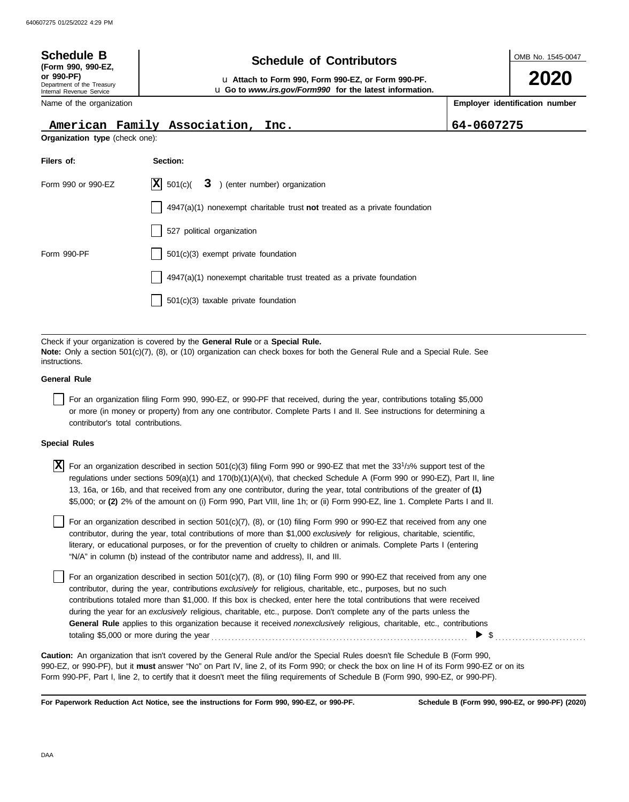| <b>Schedule B</b><br>(Form 990, 990-EZ,<br>or 990-PF)                      | <b>Schedule of Contributors</b><br>u Attach to Form 990, Form 990-EZ, or Form 990-PF. |  | OMB No. 1545-0047<br>2020      |
|----------------------------------------------------------------------------|---------------------------------------------------------------------------------------|--|--------------------------------|
| Department of the Treasury<br>Internal Revenue Service                     | u Go to www.irs.gov/Form990 for the latest information.                               |  |                                |
| Name of the organization                                                   |                                                                                       |  | Employer identification number |
| American Family Association, Inc.<br><b>Organization type (check one):</b> | 64-0607275                                                                            |  |                                |
| Filers of:                                                                 | Section:                                                                              |  |                                |
| Form 990 or 990-EZ                                                         | $ \mathbf{X} $ 501(c)(<br>) (enter number) organization<br>3.                         |  |                                |
|                                                                            | $4947(a)(1)$ nonexempt charitable trust <b>not</b> treated as a private foundation    |  |                                |
|                                                                            | 527 political organization                                                            |  |                                |

#### **General Rule**

instructions.

For an organization filing Form 990, 990-EZ, or 990-PF that received, during the year, contributions totaling \$5,000 or more (in money or property) from any one contributor. Complete Parts I and II. See instructions for determining a contributor's total contributions.

**Note:** Only a section 501(c)(7), (8), or (10) organization can check boxes for both the General Rule and a Special Rule. See

4947(a)(1) nonexempt charitable trust treated as a private foundation

501(c)(3) taxable private foundation

#### **Special Rules**

 $\overline{X}$  For an organization described in section 501(c)(3) filing Form 990 or 990-EZ that met the 33<sup>1</sup>/3% support test of the regulations under sections 509(a)(1) and 170(b)(1)(A)(vi), that checked Schedule A (Form 990 or 990-EZ), Part II, line 13, 16a, or 16b, and that received from any one contributor, during the year, total contributions of the greater of **(1)** \$5,000; or **(2)** 2% of the amount on (i) Form 990, Part VIII, line 1h; or (ii) Form 990-EZ, line 1. Complete Parts I and II.

literary, or educational purposes, or for the prevention of cruelty to children or animals. Complete Parts I (entering For an organization described in section 501(c)(7), (8), or (10) filing Form 990 or 990-EZ that received from any one contributor, during the year, total contributions of more than \$1,000 *exclusively* for religious, charitable, scientific, "N/A" in column (b) instead of the contributor name and address), II, and III.

For an organization described in section 501(c)(7), (8), or (10) filing Form 990 or 990-EZ that received from any one contributor, during the year, contributions *exclusively* for religious, charitable, etc., purposes, but no such contributions totaled more than \$1,000. If this box is checked, enter here the total contributions that were received during the year for an *exclusively* religious, charitable, etc., purpose. Don't complete any of the parts unless the **General Rule** applies to this organization because it received *nonexclusively* religious, charitable, etc., contributions totaling \$5,000 or more during the year . . . . . . . . . . . . . . . . . . . . . . . . . . . . . . . . . . . . . . . . . . . . . . . . . . . . . . . . . . . . . . . . . . . . . . . . . . . . \$ . . . . . . . . . . . . . . . . . . . . . . . . . . .

990-EZ, or 990-PF), but it **must** answer "No" on Part IV, line 2, of its Form 990; or check the box on line H of its Form 990-EZ or on its Form 990-PF, Part I, line 2, to certify that it doesn't meet the filing requirements of Schedule B (Form 990, 990-EZ, or 990-PF). **Caution:** An organization that isn't covered by the General Rule and/or the Special Rules doesn't file Schedule B (Form 990,

**For Paperwork Reduction Act Notice, see the instructions for Form 990, 990-EZ, or 990-PF.**

Form 990-PF  $\vert$   $\vert$  501(c)(3) exempt private foundation

Check if your organization is covered by the **General Rule** or a **Special Rule.**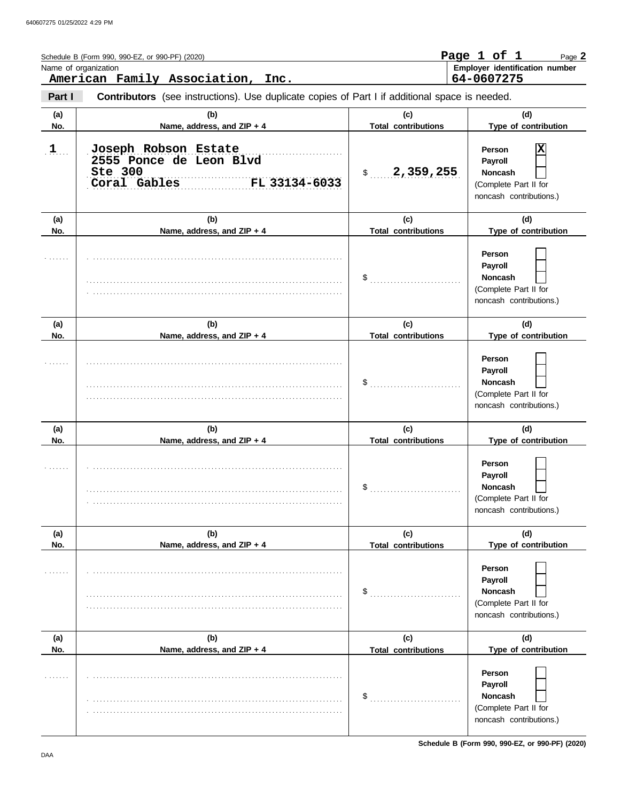|            | Schedule B (Form 990, 990-EZ, or 990-PF) (2020)<br>Name of organization<br>American Family Association, Inc. |                                   | Page 1 of 1<br>Page 2<br>Employer identification number<br>64-0607275                        |
|------------|--------------------------------------------------------------------------------------------------------------|-----------------------------------|----------------------------------------------------------------------------------------------|
| Part I     | <b>Contributors</b> (see instructions). Use duplicate copies of Part I if additional space is needed.        |                                   |                                                                                              |
| (a)<br>No. | (b)<br>Name, address, and ZIP + 4                                                                            | (c)<br><b>Total contributions</b> | (d)<br>Type of contribution                                                                  |
| $1$        | Joseph Robson Estate<br>2555 Ponce de Leon Blvd<br><b>Ste 300</b><br>Coral Gables<br>FL 33134-6033           | \$2,359,255                       | X<br>Person<br>Payroll<br><b>Noncash</b><br>(Complete Part II for<br>noncash contributions.) |
| (a)<br>No. | (b)<br>Name, address, and ZIP + 4                                                                            | (c)<br><b>Total contributions</b> | (d)<br>Type of contribution                                                                  |
|            |                                                                                                              | $\$\$                             | Person<br>Payroll<br><b>Noncash</b><br>(Complete Part II for<br>noncash contributions.)      |
| (a)<br>No. | (b)<br>Name, address, and ZIP + 4                                                                            | (c)<br><b>Total contributions</b> | (d)<br>Type of contribution                                                                  |
|            |                                                                                                              | $\$\$                             | Person<br>Payroll<br><b>Noncash</b><br>(Complete Part II for<br>noncash contributions.)      |
| (a)<br>No. | (b)<br>Name, address, and ZIP + 4                                                                            | (c)<br><b>Total contributions</b> | (d)<br>Type of contribution                                                                  |
|            |                                                                                                              | \$                                | Person<br>Payroll<br>Noncash<br>(Complete Part II for<br>noncash contributions.)             |
| (a)<br>No. | (b)<br>Name, address, and ZIP + 4                                                                            | (c)<br><b>Total contributions</b> | (d)<br>Type of contribution                                                                  |
|            |                                                                                                              | \$                                | Person<br>Payroll<br>Noncash<br>(Complete Part II for<br>noncash contributions.)             |
| (a)<br>No. | (b)<br>Name, address, and ZIP + 4                                                                            | (c)<br><b>Total contributions</b> | (d)<br>Type of contribution                                                                  |
|            |                                                                                                              | \$                                | Person<br>Payroll<br>Noncash<br>(Complete Part II for<br>noncash contributions.)             |

**Schedule B (Form 990, 990-EZ, or 990-PF) (2020)**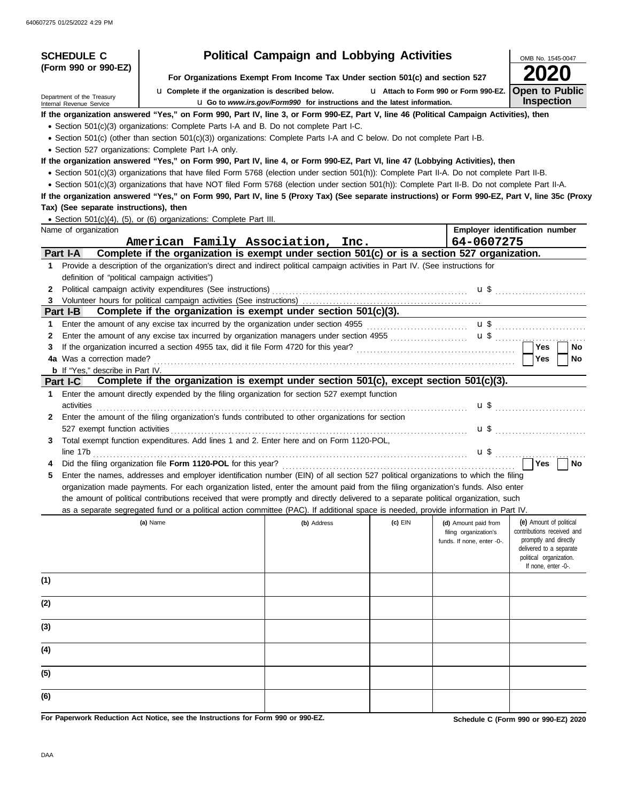| <b>SCHEDULE C</b>                                      |                                                                                                                                                  | <b>Political Campaign and Lobbying Activities</b>                               |                                       |                                                                             | OMB No. 1545-0047                                                              |
|--------------------------------------------------------|--------------------------------------------------------------------------------------------------------------------------------------------------|---------------------------------------------------------------------------------|---------------------------------------|-----------------------------------------------------------------------------|--------------------------------------------------------------------------------|
| (Form 990 or 990-EZ)                                   |                                                                                                                                                  | For Organizations Exempt From Income Tax Under section 501(c) and section 527   |                                       |                                                                             |                                                                                |
|                                                        | <b>u</b> Complete if the organization is described below.                                                                                        |                                                                                 | L1 Attach to Form 990 or Form 990-EZ. |                                                                             | <b>Open to Public</b>                                                          |
| Department of the Treasury<br>Internal Revenue Service |                                                                                                                                                  | <b>u</b> Go to www.irs.gov/Form990 for instructions and the latest information. |                                       |                                                                             | <b>Inspection</b>                                                              |
|                                                        | If the organization answered "Yes," on Form 990, Part IV, line 3, or Form 990-EZ, Part V, line 46 (Political Campaign Activities), then          |                                                                                 |                                       |                                                                             |                                                                                |
|                                                        | • Section 501(c)(3) organizations: Complete Parts I-A and B. Do not complete Part I-C.                                                           |                                                                                 |                                       |                                                                             |                                                                                |
|                                                        | • Section 501(c) (other than section 501(c)(3)) organizations: Complete Parts I-A and C below. Do not complete Part I-B.                         |                                                                                 |                                       |                                                                             |                                                                                |
|                                                        | • Section 527 organizations: Complete Part I-A only.                                                                                             |                                                                                 |                                       |                                                                             |                                                                                |
|                                                        | If the organization answered "Yes," on Form 990, Part IV, line 4, or Form 990-EZ, Part VI, line 47 (Lobbying Activities), then                   |                                                                                 |                                       |                                                                             |                                                                                |
|                                                        | • Section 501(c)(3) organizations that have filed Form 5768 (election under section 501(h)): Complete Part II-A. Do not complete Part II-B.      |                                                                                 |                                       |                                                                             |                                                                                |
|                                                        | • Section 501(c)(3) organizations that have NOT filed Form 5768 (election under section 501(h)): Complete Part II-B. Do not complete Part II-A.  |                                                                                 |                                       |                                                                             |                                                                                |
|                                                        | If the organization answered "Yes," on Form 990, Part IV, line 5 (Proxy Tax) (See separate instructions) or Form 990-EZ, Part V, line 35c (Proxy |                                                                                 |                                       |                                                                             |                                                                                |
| Tax) (See separate instructions), then                 |                                                                                                                                                  |                                                                                 |                                       |                                                                             |                                                                                |
|                                                        | • Section 501(c)(4), (5), or (6) organizations: Complete Part III.                                                                               |                                                                                 |                                       |                                                                             |                                                                                |
| Name of organization                                   |                                                                                                                                                  |                                                                                 |                                       |                                                                             | Employer identification number                                                 |
|                                                        | American Family Association, Inc.                                                                                                                |                                                                                 |                                       | 64-0607275                                                                  |                                                                                |
| Part I-A                                               | Complete if the organization is exempt under section 501(c) or is a section 527 organization.                                                    |                                                                                 |                                       |                                                                             |                                                                                |
| 1                                                      | Provide a description of the organization's direct and indirect political campaign activities in Part IV. (See instructions for                  |                                                                                 |                                       |                                                                             |                                                                                |
| definition of "political campaign activities")<br>2    | Political campaign activity expenditures (See instructions)                                                                                      |                                                                                 |                                       |                                                                             |                                                                                |
|                                                        |                                                                                                                                                  |                                                                                 |                                       |                                                                             | $\mathbf{u}$ \$                                                                |
| Part I-B                                               | Complete if the organization is exempt under section 501(c)(3).                                                                                  |                                                                                 |                                       |                                                                             |                                                                                |
| 1                                                      |                                                                                                                                                  |                                                                                 |                                       |                                                                             | $\mathbf{u}$ \$                                                                |
| 2                                                      | Enter the amount of any excise tax incurred by organization managers under section 4955                                                          |                                                                                 |                                       |                                                                             |                                                                                |
| 3                                                      |                                                                                                                                                  |                                                                                 |                                       |                                                                             | Yes<br>No                                                                      |
| 4a Was a correction made?                              |                                                                                                                                                  |                                                                                 |                                       |                                                                             | <b>Yes</b><br>No                                                               |
| <b>b</b> If "Yes," describe in Part IV.                |                                                                                                                                                  |                                                                                 |                                       |                                                                             |                                                                                |
| Part I-C                                               | Complete if the organization is exempt under section 501(c), except section 501(c)(3).                                                           |                                                                                 |                                       |                                                                             |                                                                                |
| 1.                                                     | Enter the amount directly expended by the filing organization for section 527 exempt function                                                    |                                                                                 |                                       |                                                                             |                                                                                |
| activities                                             |                                                                                                                                                  |                                                                                 |                                       |                                                                             | <b>u</b> \$                                                                    |
| 2                                                      | Enter the amount of the filing organization's funds contributed to other organizations for section                                               |                                                                                 |                                       |                                                                             |                                                                                |
| 527 exempt function activities                         |                                                                                                                                                  |                                                                                 |                                       |                                                                             | <b>u</b> \$                                                                    |
| 3                                                      | Total exempt function expenditures. Add lines 1 and 2. Enter here and on Form 1120-POL,                                                          |                                                                                 |                                       |                                                                             |                                                                                |
| line 17b                                               |                                                                                                                                                  |                                                                                 |                                       |                                                                             | $\mathbf{u}$ \$ $\mathbf{u}$                                                   |
|                                                        |                                                                                                                                                  |                                                                                 |                                       |                                                                             | Yes<br>No                                                                      |
| C.                                                     | Enter the names, addresses and employer identification number (EIN) of all section 527 political organizations to which the filing               |                                                                                 |                                       |                                                                             |                                                                                |
|                                                        | organization made payments. For each organization listed, enter the amount paid from the filing organization's funds. Also enter                 |                                                                                 |                                       |                                                                             |                                                                                |
|                                                        | the amount of political contributions received that were promptly and directly delivered to a separate political organization, such              |                                                                                 |                                       |                                                                             |                                                                                |
|                                                        | as a separate segregated fund or a political action committee (PAC). If additional space is needed, provide information in Part IV.              |                                                                                 |                                       |                                                                             |                                                                                |
|                                                        | (a) Name                                                                                                                                         | (b) Address                                                                     | $(c)$ EIN                             | (d) Amount paid from<br>filing organization's<br>funds. If none, enter -0-. | (e) Amount of political<br>contributions received and<br>promptly and directly |
|                                                        |                                                                                                                                                  |                                                                                 |                                       |                                                                             | delivered to a separate                                                        |
|                                                        |                                                                                                                                                  |                                                                                 |                                       |                                                                             | political organization.<br>If none, enter -0-.                                 |
| (1)                                                    |                                                                                                                                                  |                                                                                 |                                       |                                                                             |                                                                                |
| (2)                                                    |                                                                                                                                                  |                                                                                 |                                       |                                                                             |                                                                                |
| (3)                                                    |                                                                                                                                                  |                                                                                 |                                       |                                                                             |                                                                                |
| (4)                                                    |                                                                                                                                                  |                                                                                 |                                       |                                                                             |                                                                                |
| (5)                                                    |                                                                                                                                                  |                                                                                 |                                       |                                                                             |                                                                                |
| (6)                                                    |                                                                                                                                                  |                                                                                 |                                       |                                                                             |                                                                                |
|                                                        |                                                                                                                                                  |                                                                                 |                                       |                                                                             |                                                                                |
|                                                        | For Paperwork Reduction Act Notice, see the Instructions for Form 990 or 990-EZ.                                                                 |                                                                                 |                                       |                                                                             | Schedule C (Form 990 or 990-EZ) 2020                                           |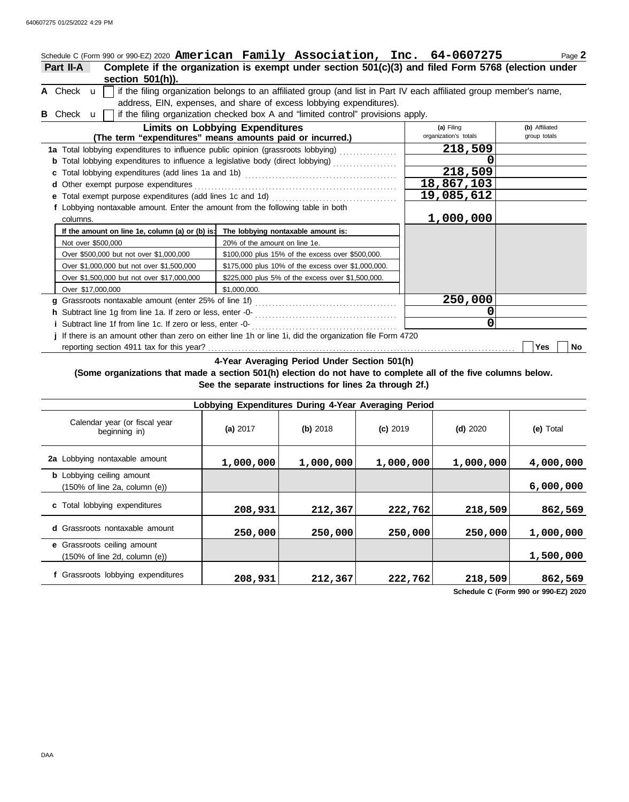|   |                                                                                 | Schedule C (Form 990 or 990-EZ) 2020 American Family Association, Inc. 64-0607275                                   |                                     | Page 2                         |
|---|---------------------------------------------------------------------------------|---------------------------------------------------------------------------------------------------------------------|-------------------------------------|--------------------------------|
|   | Part II-A                                                                       | Complete if the organization is exempt under section 501(c)(3) and filed Form 5768 (election under                  |                                     |                                |
|   | section $501(h)$ ).                                                             |                                                                                                                     |                                     |                                |
|   | A Check $\mathbf{u}$                                                            | if the filing organization belongs to an affiliated group (and list in Part IV each affiliated group member's name, |                                     |                                |
|   |                                                                                 | address, EIN, expenses, and share of excess lobbying expenditures).                                                 |                                     |                                |
| в | Check <b>u</b> l                                                                | if the filing organization checked box A and "limited control" provisions apply.                                    |                                     |                                |
|   |                                                                                 | <b>Limits on Lobbying Expenditures</b><br>(The term "expenditures" means amounts paid or incurred.)                 | (a) Filing<br>organization's totals | (b) Affiliated<br>group totals |
|   |                                                                                 | 1a Total lobbying expenditures to influence public opinion (grassroots lobbying)                                    | 218,509                             |                                |
|   |                                                                                 |                                                                                                                     |                                     |                                |
|   |                                                                                 |                                                                                                                     | 218,509                             |                                |
|   | Other exempt purpose expenditures                                               |                                                                                                                     | 18,867,103                          |                                |
|   |                                                                                 |                                                                                                                     | 19,085,612                          |                                |
|   | f Lobbying nontaxable amount. Enter the amount from the following table in both |                                                                                                                     |                                     |                                |
|   | columns.                                                                        |                                                                                                                     | 1,000,000                           |                                |
|   | If the amount on line 1e, column (a) or (b) is:                                 | The lobbying nontaxable amount is:                                                                                  |                                     |                                |
|   | Not over \$500,000                                                              | 20% of the amount on line 1e.                                                                                       |                                     |                                |
|   | Over \$500,000 but not over \$1,000,000                                         | \$100,000 plus 15% of the excess over \$500,000.                                                                    |                                     |                                |
|   | Over \$1,000,000 but not over \$1,500,000                                       | \$175,000 plus 10% of the excess over \$1,000,000.                                                                  |                                     |                                |
|   | Over \$1,500,000 but not over \$17,000,000                                      | \$225,000 plus 5% of the excess over \$1,500,000.                                                                   |                                     |                                |
|   | Over \$17,000,000                                                               | \$1,000,000.                                                                                                        |                                     |                                |
|   | a                                                                               |                                                                                                                     | 250,000                             |                                |
|   |                                                                                 |                                                                                                                     |                                     |                                |
|   | i Subtract line 1f from line 1c. If zero or less, enter -0-                     |                                                                                                                     | 0                                   |                                |
|   |                                                                                 | If there is an amount other than zero on either line 1h or line 1i, did the organization file Form 4720             |                                     |                                |
|   | reporting section 4911 tax for this year?                                       |                                                                                                                     |                                     | Yes<br>No                      |

**4-Year Averaging Period Under Section 501(h)**

# **(Some organizations that made a section 501(h) election do not have to complete all of the five columns below. See the separate instructions for lines 2a through 2f.)**

| Lobbying Expenditures During 4-Year Averaging Period                                   |           |           |            |            |           |  |
|----------------------------------------------------------------------------------------|-----------|-----------|------------|------------|-----------|--|
| Calendar year (or fiscal year<br>beginning in)                                         | (a) 2017  | (b) 2018  | $(c)$ 2019 | $(d)$ 2020 | (e) Total |  |
| 2a Lobbying nontaxable amount                                                          | 1,000,000 | 1,000,000 | 1,000,000  | 1,000,000  | 4,000,000 |  |
| <b>b</b> Lobbying ceiling amount<br>$(150\% \text{ of line } 2a, \text{ column } (e))$ |           |           |            |            | 6,000,000 |  |
| c Total lobbying expenditures                                                          | 208,931   | 212,367   | 222,762    | 218,509    | 862,569   |  |
| <b>d</b> Grassroots nontaxable amount                                                  | 250,000   | 250,000   | 250,000    | 250,000    | 1,000,000 |  |
| e Grassroots ceiling amount<br>$(150\% \text{ of line } 2d, \text{ column } (e))$      |           |           |            |            | 1,500,000 |  |
| f Grassroots lobbying expenditures                                                     | 208,931   | 212,367   | 222,762    | 218,509    | 862,569   |  |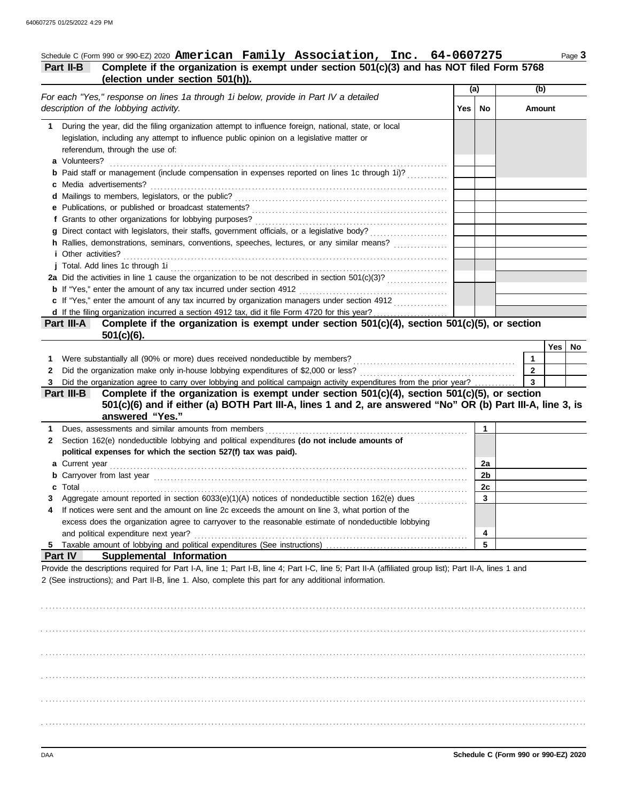# Schedule C (Form 990 or 990-EZ) 2020 **American Family Association, Inc. 64-0607275** Page 3

| Part II-B |                                  | Complete if the organization is exempt under section 501(c)(3) and has NOT filed Form 5768 |
|-----------|----------------------------------|--------------------------------------------------------------------------------------------|
|           | (election under section 501(h)). |                                                                                            |

|                                                                                                                                      |                                                                                                                                                                                                                                                                                                             | (a) |                |  | (b)                     |          |
|--------------------------------------------------------------------------------------------------------------------------------------|-------------------------------------------------------------------------------------------------------------------------------------------------------------------------------------------------------------------------------------------------------------------------------------------------------------|-----|----------------|--|-------------------------|----------|
| For each "Yes," response on lines 1a through 1i below, provide in Part IV a detailed<br>description of the lobbying activity.<br>Yes |                                                                                                                                                                                                                                                                                                             |     |                |  | Amount                  |          |
|                                                                                                                                      | 1 During the year, did the filing organization attempt to influence foreign, national, state, or local<br>legislation, including any attempt to influence public opinion on a legislative matter or<br>referendum, through the use of:<br>a Volunteers?                                                     |     |                |  |                         |          |
|                                                                                                                                      | <b>b</b> Paid staff or management (include compensation in expenses reported on lines 1c through 1i)?<br>c Media advertisements?                                                                                                                                                                            |     |                |  |                         |          |
|                                                                                                                                      |                                                                                                                                                                                                                                                                                                             |     |                |  |                         |          |
|                                                                                                                                      |                                                                                                                                                                                                                                                                                                             |     |                |  |                         |          |
|                                                                                                                                      |                                                                                                                                                                                                                                                                                                             |     |                |  |                         |          |
|                                                                                                                                      |                                                                                                                                                                                                                                                                                                             |     |                |  |                         |          |
|                                                                                                                                      | h Rallies, demonstrations, seminars, conventions, speeches, lectures, or any similar means?                                                                                                                                                                                                                 |     |                |  |                         |          |
|                                                                                                                                      | <i>i</i> Other activities?                                                                                                                                                                                                                                                                                  |     |                |  |                         |          |
|                                                                                                                                      |                                                                                                                                                                                                                                                                                                             |     |                |  |                         |          |
|                                                                                                                                      |                                                                                                                                                                                                                                                                                                             |     |                |  |                         |          |
|                                                                                                                                      | <b>b</b> If "Yes," enter the amount of any tax incurred under section 4912                                                                                                                                                                                                                                  |     |                |  |                         |          |
|                                                                                                                                      | c If "Yes," enter the amount of any tax incurred by organization managers under section 4912                                                                                                                                                                                                                |     |                |  |                         |          |
|                                                                                                                                      |                                                                                                                                                                                                                                                                                                             |     |                |  |                         |          |
|                                                                                                                                      | Complete if the organization is exempt under section 501(c)(4), section 501(c)(5), or section<br>Part III-A                                                                                                                                                                                                 |     |                |  |                         |          |
|                                                                                                                                      | $501(c)(6)$ .                                                                                                                                                                                                                                                                                               |     |                |  |                         |          |
|                                                                                                                                      |                                                                                                                                                                                                                                                                                                             |     |                |  |                         | Yes   No |
| 1                                                                                                                                    | Were substantially all (90% or more) dues received nondeductible by members?                                                                                                                                                                                                                                |     |                |  | $\mathbf{1}$            |          |
| 2                                                                                                                                    |                                                                                                                                                                                                                                                                                                             |     |                |  | $\mathbf{2}$            |          |
|                                                                                                                                      | Did the organization agree to carry over lobbying and political campaign activity expenditures from the prior year?                                                                                                                                                                                         |     |                |  | $\overline{\mathbf{3}}$ |          |
|                                                                                                                                      | Complete if the organization is exempt under section $501(c)(4)$ , section $501(c)(5)$ , or section<br>Part III-B<br>501(c)(6) and if either (a) BOTH Part III-A, lines 1 and 2, are answered "No" OR (b) Part III-A, line 3, is<br>answered "Yes."                                                         |     |                |  |                         |          |
|                                                                                                                                      | 1 Dues, assessments and similar amounts from members [[11, 11] [11] Dues, assessments and similar and similar                                                                                                                                                                                               |     | 1              |  |                         |          |
| 2                                                                                                                                    | Section 162(e) nondeductible lobbying and political expenditures (do not include amounts of                                                                                                                                                                                                                 |     |                |  |                         |          |
|                                                                                                                                      | political expenses for which the section 527(f) tax was paid).                                                                                                                                                                                                                                              |     |                |  |                         |          |
|                                                                                                                                      |                                                                                                                                                                                                                                                                                                             |     | 2a             |  |                         |          |
|                                                                                                                                      |                                                                                                                                                                                                                                                                                                             |     | 2 <sub>b</sub> |  |                         |          |
| c                                                                                                                                    |                                                                                                                                                                                                                                                                                                             |     | 2c             |  |                         |          |
|                                                                                                                                      | Aggregate amount reported in section 6033(e)(1)(A) notices of nondeductible section 162(e) dues                                                                                                                                                                                                             |     | 3              |  |                         |          |
|                                                                                                                                      | If notices were sent and the amount on line 2c exceeds the amount on line 3, what portion of the                                                                                                                                                                                                            |     |                |  |                         |          |
|                                                                                                                                      | excess does the organization agree to carryover to the reasonable estimate of nondeductible lobbying                                                                                                                                                                                                        |     |                |  |                         |          |
|                                                                                                                                      | and political expenditure next year?                                                                                                                                                                                                                                                                        |     | 4              |  |                         |          |
| 5.                                                                                                                                   |                                                                                                                                                                                                                                                                                                             |     | 5              |  |                         |          |
|                                                                                                                                      | Part IV Supplemental Information                                                                                                                                                                                                                                                                            |     |                |  |                         |          |
|                                                                                                                                      | $\mathbf{r}$ , $\mathbf{r}$ , $\mathbf{r}$ , $\mathbf{r}$ , $\mathbf{r}$ , $\mathbf{r}$ , $\mathbf{r}$ , $\mathbf{r}$ , $\mathbf{r}$ , $\mathbf{r}$ , $\mathbf{r}$ , $\mathbf{r}$ , $\mathbf{r}$ , $\mathbf{r}$ , $\mathbf{r}$ , $\mathbf{r}$ , $\mathbf{r}$ , $\mathbf{r}$ , $\mathbf{r}$ , $\mathbf{r}$ , |     |                |  |                         |          |

Provide the descriptions required for Part I-A, line 1; Part I-B, line 4; Part I-C, line 5; Part II-A (affiliated group list); Part II-A, lines 1 and 2 (See instructions); and Part II-B, line 1. Also, complete this part for any additional information.

. . . . . . . . . . . . . . . . . . . . . . . . . . . . . . . . . . . . . . . . . . . . . . . . . . . . . . . . . . . . . . . . . . . . . . . . . . . . . . . . . . . . . . . . . . . . . . . . . . . . . . . . . . . . . . . . . . . . . . . . . . . . . . . . . . . . . . . . . . . . . . . . . . . . . . . . . . . . . . . . . . . . . . . . . . . . . . . . . . . . . . . . . . . . . . . . . . . . . . . . . . . . . . . . . . . . . . . . . . . . . . . . . . . . . . . . . . . . . . . . . . . . . . . . . . . . . . . . . . . . . . . . . . . . . . . . . . . . . . . . . . . . . . . . . . . . . . . . . . . . . . . . . . . . . . . . . . . . . . . . . . . . . . . . . . . . . . . . . . . . . . . . . . . . . . . . . . . . . . . . . . . . . . . . . . . . . . . . . . . . . . . . . . . . . . . . . . . . . . . . . . . . . . . . . . . . . . . . . . . . . . . . . . . . . . . . . . . . . . . . . . . . . . . . . . . . . . . . . . . . . . . . . . . . . . . . . . . . . . . . . . . . . . . . . . . . . . . . . . . . . . . . . . . . . . . . . . . . . . . . . . . . . . . . . . . . . . . . . . . . . . . . . . . . . . . . . . . . . . . . . . . . . . . . . . . . . . . . . . . . . . . . . . . . . . . . . . . . . . . . . . . . . . . . . . . . . . . . . . . . . . . . . . . . . . . . . . . . . . . . . . . . . . . . . . . . . . . . . . . . . . . . . . . . . . . . . . . . . . . . . . . . . . . . . . . . . . . . . . . . . . . . . . . . . . . . . . . . . . . . . . . . . . . . . . . . . . . . . . . . . . . . . . . . . . . . . . . . . . . . . . . . . . . . . . . . . . . . . . . . . . . . . . . . . . . . . . . . . . . . . . . . . . . . . . . . . . . . . . . . . . . . . . . . . . . . . . . . . . . . . . . . . . . . . . . . . . . . . . . . . . . . . . . . . . . . . . . . . . . . . . . . . . . . . . . . . . . . . . . . . . . . . . . . . . . . . . . . . . . . . . . . . . . . . . . . . . . . . . . . . . . . . . . . . . . . . . . . . . . . . . . . . .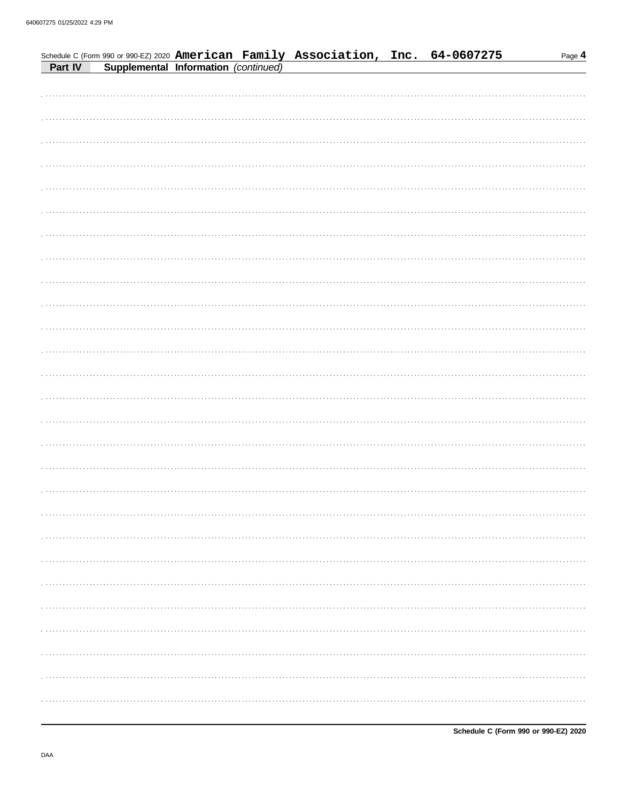| Schedule C (Form 990 or 990-EZ) 2020 American Family Association, Inc. 64-0607275<br>Part IV Supplemental Information (continued) |  |  | Page 4 |
|-----------------------------------------------------------------------------------------------------------------------------------|--|--|--------|
|                                                                                                                                   |  |  |        |
|                                                                                                                                   |  |  |        |
|                                                                                                                                   |  |  |        |
|                                                                                                                                   |  |  |        |
|                                                                                                                                   |  |  |        |
|                                                                                                                                   |  |  |        |
|                                                                                                                                   |  |  |        |
|                                                                                                                                   |  |  |        |
|                                                                                                                                   |  |  |        |
|                                                                                                                                   |  |  |        |
|                                                                                                                                   |  |  |        |
|                                                                                                                                   |  |  |        |
|                                                                                                                                   |  |  |        |
|                                                                                                                                   |  |  |        |
|                                                                                                                                   |  |  |        |
|                                                                                                                                   |  |  |        |
|                                                                                                                                   |  |  |        |
|                                                                                                                                   |  |  |        |
|                                                                                                                                   |  |  |        |
|                                                                                                                                   |  |  |        |
|                                                                                                                                   |  |  |        |
|                                                                                                                                   |  |  |        |
|                                                                                                                                   |  |  |        |
|                                                                                                                                   |  |  |        |
|                                                                                                                                   |  |  |        |
|                                                                                                                                   |  |  |        |
|                                                                                                                                   |  |  |        |
|                                                                                                                                   |  |  |        |
|                                                                                                                                   |  |  |        |
|                                                                                                                                   |  |  | .      |
|                                                                                                                                   |  |  |        |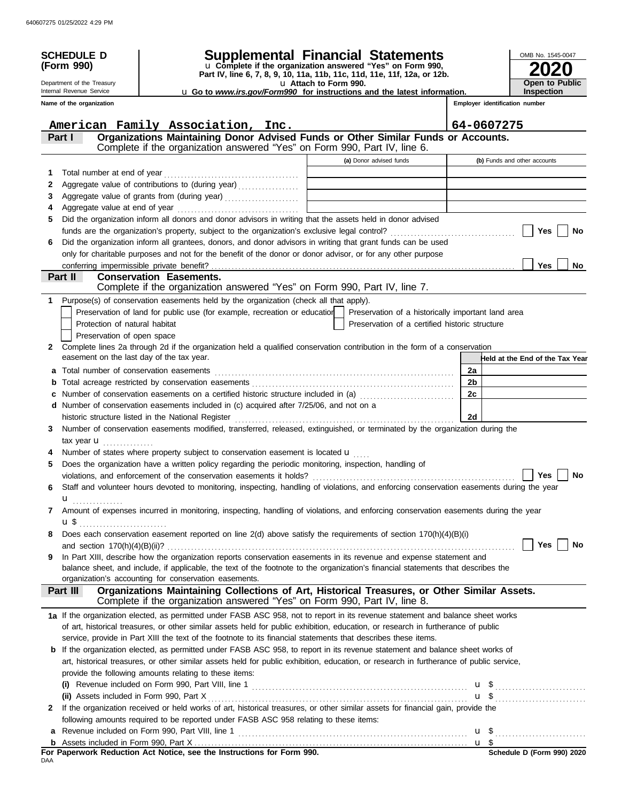| <b>SCHEDULE D</b>                                      |                                                                                                                                                                                                   | Supplemental Financial Statements                                                                    | OMB No. 1545-0047                          |
|--------------------------------------------------------|---------------------------------------------------------------------------------------------------------------------------------------------------------------------------------------------------|------------------------------------------------------------------------------------------------------|--------------------------------------------|
| (Form 990)                                             |                                                                                                                                                                                                   | u Complete if the organization answered "Yes" on Form 990,                                           |                                            |
|                                                        |                                                                                                                                                                                                   | Part IV, line 6, 7, 8, 9, 10, 11a, 11b, 11c, 11d, 11e, 11f, 12a, or 12b.                             |                                            |
| Department of the Treasury<br>Internal Revenue Service |                                                                                                                                                                                                   | u Attach to Form 990.<br>u Go to www.irs.gov/Form990 for instructions and the latest information.    | <b>Open to Public</b><br><b>Inspection</b> |
| Name of the organization                               |                                                                                                                                                                                                   |                                                                                                      | Employer identification number             |
|                                                        |                                                                                                                                                                                                   |                                                                                                      |                                            |
|                                                        | American Family Association, Inc.<br>Organizations Maintaining Donor Advised Funds or Other Similar Funds or Accounts.                                                                            |                                                                                                      | 64-0607275                                 |
| Part I                                                 | Complete if the organization answered "Yes" on Form 990, Part IV, line 6.                                                                                                                         |                                                                                                      |                                            |
|                                                        |                                                                                                                                                                                                   | (a) Donor advised funds                                                                              | (b) Funds and other accounts               |
| Total number at end of year<br>1                       |                                                                                                                                                                                                   |                                                                                                      |                                            |
| 2                                                      | Aggregate value of contributions to (during year)                                                                                                                                                 |                                                                                                      |                                            |
| 3                                                      |                                                                                                                                                                                                   |                                                                                                      |                                            |
| 4                                                      | Did the organization inform all donors and donor advisors in writing that the assets held in donor advised                                                                                        |                                                                                                      |                                            |
| 5                                                      |                                                                                                                                                                                                   |                                                                                                      | Yes<br>No                                  |
| 6                                                      | Did the organization inform all grantees, donors, and donor advisors in writing that grant funds can be used                                                                                      |                                                                                                      |                                            |
|                                                        | only for charitable purposes and not for the benefit of the donor or donor advisor, or for any other purpose                                                                                      |                                                                                                      |                                            |
|                                                        |                                                                                                                                                                                                   |                                                                                                      | <b>Yes</b><br>No.                          |
| Part II                                                | <b>Conservation Easements.</b>                                                                                                                                                                    |                                                                                                      |                                            |
|                                                        | Complete if the organization answered "Yes" on Form 990, Part IV, line 7.                                                                                                                         |                                                                                                      |                                            |
| 1.                                                     | Purpose(s) of conservation easements held by the organization (check all that apply).<br>Preservation of land for public use (for example, recreation or education                                |                                                                                                      |                                            |
| Protection of natural habitat                          |                                                                                                                                                                                                   | Preservation of a historically important land area<br>Preservation of a certified historic structure |                                            |
| Preservation of open space                             |                                                                                                                                                                                                   |                                                                                                      |                                            |
| 2                                                      | Complete lines 2a through 2d if the organization held a qualified conservation contribution in the form of a conservation                                                                         |                                                                                                      |                                            |
| easement on the last day of the tax year.              |                                                                                                                                                                                                   |                                                                                                      | Held at the End of the Tax Year            |
|                                                        |                                                                                                                                                                                                   |                                                                                                      | 2a                                         |
| b                                                      |                                                                                                                                                                                                   |                                                                                                      | 2 <sub>b</sub>                             |
|                                                        | Number of conservation easements on a certified historic structure included in (a)                                                                                                                |                                                                                                      | 2c                                         |
| d                                                      | Number of conservation easements included in (c) acquired after 7/25/06, and not on a                                                                                                             |                                                                                                      | 2d                                         |
| 3                                                      | historic structure listed in the National Register<br>Number of conservation easements modified, transferred, released, extinguished, or terminated by the organization during the                |                                                                                                      |                                            |
| tax year <b>u</b><br>.                                 |                                                                                                                                                                                                   |                                                                                                      |                                            |
|                                                        | Number of states where property subject to conservation easement is located u                                                                                                                     |                                                                                                      |                                            |
| 5                                                      | Does the organization have a written policy regarding the periodic monitoring, inspection, handling of                                                                                            |                                                                                                      |                                            |
|                                                        |                                                                                                                                                                                                   |                                                                                                      | Yes<br>No                                  |
| 6                                                      | Staff and volunteer hours devoted to monitoring, inspecting, handling of violations, and enforcing conservation easements during the year                                                         |                                                                                                      |                                            |
| $\mathbf{u}$                                           | Amount of expenses incurred in monitoring, inspecting, handling of violations, and enforcing conservation easements during the year                                                               |                                                                                                      |                                            |
| 7                                                      |                                                                                                                                                                                                   |                                                                                                      |                                            |
| 8                                                      | Does each conservation easement reported on line $2(d)$ above satisfy the requirements of section $170(h)(4)(B)(i)$                                                                               |                                                                                                      |                                            |
|                                                        |                                                                                                                                                                                                   |                                                                                                      | <b>Yes</b><br>No                           |
| 9                                                      | In Part XIII, describe how the organization reports conservation easements in its revenue and expense statement and                                                                               |                                                                                                      |                                            |
|                                                        | balance sheet, and include, if applicable, the text of the footnote to the organization's financial statements that describes the<br>organization's accounting for conservation easements.        |                                                                                                      |                                            |
| Part III                                               | Organizations Maintaining Collections of Art, Historical Treasures, or Other Similar Assets.                                                                                                      |                                                                                                      |                                            |
|                                                        | Complete if the organization answered "Yes" on Form 990, Part IV, line 8.                                                                                                                         |                                                                                                      |                                            |
|                                                        | 1a If the organization elected, as permitted under FASB ASC 958, not to report in its revenue statement and balance sheet works                                                                   |                                                                                                      |                                            |
|                                                        | of art, historical treasures, or other similar assets held for public exhibition, education, or research in furtherance of public                                                                 |                                                                                                      |                                            |
|                                                        | service, provide in Part XIII the text of the footnote to its financial statements that describes these items.                                                                                    |                                                                                                      |                                            |
|                                                        | <b>b</b> If the organization elected, as permitted under FASB ASC 958, to report in its revenue statement and balance sheet works of                                                              |                                                                                                      |                                            |
|                                                        | art, historical treasures, or other similar assets held for public exhibition, education, or research in furtherance of public service,<br>provide the following amounts relating to these items: |                                                                                                      |                                            |
|                                                        | (i) Revenue included on Form 990, Part VIII, line 1 $\ldots$ $\ldots$ $\ldots$ $\ldots$ $\ldots$ $\ldots$ $\ldots$ $\ldots$ $\ldots$ $\ldots$ $\ldots$                                            |                                                                                                      |                                            |
|                                                        |                                                                                                                                                                                                   |                                                                                                      |                                            |
| 2                                                      | If the organization received or held works of art, historical treasures, or other similar assets for financial gain, provide the                                                                  |                                                                                                      |                                            |
|                                                        | following amounts required to be reported under FASB ASC 958 relating to these items:                                                                                                             |                                                                                                      |                                            |
| a                                                      |                                                                                                                                                                                                   |                                                                                                      |                                            |
|                                                        |                                                                                                                                                                                                   |                                                                                                      |                                            |

**For Paperwork Reduction Act Notice, see the Instructions for Form 990.**<br><sub>DAA</sub>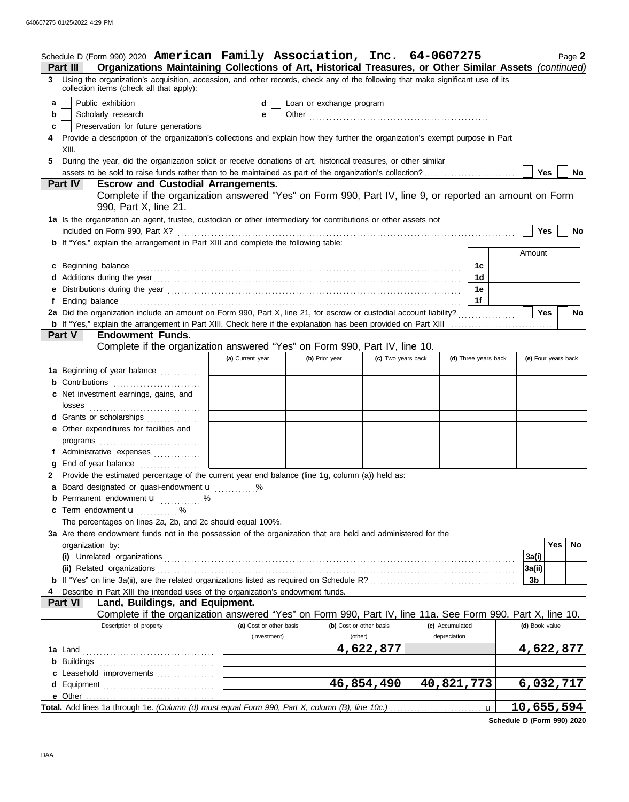| Organizations Maintaining Collections of Art, Historical Treasures, or Other Similar Assets (continued)<br>Using the organization's acquisition, accession, and other records, check any of the following that make significant use of its<br>3<br>collection items (check all that apply):<br>Public exhibition<br>Loan or exchange program<br>a<br>d<br>Scholarly research<br>b<br>е<br>Preservation for future generations<br>c<br>Provide a description of the organization's collections and explain how they further the organization's exempt purpose in Part<br>XIII.<br>During the year, did the organization solicit or receive donations of art, historical treasures, or other similar<br>5.<br>Yes<br>No<br>Part IV<br><b>Escrow and Custodial Arrangements.</b><br>Complete if the organization answered "Yes" on Form 990, Part IV, line 9, or reported an amount on Form<br>990, Part X, line 21.<br>1a Is the organization an agent, trustee, custodian or other intermediary for contributions or other assets not<br>included on Form 990, Part X?<br>Yes<br>No<br>b If "Yes," explain the arrangement in Part XIII and complete the following table:<br>Amount<br>c Beginning balance<br>1c<br>1 <sub>d</sub><br>1e<br>1f<br>2a Did the organization include an amount on Form 990, Part X, line 21, for escrow or custodial account liability?<br>Yes<br><b>No</b><br><b>Endowment Funds.</b><br>Part V<br>Complete if the organization answered "Yes" on Form 990, Part IV, line 10.<br>(a) Current year<br>(c) Two years back<br>(d) Three years back<br>(e) Four years back<br>(b) Prior year<br>1a Beginning of year balance<br><b>b</b> Contributions<br>c Net investment earnings, gains, and<br>d Grants or scholarships<br>e Other expenditures for facilities and<br>programs<br>f Administrative expenses<br>End of year balance <i>[[[[[[[[[[[[[[[[[[[[[[[[[[[[]]]</i> ]]]<br>g<br>Provide the estimated percentage of the current year end balance (line 1g, column (a)) held as:<br>2<br>a Board designated or quasi-endowment u<br><b>b</b> Permanent endowment <b>u</b> %<br><b>c</b> Term endowment $\mathbf{u}$<br>The percentages on lines 2a, 2b, and 2c should equal 100%.<br>3a Are there endowment funds not in the possession of the organization that are held and administered for the<br><b>Yes</b><br>No<br>organization by:<br>3a(i)<br>3a(ii)<br>3b<br>Describe in Part XIII the intended uses of the organization's endowment funds.<br>Land, Buildings, and Equipment.<br><b>Part VI</b><br>Complete if the organization answered "Yes" on Form 990, Part IV, line 11a. See Form 990, Part X, line 10.<br>Description of property<br>(a) Cost or other basis<br>(b) Cost or other basis<br>(c) Accumulated<br>(d) Book value<br>(investment)<br>(other)<br>depreciation<br>4,622,877<br>4,622,877<br><b>b</b> Buildings<br>c Leasehold improvements<br>40,821,773<br>46,854,490<br>6,032,717<br>d Equipment<br>10,655,594<br>$\mathbf{u}$ | Schedule D (Form 990) 2020 American Family Association, Inc. 64-0607275<br>Part III |  |  |  | Page 2 |
|-----------------------------------------------------------------------------------------------------------------------------------------------------------------------------------------------------------------------------------------------------------------------------------------------------------------------------------------------------------------------------------------------------------------------------------------------------------------------------------------------------------------------------------------------------------------------------------------------------------------------------------------------------------------------------------------------------------------------------------------------------------------------------------------------------------------------------------------------------------------------------------------------------------------------------------------------------------------------------------------------------------------------------------------------------------------------------------------------------------------------------------------------------------------------------------------------------------------------------------------------------------------------------------------------------------------------------------------------------------------------------------------------------------------------------------------------------------------------------------------------------------------------------------------------------------------------------------------------------------------------------------------------------------------------------------------------------------------------------------------------------------------------------------------------------------------------------------------------------------------------------------------------------------------------------------------------------------------------------------------------------------------------------------------------------------------------------------------------------------------------------------------------------------------------------------------------------------------------------------------------------------------------------------------------------------------------------------------------------------------------------------------------------------------------------------------------------------------------------------------------------------------------------------------------------------------------------------------------------------------------------------------------------------------------------------------------------------------------------------------------------------------------------------------------------------------------------------------------------------------------------------------------------------------------------------------------------------------------------------------------|-------------------------------------------------------------------------------------|--|--|--|--------|
|                                                                                                                                                                                                                                                                                                                                                                                                                                                                                                                                                                                                                                                                                                                                                                                                                                                                                                                                                                                                                                                                                                                                                                                                                                                                                                                                                                                                                                                                                                                                                                                                                                                                                                                                                                                                                                                                                                                                                                                                                                                                                                                                                                                                                                                                                                                                                                                                                                                                                                                                                                                                                                                                                                                                                                                                                                                                                                                                                                                               |                                                                                     |  |  |  |        |
|                                                                                                                                                                                                                                                                                                                                                                                                                                                                                                                                                                                                                                                                                                                                                                                                                                                                                                                                                                                                                                                                                                                                                                                                                                                                                                                                                                                                                                                                                                                                                                                                                                                                                                                                                                                                                                                                                                                                                                                                                                                                                                                                                                                                                                                                                                                                                                                                                                                                                                                                                                                                                                                                                                                                                                                                                                                                                                                                                                                               |                                                                                     |  |  |  |        |
|                                                                                                                                                                                                                                                                                                                                                                                                                                                                                                                                                                                                                                                                                                                                                                                                                                                                                                                                                                                                                                                                                                                                                                                                                                                                                                                                                                                                                                                                                                                                                                                                                                                                                                                                                                                                                                                                                                                                                                                                                                                                                                                                                                                                                                                                                                                                                                                                                                                                                                                                                                                                                                                                                                                                                                                                                                                                                                                                                                                               |                                                                                     |  |  |  |        |
|                                                                                                                                                                                                                                                                                                                                                                                                                                                                                                                                                                                                                                                                                                                                                                                                                                                                                                                                                                                                                                                                                                                                                                                                                                                                                                                                                                                                                                                                                                                                                                                                                                                                                                                                                                                                                                                                                                                                                                                                                                                                                                                                                                                                                                                                                                                                                                                                                                                                                                                                                                                                                                                                                                                                                                                                                                                                                                                                                                                               |                                                                                     |  |  |  |        |
|                                                                                                                                                                                                                                                                                                                                                                                                                                                                                                                                                                                                                                                                                                                                                                                                                                                                                                                                                                                                                                                                                                                                                                                                                                                                                                                                                                                                                                                                                                                                                                                                                                                                                                                                                                                                                                                                                                                                                                                                                                                                                                                                                                                                                                                                                                                                                                                                                                                                                                                                                                                                                                                                                                                                                                                                                                                                                                                                                                                               |                                                                                     |  |  |  |        |
|                                                                                                                                                                                                                                                                                                                                                                                                                                                                                                                                                                                                                                                                                                                                                                                                                                                                                                                                                                                                                                                                                                                                                                                                                                                                                                                                                                                                                                                                                                                                                                                                                                                                                                                                                                                                                                                                                                                                                                                                                                                                                                                                                                                                                                                                                                                                                                                                                                                                                                                                                                                                                                                                                                                                                                                                                                                                                                                                                                                               |                                                                                     |  |  |  |        |
|                                                                                                                                                                                                                                                                                                                                                                                                                                                                                                                                                                                                                                                                                                                                                                                                                                                                                                                                                                                                                                                                                                                                                                                                                                                                                                                                                                                                                                                                                                                                                                                                                                                                                                                                                                                                                                                                                                                                                                                                                                                                                                                                                                                                                                                                                                                                                                                                                                                                                                                                                                                                                                                                                                                                                                                                                                                                                                                                                                                               |                                                                                     |  |  |  |        |
|                                                                                                                                                                                                                                                                                                                                                                                                                                                                                                                                                                                                                                                                                                                                                                                                                                                                                                                                                                                                                                                                                                                                                                                                                                                                                                                                                                                                                                                                                                                                                                                                                                                                                                                                                                                                                                                                                                                                                                                                                                                                                                                                                                                                                                                                                                                                                                                                                                                                                                                                                                                                                                                                                                                                                                                                                                                                                                                                                                                               |                                                                                     |  |  |  |        |
|                                                                                                                                                                                                                                                                                                                                                                                                                                                                                                                                                                                                                                                                                                                                                                                                                                                                                                                                                                                                                                                                                                                                                                                                                                                                                                                                                                                                                                                                                                                                                                                                                                                                                                                                                                                                                                                                                                                                                                                                                                                                                                                                                                                                                                                                                                                                                                                                                                                                                                                                                                                                                                                                                                                                                                                                                                                                                                                                                                                               |                                                                                     |  |  |  |        |
|                                                                                                                                                                                                                                                                                                                                                                                                                                                                                                                                                                                                                                                                                                                                                                                                                                                                                                                                                                                                                                                                                                                                                                                                                                                                                                                                                                                                                                                                                                                                                                                                                                                                                                                                                                                                                                                                                                                                                                                                                                                                                                                                                                                                                                                                                                                                                                                                                                                                                                                                                                                                                                                                                                                                                                                                                                                                                                                                                                                               |                                                                                     |  |  |  |        |
|                                                                                                                                                                                                                                                                                                                                                                                                                                                                                                                                                                                                                                                                                                                                                                                                                                                                                                                                                                                                                                                                                                                                                                                                                                                                                                                                                                                                                                                                                                                                                                                                                                                                                                                                                                                                                                                                                                                                                                                                                                                                                                                                                                                                                                                                                                                                                                                                                                                                                                                                                                                                                                                                                                                                                                                                                                                                                                                                                                                               |                                                                                     |  |  |  |        |
|                                                                                                                                                                                                                                                                                                                                                                                                                                                                                                                                                                                                                                                                                                                                                                                                                                                                                                                                                                                                                                                                                                                                                                                                                                                                                                                                                                                                                                                                                                                                                                                                                                                                                                                                                                                                                                                                                                                                                                                                                                                                                                                                                                                                                                                                                                                                                                                                                                                                                                                                                                                                                                                                                                                                                                                                                                                                                                                                                                                               |                                                                                     |  |  |  |        |
|                                                                                                                                                                                                                                                                                                                                                                                                                                                                                                                                                                                                                                                                                                                                                                                                                                                                                                                                                                                                                                                                                                                                                                                                                                                                                                                                                                                                                                                                                                                                                                                                                                                                                                                                                                                                                                                                                                                                                                                                                                                                                                                                                                                                                                                                                                                                                                                                                                                                                                                                                                                                                                                                                                                                                                                                                                                                                                                                                                                               |                                                                                     |  |  |  |        |
|                                                                                                                                                                                                                                                                                                                                                                                                                                                                                                                                                                                                                                                                                                                                                                                                                                                                                                                                                                                                                                                                                                                                                                                                                                                                                                                                                                                                                                                                                                                                                                                                                                                                                                                                                                                                                                                                                                                                                                                                                                                                                                                                                                                                                                                                                                                                                                                                                                                                                                                                                                                                                                                                                                                                                                                                                                                                                                                                                                                               |                                                                                     |  |  |  |        |
|                                                                                                                                                                                                                                                                                                                                                                                                                                                                                                                                                                                                                                                                                                                                                                                                                                                                                                                                                                                                                                                                                                                                                                                                                                                                                                                                                                                                                                                                                                                                                                                                                                                                                                                                                                                                                                                                                                                                                                                                                                                                                                                                                                                                                                                                                                                                                                                                                                                                                                                                                                                                                                                                                                                                                                                                                                                                                                                                                                                               |                                                                                     |  |  |  |        |
|                                                                                                                                                                                                                                                                                                                                                                                                                                                                                                                                                                                                                                                                                                                                                                                                                                                                                                                                                                                                                                                                                                                                                                                                                                                                                                                                                                                                                                                                                                                                                                                                                                                                                                                                                                                                                                                                                                                                                                                                                                                                                                                                                                                                                                                                                                                                                                                                                                                                                                                                                                                                                                                                                                                                                                                                                                                                                                                                                                                               |                                                                                     |  |  |  |        |
|                                                                                                                                                                                                                                                                                                                                                                                                                                                                                                                                                                                                                                                                                                                                                                                                                                                                                                                                                                                                                                                                                                                                                                                                                                                                                                                                                                                                                                                                                                                                                                                                                                                                                                                                                                                                                                                                                                                                                                                                                                                                                                                                                                                                                                                                                                                                                                                                                                                                                                                                                                                                                                                                                                                                                                                                                                                                                                                                                                                               |                                                                                     |  |  |  |        |
|                                                                                                                                                                                                                                                                                                                                                                                                                                                                                                                                                                                                                                                                                                                                                                                                                                                                                                                                                                                                                                                                                                                                                                                                                                                                                                                                                                                                                                                                                                                                                                                                                                                                                                                                                                                                                                                                                                                                                                                                                                                                                                                                                                                                                                                                                                                                                                                                                                                                                                                                                                                                                                                                                                                                                                                                                                                                                                                                                                                               |                                                                                     |  |  |  |        |
|                                                                                                                                                                                                                                                                                                                                                                                                                                                                                                                                                                                                                                                                                                                                                                                                                                                                                                                                                                                                                                                                                                                                                                                                                                                                                                                                                                                                                                                                                                                                                                                                                                                                                                                                                                                                                                                                                                                                                                                                                                                                                                                                                                                                                                                                                                                                                                                                                                                                                                                                                                                                                                                                                                                                                                                                                                                                                                                                                                                               |                                                                                     |  |  |  |        |
|                                                                                                                                                                                                                                                                                                                                                                                                                                                                                                                                                                                                                                                                                                                                                                                                                                                                                                                                                                                                                                                                                                                                                                                                                                                                                                                                                                                                                                                                                                                                                                                                                                                                                                                                                                                                                                                                                                                                                                                                                                                                                                                                                                                                                                                                                                                                                                                                                                                                                                                                                                                                                                                                                                                                                                                                                                                                                                                                                                                               |                                                                                     |  |  |  |        |
|                                                                                                                                                                                                                                                                                                                                                                                                                                                                                                                                                                                                                                                                                                                                                                                                                                                                                                                                                                                                                                                                                                                                                                                                                                                                                                                                                                                                                                                                                                                                                                                                                                                                                                                                                                                                                                                                                                                                                                                                                                                                                                                                                                                                                                                                                                                                                                                                                                                                                                                                                                                                                                                                                                                                                                                                                                                                                                                                                                                               |                                                                                     |  |  |  |        |
|                                                                                                                                                                                                                                                                                                                                                                                                                                                                                                                                                                                                                                                                                                                                                                                                                                                                                                                                                                                                                                                                                                                                                                                                                                                                                                                                                                                                                                                                                                                                                                                                                                                                                                                                                                                                                                                                                                                                                                                                                                                                                                                                                                                                                                                                                                                                                                                                                                                                                                                                                                                                                                                                                                                                                                                                                                                                                                                                                                                               |                                                                                     |  |  |  |        |
|                                                                                                                                                                                                                                                                                                                                                                                                                                                                                                                                                                                                                                                                                                                                                                                                                                                                                                                                                                                                                                                                                                                                                                                                                                                                                                                                                                                                                                                                                                                                                                                                                                                                                                                                                                                                                                                                                                                                                                                                                                                                                                                                                                                                                                                                                                                                                                                                                                                                                                                                                                                                                                                                                                                                                                                                                                                                                                                                                                                               |                                                                                     |  |  |  |        |
|                                                                                                                                                                                                                                                                                                                                                                                                                                                                                                                                                                                                                                                                                                                                                                                                                                                                                                                                                                                                                                                                                                                                                                                                                                                                                                                                                                                                                                                                                                                                                                                                                                                                                                                                                                                                                                                                                                                                                                                                                                                                                                                                                                                                                                                                                                                                                                                                                                                                                                                                                                                                                                                                                                                                                                                                                                                                                                                                                                                               |                                                                                     |  |  |  |        |
|                                                                                                                                                                                                                                                                                                                                                                                                                                                                                                                                                                                                                                                                                                                                                                                                                                                                                                                                                                                                                                                                                                                                                                                                                                                                                                                                                                                                                                                                                                                                                                                                                                                                                                                                                                                                                                                                                                                                                                                                                                                                                                                                                                                                                                                                                                                                                                                                                                                                                                                                                                                                                                                                                                                                                                                                                                                                                                                                                                                               |                                                                                     |  |  |  |        |
|                                                                                                                                                                                                                                                                                                                                                                                                                                                                                                                                                                                                                                                                                                                                                                                                                                                                                                                                                                                                                                                                                                                                                                                                                                                                                                                                                                                                                                                                                                                                                                                                                                                                                                                                                                                                                                                                                                                                                                                                                                                                                                                                                                                                                                                                                                                                                                                                                                                                                                                                                                                                                                                                                                                                                                                                                                                                                                                                                                                               |                                                                                     |  |  |  |        |
|                                                                                                                                                                                                                                                                                                                                                                                                                                                                                                                                                                                                                                                                                                                                                                                                                                                                                                                                                                                                                                                                                                                                                                                                                                                                                                                                                                                                                                                                                                                                                                                                                                                                                                                                                                                                                                                                                                                                                                                                                                                                                                                                                                                                                                                                                                                                                                                                                                                                                                                                                                                                                                                                                                                                                                                                                                                                                                                                                                                               |                                                                                     |  |  |  |        |
|                                                                                                                                                                                                                                                                                                                                                                                                                                                                                                                                                                                                                                                                                                                                                                                                                                                                                                                                                                                                                                                                                                                                                                                                                                                                                                                                                                                                                                                                                                                                                                                                                                                                                                                                                                                                                                                                                                                                                                                                                                                                                                                                                                                                                                                                                                                                                                                                                                                                                                                                                                                                                                                                                                                                                                                                                                                                                                                                                                                               |                                                                                     |  |  |  |        |
|                                                                                                                                                                                                                                                                                                                                                                                                                                                                                                                                                                                                                                                                                                                                                                                                                                                                                                                                                                                                                                                                                                                                                                                                                                                                                                                                                                                                                                                                                                                                                                                                                                                                                                                                                                                                                                                                                                                                                                                                                                                                                                                                                                                                                                                                                                                                                                                                                                                                                                                                                                                                                                                                                                                                                                                                                                                                                                                                                                                               |                                                                                     |  |  |  |        |
|                                                                                                                                                                                                                                                                                                                                                                                                                                                                                                                                                                                                                                                                                                                                                                                                                                                                                                                                                                                                                                                                                                                                                                                                                                                                                                                                                                                                                                                                                                                                                                                                                                                                                                                                                                                                                                                                                                                                                                                                                                                                                                                                                                                                                                                                                                                                                                                                                                                                                                                                                                                                                                                                                                                                                                                                                                                                                                                                                                                               |                                                                                     |  |  |  |        |
|                                                                                                                                                                                                                                                                                                                                                                                                                                                                                                                                                                                                                                                                                                                                                                                                                                                                                                                                                                                                                                                                                                                                                                                                                                                                                                                                                                                                                                                                                                                                                                                                                                                                                                                                                                                                                                                                                                                                                                                                                                                                                                                                                                                                                                                                                                                                                                                                                                                                                                                                                                                                                                                                                                                                                                                                                                                                                                                                                                                               |                                                                                     |  |  |  |        |
|                                                                                                                                                                                                                                                                                                                                                                                                                                                                                                                                                                                                                                                                                                                                                                                                                                                                                                                                                                                                                                                                                                                                                                                                                                                                                                                                                                                                                                                                                                                                                                                                                                                                                                                                                                                                                                                                                                                                                                                                                                                                                                                                                                                                                                                                                                                                                                                                                                                                                                                                                                                                                                                                                                                                                                                                                                                                                                                                                                                               |                                                                                     |  |  |  |        |
|                                                                                                                                                                                                                                                                                                                                                                                                                                                                                                                                                                                                                                                                                                                                                                                                                                                                                                                                                                                                                                                                                                                                                                                                                                                                                                                                                                                                                                                                                                                                                                                                                                                                                                                                                                                                                                                                                                                                                                                                                                                                                                                                                                                                                                                                                                                                                                                                                                                                                                                                                                                                                                                                                                                                                                                                                                                                                                                                                                                               |                                                                                     |  |  |  |        |
|                                                                                                                                                                                                                                                                                                                                                                                                                                                                                                                                                                                                                                                                                                                                                                                                                                                                                                                                                                                                                                                                                                                                                                                                                                                                                                                                                                                                                                                                                                                                                                                                                                                                                                                                                                                                                                                                                                                                                                                                                                                                                                                                                                                                                                                                                                                                                                                                                                                                                                                                                                                                                                                                                                                                                                                                                                                                                                                                                                                               |                                                                                     |  |  |  |        |
|                                                                                                                                                                                                                                                                                                                                                                                                                                                                                                                                                                                                                                                                                                                                                                                                                                                                                                                                                                                                                                                                                                                                                                                                                                                                                                                                                                                                                                                                                                                                                                                                                                                                                                                                                                                                                                                                                                                                                                                                                                                                                                                                                                                                                                                                                                                                                                                                                                                                                                                                                                                                                                                                                                                                                                                                                                                                                                                                                                                               |                                                                                     |  |  |  |        |
|                                                                                                                                                                                                                                                                                                                                                                                                                                                                                                                                                                                                                                                                                                                                                                                                                                                                                                                                                                                                                                                                                                                                                                                                                                                                                                                                                                                                                                                                                                                                                                                                                                                                                                                                                                                                                                                                                                                                                                                                                                                                                                                                                                                                                                                                                                                                                                                                                                                                                                                                                                                                                                                                                                                                                                                                                                                                                                                                                                                               |                                                                                     |  |  |  |        |
|                                                                                                                                                                                                                                                                                                                                                                                                                                                                                                                                                                                                                                                                                                                                                                                                                                                                                                                                                                                                                                                                                                                                                                                                                                                                                                                                                                                                                                                                                                                                                                                                                                                                                                                                                                                                                                                                                                                                                                                                                                                                                                                                                                                                                                                                                                                                                                                                                                                                                                                                                                                                                                                                                                                                                                                                                                                                                                                                                                                               |                                                                                     |  |  |  |        |
|                                                                                                                                                                                                                                                                                                                                                                                                                                                                                                                                                                                                                                                                                                                                                                                                                                                                                                                                                                                                                                                                                                                                                                                                                                                                                                                                                                                                                                                                                                                                                                                                                                                                                                                                                                                                                                                                                                                                                                                                                                                                                                                                                                                                                                                                                                                                                                                                                                                                                                                                                                                                                                                                                                                                                                                                                                                                                                                                                                                               |                                                                                     |  |  |  |        |
|                                                                                                                                                                                                                                                                                                                                                                                                                                                                                                                                                                                                                                                                                                                                                                                                                                                                                                                                                                                                                                                                                                                                                                                                                                                                                                                                                                                                                                                                                                                                                                                                                                                                                                                                                                                                                                                                                                                                                                                                                                                                                                                                                                                                                                                                                                                                                                                                                                                                                                                                                                                                                                                                                                                                                                                                                                                                                                                                                                                               |                                                                                     |  |  |  |        |
|                                                                                                                                                                                                                                                                                                                                                                                                                                                                                                                                                                                                                                                                                                                                                                                                                                                                                                                                                                                                                                                                                                                                                                                                                                                                                                                                                                                                                                                                                                                                                                                                                                                                                                                                                                                                                                                                                                                                                                                                                                                                                                                                                                                                                                                                                                                                                                                                                                                                                                                                                                                                                                                                                                                                                                                                                                                                                                                                                                                               |                                                                                     |  |  |  |        |
|                                                                                                                                                                                                                                                                                                                                                                                                                                                                                                                                                                                                                                                                                                                                                                                                                                                                                                                                                                                                                                                                                                                                                                                                                                                                                                                                                                                                                                                                                                                                                                                                                                                                                                                                                                                                                                                                                                                                                                                                                                                                                                                                                                                                                                                                                                                                                                                                                                                                                                                                                                                                                                                                                                                                                                                                                                                                                                                                                                                               |                                                                                     |  |  |  |        |
|                                                                                                                                                                                                                                                                                                                                                                                                                                                                                                                                                                                                                                                                                                                                                                                                                                                                                                                                                                                                                                                                                                                                                                                                                                                                                                                                                                                                                                                                                                                                                                                                                                                                                                                                                                                                                                                                                                                                                                                                                                                                                                                                                                                                                                                                                                                                                                                                                                                                                                                                                                                                                                                                                                                                                                                                                                                                                                                                                                                               |                                                                                     |  |  |  |        |

**Schedule D (Form 990) 2020**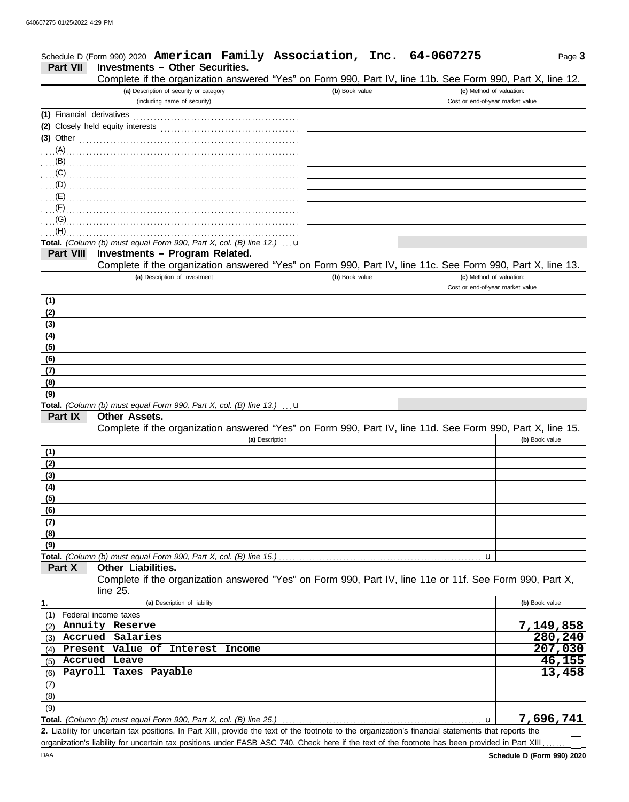| <b>Part VII</b>           | <b>Investments - Other Securities.</b><br>Complete if the organization answered "Yes" on Form 990, Part IV, line 11b. See Form 990, Part X, line 12. |                |                                  |                     |
|---------------------------|------------------------------------------------------------------------------------------------------------------------------------------------------|----------------|----------------------------------|---------------------|
|                           | (a) Description of security or category                                                                                                              | (b) Book value | (c) Method of valuation:         |                     |
|                           | (including name of security)                                                                                                                         |                | Cost or end-of-year market value |                     |
| (1) Financial derivatives |                                                                                                                                                      |                |                                  |                     |
|                           |                                                                                                                                                      |                |                                  |                     |
| $(3)$ Other               |                                                                                                                                                      |                |                                  |                     |
| $(A)$ .                   |                                                                                                                                                      |                |                                  |                     |
|                           |                                                                                                                                                      |                |                                  |                     |
| (C)                       |                                                                                                                                                      |                |                                  |                     |
|                           |                                                                                                                                                      |                |                                  |                     |
|                           |                                                                                                                                                      |                |                                  |                     |
| (G)                       |                                                                                                                                                      |                |                                  |                     |
| (H)                       |                                                                                                                                                      |                |                                  |                     |
|                           | Total. (Column (b) must equal Form 990, Part X, col. (B) line 12.)<br>u                                                                              |                |                                  |                     |
| <b>Part VIII</b>          | <b>Investments - Program Related.</b>                                                                                                                |                |                                  |                     |
|                           | Complete if the organization answered "Yes" on Form 990, Part IV, line 11c. See Form 990, Part X, line 13.                                           |                |                                  |                     |
|                           | (a) Description of investment                                                                                                                        | (b) Book value | (c) Method of valuation:         |                     |
|                           |                                                                                                                                                      |                | Cost or end-of-year market value |                     |
| (1)                       |                                                                                                                                                      |                |                                  |                     |
| (2)                       |                                                                                                                                                      |                |                                  |                     |
| (3)                       |                                                                                                                                                      |                |                                  |                     |
| (4)                       |                                                                                                                                                      |                |                                  |                     |
| (5)                       |                                                                                                                                                      |                |                                  |                     |
| (6)                       |                                                                                                                                                      |                |                                  |                     |
| (7)                       |                                                                                                                                                      |                |                                  |                     |
| (8)                       |                                                                                                                                                      |                |                                  |                     |
| (9)                       |                                                                                                                                                      |                |                                  |                     |
|                           | Total. (Column (b) must equal Form 990, Part X, col. (B) line 13.)<br>u                                                                              |                |                                  |                     |
| <b>Part IX</b>            | Other Assets.                                                                                                                                        |                |                                  |                     |
|                           | Complete if the organization answered "Yes" on Form 990, Part IV, line 11d. See Form 990, Part X, line 15.                                           |                |                                  |                     |
|                           | (a) Description                                                                                                                                      |                |                                  | (b) Book value      |
| (1)                       |                                                                                                                                                      |                |                                  |                     |
| (2)                       |                                                                                                                                                      |                |                                  |                     |
| (3)                       |                                                                                                                                                      |                |                                  |                     |
| (4)                       |                                                                                                                                                      |                |                                  |                     |
| (5)<br>(6)                |                                                                                                                                                      |                |                                  |                     |
| (7)                       |                                                                                                                                                      |                |                                  |                     |
| (8)                       |                                                                                                                                                      |                |                                  |                     |
| (9)                       |                                                                                                                                                      |                |                                  |                     |
|                           | Total. (Column (b) must equal Form 990, Part X, col. (B) line 15.)                                                                                   |                | u                                |                     |
| Part X                    | <b>Other Liabilities.</b>                                                                                                                            |                |                                  |                     |
|                           | Complete if the organization answered "Yes" on Form 990, Part IV, line 11e or 11f. See Form 990, Part X,                                             |                |                                  |                     |
|                           | line 25.<br>(a) Description of liability                                                                                                             |                |                                  | (b) Book value      |
| 1.                        | Federal income taxes                                                                                                                                 |                |                                  |                     |
| (1)<br>(2)                | Annuity Reserve                                                                                                                                      |                |                                  | 7,149,858           |
| (3)                       | Accrued Salaries                                                                                                                                     |                |                                  | 280,240             |
| (4)                       | Present Value of Interest Income                                                                                                                     |                |                                  | 207,030             |
| (5)                       | Accrued Leave                                                                                                                                        |                |                                  | 46,155              |
| (6)                       | Payroll Taxes Payable                                                                                                                                |                |                                  | $\overline{1}3,458$ |
| (7)                       |                                                                                                                                                      |                |                                  |                     |
| (8)                       |                                                                                                                                                      |                |                                  |                     |
| (9)                       |                                                                                                                                                      |                |                                  |                     |
|                           | Total. (Column (b) must equal Form 990, Part X, col. (B) line 25.)                                                                                   |                | u                                | 7,696,741           |
|                           | 2. Liability for uncertain tax positions. In Part XIII, provide the text of the footnote to the organization's financial statements that reports the |                |                                  |                     |

organization's liability for uncertain tax positions under FASB ASC 740. Check here if the text of the footnote has been provided in Part XIII . . .

 $\Box$ 

|  |                                                 | Schedule D (Form 990) 2020 American Family Association, Inc. 64-0607275 |  |  |
|--|-------------------------------------------------|-------------------------------------------------------------------------|--|--|
|  | <b>Part VII Investments - Other Securities.</b> |                                                                         |  |  |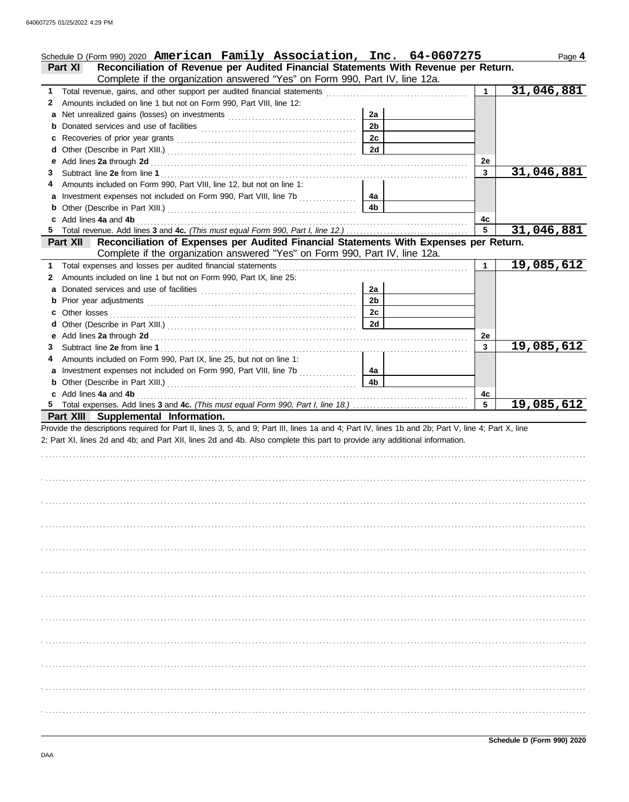|    | Schedule D (Form 990) 2020 American Family Association, Inc. 64-0607275<br>Reconciliation of Revenue per Audited Financial Statements With Revenue per Return.<br>Part XI                                                     |                |  |              | Page 4     |
|----|-------------------------------------------------------------------------------------------------------------------------------------------------------------------------------------------------------------------------------|----------------|--|--------------|------------|
|    | Complete if the organization answered "Yes" on Form 990, Part IV, line 12a.                                                                                                                                                   |                |  |              |            |
|    |                                                                                                                                                                                                                               |                |  | $\mathbf{1}$ | 31,046,881 |
| 2  | Amounts included on line 1 but not on Form 990, Part VIII, line 12:                                                                                                                                                           |                |  |              |            |
|    |                                                                                                                                                                                                                               | 2a             |  |              |            |
|    |                                                                                                                                                                                                                               | 2 <sub>b</sub> |  |              |            |
|    |                                                                                                                                                                                                                               | 2c             |  |              |            |
| d  |                                                                                                                                                                                                                               | 2d             |  |              |            |
|    |                                                                                                                                                                                                                               |                |  | 2e           |            |
| 3  |                                                                                                                                                                                                                               |                |  | 3            | 31,046,881 |
| 4  | Amounts included on Form 990, Part VIII, line 12, but not on line 1:                                                                                                                                                          |                |  |              |            |
|    |                                                                                                                                                                                                                               | 4a             |  |              |            |
|    |                                                                                                                                                                                                                               | 4 <sub>b</sub> |  |              |            |
|    | c Add lines 4a and 4b (a) and the contract of the contract of the contract of the contract of the contract of the contract of the contract of the contract of the contract of the contract of the contract of the contract of |                |  | 4c           |            |
|    |                                                                                                                                                                                                                               |                |  | 5            | 31,046,881 |
|    | Reconciliation of Expenses per Audited Financial Statements With Expenses per Return.<br><b>Part XII</b>                                                                                                                      |                |  |              |            |
|    | Complete if the organization answered "Yes" on Form 990, Part IV, line 12a.                                                                                                                                                   |                |  |              |            |
| 1. |                                                                                                                                                                                                                               |                |  | 1            | 19,085,612 |
| 2  | Amounts included on line 1 but not on Form 990, Part IX, line 25:                                                                                                                                                             |                |  |              |            |
| a  |                                                                                                                                                                                                                               | 2a             |  |              |            |
|    |                                                                                                                                                                                                                               | 2 <sub>b</sub> |  |              |            |
| c  |                                                                                                                                                                                                                               | 2c             |  |              |            |
| d  |                                                                                                                                                                                                                               | 2d             |  |              |            |
|    |                                                                                                                                                                                                                               |                |  | 2e           |            |
| 3  |                                                                                                                                                                                                                               |                |  | 3            | 19,085,612 |
|    | Amounts included on Form 990, Part IX, line 25, but not on line 1:                                                                                                                                                            |                |  |              |            |
|    |                                                                                                                                                                                                                               | 4a             |  |              |            |
|    |                                                                                                                                                                                                                               | 4 <sub>b</sub> |  |              |            |
|    |                                                                                                                                                                                                                               |                |  |              |            |
|    |                                                                                                                                                                                                                               |                |  | 4c           |            |
|    |                                                                                                                                                                                                                               |                |  | 5            | 19,085,612 |
|    | Part XIII Supplemental Information.                                                                                                                                                                                           |                |  |              |            |
|    | Provide the descriptions required for Part II, lines 3, 5, and 9; Part III, lines 1a and 4; Part IV, lines 1b and 2b; Part V, line 4; Part X, line                                                                            |                |  |              |            |
|    | 2; Part XI, lines 2d and 4b; and Part XII, lines 2d and 4b. Also complete this part to provide any additional information.                                                                                                    |                |  |              |            |
|    |                                                                                                                                                                                                                               |                |  |              |            |
|    |                                                                                                                                                                                                                               |                |  |              |            |
|    |                                                                                                                                                                                                                               |                |  |              |            |
|    |                                                                                                                                                                                                                               |                |  |              |            |
|    |                                                                                                                                                                                                                               |                |  |              |            |
|    |                                                                                                                                                                                                                               |                |  |              |            |
|    |                                                                                                                                                                                                                               |                |  |              |            |
|    |                                                                                                                                                                                                                               |                |  |              |            |
|    |                                                                                                                                                                                                                               |                |  |              |            |
|    |                                                                                                                                                                                                                               |                |  |              |            |
|    |                                                                                                                                                                                                                               |                |  |              |            |
|    |                                                                                                                                                                                                                               |                |  |              |            |
|    |                                                                                                                                                                                                                               |                |  |              |            |
|    |                                                                                                                                                                                                                               |                |  |              |            |
|    |                                                                                                                                                                                                                               |                |  |              |            |
|    |                                                                                                                                                                                                                               |                |  |              |            |
|    |                                                                                                                                                                                                                               |                |  |              |            |
|    |                                                                                                                                                                                                                               |                |  |              |            |
|    |                                                                                                                                                                                                                               |                |  |              |            |
|    |                                                                                                                                                                                                                               |                |  |              |            |
|    |                                                                                                                                                                                                                               |                |  |              |            |
|    |                                                                                                                                                                                                                               |                |  |              |            |
|    |                                                                                                                                                                                                                               |                |  |              |            |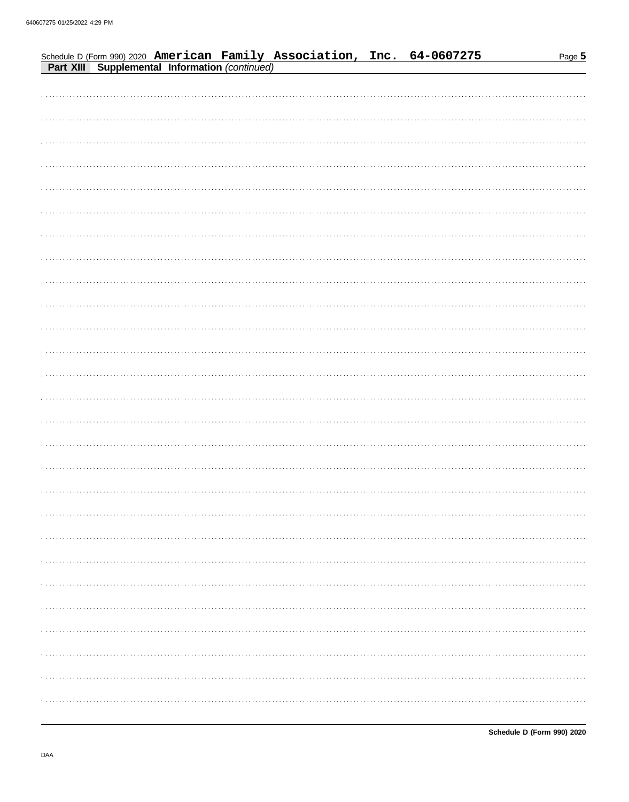|                             |  |  | Schedule D (Form 990) 2020 American Family Association, Inc. 64-0607275<br>Part XIII Supplemental Information (continued) | Page 5 |
|-----------------------------|--|--|---------------------------------------------------------------------------------------------------------------------------|--------|
|                             |  |  |                                                                                                                           |        |
|                             |  |  |                                                                                                                           |        |
|                             |  |  |                                                                                                                           |        |
|                             |  |  |                                                                                                                           |        |
|                             |  |  |                                                                                                                           |        |
|                             |  |  |                                                                                                                           |        |
|                             |  |  |                                                                                                                           |        |
|                             |  |  |                                                                                                                           |        |
|                             |  |  |                                                                                                                           |        |
|                             |  |  |                                                                                                                           |        |
|                             |  |  |                                                                                                                           |        |
|                             |  |  |                                                                                                                           |        |
|                             |  |  |                                                                                                                           |        |
|                             |  |  |                                                                                                                           |        |
|                             |  |  |                                                                                                                           |        |
|                             |  |  |                                                                                                                           |        |
|                             |  |  |                                                                                                                           |        |
|                             |  |  |                                                                                                                           |        |
|                             |  |  |                                                                                                                           |        |
|                             |  |  |                                                                                                                           |        |
| $\cdots$                    |  |  |                                                                                                                           | .      |
|                             |  |  |                                                                                                                           | .      |
|                             |  |  |                                                                                                                           | .      |
|                             |  |  |                                                                                                                           |        |
|                             |  |  |                                                                                                                           | .      |
|                             |  |  |                                                                                                                           | .      |
|                             |  |  |                                                                                                                           | .      |
| $\sim$ $\sim$ $\sim$ $\sim$ |  |  |                                                                                                                           |        |
|                             |  |  |                                                                                                                           |        |
|                             |  |  |                                                                                                                           |        |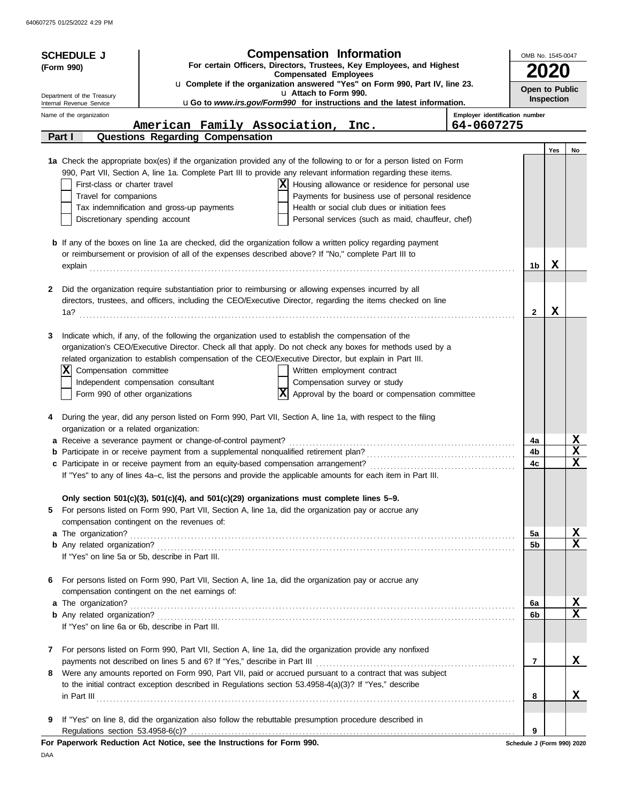| <b>SCHEDULE J</b><br>(Form 990)                        | For certain Officers, Directors, Trustees, Key Employees, and Highest                                                                                                            | OMB No. 1545-0047                                                                                                    |                                |                            |     |                                 |  |
|--------------------------------------------------------|----------------------------------------------------------------------------------------------------------------------------------------------------------------------------------|----------------------------------------------------------------------------------------------------------------------|--------------------------------|----------------------------|-----|---------------------------------|--|
|                                                        |                                                                                                                                                                                  | Open to Public                                                                                                       |                                |                            |     |                                 |  |
| Department of the Treasury<br>Internal Revenue Service | u Complete if the organization answered "Yes" on Form 990, Part IV, line 23.<br>u Attach to Form 990.<br>uGo to www.irs.gov/Form990 for instructions and the latest information. |                                                                                                                      |                                |                            |     |                                 |  |
| Name of the organization                               |                                                                                                                                                                                  |                                                                                                                      | Employer identification number |                            |     |                                 |  |
| Part I                                                 | American Family Association, Inc.<br><b>Questions Regarding Compensation</b>                                                                                                     |                                                                                                                      | 64-0607275                     |                            |     |                                 |  |
|                                                        |                                                                                                                                                                                  |                                                                                                                      |                                |                            | Yes | No                              |  |
|                                                        |                                                                                                                                                                                  | 1a Check the appropriate box(es) if the organization provided any of the following to or for a person listed on Form |                                |                            |     |                                 |  |
|                                                        |                                                                                                                                                                                  | 990, Part VII, Section A, line 1a. Complete Part III to provide any relevant information regarding these items.      |                                |                            |     |                                 |  |
| First-class or charter travel                          |                                                                                                                                                                                  | Housing allowance or residence for personal use                                                                      |                                |                            |     |                                 |  |
| Travel for companions                                  |                                                                                                                                                                                  | Payments for business use of personal residence                                                                      |                                |                            |     |                                 |  |
| Discretionary spending account                         | Tax indemnification and gross-up payments                                                                                                                                        | Health or social club dues or initiation fees<br>Personal services (such as maid, chauffeur, chef)                   |                                |                            |     |                                 |  |
|                                                        |                                                                                                                                                                                  |                                                                                                                      |                                |                            |     |                                 |  |
|                                                        |                                                                                                                                                                                  | <b>b</b> If any of the boxes on line 1a are checked, did the organization follow a written policy regarding payment  |                                |                            |     |                                 |  |
|                                                        | or reimbursement or provision of all of the expenses described above? If "No," complete Part III to                                                                              |                                                                                                                      |                                |                            |     |                                 |  |
| explain                                                |                                                                                                                                                                                  |                                                                                                                      |                                | 1b                         | X   |                                 |  |
| 2                                                      |                                                                                                                                                                                  | Did the organization require substantiation prior to reimbursing or allowing expenses incurred by all                |                                |                            |     |                                 |  |
|                                                        |                                                                                                                                                                                  | directors, trustees, and officers, including the CEO/Executive Director, regarding the items checked on line         |                                |                            |     |                                 |  |
| 1a?                                                    |                                                                                                                                                                                  |                                                                                                                      |                                | $\mathbf{2}$               | X   |                                 |  |
|                                                        |                                                                                                                                                                                  |                                                                                                                      |                                |                            |     |                                 |  |
| 3                                                      | Indicate which, if any, of the following the organization used to establish the compensation of the                                                                              |                                                                                                                      |                                |                            |     |                                 |  |
|                                                        |                                                                                                                                                                                  | organization's CEO/Executive Director. Check all that apply. Do not check any boxes for methods used by a            |                                |                            |     |                                 |  |
|                                                        |                                                                                                                                                                                  | related organization to establish compensation of the CEO/Executive Director, but explain in Part III.               |                                |                            |     |                                 |  |
| Compensation committee                                 | Independent compensation consultant                                                                                                                                              | Written employment contract<br>Compensation survey or study                                                          |                                |                            |     |                                 |  |
| Form 990 of other organizations                        |                                                                                                                                                                                  | x<br>Approval by the board or compensation committee                                                                 |                                |                            |     |                                 |  |
|                                                        |                                                                                                                                                                                  |                                                                                                                      |                                |                            |     |                                 |  |
| 4                                                      |                                                                                                                                                                                  | During the year, did any person listed on Form 990, Part VII, Section A, line 1a, with respect to the filing         |                                |                            |     |                                 |  |
| organization or a related organization:                |                                                                                                                                                                                  |                                                                                                                      |                                |                            |     |                                 |  |
|                                                        | a Receive a severance payment or change-of-control payment?                                                                                                                      |                                                                                                                      |                                | 4a                         |     | $\frac{\mathbf{x}}{\mathbf{x}}$ |  |
|                                                        |                                                                                                                                                                                  |                                                                                                                      |                                | 4b<br>4c                   |     | $\overline{\textbf{x}}$         |  |
|                                                        |                                                                                                                                                                                  | If "Yes" to any of lines 4a-c, list the persons and provide the applicable amounts for each item in Part III.        |                                |                            |     |                                 |  |
|                                                        | Only section 501(c)(3), 501(c)(4), and 501(c)(29) organizations must complete lines 5-9.                                                                                         |                                                                                                                      |                                |                            |     |                                 |  |
| 5                                                      | For persons listed on Form 990, Part VII, Section A, line 1a, did the organization pay or accrue any                                                                             |                                                                                                                      |                                |                            |     |                                 |  |
|                                                        | compensation contingent on the revenues of:                                                                                                                                      |                                                                                                                      |                                |                            |     |                                 |  |
| a The organization?                                    |                                                                                                                                                                                  |                                                                                                                      |                                | 5a                         |     | $\frac{\mathbf{X}}{\mathbf{X}}$ |  |
|                                                        |                                                                                                                                                                                  |                                                                                                                      |                                | 5 <sub>b</sub>             |     |                                 |  |
|                                                        | If "Yes" on line 5a or 5b, describe in Part III.                                                                                                                                 |                                                                                                                      |                                |                            |     |                                 |  |
| 6                                                      | For persons listed on Form 990, Part VII, Section A, line 1a, did the organization pay or accrue any                                                                             |                                                                                                                      |                                |                            |     |                                 |  |
|                                                        | compensation contingent on the net earnings of:                                                                                                                                  |                                                                                                                      |                                |                            |     |                                 |  |
| a The organization?                                    |                                                                                                                                                                                  |                                                                                                                      |                                | 6a                         |     | $\frac{\mathbf{x}}{\mathbf{x}}$ |  |
|                                                        |                                                                                                                                                                                  |                                                                                                                      |                                | 6b                         |     |                                 |  |
|                                                        | If "Yes" on line 6a or 6b, describe in Part III.                                                                                                                                 |                                                                                                                      |                                |                            |     |                                 |  |
| 7                                                      |                                                                                                                                                                                  | For persons listed on Form 990, Part VII, Section A, line 1a, did the organization provide any nonfixed              |                                |                            |     |                                 |  |
|                                                        |                                                                                                                                                                                  |                                                                                                                      |                                | $\overline{7}$             |     | X                               |  |
| 8                                                      |                                                                                                                                                                                  | Were any amounts reported on Form 990, Part VII, paid or accrued pursuant to a contract that was subject             |                                |                            |     |                                 |  |
|                                                        |                                                                                                                                                                                  | to the initial contract exception described in Regulations section 53.4958-4(a)(3)? If "Yes," describe               |                                |                            |     |                                 |  |
|                                                        |                                                                                                                                                                                  | $\overline{m}$ Part III                                                                                              |                                | 8                          |     | x                               |  |
| 9                                                      |                                                                                                                                                                                  | If "Yes" on line 8, did the organization also follow the rebuttable presumption procedure described in               |                                |                            |     |                                 |  |
| Regulations section 53.4958-6(c)?                      |                                                                                                                                                                                  |                                                                                                                      |                                | 9                          |     |                                 |  |
|                                                        | For Paperwork Reduction Act Notice, see the Instructions for Form 990.                                                                                                           |                                                                                                                      |                                | Schedule J (Form 990) 2020 |     |                                 |  |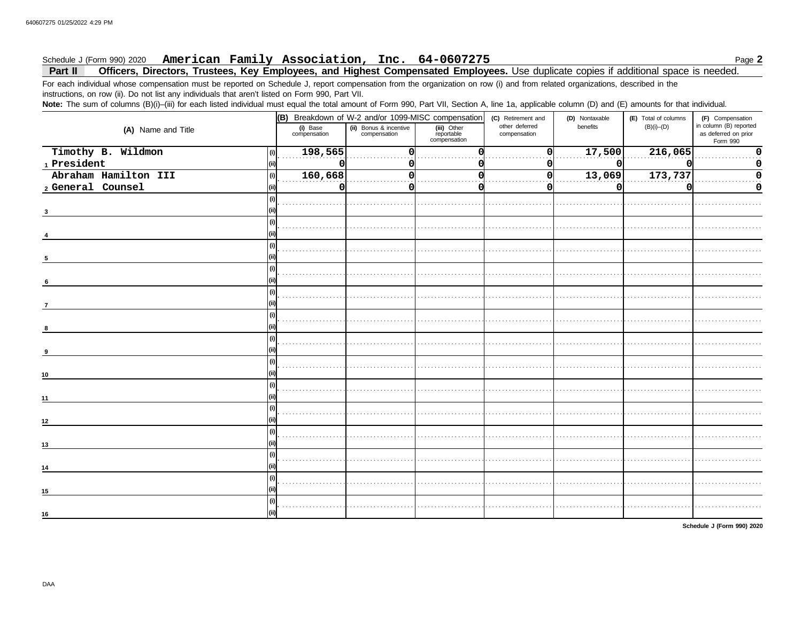### American Family Association, Inc. 64-0607275 Schedule J (Form 990) 2020

Officers, Directors, Trustees, Key Employees, and Highest Compensated Employees. Use duplicate copies if additional space is needed. Part II

For each individual whose compensation must be reported on Schedule J, report compensation from the organization on row (i) and from related organizations, described in the instructions, on row (ii). Do not list any individuals that aren't listed on Form 990, Part VII.

Note: The sum of columns (B)(i)-(iii) for each listed individual must equal the total amount of Form 990, Part VII, Section A, line 1a, applicable column (D) and (E) amounts for that individual.

|                             | (B) Breakdown of W-2 and/or 1099-MISC compensation |                                        |                                           | (C) Retirement and             | (D) Nontaxable | (E) Total of columns | (F) Compensation                                           |
|-----------------------------|----------------------------------------------------|----------------------------------------|-------------------------------------------|--------------------------------|----------------|----------------------|------------------------------------------------------------|
| (A) Name and Title          | (i) Base<br>compensation                           | (ii) Bonus & incentive<br>compensation | (iii) Other<br>reportable<br>compensation | other deferred<br>compensation | benefits       | $(B)(i)$ - $(D)$     | in column (B) reported<br>as deferred on prior<br>Form 990 |
| Timothy B. Wildmon<br>(i)   | 198,565                                            |                                        |                                           | O                              | 17,500         | 216,065              | n                                                          |
| 1 President<br>(ii)         | 0                                                  |                                        |                                           | O                              |                | ი                    |                                                            |
| Abraham Hamilton III<br>(i) | 160,668                                            |                                        |                                           | 0                              | 13,069         | 173,737              |                                                            |
| 2 General Counsel           | 0                                                  |                                        |                                           | 0                              |                | 0                    | 0                                                          |
|                             |                                                    |                                        |                                           |                                |                |                      |                                                            |
|                             |                                                    |                                        |                                           |                                |                |                      |                                                            |
|                             |                                                    |                                        |                                           |                                |                |                      |                                                            |
| (i)                         |                                                    |                                        |                                           |                                |                |                      |                                                            |
| (i)<br>$\overline{7}$       |                                                    |                                        |                                           |                                |                |                      |                                                            |
| (i)<br>8                    |                                                    |                                        |                                           |                                |                |                      |                                                            |
|                             |                                                    |                                        |                                           |                                |                |                      |                                                            |
| 10                          |                                                    |                                        |                                           |                                |                |                      |                                                            |
| (i)<br>11                   |                                                    |                                        |                                           |                                |                |                      |                                                            |
| 12                          |                                                    |                                        |                                           |                                |                |                      |                                                            |
| 13                          |                                                    |                                        |                                           |                                |                |                      |                                                            |
| 14                          |                                                    |                                        |                                           |                                |                |                      |                                                            |
| 15                          |                                                    |                                        |                                           |                                |                |                      |                                                            |
| (i)<br>16                   |                                                    |                                        |                                           |                                |                |                      |                                                            |

Schedule J (Form 990) 2020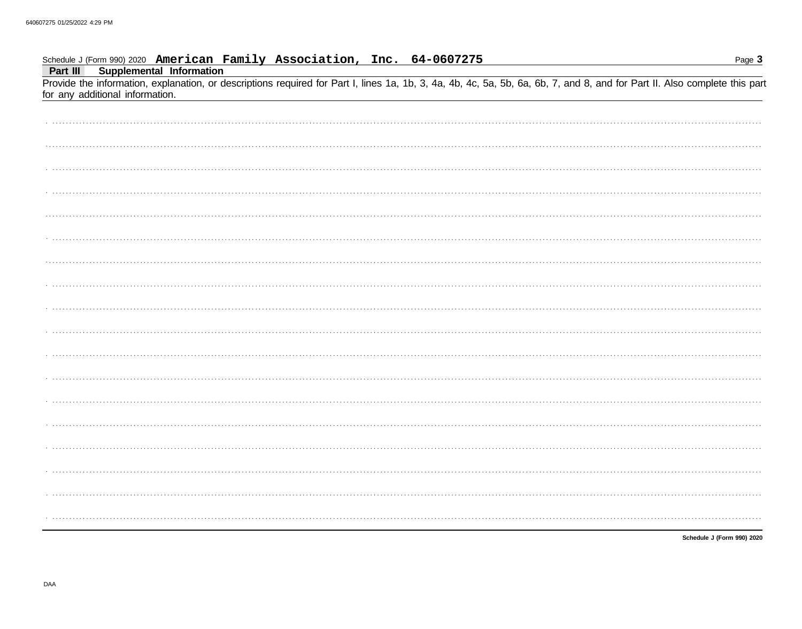| Schedule J (Form 990) 2020 American Family Association, Inc. 64-0607275                                                                                                                                                                                      | Page 3                     |
|--------------------------------------------------------------------------------------------------------------------------------------------------------------------------------------------------------------------------------------------------------------|----------------------------|
| <b>Supplemental Information</b><br>Part III<br>Provide the information, explanation, or descriptions required for Part I, lines 1a, 1b, 3, 4a, 4b, 4c, 5a, 5b, 6a, 6b, 7, and 8, and for Part II. Also complete this part<br>for any additional information. |                            |
|                                                                                                                                                                                                                                                              |                            |
|                                                                                                                                                                                                                                                              |                            |
|                                                                                                                                                                                                                                                              |                            |
|                                                                                                                                                                                                                                                              |                            |
|                                                                                                                                                                                                                                                              |                            |
|                                                                                                                                                                                                                                                              |                            |
|                                                                                                                                                                                                                                                              |                            |
|                                                                                                                                                                                                                                                              |                            |
|                                                                                                                                                                                                                                                              |                            |
|                                                                                                                                                                                                                                                              |                            |
|                                                                                                                                                                                                                                                              |                            |
|                                                                                                                                                                                                                                                              |                            |
|                                                                                                                                                                                                                                                              |                            |
|                                                                                                                                                                                                                                                              |                            |
|                                                                                                                                                                                                                                                              |                            |
|                                                                                                                                                                                                                                                              |                            |
|                                                                                                                                                                                                                                                              |                            |
|                                                                                                                                                                                                                                                              |                            |
|                                                                                                                                                                                                                                                              |                            |
|                                                                                                                                                                                                                                                              | Schedule J (Form 990) 2020 |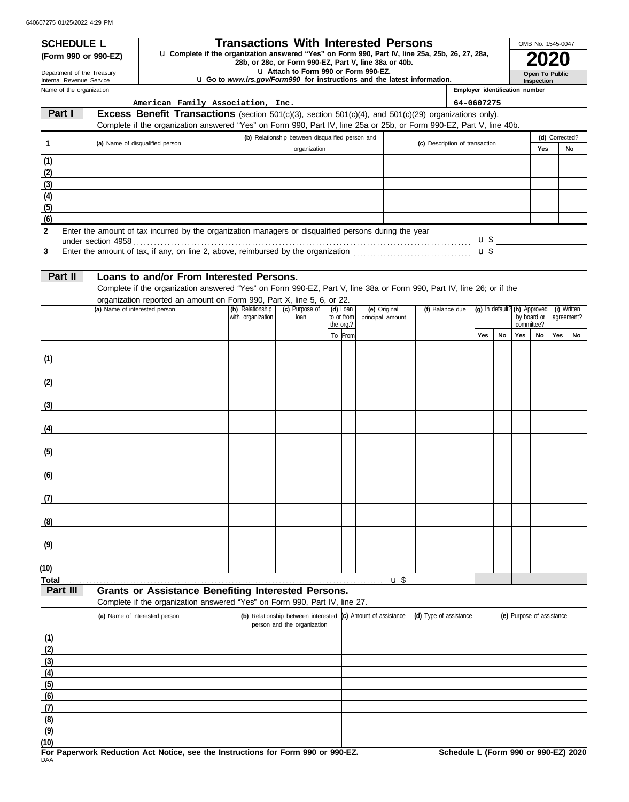Department of the Treasury Internal Revenue Service

# **SCHEDULE L Transactions With Interested Persons**

**28b, or 28c, or Form 990, Part IV, line 25a, 25b, 26, 27, 28a,**<br>28b, or 28c, or Form 990-EZ, Part V, line 38a or 40b.<br>**2020 (Form 990 or 990-EZ)** u **Complete if the organization answered "Yes" on Form 990, Part IV, line 25a, 25b, 26, 27, 28a,**

u **Attach to Form 990 or Form 990-EZ.**

u **Go to** *www.irs.gov/Form990* **for instructions and the latest information.**

| OMB No. 1545-0047 |
|-------------------|
| 020               |
| Open To Public    |
| Inspection        |

| Name of the organization |                                                                                                                       |                      |                                                  |            |                          |                                          | Employer identification number |                              |     |                           |                |    |
|--------------------------|-----------------------------------------------------------------------------------------------------------------------|----------------------|--------------------------------------------------|------------|--------------------------|------------------------------------------|--------------------------------|------------------------------|-----|---------------------------|----------------|----|
|                          | American Family Association, Inc.                                                                                     |                      |                                                  |            |                          |                                          | 64-0607275                     |                              |     |                           |                |    |
| Part I                   | <b>Excess Benefit Transactions</b> (section 501(c)(3), section 501(c)(4), and 501(c)(29) organizations only).         |                      |                                                  |            |                          |                                          |                                |                              |     |                           |                |    |
|                          | Complete if the organization answered "Yes" on Form 990, Part IV, line 25a or 25b, or Form 990-EZ, Part V, line 40b.  |                      |                                                  |            |                          |                                          |                                |                              |     |                           |                |    |
| -1                       | (a) Name of disqualified person                                                                                       |                      | (b) Relationship between disqualified person and |            |                          | (c) Description of transaction           |                                |                              |     |                           | (d) Corrected? |    |
|                          |                                                                                                                       |                      | organization                                     |            |                          |                                          |                                |                              |     | Yes                       |                | No |
| (1)                      |                                                                                                                       |                      |                                                  |            |                          |                                          |                                |                              |     |                           |                |    |
| (2)                      |                                                                                                                       |                      |                                                  |            |                          |                                          |                                |                              |     |                           |                |    |
| (3)                      |                                                                                                                       |                      |                                                  |            |                          |                                          |                                |                              |     |                           |                |    |
| (4)                      |                                                                                                                       |                      |                                                  |            |                          |                                          |                                |                              |     |                           |                |    |
|                          |                                                                                                                       |                      |                                                  |            |                          |                                          |                                |                              |     |                           |                |    |
| (5)                      |                                                                                                                       |                      |                                                  |            |                          |                                          |                                |                              |     |                           |                |    |
| (6)                      |                                                                                                                       |                      |                                                  |            |                          |                                          |                                |                              |     |                           |                |    |
| $\mathbf{2}$             | Enter the amount of tax incurred by the organization managers or disqualified persons during the year                 |                      |                                                  |            |                          |                                          |                                |                              |     |                           |                |    |
|                          |                                                                                                                       |                      |                                                  |            |                          |                                          |                                |                              |     |                           |                |    |
| 3                        |                                                                                                                       |                      |                                                  |            |                          |                                          |                                | $\mathbf{u}$ \$              |     |                           |                |    |
|                          |                                                                                                                       |                      |                                                  |            |                          |                                          |                                |                              |     |                           |                |    |
| Part II                  | Loans to and/or From Interested Persons.                                                                              |                      |                                                  |            |                          |                                          |                                |                              |     |                           |                |    |
|                          | Complete if the organization answered "Yes" on Form 990-EZ, Part V, line 38a or Form 990, Part IV, line 26; or if the |                      |                                                  |            |                          |                                          |                                |                              |     |                           |                |    |
|                          | organization reported an amount on Form 990, Part X, line 5, 6, or 22.                                                |                      |                                                  |            |                          |                                          |                                |                              |     |                           |                |    |
|                          | (a) Name of interested person                                                                                         | (b) Relationship     | (c) Purpose of                                   | (d) Loan   | (e) Original             | (f) Balance due                          |                                | (g) In default? (h) Approved |     |                           | (i) Written    |    |
|                          |                                                                                                                       | with organization    | loan                                             | to or from | principal amount         |                                          |                                |                              |     | by board or               | agreement?     |    |
|                          |                                                                                                                       |                      |                                                  | the org.?  |                          |                                          |                                |                              |     | committee?                |                |    |
|                          |                                                                                                                       |                      |                                                  | To From    |                          |                                          | Yes                            | <b>No</b>                    | Yes | No                        | Yes            | No |
|                          |                                                                                                                       |                      |                                                  |            |                          |                                          |                                |                              |     |                           |                |    |
| (1)                      |                                                                                                                       |                      |                                                  |            |                          |                                          |                                |                              |     |                           |                |    |
|                          |                                                                                                                       |                      |                                                  |            |                          |                                          |                                |                              |     |                           |                |    |
|                          |                                                                                                                       |                      |                                                  |            |                          |                                          |                                |                              |     |                           |                |    |
|                          |                                                                                                                       |                      |                                                  |            |                          |                                          |                                |                              |     |                           |                |    |
| (3)                      |                                                                                                                       |                      |                                                  |            |                          |                                          |                                |                              |     |                           |                |    |
|                          |                                                                                                                       |                      |                                                  |            |                          |                                          |                                |                              |     |                           |                |    |
|                          |                                                                                                                       |                      |                                                  |            |                          |                                          |                                |                              |     |                           |                |    |
| (4)                      |                                                                                                                       |                      |                                                  |            |                          |                                          |                                |                              |     |                           |                |    |
|                          |                                                                                                                       |                      |                                                  |            |                          |                                          |                                |                              |     |                           |                |    |
| (5)                      |                                                                                                                       |                      |                                                  |            |                          |                                          |                                |                              |     |                           |                |    |
|                          |                                                                                                                       |                      |                                                  |            |                          |                                          |                                |                              |     |                           |                |    |
| (6)                      |                                                                                                                       |                      |                                                  |            |                          |                                          |                                |                              |     |                           |                |    |
|                          |                                                                                                                       |                      |                                                  |            |                          |                                          |                                |                              |     |                           |                |    |
| (7)                      |                                                                                                                       |                      |                                                  |            |                          |                                          |                                |                              |     |                           |                |    |
|                          |                                                                                                                       |                      |                                                  |            |                          |                                          |                                |                              |     |                           |                |    |
|                          |                                                                                                                       |                      |                                                  |            |                          |                                          |                                |                              |     |                           |                |    |
| (8)                      |                                                                                                                       |                      |                                                  |            |                          |                                          |                                |                              |     |                           |                |    |
|                          |                                                                                                                       |                      |                                                  |            |                          |                                          |                                |                              |     |                           |                |    |
| (9)                      |                                                                                                                       |                      |                                                  |            |                          |                                          |                                |                              |     |                           |                |    |
|                          |                                                                                                                       |                      |                                                  |            |                          |                                          |                                |                              |     |                           |                |    |
| (10)                     |                                                                                                                       |                      |                                                  |            |                          |                                          |                                |                              |     |                           |                |    |
| Total                    |                                                                                                                       |                      |                                                  |            | $\mathbf{u}$             |                                          |                                |                              |     |                           |                |    |
| Part III                 | <b>Grants or Assistance Benefiting Interested Persons.</b>                                                            |                      |                                                  |            |                          |                                          |                                |                              |     |                           |                |    |
|                          | Complete if the organization answered "Yes" on Form 990, Part IV, line 27.                                            |                      |                                                  |            |                          |                                          |                                |                              |     |                           |                |    |
|                          |                                                                                                                       |                      | (b) Relationship between interested              |            |                          |                                          |                                |                              |     |                           |                |    |
|                          | (a) Name of interested person                                                                                         |                      | person and the organization                      |            | (c) Amount of assistance | (d) Type of assistance                   |                                |                              |     | (e) Purpose of assistance |                |    |
|                          |                                                                                                                       |                      |                                                  |            |                          |                                          |                                |                              |     |                           |                |    |
| (1)                      |                                                                                                                       |                      |                                                  |            |                          |                                          |                                |                              |     |                           |                |    |
| (2)                      |                                                                                                                       |                      |                                                  |            |                          |                                          |                                |                              |     |                           |                |    |
| (3)                      |                                                                                                                       |                      |                                                  |            |                          |                                          |                                |                              |     |                           |                |    |
| (4)                      |                                                                                                                       |                      |                                                  |            |                          |                                          |                                |                              |     |                           |                |    |
| (5)                      |                                                                                                                       |                      |                                                  |            |                          |                                          |                                |                              |     |                           |                |    |
| (6)                      |                                                                                                                       |                      |                                                  |            |                          |                                          |                                |                              |     |                           |                |    |
| (7)                      |                                                                                                                       |                      |                                                  |            |                          |                                          |                                |                              |     |                           |                |    |
| (8)                      |                                                                                                                       |                      |                                                  |            |                          |                                          |                                |                              |     |                           |                |    |
|                          |                                                                                                                       |                      |                                                  |            |                          |                                          |                                |                              |     |                           |                |    |
| (9)                      |                                                                                                                       |                      |                                                  |            |                          |                                          |                                |                              |     |                           |                |    |
| (10)                     |                                                                                                                       | tha Ingtruationa for | $E_{\text{atm}}$ , 000 $\approx$ 000 $E7$        |            |                          | Cahadule L. (Ferm. 000 er. 000 EZ). 2020 |                                |                              |     |                           |                |    |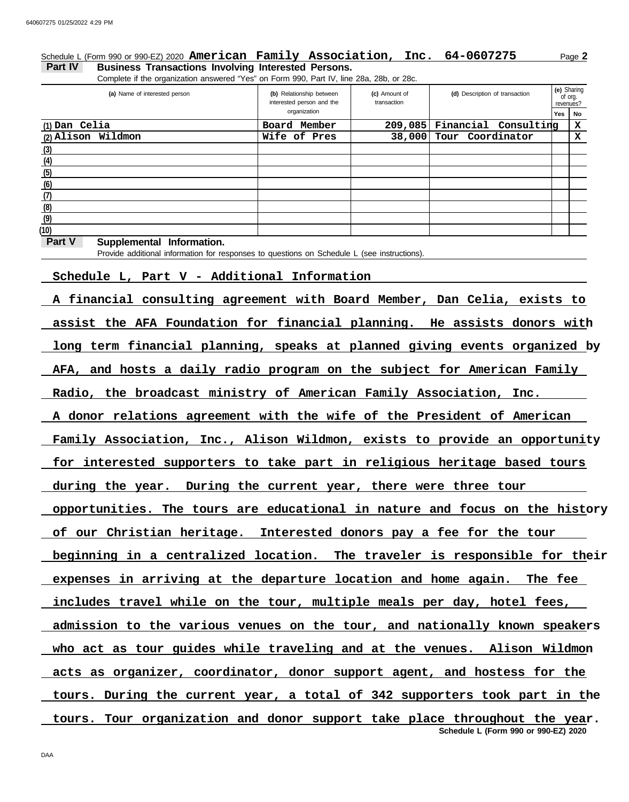## Part IV Business Transactions Involving Interested Persons. Schedule L (Form 990 or 990-EZ) 2020 **American Family Association, Inc. 64-0607275** Page 2

Complete if the organization answered "Yes" on Form 990, Part IV, line 28a, 28b, or 28c.

| (a) Name of interested person                                          | (b) Relationship between<br>interested person and the | (c) Amount of<br>transaction | (d) Description of transaction |     | (e) Sharing<br>of org.<br>revenues? |
|------------------------------------------------------------------------|-------------------------------------------------------|------------------------------|--------------------------------|-----|-------------------------------------|
|                                                                        | organization                                          |                              |                                | Yes | No                                  |
| $(1)$ Dan Celia                                                        | Board<br>Member                                       | 209,085                      | Financial<br>Consulting        |     | x                                   |
| $(2)$ Alison<br>Wildmon                                                | Wife of Pres                                          | 38,000                       | Tour Coordinator               |     | X                                   |
| (3)                                                                    |                                                       |                              |                                |     |                                     |
| (4)                                                                    |                                                       |                              |                                |     |                                     |
| (5)                                                                    |                                                       |                              |                                |     |                                     |
| (6)                                                                    |                                                       |                              |                                |     |                                     |
| (7)                                                                    |                                                       |                              |                                |     |                                     |
| (8)                                                                    |                                                       |                              |                                |     |                                     |
| (9)                                                                    |                                                       |                              |                                |     |                                     |
| (10)<br>$\overline{\phantom{0}}$<br>.<br>$\overline{\phantom{0}}$<br>. |                                                       |                              |                                |     |                                     |

### **Part V** Supplemental Information.

Provide additional information for responses to questions on Schedule L (see instructions).

**Schedule L, Part V - Additional Information**

**Schedule L (Form 990 or 990-EZ) 2020 A financial consulting agreement with Board Member, Dan Celia, exists to assist the AFA Foundation for financial planning. He assists donors with long term financial planning, speaks at planned giving events organized by AFA, and hosts a daily radio program on the subject for American Family Radio, the broadcast ministry of American Family Association, Inc. A donor relations agreement with the wife of the President of American Family Association, Inc., Alison Wildmon, exists to provide an opportunity for interested supporters to take part in religious heritage based tours during the year. During the current year, there were three tour opportunities. The tours are educational in nature and focus on the history of our Christian heritage. Interested donors pay a fee for the tour beginning in a centralized location. The traveler is responsible for their expenses in arriving at the departure location and home again. The fee includes travel while on the tour, multiple meals per day, hotel fees, admission to the various venues on the tour, and nationally known speakers who act as tour guides while traveling and at the venues. Alison Wildmon acts as organizer, coordinator, donor support agent, and hostess for the tours. During the current year, a total of 342 supporters took part in the tours. Tour organization and donor support take place throughout the year.**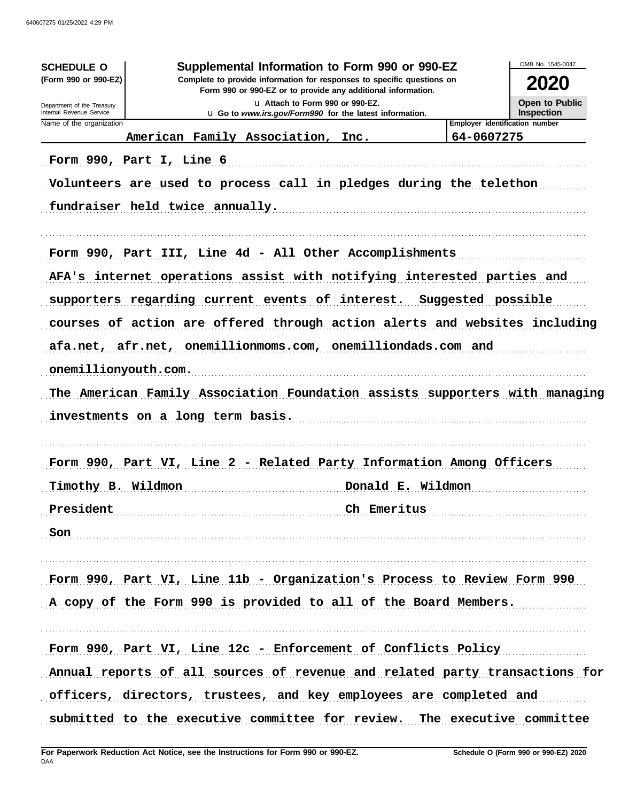| <b>SCHEDULE O</b>                                      | Supplemental Information to Form 990 or 990-EZ                                                                                                                                                           |                                                                                            |            | OMB No. 1545-0047                          |
|--------------------------------------------------------|----------------------------------------------------------------------------------------------------------------------------------------------------------------------------------------------------------|--------------------------------------------------------------------------------------------|------------|--------------------------------------------|
| (Form 990 or 990-EZ)                                   | Complete to provide information for responses to specific questions on                                                                                                                                   | Form 990 or 990-EZ or to provide any additional information.                               |            | 2020                                       |
| Department of the Treasury<br>Internal Revenue Service |                                                                                                                                                                                                          | u Attach to Form 990 or 990-EZ.<br>u Go to www.irs.gov/Form990 for the latest information. |            | <b>Open to Public</b><br><b>Inspection</b> |
| Name of the organization                               |                                                                                                                                                                                                          |                                                                                            |            | Employer identification number             |
|                                                        | American Family Association, Inc.                                                                                                                                                                        |                                                                                            | 64-0607275 |                                            |
| Form 990, Part I, Line 6                               | Volunteers are used to process call in pledges during the telethon<br>fundraiser held twice annually.                                                                                                    |                                                                                            |            |                                            |
|                                                        | Form 990, Part III, Line 4d - All Other Accomplishments<br>AFA's internet operations assist with notifying interested parties and<br>supporters regarding current events of interest. Suggested possible |                                                                                            |            |                                            |
|                                                        |                                                                                                                                                                                                          |                                                                                            |            |                                            |
|                                                        | courses of action are offered through action alerts and websites including                                                                                                                               |                                                                                            |            |                                            |
|                                                        | afa.net, afr.net, onemillionmoms.com, onemilliondads.com and                                                                                                                                             |                                                                                            |            |                                            |
| onemillionyouth.com.                                   |                                                                                                                                                                                                          |                                                                                            |            |                                            |
|                                                        | The American Family Association Foundation assists supporters with managing                                                                                                                              |                                                                                            |            |                                            |
|                                                        | investments on a long term basis.                                                                                                                                                                        |                                                                                            |            |                                            |
|                                                        |                                                                                                                                                                                                          |                                                                                            |            |                                            |
|                                                        | Form 990, Part VI, Line 2 - Related Party Information Among Officers                                                                                                                                     |                                                                                            |            |                                            |
| Timothy B. Wildmon                                     |                                                                                                                                                                                                          | Donald E. Wildmon                                                                          |            |                                            |
| President                                              | <b>Ch Emeritus</b>                                                                                                                                                                                       |                                                                                            |            |                                            |
| Son                                                    |                                                                                                                                                                                                          |                                                                                            |            |                                            |
|                                                        |                                                                                                                                                                                                          |                                                                                            |            |                                            |
|                                                        | Form 990, Part VI, Line 11b - Organization's Process to Review Form 990                                                                                                                                  |                                                                                            |            |                                            |
|                                                        | A copy of the Form 990 is provided to all of the Board Members.                                                                                                                                          |                                                                                            |            |                                            |
|                                                        |                                                                                                                                                                                                          |                                                                                            |            |                                            |
|                                                        | Form 990, Part VI, Line 12c - Enforcement of Conflicts Policy                                                                                                                                            |                                                                                            |            |                                            |
|                                                        | Annual reports of all sources of revenue and related party transactions for                                                                                                                              |                                                                                            |            |                                            |
|                                                        |                                                                                                                                                                                                          |                                                                                            |            |                                            |
|                                                        | officers, directors, trustees, and key employees are completed and                                                                                                                                       |                                                                                            |            |                                            |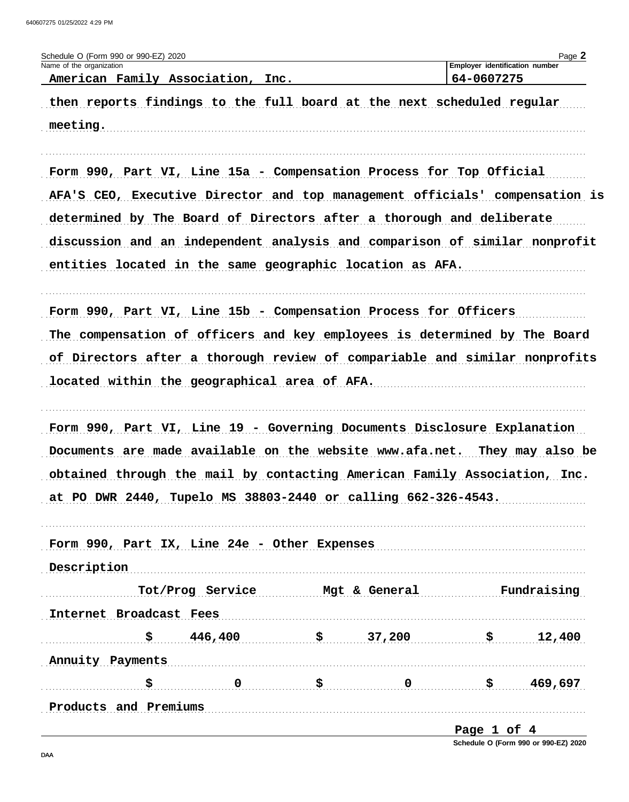| Schedule O (Form 990 or 990-EZ) 2020<br>Name of the organization                                                                                                                                                                                                                                                                                                     | Page 2<br><b>Employer identification number</b> |
|----------------------------------------------------------------------------------------------------------------------------------------------------------------------------------------------------------------------------------------------------------------------------------------------------------------------------------------------------------------------|-------------------------------------------------|
| American Family Association, Inc.                                                                                                                                                                                                                                                                                                                                    | 64-0607275                                      |
| then reports findings to the full board at the next scheduled regular<br>meeting.                                                                                                                                                                                                                                                                                    |                                                 |
| Form 990, Part VI, Line 15a - Compensation Process for Top Official<br>AFA'S CEO, Executive Director and top management officials' compensation is<br>determined by The Board of Directors after a thorough and deliberate<br>discussion and an independent analysis and comparison of similar nonprofit<br>entities located in the same geographic location as AFA. |                                                 |
| Form 990, Part VI, Line 15b - Compensation Process for Officers<br>The compensation of officers and key employees is determined by The Board<br>of Directors after a thorough review of compariable and similar nonprofits<br>located within the geographical area of AFA.                                                                                           |                                                 |
| Form 990, Part VI, Line 19 - Governing Documents Disclosure Explanation<br>Documents are made available on the website www.afa.net. They may also be<br>obtained through the mail by contacting American Family Association, Inc.<br>at PO DWR 2440, Tupelo MS 38803-2440 or calling 662-326-4543.                                                                   |                                                 |
| Form 990, Part IX, Line 24e - Other Expenses<br>Description                                                                                                                                                                                                                                                                                                          |                                                 |
| Tot/Prog Service Mgt & General Fundraising                                                                                                                                                                                                                                                                                                                           |                                                 |
| Internet Broadcast Fees                                                                                                                                                                                                                                                                                                                                              |                                                 |
| $\frac{12,400}{9}$ $\frac{446,400}{9}$ $\frac{12,400}{9}$                                                                                                                                                                                                                                                                                                            |                                                 |
| Annuity Payments                                                                                                                                                                                                                                                                                                                                                     |                                                 |
| $\frac{1}{5}$ 0 $\frac{1}{5}$ 0 $\frac{1}{5}$ 169,697<br>Products and Premiums                                                                                                                                                                                                                                                                                       |                                                 |
|                                                                                                                                                                                                                                                                                                                                                                      | Page $1$ of $4$                                 |

Schedule O (Form 990 or 990-EZ) 2020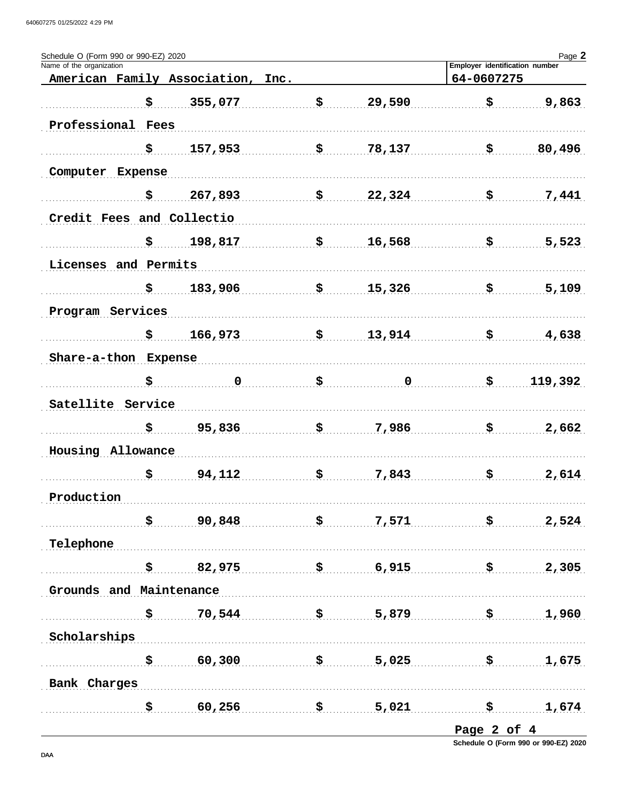| Schedule O (Form 990 or 990-EZ) 2020<br>Name of the organization |                                                                      |                         |                  |                           |                     | Employer identification number                                       | Page 2  |
|------------------------------------------------------------------|----------------------------------------------------------------------|-------------------------|------------------|---------------------------|---------------------|----------------------------------------------------------------------|---------|
| American Family Association, Inc.                                |                                                                      |                         |                  |                           |                     | 64-0607275                                                           |         |
|                                                                  | \$                                                                   | 355,077                 |                  | \$                        | 29,590              |                                                                      | 9,863   |
|                                                                  |                                                                      |                         |                  |                           |                     |                                                                      |         |
| Professional Fees                                                |                                                                      |                         |                  |                           |                     |                                                                      |         |
|                                                                  |                                                                      | \$ 157,953              |                  |                           | 5.78,137.           | $\frac{1}{5}$ 80,496                                                 |         |
| Computer Expense                                                 |                                                                      |                         |                  |                           |                     |                                                                      |         |
|                                                                  |                                                                      | \$267,893               |                  |                           | $\frac{22,324}{ }$  | $\boldsymbol{\mathsf{S}}$ . The company of $\boldsymbol{\mathsf{S}}$ | 7,441   |
| Credit Fees and Collectio                                        |                                                                      |                         |                  |                           |                     |                                                                      |         |
|                                                                  | \$                                                                   | 198,817                 |                  | $\boldsymbol{\mathsf{S}}$ | 16,568              | \$                                                                   | 5,523   |
|                                                                  |                                                                      |                         |                  |                           |                     |                                                                      |         |
| Licenses and Permits                                             |                                                                      |                         |                  |                           |                     |                                                                      |         |
|                                                                  | \$                                                                   | 183,906                 |                  |                           | \$15,326            | $\ddot{\mathbf{s}}$ , and the set of $\ddot{\mathbf{s}}$             | 5,109   |
| Program Services                                                 |                                                                      |                         |                  |                           |                     |                                                                      |         |
|                                                                  | $\ddot{\mathbf{s}}$                                                  | 166,973                 |                  |                           | \$13,914            | $\ddot{\mathbf{s}}$ , and the set of $\ddot{\mathbf{s}}$             | 4,638   |
| Share-a-thon Expense                                             |                                                                      |                         |                  |                           |                     |                                                                      |         |
|                                                                  |                                                                      |                         |                  |                           |                     |                                                                      |         |
|                                                                  | \$                                                                   | $\mathbf 0$             |                  | \$                        | $\mathbf 0$         | \$                                                                   | 119,392 |
| Satellite Service                                                |                                                                      |                         |                  |                           |                     |                                                                      |         |
|                                                                  | \$                                                                   | 95,836                  |                  | \$                        | 7,986               | $\ddot{\mathbf{s}}$ , where $\ddot{\mathbf{s}}$                      | 2,662   |
| Housing Allowance                                                |                                                                      |                         |                  |                           |                     |                                                                      |         |
|                                                                  | \$                                                                   | 94,112                  |                  | $\ddot{\mathbf{s}}$       | 7,843               | $\boldsymbol{\mathsf{S}}$                                            | 2,614   |
|                                                                  |                                                                      |                         |                  |                           |                     |                                                                      |         |
| Production                                                       |                                                                      |                         |                  |                           |                     |                                                                      |         |
|                                                                  | $\boldsymbol{\mathsf{S}}$                                            | $90,848$ \$             |                  |                           | 7,571               |                                                                      | 2,524   |
| Telephone                                                        |                                                                      |                         |                  |                           |                     |                                                                      |         |
|                                                                  |                                                                      | \$2,975                 |                  |                           | $\frac{1}{5}$ 6,915 | <u>. 이 후 이 이 후</u>                                                   | 2,305   |
| Grounds and Maintenance                                          |                                                                      |                         |                  |                           |                     |                                                                      |         |
|                                                                  |                                                                      |                         |                  |                           |                     |                                                                      |         |
|                                                                  | $\boldsymbol{\mathsf{S}}$ , and the set of $\boldsymbol{\mathsf{S}}$ | 70,544                  | <u>. 이 후 이 후</u> |                           | 5,879               |                                                                      | 1,960   |
| Scholarships                                                     |                                                                      |                         |                  |                           |                     |                                                                      |         |
|                                                                  |                                                                      | $\frac{1}{2}$ 60,300 \$ |                  |                           | 5,025               |                                                                      | 1,675   |
| <b>Bank Charges</b>                                              |                                                                      |                         |                  |                           |                     |                                                                      |         |
|                                                                  |                                                                      | $\frac{1}{5}$ 60,256 \$ |                  |                           | 5,021               | $\ddot{\mathbf{s}}$                                                  | 1,674   |
|                                                                  |                                                                      |                         |                  |                           |                     |                                                                      |         |
|                                                                  |                                                                      |                         |                  |                           |                     | Page 2 of 4                                                          |         |

Schedule O (Form 990 or 990-EZ) 2020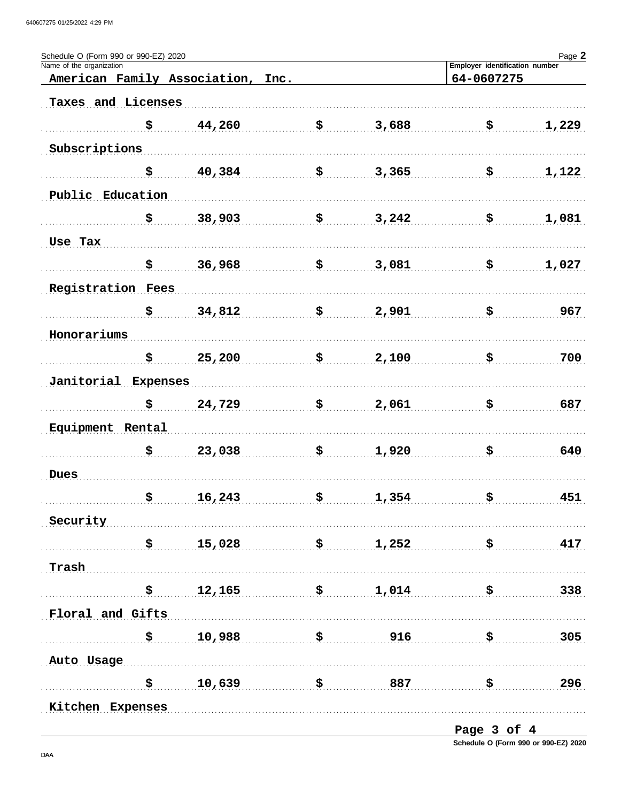| Schedule O (Form 990 or 990-EZ) 2020 |     |                                                                                                 |             |                                | Page 2          |
|--------------------------------------|-----|-------------------------------------------------------------------------------------------------|-------------|--------------------------------|-----------------|
| Name of the organization             |     |                                                                                                 |             | Employer identification number |                 |
|                                      |     | American Family Association, Inc.                                                               |             | 64-0607275                     |                 |
| Taxes and Licenses                   |     |                                                                                                 |             |                                |                 |
|                                      | \$  | 44,260                                                                                          | \$<br>3,688 | \$                             | 1,229           |
| Subscriptions                        |     |                                                                                                 |             |                                |                 |
|                                      | \$. | 40,384                                                                                          | \$<br>3,365 | \$                             | 1,122           |
| Public Education                     |     |                                                                                                 |             |                                |                 |
|                                      | \$  | 38,903                                                                                          | \$<br>3,242 | \$                             | 1,081           |
| Use Tax                              |     |                                                                                                 |             |                                |                 |
|                                      | \$  | 36,968                                                                                          | \$<br>3,081 | \$                             | 1,027           |
|                                      |     |                                                                                                 |             |                                |                 |
| Registration Fees                    |     |                                                                                                 |             |                                |                 |
|                                      | \$  | 34,812                                                                                          | \$<br>2,901 | \$                             | 967             |
| Honorariums                          |     |                                                                                                 |             |                                |                 |
|                                      | \$  | 25,200                                                                                          | \$<br>2,100 | \$                             | 700             |
| Janitorial Expenses                  |     |                                                                                                 |             |                                |                 |
|                                      | \$  | 24,729                                                                                          | \$<br>2,061 | \$                             | 687             |
| Equipment Rental                     |     |                                                                                                 |             |                                |                 |
|                                      | \$  | 23,038                                                                                          | \$<br>1,920 | \$                             | 640             |
| Dues                                 |     |                                                                                                 |             |                                |                 |
|                                      |     | $\frac{16,243}{5}$ \$ $\frac{1,354}{5}$ \$ 451                                                  |             |                                |                 |
| Security Security                    |     |                                                                                                 |             |                                |                 |
|                                      |     | $\frac{15,028}{15,028}$ $\frac{1,252}{1,252}$ $\frac{1}{1,252}$ $\frac{417}{1,252}$             |             |                                |                 |
|                                      |     |                                                                                                 |             |                                |                 |
| Trash                                |     |                                                                                                 |             |                                |                 |
|                                      |     | $\frac{12,165}{9}$ \$ 338                                                                       |             |                                |                 |
|                                      |     | Floral and Gifts                                                                                |             |                                |                 |
|                                      |     | $\begin{array}{ccccccccccccc} \texttt{S} & & & 10,988 & & & & 916 & & & \texttt{S} \end{array}$ |             |                                | $\frac{305}{2}$ |
| Auto Usage                           |     |                                                                                                 |             |                                |                 |
|                                      |     | $\sim$ \$ $\sim$ 10,639 \$ 887 \$                                                               |             |                                | 296             |
| Kitchen Expenses                     |     |                                                                                                 |             |                                |                 |
|                                      |     |                                                                                                 |             |                                |                 |

Page 3 of 4 Schedule O (Form 990 or 990-EZ) 2020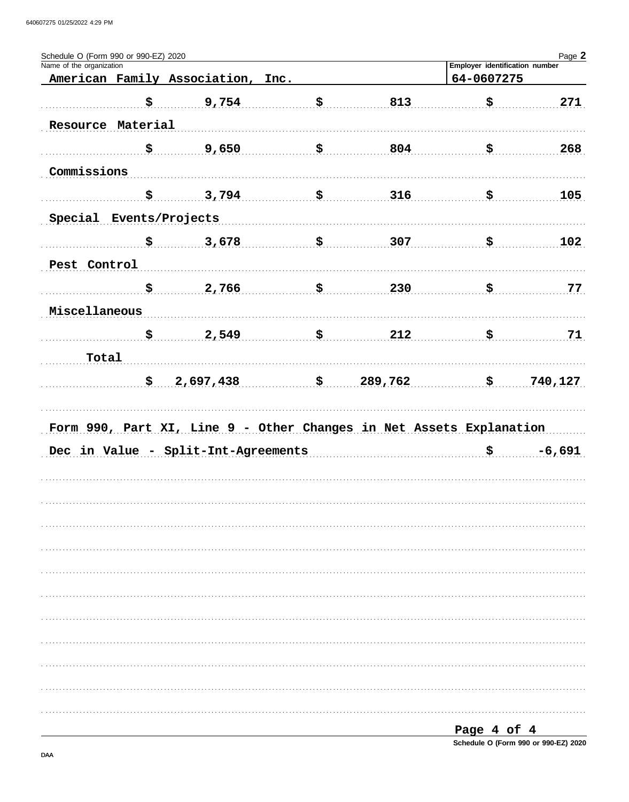| Schedule O (Form 990 or 990-EZ) 2020<br>Name of the organization |                                                                     |                             |         | Employer identification number | Page 2    |
|------------------------------------------------------------------|---------------------------------------------------------------------|-----------------------------|---------|--------------------------------|-----------|
|                                                                  | American Family Association, Inc.                                   |                             |         | 64-0607275                     |           |
|                                                                  | \$<br>9,754                                                         | \$                          | 813     | \$                             | 271       |
| Resource Material                                                |                                                                     |                             |         |                                |           |
|                                                                  |                                                                     |                             |         |                                |           |
|                                                                  | \$ 9,650                                                            | \$                          | 804     | \$                             | 268       |
| Commissions                                                      |                                                                     |                             |         |                                |           |
|                                                                  | $\boldsymbol{\mathsf{S}}$<br>3,794                                  | $\boldsymbol{\mathsf{S}}$ . | 316     | \$.                            | 105.      |
| Special Events/Projects                                          |                                                                     |                             |         |                                |           |
|                                                                  | \$<br>3,678                                                         | \$                          | 307     | \$                             | 102       |
| Pest Control                                                     |                                                                     |                             |         |                                |           |
|                                                                  | \$<br>2,766                                                         | \$                          | 230     | \$                             | 77.       |
|                                                                  |                                                                     |                             |         |                                |           |
| Miscellaneous                                                    |                                                                     |                             |         |                                |           |
|                                                                  | \$<br>2,549                                                         | \$                          | 212     | \$                             | 71        |
| Total                                                            |                                                                     |                             |         |                                |           |
|                                                                  | \$<br>2,697,438                                                     | $\boldsymbol{\mathsf{S}}$   | 289,762 |                                | \$740,127 |
|                                                                  |                                                                     |                             |         |                                |           |
|                                                                  | Form 990, Part XI, Line 9 - Other Changes in Net Assets Explanation |                             |         |                                |           |
|                                                                  | Dec in Value - Split-Int-Agreements                                 |                             |         | \$                             | $-6,691$  |
|                                                                  |                                                                     |                             |         |                                |           |
|                                                                  |                                                                     |                             |         |                                |           |
|                                                                  |                                                                     |                             |         |                                |           |
|                                                                  |                                                                     |                             |         |                                |           |
|                                                                  |                                                                     |                             |         |                                |           |
|                                                                  |                                                                     |                             |         |                                |           |
|                                                                  |                                                                     |                             |         |                                |           |
|                                                                  |                                                                     |                             |         |                                |           |
|                                                                  |                                                                     |                             |         |                                |           |
|                                                                  |                                                                     |                             |         |                                |           |
|                                                                  |                                                                     |                             |         |                                |           |
|                                                                  |                                                                     |                             |         |                                |           |
|                                                                  |                                                                     |                             |         | Page 4 of 4                    |           |

Schedule O (Form 990 or 990-EZ) 2020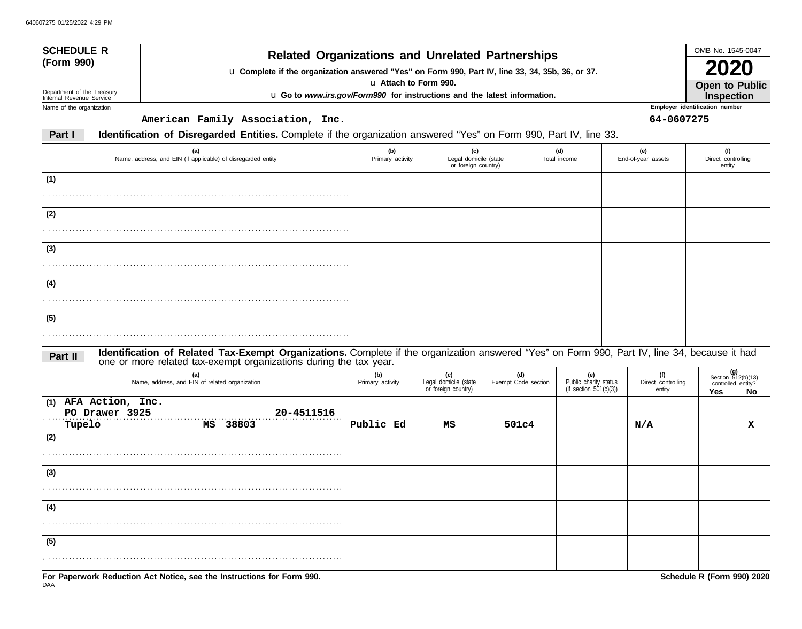| <b>SCHEDULE R</b>                                      |                      | <b>Related Organizations and Unrelated Partnerships</b>                                                                                                                                                            |                         |                                                     |                            |                                                        |     |                                     | OMB No. 1545-0047                          |                                                 |
|--------------------------------------------------------|----------------------|--------------------------------------------------------------------------------------------------------------------------------------------------------------------------------------------------------------------|-------------------------|-----------------------------------------------------|----------------------------|--------------------------------------------------------|-----|-------------------------------------|--------------------------------------------|-------------------------------------------------|
| (Form 990)                                             |                      | u Complete if the organization answered "Yes" on Form 990, Part IV, line 33, 34, 35b, 36, or 37.                                                                                                                   |                         |                                                     |                            |                                                        |     |                                     |                                            |                                                 |
| Department of the Treasury<br>Internal Revenue Service |                      | u Go to www.irs.gov/Form990 for instructions and the latest information.                                                                                                                                           | u Attach to Form 990.   |                                                     |                            |                                                        |     |                                     | <b>Open to Public</b><br><b>Inspection</b> |                                                 |
| Name of the organization                               |                      |                                                                                                                                                                                                                    |                         |                                                     |                            |                                                        |     | Employer identification number      |                                            |                                                 |
|                                                        |                      | American Family Association, Inc.                                                                                                                                                                                  |                         |                                                     |                            |                                                        |     | 64-0607275                          |                                            |                                                 |
| Part I                                                 |                      | Identification of Disregarded Entities. Complete if the organization answered "Yes" on Form 990, Part IV, line 33.                                                                                                 |                         |                                                     |                            |                                                        |     |                                     |                                            |                                                 |
|                                                        |                      | (a)<br>Name, address, and EIN (if applicable) of disregarded entity                                                                                                                                                | (b)<br>Primary activity | (c)<br>Legal domicile (state<br>or foreign country) |                            | (d)<br>Total income                                    |     | (e)<br>End-of-year assets           | (f)<br>Direct controlling<br>entity        |                                                 |
| (1)                                                    |                      |                                                                                                                                                                                                                    |                         |                                                     |                            |                                                        |     |                                     |                                            |                                                 |
|                                                        |                      |                                                                                                                                                                                                                    |                         |                                                     |                            |                                                        |     |                                     |                                            |                                                 |
| (2)                                                    |                      |                                                                                                                                                                                                                    |                         |                                                     |                            |                                                        |     |                                     |                                            |                                                 |
|                                                        |                      |                                                                                                                                                                                                                    |                         |                                                     |                            |                                                        |     |                                     |                                            |                                                 |
| (3)                                                    |                      |                                                                                                                                                                                                                    |                         |                                                     |                            |                                                        |     |                                     |                                            |                                                 |
|                                                        |                      |                                                                                                                                                                                                                    |                         |                                                     |                            |                                                        |     |                                     |                                            |                                                 |
| (4)                                                    |                      |                                                                                                                                                                                                                    |                         |                                                     |                            |                                                        |     |                                     |                                            |                                                 |
|                                                        |                      |                                                                                                                                                                                                                    |                         |                                                     |                            |                                                        |     |                                     |                                            |                                                 |
| (5)                                                    |                      |                                                                                                                                                                                                                    |                         |                                                     |                            |                                                        |     |                                     |                                            |                                                 |
|                                                        |                      |                                                                                                                                                                                                                    |                         |                                                     |                            |                                                        |     |                                     |                                            |                                                 |
| Part II                                                |                      | Identification of Related Tax-Exempt Organizations. Complete if the organization answered "Yes" on Form 990, Part IV, line 34, because it had<br>one or more related tax-exempt organizations during the tax year. |                         |                                                     |                            |                                                        |     |                                     |                                            |                                                 |
|                                                        |                      | (a)<br>Name, address, and EIN of related organization                                                                                                                                                              | (b)<br>Primary activity | (c)<br>Legal domicile (state<br>or foreign country) | (d)<br>Exempt Code section | (e)<br>Public charity status<br>(if section 501(c)(3)) |     | (f)<br>Direct controlling<br>entity |                                            | (g)<br>Section 512(b)(13)<br>controlled entity? |
|                                                        | (1) AFA Action, Inc. |                                                                                                                                                                                                                    |                         |                                                     |                            |                                                        |     |                                     | Yes                                        | No                                              |
|                                                        | PO Drawer 3925       | 20-4511516                                                                                                                                                                                                         |                         |                                                     |                            |                                                        |     |                                     |                                            |                                                 |
| Tupelo<br>(2)                                          |                      | 38803<br>MS                                                                                                                                                                                                        | Public Ed               | MS                                                  | 501c4                      |                                                        | N/A |                                     |                                            | х                                               |
|                                                        |                      |                                                                                                                                                                                                                    |                         |                                                     |                            |                                                        |     |                                     |                                            |                                                 |
| (3)                                                    |                      |                                                                                                                                                                                                                    |                         |                                                     |                            |                                                        |     |                                     |                                            |                                                 |
|                                                        |                      |                                                                                                                                                                                                                    |                         |                                                     |                            |                                                        |     |                                     |                                            |                                                 |
| (4)                                                    |                      |                                                                                                                                                                                                                    |                         |                                                     |                            |                                                        |     |                                     |                                            |                                                 |
|                                                        |                      |                                                                                                                                                                                                                    |                         |                                                     |                            |                                                        |     |                                     |                                            |                                                 |
| (5)                                                    |                      |                                                                                                                                                                                                                    |                         |                                                     |                            |                                                        |     |                                     |                                            |                                                 |
|                                                        |                      |                                                                                                                                                                                                                    |                         |                                                     |                            |                                                        |     |                                     |                                            |                                                 |
|                                                        |                      | For Paperwork Reduction Act Notice, see the Instructions for Form 990.                                                                                                                                             |                         |                                                     |                            |                                                        |     |                                     | Schedule R (Form 990) 2020                 |                                                 |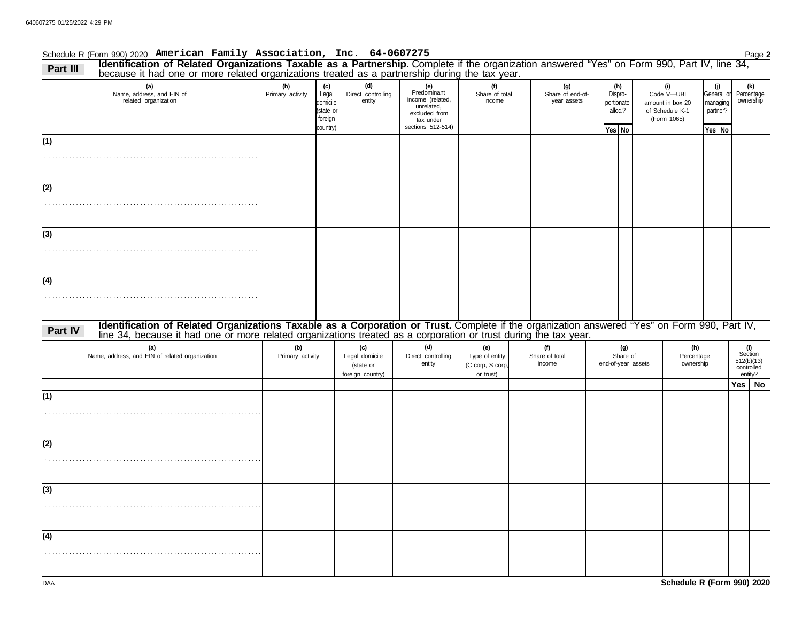## Schedule R (Form 990) 2020 Page **2 American Family Association, Inc. 64-0607275**

**Part III Identification of Related Organizations Taxable as a Partnership.** Complete if the organization answered "Yes" on Form 990, Part IV, line 34, because it had one or more related organizations treated as a partnership during the tax year.

| (a)<br>Name, address, and EIN of<br>related organization                                                                                                                                                                                                                    | (b)<br>Primary activity | (c)<br>Legal<br>domicile<br>state or<br>foreign | (d)<br>Direct controlling<br>entity                    | (e)<br>Predominant<br>income (related,<br>unrelated,<br>excluded from<br>tax under | (f)<br>Share of total<br>income           | (g)<br>Share of end-of-<br>year assets | (h)<br>Dispro-<br>portionate<br>alloc.? | (i)<br>Code V-UBI<br>amount in box 20<br>of Schedule K-1<br>(Form 1065) | (j)<br>General or<br>managing<br>partner? | (k)<br>Percentage<br>ownership                        |
|-----------------------------------------------------------------------------------------------------------------------------------------------------------------------------------------------------------------------------------------------------------------------------|-------------------------|-------------------------------------------------|--------------------------------------------------------|------------------------------------------------------------------------------------|-------------------------------------------|----------------------------------------|-----------------------------------------|-------------------------------------------------------------------------|-------------------------------------------|-------------------------------------------------------|
|                                                                                                                                                                                                                                                                             |                         | country)                                        |                                                        | sections 512-514)                                                                  |                                           |                                        | Yes No                                  |                                                                         | Yes No                                    |                                                       |
| (1)                                                                                                                                                                                                                                                                         |                         |                                                 |                                                        |                                                                                    |                                           |                                        |                                         |                                                                         |                                           |                                                       |
|                                                                                                                                                                                                                                                                             |                         |                                                 |                                                        |                                                                                    |                                           |                                        |                                         |                                                                         |                                           |                                                       |
| (2)                                                                                                                                                                                                                                                                         |                         |                                                 |                                                        |                                                                                    |                                           |                                        |                                         |                                                                         |                                           |                                                       |
|                                                                                                                                                                                                                                                                             |                         |                                                 |                                                        |                                                                                    |                                           |                                        |                                         |                                                                         |                                           |                                                       |
| (3)                                                                                                                                                                                                                                                                         |                         |                                                 |                                                        |                                                                                    |                                           |                                        |                                         |                                                                         |                                           |                                                       |
|                                                                                                                                                                                                                                                                             |                         |                                                 |                                                        |                                                                                    |                                           |                                        |                                         |                                                                         |                                           |                                                       |
| (4)                                                                                                                                                                                                                                                                         |                         |                                                 |                                                        |                                                                                    |                                           |                                        |                                         |                                                                         |                                           |                                                       |
|                                                                                                                                                                                                                                                                             |                         |                                                 |                                                        |                                                                                    |                                           |                                        |                                         |                                                                         |                                           |                                                       |
| Identification of Related Organizations Taxable as a Corporation or Trust. Complete if the organization answered "Yes" on Form 990, Part IV,<br>Part IV<br>line 34, because it had one or more related organizations treated as a corporation or trust during the tax year. |                         |                                                 |                                                        |                                                                                    |                                           |                                        |                                         |                                                                         |                                           |                                                       |
| (a)<br>Name, address, and EIN of related organization                                                                                                                                                                                                                       | (b)<br>Primary activity |                                                 | (c)<br>Legal domicile<br>(state or<br>foreign country) | (d)<br>Direct controlling<br>entity                                                | (e)<br>Type of entity<br>(C corp, S corp, | (f)<br>Share of total<br>income        | (g)<br>Share of<br>end-of-year assets   | (h)<br>Percentage<br>ownership                                          |                                           | (i)<br>Section<br>512(b)(13)<br>controlled<br>entity? |
|                                                                                                                                                                                                                                                                             |                         |                                                 |                                                        |                                                                                    |                                           |                                        |                                         |                                                                         |                                           | $Yes \mid No$                                         |
| (1)                                                                                                                                                                                                                                                                         |                         |                                                 |                                                        |                                                                                    | or trust)                                 |                                        |                                         |                                                                         |                                           |                                                       |
|                                                                                                                                                                                                                                                                             |                         |                                                 |                                                        |                                                                                    |                                           |                                        |                                         |                                                                         |                                           |                                                       |
|                                                                                                                                                                                                                                                                             |                         |                                                 |                                                        |                                                                                    |                                           |                                        |                                         |                                                                         |                                           |                                                       |
| (2)                                                                                                                                                                                                                                                                         |                         |                                                 |                                                        |                                                                                    |                                           |                                        |                                         |                                                                         |                                           |                                                       |
|                                                                                                                                                                                                                                                                             |                         |                                                 |                                                        |                                                                                    |                                           |                                        |                                         |                                                                         |                                           |                                                       |
|                                                                                                                                                                                                                                                                             |                         |                                                 |                                                        |                                                                                    |                                           |                                        |                                         |                                                                         |                                           |                                                       |
| (3)                                                                                                                                                                                                                                                                         |                         |                                                 |                                                        |                                                                                    |                                           |                                        |                                         |                                                                         |                                           |                                                       |
|                                                                                                                                                                                                                                                                             |                         |                                                 |                                                        |                                                                                    |                                           |                                        |                                         |                                                                         |                                           |                                                       |
| (4)                                                                                                                                                                                                                                                                         |                         |                                                 |                                                        |                                                                                    |                                           |                                        |                                         |                                                                         |                                           |                                                       |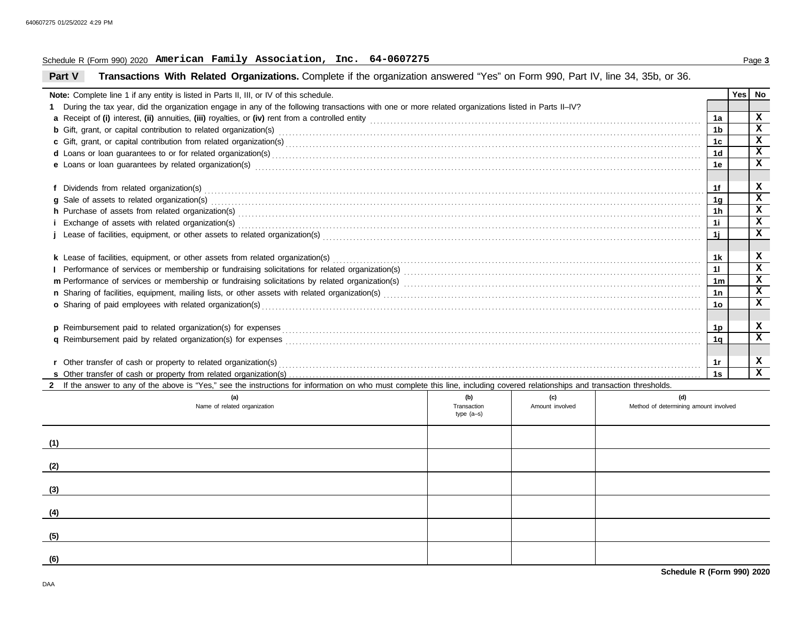## Schedule R (Form 990) 2020 Page **3 American Family Association, Inc. 64-0607275**

# **Part V Transactions With Related Organizations.** Complete if the organization answered "Yes" on Form 990, Part IV, line 34, 35b, or 36.

|                                                                                                                                                                                                                                | Note: Complete line 1 if any entity is listed in Parts II, III, or IV of this schedule.                                                                                                                                        |                             |                 |                                       |                | Yes | No           |  |
|--------------------------------------------------------------------------------------------------------------------------------------------------------------------------------------------------------------------------------|--------------------------------------------------------------------------------------------------------------------------------------------------------------------------------------------------------------------------------|-----------------------------|-----------------|---------------------------------------|----------------|-----|--------------|--|
|                                                                                                                                                                                                                                | 1 During the tax year, did the organization engage in any of the following transactions with one or more related organizations listed in Parts II–IV?                                                                          |                             |                 |                                       |                |     |              |  |
|                                                                                                                                                                                                                                |                                                                                                                                                                                                                                |                             |                 |                                       | 1a             |     | $\mathbf{x}$ |  |
|                                                                                                                                                                                                                                |                                                                                                                                                                                                                                |                             |                 |                                       | 1 <sub>b</sub> |     | $\mathbf{x}$ |  |
| c Gift, grant, or capital contribution from related organization(s) expression contains an expression contribution from related organization(s) expression contains and contribution from related organization(s) expression c |                                                                                                                                                                                                                                |                             |                 |                                       |                |     |              |  |
|                                                                                                                                                                                                                                |                                                                                                                                                                                                                                |                             |                 |                                       |                |     |              |  |
|                                                                                                                                                                                                                                | e Loans or loan guarantees by related organization(s) encourance contract the contract of contract or loan guarantees by related organization(s)                                                                               |                             |                 |                                       | 1e             |     | $\mathbf{x}$ |  |
|                                                                                                                                                                                                                                |                                                                                                                                                                                                                                |                             |                 |                                       |                |     |              |  |
|                                                                                                                                                                                                                                | f Dividends from related organization(s)                                                                                                                                                                                       |                             |                 |                                       | 1f             |     | x            |  |
|                                                                                                                                                                                                                                | g Sale of assets to related organization(s) encourance and contact the control of the set of assets to related organization(s)                                                                                                 |                             |                 |                                       | 1 <sub>q</sub> |     | X            |  |
|                                                                                                                                                                                                                                |                                                                                                                                                                                                                                |                             |                 |                                       | 1h             |     | $\mathbf{x}$ |  |
|                                                                                                                                                                                                                                |                                                                                                                                                                                                                                |                             |                 |                                       | <u>1i</u>      |     | $\mathbf{x}$ |  |
|                                                                                                                                                                                                                                |                                                                                                                                                                                                                                |                             |                 |                                       | 1j             |     | $\mathbf{x}$ |  |
|                                                                                                                                                                                                                                |                                                                                                                                                                                                                                |                             |                 |                                       |                |     |              |  |
|                                                                                                                                                                                                                                |                                                                                                                                                                                                                                |                             |                 |                                       | 1k             |     | x            |  |
|                                                                                                                                                                                                                                |                                                                                                                                                                                                                                |                             |                 |                                       | 11             |     | $\mathbf{x}$ |  |
|                                                                                                                                                                                                                                |                                                                                                                                                                                                                                |                             |                 |                                       | 1 <sub>m</sub> |     | X            |  |
|                                                                                                                                                                                                                                |                                                                                                                                                                                                                                |                             |                 |                                       | 1n             |     | $\mathbf{x}$ |  |
|                                                                                                                                                                                                                                | o Sharing of paid employees with related organization(s) encourance contains an account of the state of paid employees with related organization(s) encourance contains a state of Sharing of paid employees with related orga |                             |                 |                                       | 1о             |     | x            |  |
|                                                                                                                                                                                                                                |                                                                                                                                                                                                                                |                             |                 |                                       |                |     |              |  |
|                                                                                                                                                                                                                                |                                                                                                                                                                                                                                |                             |                 |                                       | -1p            |     | x            |  |
|                                                                                                                                                                                                                                |                                                                                                                                                                                                                                |                             |                 |                                       | 1α             |     | $\mathbf{x}$ |  |
|                                                                                                                                                                                                                                |                                                                                                                                                                                                                                |                             |                 |                                       |                |     |              |  |
|                                                                                                                                                                                                                                |                                                                                                                                                                                                                                |                             |                 |                                       | 1r             |     | x            |  |
|                                                                                                                                                                                                                                |                                                                                                                                                                                                                                |                             |                 |                                       | 1s             |     | $\mathbf{x}$ |  |
|                                                                                                                                                                                                                                | 2 If the answer to any of the above is "Yes," see the instructions for information on who must complete this line, including covered relationships and transaction thresholds.                                                 |                             |                 |                                       |                |     |              |  |
|                                                                                                                                                                                                                                | (a)                                                                                                                                                                                                                            | (b)                         | (c)             | (d)                                   |                |     |              |  |
|                                                                                                                                                                                                                                | Name of related organization                                                                                                                                                                                                   | Transaction<br>type $(a-s)$ | Amount involved | Method of determining amount involved |                |     |              |  |
|                                                                                                                                                                                                                                |                                                                                                                                                                                                                                |                             |                 |                                       |                |     |              |  |
|                                                                                                                                                                                                                                |                                                                                                                                                                                                                                |                             |                 |                                       |                |     |              |  |
| (1)                                                                                                                                                                                                                            |                                                                                                                                                                                                                                |                             |                 |                                       |                |     |              |  |
|                                                                                                                                                                                                                                |                                                                                                                                                                                                                                |                             |                 |                                       |                |     |              |  |

**(2)**

**(3)**

**(4)**

**(5)**

**(6)**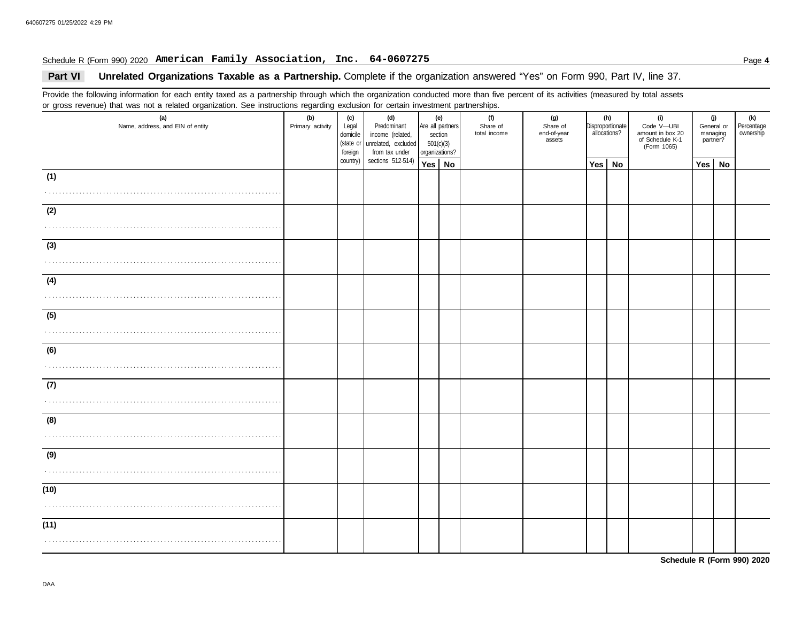### Schedule R (Form 990) 2020 Page **4 American Family Association, Inc. 64-0607275**

# **Part VI** Unrelated Organizations Taxable as a Partnership. Complete if the organization answered "Yes" on Form 990, Part IV, line 37.

Provide the following information for each entity taxed as a partnership through which the organization conducted more than five percent of its activities (measured by total assets or gross revenue) that was not a related organization. See instructions regarding exclusion for certain investment partnerships.

| (a)<br>Name, address, and EIN of entity                                                                                                                                                              | . <del>.</del><br>∵ອ<br>(b)<br>Primary activity | (c)<br>Legal<br>domicile<br>foreign | (d)<br>Predominant<br>income (related,<br>(state or unrelated, excluded<br>from tax under | (e)<br>Are all partners<br>section<br>501(c)(3)<br>organizations? | (f)<br>Share of<br>total income | (g)<br>Share of<br>end-of-year<br>assets | Disproportionate<br>allocations? | (h) | (i)<br>Code V-UBI<br>amount in box 20<br>of Schedule K-1<br>(Form 1065) | (j)<br>General or<br>managing<br>partner? | (k)<br>Percentage<br>ownership |
|------------------------------------------------------------------------------------------------------------------------------------------------------------------------------------------------------|-------------------------------------------------|-------------------------------------|-------------------------------------------------------------------------------------------|-------------------------------------------------------------------|---------------------------------|------------------------------------------|----------------------------------|-----|-------------------------------------------------------------------------|-------------------------------------------|--------------------------------|
|                                                                                                                                                                                                      |                                                 | country)                            | sections 512-514)                                                                         | Yes   No                                                          |                                 |                                          | Yes No                           |     |                                                                         | Yes   No                                  |                                |
| (1)                                                                                                                                                                                                  |                                                 |                                     |                                                                                           |                                                                   |                                 |                                          |                                  |     |                                                                         |                                           |                                |
|                                                                                                                                                                                                      |                                                 |                                     |                                                                                           |                                                                   |                                 |                                          |                                  |     |                                                                         |                                           |                                |
| (2)                                                                                                                                                                                                  |                                                 |                                     |                                                                                           |                                                                   |                                 |                                          |                                  |     |                                                                         |                                           |                                |
|                                                                                                                                                                                                      |                                                 |                                     |                                                                                           |                                                                   |                                 |                                          |                                  |     |                                                                         |                                           |                                |
| (3)                                                                                                                                                                                                  |                                                 |                                     |                                                                                           |                                                                   |                                 |                                          |                                  |     |                                                                         |                                           |                                |
| .                                                                                                                                                                                                    |                                                 |                                     |                                                                                           |                                                                   |                                 |                                          |                                  |     |                                                                         |                                           |                                |
| (4)                                                                                                                                                                                                  |                                                 |                                     |                                                                                           |                                                                   |                                 |                                          |                                  |     |                                                                         |                                           |                                |
| $\mathcal{L}^{\mathcal{A}}\left( \mathcal{A}^{\mathcal{A}}\right) \mathcal{A}^{\mathcal{A}}\left( \mathcal{A}^{\mathcal{A}}\right) \mathcal{A}^{\mathcal{A}}\left( \mathcal{A}^{\mathcal{A}}\right)$ |                                                 |                                     |                                                                                           |                                                                   |                                 |                                          |                                  |     |                                                                         |                                           |                                |
| (5)                                                                                                                                                                                                  |                                                 |                                     |                                                                                           |                                                                   |                                 |                                          |                                  |     |                                                                         |                                           |                                |
|                                                                                                                                                                                                      |                                                 |                                     |                                                                                           |                                                                   |                                 |                                          |                                  |     |                                                                         |                                           |                                |
| (6)                                                                                                                                                                                                  |                                                 |                                     |                                                                                           |                                                                   |                                 |                                          |                                  |     |                                                                         |                                           |                                |
| .                                                                                                                                                                                                    |                                                 |                                     |                                                                                           |                                                                   |                                 |                                          |                                  |     |                                                                         |                                           |                                |
| (7)                                                                                                                                                                                                  |                                                 |                                     |                                                                                           |                                                                   |                                 |                                          |                                  |     |                                                                         |                                           |                                |
|                                                                                                                                                                                                      |                                                 |                                     |                                                                                           |                                                                   |                                 |                                          |                                  |     |                                                                         |                                           |                                |
| (8)                                                                                                                                                                                                  |                                                 |                                     |                                                                                           |                                                                   |                                 |                                          |                                  |     |                                                                         |                                           |                                |
|                                                                                                                                                                                                      |                                                 |                                     |                                                                                           |                                                                   |                                 |                                          |                                  |     |                                                                         |                                           |                                |
| (9)                                                                                                                                                                                                  |                                                 |                                     |                                                                                           |                                                                   |                                 |                                          |                                  |     |                                                                         |                                           |                                |
|                                                                                                                                                                                                      |                                                 |                                     |                                                                                           |                                                                   |                                 |                                          |                                  |     |                                                                         |                                           |                                |
| (10)                                                                                                                                                                                                 |                                                 |                                     |                                                                                           |                                                                   |                                 |                                          |                                  |     |                                                                         |                                           |                                |
|                                                                                                                                                                                                      |                                                 |                                     |                                                                                           |                                                                   |                                 |                                          |                                  |     |                                                                         |                                           |                                |
| (11)                                                                                                                                                                                                 |                                                 |                                     |                                                                                           |                                                                   |                                 |                                          |                                  |     |                                                                         |                                           |                                |
|                                                                                                                                                                                                      |                                                 |                                     |                                                                                           |                                                                   |                                 |                                          |                                  |     |                                                                         |                                           |                                |

**Schedule R (Form 990) 2020**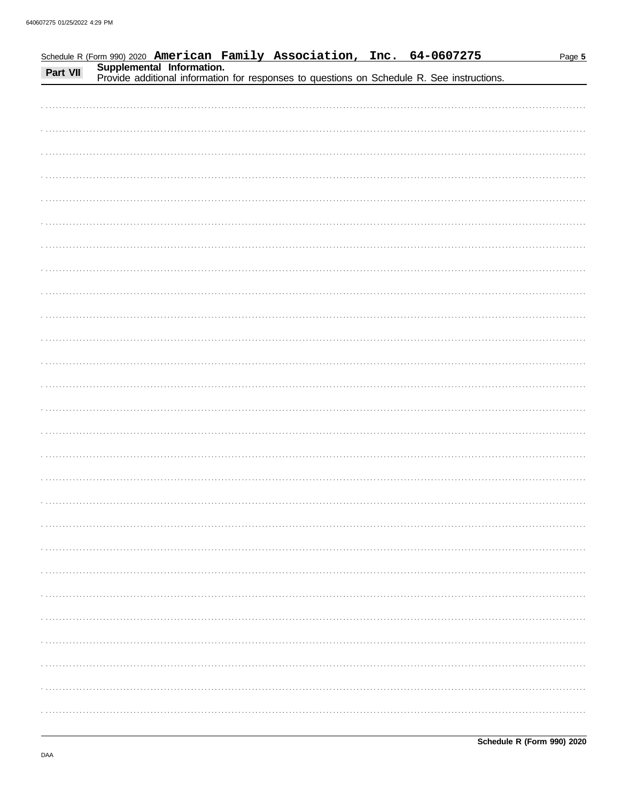| Schedule R (Form 990) 2020 American Family Association, Inc. 64-0607275<br>Part VII Supplemental Information.<br>Provide additional information for responses to questions on Schedule R. See instructions. |  |  |  | Page 5 |
|-------------------------------------------------------------------------------------------------------------------------------------------------------------------------------------------------------------|--|--|--|--------|
|                                                                                                                                                                                                             |  |  |  |        |
|                                                                                                                                                                                                             |  |  |  |        |
|                                                                                                                                                                                                             |  |  |  |        |
|                                                                                                                                                                                                             |  |  |  |        |
|                                                                                                                                                                                                             |  |  |  |        |
|                                                                                                                                                                                                             |  |  |  |        |
|                                                                                                                                                                                                             |  |  |  |        |
|                                                                                                                                                                                                             |  |  |  |        |
|                                                                                                                                                                                                             |  |  |  |        |
|                                                                                                                                                                                                             |  |  |  |        |
|                                                                                                                                                                                                             |  |  |  |        |
|                                                                                                                                                                                                             |  |  |  |        |
|                                                                                                                                                                                                             |  |  |  |        |
|                                                                                                                                                                                                             |  |  |  |        |
|                                                                                                                                                                                                             |  |  |  |        |
|                                                                                                                                                                                                             |  |  |  |        |
|                                                                                                                                                                                                             |  |  |  |        |
|                                                                                                                                                                                                             |  |  |  |        |
|                                                                                                                                                                                                             |  |  |  |        |
|                                                                                                                                                                                                             |  |  |  |        |
|                                                                                                                                                                                                             |  |  |  |        |
|                                                                                                                                                                                                             |  |  |  |        |
|                                                                                                                                                                                                             |  |  |  |        |
|                                                                                                                                                                                                             |  |  |  |        |
|                                                                                                                                                                                                             |  |  |  |        |
|                                                                                                                                                                                                             |  |  |  |        |
|                                                                                                                                                                                                             |  |  |  |        |
|                                                                                                                                                                                                             |  |  |  |        |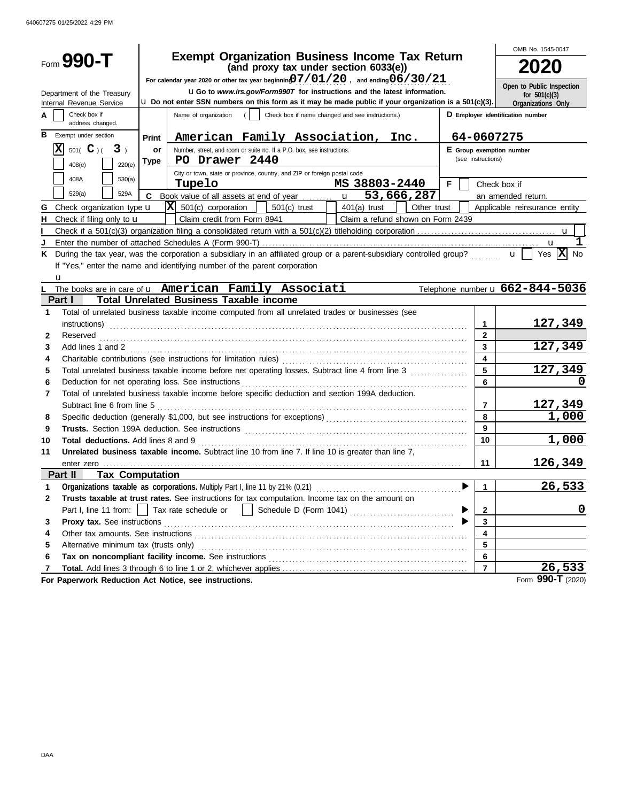|              |                                                    |              |                                                                                                                                      |    |                         | OMB No. 1545-0047                            |
|--------------|----------------------------------------------------|--------------|--------------------------------------------------------------------------------------------------------------------------------------|----|-------------------------|----------------------------------------------|
|              | Form $990 - T$                                     |              | <b>Exempt Organization Business Income Tax Return</b><br>(and proxy tax under section 6033(e))                                       |    |                         |                                              |
|              |                                                    |              | For calendar year 2020 or other tax year beginning $07/01/20$ , and ending $06/30/21$                                                |    |                         |                                              |
|              | Department of the Treasury                         |              | <b>uGo</b> to www.irs.gov/Form990T for instructions and the latest information.                                                      |    |                         | Open to Public Inspection<br>for $501(c)(3)$ |
|              | Internal Revenue Service                           |              | u Do not enter SSN numbers on this form as it may be made public if your organization is a 501(c)(3).                                |    |                         | Organizations Only                           |
|              | Check box if<br>address changed.                   |              | Name of organization<br>Check box if name changed and see instructions.)                                                             |    |                         | D Employer identification number             |
| в            | Exempt under section                               | <b>Print</b> | American Family Association, Inc.                                                                                                    |    | 64-0607275              |                                              |
|              | $501($ C $)($ 3 $)$                                | or           | Number, street, and room or suite no. If a P.O. box, see instructions.                                                               |    |                         | E Group exemption number                     |
|              | 220(e)<br>408(e)                                   | <b>Type</b>  | PO Drawer 2440                                                                                                                       |    | (see instructions)      |                                              |
|              |                                                    |              | City or town, state or province, country, and ZIP or foreign postal code                                                             |    |                         |                                              |
|              | 408A<br>530(a)                                     |              | MS 38803-2440<br>Tupelo                                                                                                              | F. | Check box if            |                                              |
|              | 529(a)<br>529A                                     |              | 53,666,287<br>C Book value of all assets at end of year  u                                                                           |    |                         | an amended return.                           |
| G            | Check organization type u                          |              | $ \mathbf{X} $ 501(c) corporation<br>$401(a)$ trust<br>Other trust<br>$501(c)$ trust                                                 |    |                         | Applicable reinsurance entity                |
| н            | Check if filing only to $\mathbf u$                |              | Claim credit from Form 8941<br>Claim a refund shown on Form 2439                                                                     |    |                         |                                              |
|              |                                                    |              |                                                                                                                                      |    |                         |                                              |
|              |                                                    |              |                                                                                                                                      |    |                         |                                              |
|              |                                                    |              | K During the tax year, was the corporation a subsidiary in an affiliated group or a parent-subsidiary controlled group? $\mathbf{u}$ |    |                         | Yes $ X $ No                                 |
|              |                                                    |              | If "Yes," enter the name and identifying number of the parent corporation                                                            |    |                         |                                              |
|              | u                                                  |              |                                                                                                                                      |    |                         |                                              |
|              |                                                    |              | The books are in care of <b>u</b> American Family Associati                                                                          |    |                         | Telephone number u 662-844-5036              |
|              | Part I                                             |              | <b>Total Unrelated Business Taxable income</b>                                                                                       |    |                         |                                              |
| 1            |                                                    |              | Total of unrelated business taxable income computed from all unrelated trades or businesses (see                                     |    |                         |                                              |
|              | instructions)                                      |              |                                                                                                                                      |    | 1                       | 127,349                                      |
| 2            | Reserved                                           |              |                                                                                                                                      |    | $\overline{2}$<br>3     |                                              |
| 3            | Add lines 1 and 2                                  |              |                                                                                                                                      |    | $\overline{\mathbf{4}}$ | 127,349                                      |
| 4            |                                                    |              |                                                                                                                                      |    | 5                       |                                              |
| 5            | Deduction for net operating loss. See instructions |              | Total unrelated business taxable income before net operating losses. Subtract line 4 from line 3                                     |    | 6                       | 127,349                                      |
| 6<br>7       |                                                    |              | Total of unrelated business taxable income before specific deduction and section 199A deduction.                                     |    |                         |                                              |
|              | Subtract line 6 from line 5                        |              |                                                                                                                                      |    | $\overline{7}$          | <u>127,349</u>                               |
| 8            |                                                    |              |                                                                                                                                      |    | 8                       | 1,000                                        |
| 9            |                                                    |              |                                                                                                                                      |    | $\overline{9}$          |                                              |
| 10           |                                                    |              |                                                                                                                                      |    | 10                      | 1,000                                        |
| 11           |                                                    |              | Unrelated business taxable income. Subtract line 10 from line 7. If line 10 is greater than line 7,                                  |    |                         |                                              |
|              |                                                    |              |                                                                                                                                      |    | 11                      | 126,349                                      |
|              | <b>Tax Computation</b><br>Part II                  |              |                                                                                                                                      |    |                         |                                              |
| 1            |                                                    |              | Organizations taxable as corporations. Multiply Part I, line 11 by 21% (0.21)                                                        |    | 1                       | 26,533                                       |
| $\mathbf{2}$ |                                                    |              | Trusts taxable at trust rates. See instructions for tax computation. Income tax on the amount on                                     |    |                         |                                              |
|              | Part I, line 11 from:                              |              | Tax rate schedule or                                                                                                                 |    | 2                       | 0                                            |
| 3            | Proxy tax. See instructions                        |              |                                                                                                                                      |    | 3                       |                                              |
| 4            | Other tax amounts. See instructions                |              |                                                                                                                                      |    | 4                       |                                              |
| 5            | Alternative minimum tax (trusts only)              |              |                                                                                                                                      |    | 5                       |                                              |
| 6            |                                                    |              | Tax on noncompliant facility income. See instructions                                                                                |    | 6                       |                                              |
|              |                                                    |              |                                                                                                                                      |    | $\overline{7}$          | <u>26,533</u>                                |
|              |                                                    |              |                                                                                                                                      |    |                         |                                              |

**For Paperwork Reduction Act Notice, see instructions.**

Form **990-T** (2020)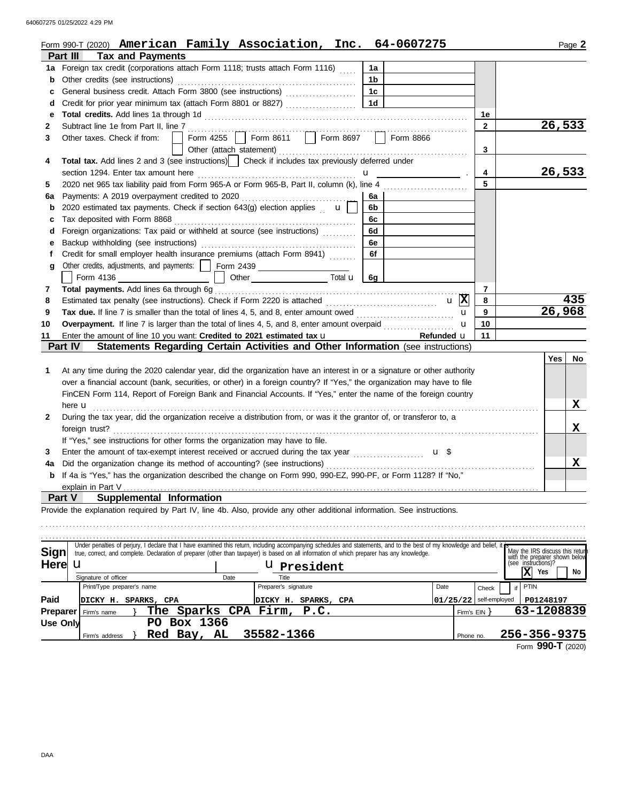|              | Form 990-T (2020) American Family Association, Inc. 64-0607275                                                                                                                                                                                                                     |                |                                                                                        |        | Page 2 |
|--------------|------------------------------------------------------------------------------------------------------------------------------------------------------------------------------------------------------------------------------------------------------------------------------------|----------------|----------------------------------------------------------------------------------------|--------|--------|
|              | <b>Tax and Payments</b><br>Part III                                                                                                                                                                                                                                                |                |                                                                                        |        |        |
| 1a           | Foreign tax credit (corporations attach Form 1118; trusts attach Form 1116)<br>1a                                                                                                                                                                                                  |                |                                                                                        |        |        |
| b            | Other credits (see instructions)<br>1b                                                                                                                                                                                                                                             |                |                                                                                        |        |        |
| c            | General business credit. Attach Form 3800 (see instructions) [[[[[[[[[[[[[[[[[[[[[[]]]]]]]]]<br>1 <sub>c</sub>                                                                                                                                                                     |                |                                                                                        |        |        |
| d            | 1 <sub>d</sub><br>Credit for prior year minimum tax (attach Form 8801 or 8827)                                                                                                                                                                                                     |                |                                                                                        |        |        |
| е            | Total credits. Add lines 1a through 1d                                                                                                                                                                                                                                             | 1e             |                                                                                        |        |        |
| 2            | Subtract line 1e from Part II, line 7                                                                                                                                                                                                                                              | $\mathbf{2}$   |                                                                                        | 26,533 |        |
| 3            | Form 8611   Form 8697<br>Form 8866<br>Form 4255<br>Other taxes. Check if from:                                                                                                                                                                                                     | 3              |                                                                                        |        |        |
| 4            | Total tax. Add lines 2 and 3 (see instructions)   Check if includes tax previously deferred under                                                                                                                                                                                  |                |                                                                                        |        |        |
|              | u                                                                                                                                                                                                                                                                                  | 4              |                                                                                        | 26,533 |        |
| 5            | 2020 net 965 tax liability paid from Form 965-A or Form 965-B, Part II, column (k), line 4                                                                                                                                                                                         | 5              |                                                                                        |        |        |
| 6a           | Payments: A 2019 overpayment credited to 2020<br>6а                                                                                                                                                                                                                                |                |                                                                                        |        |        |
| b            | 2020 estimated tax payments. Check if section 643(g) election applies $\mathbf{u}$    <br>6b                                                                                                                                                                                       |                |                                                                                        |        |        |
| c            | Tax deposited with Form 8868<br>6с                                                                                                                                                                                                                                                 |                |                                                                                        |        |        |
| d            | Foreign organizations: Tax paid or withheld at source (see instructions)<br>6d                                                                                                                                                                                                     |                |                                                                                        |        |        |
| е            | Backup withholding (see instructions)<br>6е                                                                                                                                                                                                                                        |                |                                                                                        |        |        |
| f            | Credit for small employer health insurance premiums (attach Form 8941)<br>6f                                                                                                                                                                                                       |                |                                                                                        |        |        |
| g            | Other credits, adjustments, and payments:   Form 2439 _ _ _ _ _ _ _ _ _ _ _ _ _ _                                                                                                                                                                                                  |                |                                                                                        |        |        |
|              | $\overline{\text{Total}}$ <b>u</b><br>Other<br>Form 4136 and the state of the state of the state of the state of the state of the state of the state of the state of the state of the state of the state of the state of the state of the state of the state of the state of<br>6g |                |                                                                                        |        |        |
| 7            | Total payments. Add lines 6a through 6g                                                                                                                                                                                                                                            | $\overline{7}$ |                                                                                        |        |        |
| 8            | $\mathbf{u} \mathbf{X}$<br>Estimated tax penalty (see instructions). Check if Form 2220 is attached [                                                                                                                                                                              | 8              |                                                                                        |        | 435    |
| 9            | Tax due. If line 7 is smaller than the total of lines 4, 5, and 8, enter amount owed<br>u                                                                                                                                                                                          | 9              |                                                                                        | 26,968 |        |
| 10           | u                                                                                                                                                                                                                                                                                  | 10             |                                                                                        |        |        |
| 11           | Enter the amount of line 10 you want: Credited to 2021 estimated tax u<br>Refunded u                                                                                                                                                                                               | 11             |                                                                                        |        |        |
|              | Statements Regarding Certain Activities and Other Information (see instructions)<br><b>Part IV</b>                                                                                                                                                                                 |                |                                                                                        |        |        |
|              |                                                                                                                                                                                                                                                                                    |                |                                                                                        | Yes    | No     |
| 1            | At any time during the 2020 calendar year, did the organization have an interest in or a signature or other authority                                                                                                                                                              |                |                                                                                        |        |        |
|              | over a financial account (bank, securities, or other) in a foreign country? If "Yes," the organization may have to file                                                                                                                                                            |                |                                                                                        |        |        |
|              | FinCEN Form 114, Report of Foreign Bank and Financial Accounts. If "Yes," enter the name of the foreign country                                                                                                                                                                    |                |                                                                                        |        |        |
|              | here <b>u</b>                                                                                                                                                                                                                                                                      |                |                                                                                        |        | X      |
| $\mathbf{2}$ | During the tax year, did the organization receive a distribution from, or was it the grantor of, or transferor to, a                                                                                                                                                               |                |                                                                                        |        |        |
|              | foreign trust?                                                                                                                                                                                                                                                                     |                |                                                                                        |        | X      |
|              | If "Yes," see instructions for other forms the organization may have to file.                                                                                                                                                                                                      |                |                                                                                        |        |        |
| 3            | u \$                                                                                                                                                                                                                                                                               |                |                                                                                        |        |        |
| 4a           | Did the organization change its method of accounting? (see instructions)                                                                                                                                                                                                           |                |                                                                                        |        | X      |
|              | b If 4a is "Yes," has the organization described the change on Form 990, 990-EZ, 990-PF, or Form 1128? If "No,"                                                                                                                                                                    |                |                                                                                        |        |        |
|              | explain in Part V                                                                                                                                                                                                                                                                  |                |                                                                                        |        |        |
|              | Supplemental Information<br>Part V                                                                                                                                                                                                                                                 |                |                                                                                        |        |        |
|              | Provide the explanation required by Part IV, line 4b. Also, provide any other additional information. See instructions.                                                                                                                                                            |                |                                                                                        |        |        |
|              | Under penalties of perjury, I declare that I have examined this return, including accompanying schedules and statements, and to the best of my knowledge and belief, it                                                                                                            |                |                                                                                        |        |        |
| Sign         | true, correct, and complete. Declaration of preparer (other than taxpayer) is based on all information of which preparer has any knowledge.<br>Haral 11<br>$11 -$<br><b>A</b> 5                                                                                                    |                | May the IRS discuss this retur<br>with the preparer shown below<br>(see instructions)? |        |        |

| Here u   |                            |             |                      |      | U President          |             |      |                            | with the preparer shown persi<br>(see instructions)?<br>$\mathbf{x}$<br>Yes | No |
|----------|----------------------------|-------------|----------------------|------|----------------------|-------------|------|----------------------------|-----------------------------------------------------------------------------|----|
|          | Signature of officer       |             |                      | Date | Title                |             |      |                            |                                                                             |    |
|          | Print/Type preparer's name |             |                      |      | Preparer's signature |             | Date | Check                      | $_{\rm if}$   PTIN                                                          |    |
| Paid     | DICKY H.                   | SPARKS, CPA |                      |      | DICKY H.             | SPARKS, CPA |      | $ 01/25/22 $ self-employed | P01248197                                                                   |    |
| Preparer | Firm's name                |             | The Sparks CPA Firm, |      | P.C.                 |             |      | Firm's EIN                 | 63-1208839                                                                  |    |
| Use Only |                            |             | PO Box 1366          |      |                      |             |      |                            |                                                                             |    |
|          | Firm's address             |             | Red Bay, AL          |      | 35582-1366           |             |      | Phone no.                  | 256-356-9375                                                                |    |
|          |                            |             |                      |      |                      |             |      |                            | ----                                                                        |    |

Form **990-T** (2020)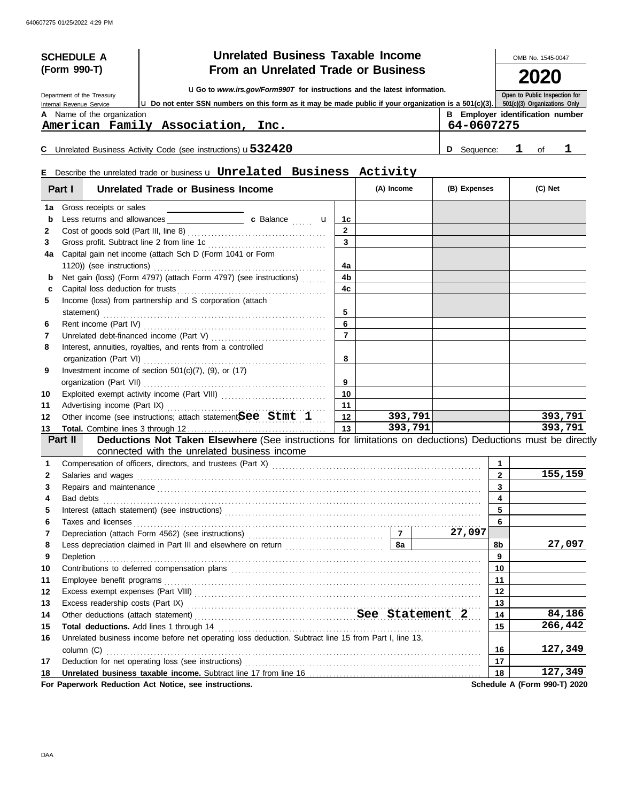**(Form 990-T)**

# **SCHEDULE A**  $\begin{array}{|c|c|c|c|c|c|}\n\hline\n\textbf{Unrelated Business Taxable Income} & \textbf{Income} & \textbf{on}_{\textbf{B No. 1545-0047}}\n\hline\n\end{array}$ **From an Unrelated Trade or Business**

| <b>2020</b> |
|-------------|
|-------------|

u**Go to** *www.irs.gov/Form990T* **for instructions and the latest information.**

u **Do not enter SSN numbers on this form as it may be made public if your organization is a 501(c)(3). 501(c)(3) Organizations Only** Department of the Treasury Internal Revenue Service **Open to Public Inspection for**

A Name of the organization

Name of the organization **Employer identification number Employer identification number Employer identification number American Family Association, Inc. 64-0607275**

Unrelated Business Activity Code (see instructions) u **C b** Sequence: 1 of 1

# Describe the unrelated trade or business u **E Unrelated Business Activity**

| Part I                                 | <b>Unrelated Trade or Business Income</b>                                                                                                                                                                                                                                                                                                                                                                                                                                                                    |                | (A) Income |         | (B) Expenses |             | (C) Net |
|----------------------------------------|--------------------------------------------------------------------------------------------------------------------------------------------------------------------------------------------------------------------------------------------------------------------------------------------------------------------------------------------------------------------------------------------------------------------------------------------------------------------------------------------------------------|----------------|------------|---------|--------------|-------------|---------|
| 1a Gross receipts or sales             |                                                                                                                                                                                                                                                                                                                                                                                                                                                                                                              |                |            |         |              |             |         |
| b                                      |                                                                                                                                                                                                                                                                                                                                                                                                                                                                                                              | 1c             |            |         |              |             |         |
| $\mathbf{2}$                           |                                                                                                                                                                                                                                                                                                                                                                                                                                                                                                              | $\overline{2}$ |            |         |              |             |         |
| 3                                      |                                                                                                                                                                                                                                                                                                                                                                                                                                                                                                              | $\mathbf{3}$   |            |         |              |             |         |
|                                        | 4a Capital gain net income (attach Sch D (Form 1041 or Form                                                                                                                                                                                                                                                                                                                                                                                                                                                  |                |            |         |              |             |         |
|                                        |                                                                                                                                                                                                                                                                                                                                                                                                                                                                                                              | 4a             |            |         |              |             |         |
| b                                      | Net gain (loss) (Form 4797) (attach Form 4797) (see instructions)                                                                                                                                                                                                                                                                                                                                                                                                                                            | 4b             |            |         |              |             |         |
| C                                      |                                                                                                                                                                                                                                                                                                                                                                                                                                                                                                              | 4c             |            |         |              |             |         |
| 5                                      | Income (loss) from partnership and S corporation (attach                                                                                                                                                                                                                                                                                                                                                                                                                                                     |                |            |         |              |             |         |
|                                        |                                                                                                                                                                                                                                                                                                                                                                                                                                                                                                              | 5              |            |         |              |             |         |
| 6                                      |                                                                                                                                                                                                                                                                                                                                                                                                                                                                                                              | 6              |            |         |              |             |         |
| $\overline{7}$                         |                                                                                                                                                                                                                                                                                                                                                                                                                                                                                                              | $\overline{7}$ |            |         |              |             |         |
| 8                                      | Interest, annuities, royalties, and rents from a controlled                                                                                                                                                                                                                                                                                                                                                                                                                                                  |                |            |         |              |             |         |
|                                        |                                                                                                                                                                                                                                                                                                                                                                                                                                                                                                              | 8              |            |         |              |             |         |
| 9                                      | Investment income of section $501(c)(7)$ , (9), or (17)                                                                                                                                                                                                                                                                                                                                                                                                                                                      |                |            |         |              |             |         |
|                                        |                                                                                                                                                                                                                                                                                                                                                                                                                                                                                                              | 9              |            |         |              |             |         |
|                                        |                                                                                                                                                                                                                                                                                                                                                                                                                                                                                                              | 10             |            |         |              |             |         |
|                                        |                                                                                                                                                                                                                                                                                                                                                                                                                                                                                                              |                |            |         |              |             |         |
|                                        |                                                                                                                                                                                                                                                                                                                                                                                                                                                                                                              | 11             |            |         |              |             |         |
|                                        | Other income (see instructions; attach statement See Stmt 1                                                                                                                                                                                                                                                                                                                                                                                                                                                  | 12             |            | 393,791 |              |             | 393,791 |
| 10<br>11<br>12<br>13<br>Part II        | Deductions Not Taken Elsewhere (See instructions for limitations on deductions) Deductions must be directly                                                                                                                                                                                                                                                                                                                                                                                                  | 13             |            | 393,791 |              |             | 393,791 |
| $\mathbf{1}$                           | connected with the unrelated business income                                                                                                                                                                                                                                                                                                                                                                                                                                                                 |                |            |         |              | $\mathbf 1$ |         |
| $\mathbf{2}$                           |                                                                                                                                                                                                                                                                                                                                                                                                                                                                                                              |                |            |         |              | $\mathbf 2$ | 155,159 |
| 3                                      |                                                                                                                                                                                                                                                                                                                                                                                                                                                                                                              |                |            |         |              | 3           |         |
| 4                                      | Repairs and maintenance <i>communication</i> and maintenance and maintenance and maintenance and maintenance and maintenance                                                                                                                                                                                                                                                                                                                                                                                 |                |            |         |              | 4           |         |
| 5                                      | Bad debts <b>contract to the contract of the contract of the contract of the contract of the contract of the contract of the contract of the contract of the contract of the contract of the contract of the contract of the con</b>                                                                                                                                                                                                                                                                         |                |            |         |              | 5           |         |
| 6<br>Taxes and licenses                |                                                                                                                                                                                                                                                                                                                                                                                                                                                                                                              |                |            |         |              | 6           |         |
| 7                                      |                                                                                                                                                                                                                                                                                                                                                                                                                                                                                                              |                |            |         | 27,097       |             |         |
| 8                                      |                                                                                                                                                                                                                                                                                                                                                                                                                                                                                                              |                |            |         |              | 8b          | 27,097  |
| 9                                      |                                                                                                                                                                                                                                                                                                                                                                                                                                                                                                              |                |            |         |              | 9           |         |
|                                        | Depletion <b>construction in the construction of the construction of the construction of the construction</b> of the construction of the construction of the construction of the construction of the construction of the constructi                                                                                                                                                                                                                                                                          |                |            |         |              | 10          |         |
|                                        | Contributions to deferred compensation plans [11] contracts are contributions to deferred compensation plans [11] contracts are contract and contracts are contract and contracts are contracted and contracts are contracted                                                                                                                                                                                                                                                                                |                |            |         |              | 11          |         |
|                                        |                                                                                                                                                                                                                                                                                                                                                                                                                                                                                                              |                |            |         |              | $12 \,$     |         |
|                                        |                                                                                                                                                                                                                                                                                                                                                                                                                                                                                                              |                |            |         |              | 13          |         |
|                                        | Excess readership costs (Part IX) Mathematical Contract Contract Contract Contract Contract Contract Contract Contract Contract Contract Contract Contract Contract Contract Contract Contract Contract Contract Contract Cont                                                                                                                                                                                                                                                                               |                |            |         |              | 14          | 84,186  |
|                                        |                                                                                                                                                                                                                                                                                                                                                                                                                                                                                                              |                |            |         |              | 15          | 266,442 |
| 10<br>11<br>12<br>13<br>14<br>15<br>16 | Unrelated business income before net operating loss deduction. Subtract line 15 from Part I, line 13,                                                                                                                                                                                                                                                                                                                                                                                                        |                |            |         |              |             |         |
|                                        | $\begin{minipage}[c]{0.5\textwidth} \centering \begin{tabular}[c]{@{}l@{}} \textbf{column (C)} \end{tabular} & \begin{tabular}[c]{@{}l@{}} \textbf{column (D)} \end{tabular} & \begin{tabular}[c]{@{}l@{}} \textbf{column (D)} \end{tabular} & \begin{tabular}[c]{@{}l@{}} \textbf{column (D)} \end{tabular} & \begin{tabular}[c]{@{}l@{}} \textbf{column (D)} \end{tabular} & \begin{tabular}[c]{@{}l@{}} \textbf{column (D)} \end{tabular} & \begin{tabular}[c]{@{}l@{}} \textbf{column (D)} \end{tabular$ |                |            |         |              | 16          | 127,349 |
| 17                                     |                                                                                                                                                                                                                                                                                                                                                                                                                                                                                                              |                |            |         |              | 17<br>18    | 127,349 |

**For Paperwork Reduction Act Notice, see instructions. Schedule A (Form 990-T) 2020**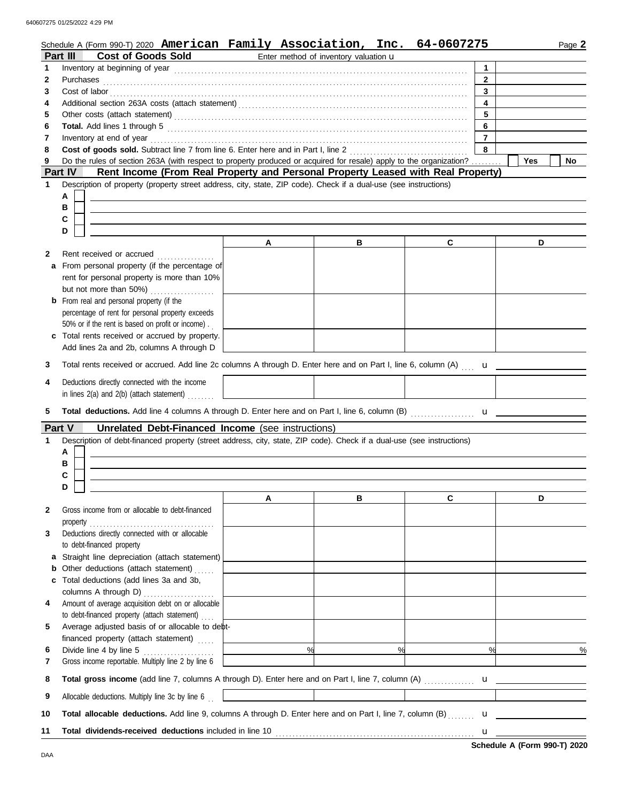|              |           | Schedule A (Form 990-T) 2020 American Family Association, Inc. 64-0607275                                                                                                                                                      |                                              |                                       |               |   |                   |                                                                                                                                                                                                                                                                                                                                 | Page 2 |
|--------------|-----------|--------------------------------------------------------------------------------------------------------------------------------------------------------------------------------------------------------------------------------|----------------------------------------------|---------------------------------------|---------------|---|-------------------|---------------------------------------------------------------------------------------------------------------------------------------------------------------------------------------------------------------------------------------------------------------------------------------------------------------------------------|--------|
|              | Part III  | <b>Cost of Goods Sold</b>                                                                                                                                                                                                      |                                              | Enter method of inventory valuation u |               |   |                   |                                                                                                                                                                                                                                                                                                                                 |        |
| 1            |           | Inventory at beginning of year contact the contact of the contact of the contact of the contact of the contact of the contact of the contact of the contact of the contact of the contact of the contact of the contact of the |                                              |                                       |               |   | 1                 |                                                                                                                                                                                                                                                                                                                                 |        |
| 2            | Purchases |                                                                                                                                                                                                                                |                                              |                                       |               |   | $\overline{2}$    |                                                                                                                                                                                                                                                                                                                                 |        |
| 3            |           |                                                                                                                                                                                                                                |                                              |                                       |               |   | $\mathbf{3}$<br>4 |                                                                                                                                                                                                                                                                                                                                 |        |
| 4<br>5       |           |                                                                                                                                                                                                                                |                                              |                                       |               |   | $5\overline{5}$   |                                                                                                                                                                                                                                                                                                                                 |        |
| 6            |           |                                                                                                                                                                                                                                |                                              |                                       |               |   | 6                 |                                                                                                                                                                                                                                                                                                                                 |        |
| 7            |           | Inventory at end of year                                                                                                                                                                                                       |                                              |                                       |               |   | $\overline{7}$    |                                                                                                                                                                                                                                                                                                                                 |        |
| 8            |           |                                                                                                                                                                                                                                |                                              |                                       |               |   | 8                 |                                                                                                                                                                                                                                                                                                                                 |        |
| 9            |           | Do the rules of section 263A (with respect to property produced or acquired for resale) apply to the organization?                                                                                                             |                                              |                                       |               |   |                   | <b>Yes</b>                                                                                                                                                                                                                                                                                                                      | No     |
|              | Part IV   | Rent Income (From Real Property and Personal Property Leased with Real Property)                                                                                                                                               |                                              |                                       |               |   |                   |                                                                                                                                                                                                                                                                                                                                 |        |
| 1            |           | Description of property (property street address, city, state, ZIP code). Check if a dual-use (see instructions)                                                                                                               |                                              |                                       |               |   |                   |                                                                                                                                                                                                                                                                                                                                 |        |
|              | А         |                                                                                                                                                                                                                                |                                              |                                       |               |   |                   |                                                                                                                                                                                                                                                                                                                                 |        |
|              | в<br>C    |                                                                                                                                                                                                                                |                                              |                                       |               |   |                   |                                                                                                                                                                                                                                                                                                                                 |        |
|              | D         |                                                                                                                                                                                                                                |                                              |                                       |               |   |                   |                                                                                                                                                                                                                                                                                                                                 |        |
|              |           |                                                                                                                                                                                                                                | A                                            | в                                     |               | C |                   | D                                                                                                                                                                                                                                                                                                                               |        |
| 2            |           | Rent received or accrued                                                                                                                                                                                                       |                                              |                                       |               |   |                   |                                                                                                                                                                                                                                                                                                                                 |        |
| a            |           | From personal property (if the percentage of                                                                                                                                                                                   |                                              |                                       |               |   |                   |                                                                                                                                                                                                                                                                                                                                 |        |
|              |           | rent for personal property is more than 10%                                                                                                                                                                                    |                                              |                                       |               |   |                   |                                                                                                                                                                                                                                                                                                                                 |        |
|              |           | but not more than 50%)<br>.                                                                                                                                                                                                    |                                              |                                       |               |   |                   |                                                                                                                                                                                                                                                                                                                                 |        |
|              |           | <b>b</b> From real and personal property (if the                                                                                                                                                                               |                                              |                                       |               |   |                   |                                                                                                                                                                                                                                                                                                                                 |        |
|              |           | percentage of rent for personal property exceeds                                                                                                                                                                               |                                              |                                       |               |   |                   |                                                                                                                                                                                                                                                                                                                                 |        |
|              |           | 50% or if the rent is based on profit or income).<br>c Total rents received or accrued by property.                                                                                                                            |                                              |                                       |               |   |                   |                                                                                                                                                                                                                                                                                                                                 |        |
|              |           | Add lines 2a and 2b, columns A through D                                                                                                                                                                                       |                                              |                                       |               |   |                   |                                                                                                                                                                                                                                                                                                                                 |        |
|              |           |                                                                                                                                                                                                                                |                                              |                                       |               |   |                   |                                                                                                                                                                                                                                                                                                                                 |        |
| 3            |           | Total rents received or accrued. Add line 2c columns A through D. Enter here and on Part I, line 6, column (A)                                                                                                                 |                                              |                                       |               |   |                   | $\mathbf u$ and $\mathbf u$ and $\mathbf u$ and $\mathbf u$ and $\mathbf u$ and $\mathbf u$ and $\mathbf u$ and $\mathbf u$ and $\mathbf u$ and $\mathbf u$ and $\mathbf u$ and $\mathbf u$ and $\mathbf u$ and $\mathbf u$ and $\mathbf u$ and $\mathbf u$ and $\mathbf u$ and $\mathbf u$ and $\mathbf u$ and $\mathbf u$ and |        |
| 4            |           | Deductions directly connected with the income                                                                                                                                                                                  |                                              |                                       |               |   |                   |                                                                                                                                                                                                                                                                                                                                 |        |
|              |           | in lines 2(a) and 2(b) (attach statement)                                                                                                                                                                                      |                                              |                                       |               |   |                   |                                                                                                                                                                                                                                                                                                                                 |        |
| 5            |           | Total deductions. Add line 4 columns A through D. Enter here and on Part I, line 6, column (B)                                                                                                                                 |                                              |                                       |               |   |                   | $\mathbf{u}$ $\sim$                                                                                                                                                                                                                                                                                                             |        |
| Part V       |           | <b>Unrelated Debt-Financed Income (see instructions)</b>                                                                                                                                                                       |                                              |                                       |               |   |                   |                                                                                                                                                                                                                                                                                                                                 |        |
| 1            |           | Description of debt-financed property (street address, city, state, ZIP code). Check if a dual-use (see instructions)                                                                                                          |                                              |                                       |               |   |                   |                                                                                                                                                                                                                                                                                                                                 |        |
|              | А         |                                                                                                                                                                                                                                |                                              |                                       |               |   |                   |                                                                                                                                                                                                                                                                                                                                 |        |
|              | в         |                                                                                                                                                                                                                                |                                              |                                       |               |   |                   |                                                                                                                                                                                                                                                                                                                                 |        |
|              | C         |                                                                                                                                                                                                                                |                                              |                                       |               |   |                   |                                                                                                                                                                                                                                                                                                                                 |        |
|              | D         |                                                                                                                                                                                                                                | A                                            | в                                     |               | C |                   | D                                                                                                                                                                                                                                                                                                                               |        |
| $\mathbf{2}$ |           | Gross income from or allocable to debt-financed                                                                                                                                                                                |                                              |                                       |               |   |                   |                                                                                                                                                                                                                                                                                                                                 |        |
|              | property  |                                                                                                                                                                                                                                |                                              |                                       |               |   |                   |                                                                                                                                                                                                                                                                                                                                 |        |
| 3            |           | Deductions directly connected with or allocable                                                                                                                                                                                |                                              |                                       |               |   |                   |                                                                                                                                                                                                                                                                                                                                 |        |
|              |           | to debt-financed property                                                                                                                                                                                                      |                                              |                                       |               |   |                   |                                                                                                                                                                                                                                                                                                                                 |        |
|              |           | a Straight line depreciation (attach statement)                                                                                                                                                                                |                                              |                                       |               |   |                   |                                                                                                                                                                                                                                                                                                                                 |        |
|              |           | <b>b</b> Other deductions (attach statement)                                                                                                                                                                                   |                                              |                                       |               |   |                   |                                                                                                                                                                                                                                                                                                                                 |        |
|              |           | c Total deductions (add lines 3a and 3b,                                                                                                                                                                                       |                                              |                                       |               |   |                   |                                                                                                                                                                                                                                                                                                                                 |        |
|              |           | columns A through D)                                                                                                                                                                                                           |                                              |                                       |               |   |                   |                                                                                                                                                                                                                                                                                                                                 |        |
| 4            |           | Amount of average acquisition debt on or allocable<br>to debt-financed property (attach statement)                                                                                                                             |                                              |                                       |               |   |                   |                                                                                                                                                                                                                                                                                                                                 |        |
| 5            |           | Average adjusted basis of or allocable to debt-                                                                                                                                                                                | the control of the control of the control of |                                       |               |   |                   |                                                                                                                                                                                                                                                                                                                                 |        |
|              |           | financed property (attach statement)                                                                                                                                                                                           |                                              |                                       |               |   |                   |                                                                                                                                                                                                                                                                                                                                 |        |
| 6            |           | Divide line 4 by line 5                                                                                                                                                                                                        | <u> El component de la componenta</u>        | $\overline{\mathcal{A}}$              | $\frac{9}{6}$ |   | $\frac{9}{6}$     |                                                                                                                                                                                                                                                                                                                                 | $\%$   |
| 7            |           | Gross income reportable. Multiply line 2 by line 6                                                                                                                                                                             |                                              |                                       |               |   |                   |                                                                                                                                                                                                                                                                                                                                 |        |
| 8            |           |                                                                                                                                                                                                                                |                                              |                                       |               |   |                   |                                                                                                                                                                                                                                                                                                                                 |        |
| 9            |           | Allocable deductions. Multiply line 3c by line 6                                                                                                                                                                               |                                              |                                       |               |   |                   |                                                                                                                                                                                                                                                                                                                                 |        |
|              |           |                                                                                                                                                                                                                                |                                              |                                       |               |   |                   |                                                                                                                                                                                                                                                                                                                                 |        |
| 10           |           |                                                                                                                                                                                                                                |                                              |                                       |               |   |                   |                                                                                                                                                                                                                                                                                                                                 |        |
| 11           |           |                                                                                                                                                                                                                                |                                              |                                       |               |   |                   | $\mathbf u$ and $\mathbf u$ and $\mathbf u$ and $\mathbf u$ and $\mathbf v$ and $\mathbf v$ and $\mathbf v$ and $\mathbf v$ and $\mathbf v$ and $\mathbf v$ and $\mathbf v$ and $\mathbf v$ and $\mathbf v$ and $\mathbf v$ and $\mathbf v$ and $\mathbf v$ and $\mathbf v$ and $\mathbf v$ and $\mathbf v$ and $\mathbf v$ and |        |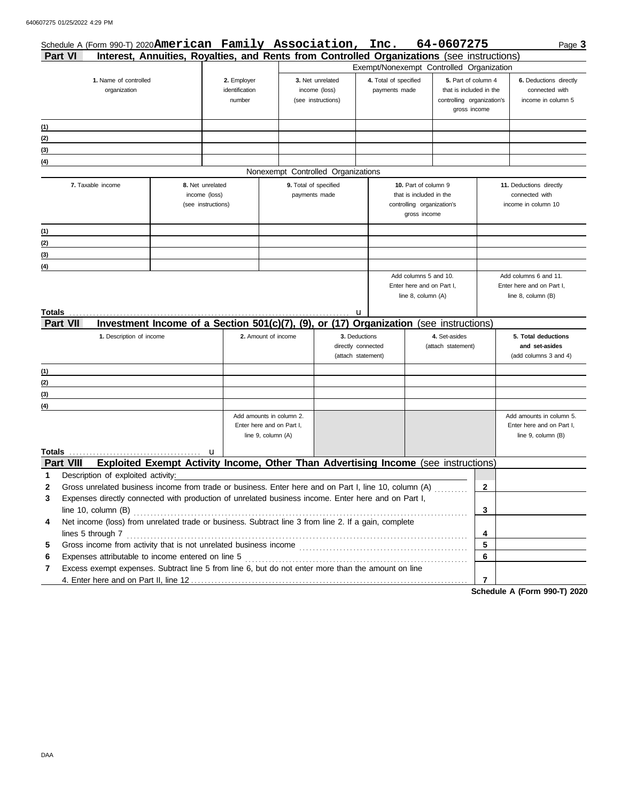|                           |                                       | Schedule A (Form 990-T) 2020American Family Association, Inc.                                         |                                         |                                                                             |                                                         |                                                                                                          |                                                                                               | 64-0607275                                                                                   |                | Page 3                                                                      |
|---------------------------|---------------------------------------|-------------------------------------------------------------------------------------------------------|-----------------------------------------|-----------------------------------------------------------------------------|---------------------------------------------------------|----------------------------------------------------------------------------------------------------------|-----------------------------------------------------------------------------------------------|----------------------------------------------------------------------------------------------|----------------|-----------------------------------------------------------------------------|
| Part VI                   |                                       | Interest, Annuities, Royalties, and Rents from Controlled Organizations (see instructions)            |                                         |                                                                             |                                                         |                                                                                                          |                                                                                               |                                                                                              |                |                                                                             |
|                           |                                       |                                                                                                       |                                         |                                                                             |                                                         | Exempt/Nonexempt Controlled Organization                                                                 |                                                                                               |                                                                                              |                |                                                                             |
|                           | 1. Name of controlled<br>organization |                                                                                                       | 2. Employer<br>identification<br>number |                                                                             | 3. Net unrelated<br>income (loss)<br>(see instructions) | 4. Total of specified<br>payments made                                                                   |                                                                                               | 5. Part of column 4<br>that is included in the<br>controlling organization's<br>gross income |                | 6. Deductions directly<br>connected with<br>income in column 5              |
| (1)                       |                                       |                                                                                                       |                                         |                                                                             |                                                         |                                                                                                          |                                                                                               |                                                                                              |                |                                                                             |
| (2)                       |                                       |                                                                                                       |                                         |                                                                             |                                                         |                                                                                                          |                                                                                               |                                                                                              |                |                                                                             |
| (3)                       |                                       |                                                                                                       |                                         |                                                                             |                                                         |                                                                                                          |                                                                                               |                                                                                              |                |                                                                             |
| (4)                       |                                       |                                                                                                       |                                         |                                                                             |                                                         |                                                                                                          |                                                                                               |                                                                                              |                |                                                                             |
|                           |                                       |                                                                                                       |                                         | Nonexempt Controlled Organizations                                          |                                                         |                                                                                                          |                                                                                               |                                                                                              |                |                                                                             |
|                           | 7. Taxable income                     | 8. Net unrelated<br>income (loss)<br>(see instructions)                                               |                                         | 9. Total of specified                                                       | payments made                                           |                                                                                                          | 10. Part of column 9<br>that is included in the<br>controlling organization's<br>gross income |                                                                                              |                | 11. Deductions directly<br>connected with<br>income in column 10            |
| (1)                       |                                       |                                                                                                       |                                         |                                                                             |                                                         |                                                                                                          |                                                                                               |                                                                                              |                |                                                                             |
| (2)                       |                                       |                                                                                                       |                                         |                                                                             |                                                         |                                                                                                          |                                                                                               |                                                                                              |                |                                                                             |
| (3)                       |                                       |                                                                                                       |                                         |                                                                             |                                                         |                                                                                                          |                                                                                               |                                                                                              |                |                                                                             |
| (4)                       |                                       |                                                                                                       |                                         |                                                                             |                                                         |                                                                                                          |                                                                                               |                                                                                              |                |                                                                             |
| Totals<br><b>Part VII</b> | 1. Description of income              | Investment Income of a Section $501(c)(7)$ , (9), or (17)                                             |                                         | 2. Amount of income                                                         |                                                         | u<br><b>Organization</b> (see instructions)<br>3. Deductions<br>directly connected<br>(attach statement) |                                                                                               | 4. Set-asides<br>(attach statement)                                                          |                | 5. Total deductions<br>and set-asides<br>(add columns 3 and 4)              |
|                           |                                       |                                                                                                       |                                         |                                                                             |                                                         |                                                                                                          |                                                                                               |                                                                                              |                |                                                                             |
| (1)<br>(2)                |                                       |                                                                                                       |                                         |                                                                             |                                                         |                                                                                                          |                                                                                               |                                                                                              |                |                                                                             |
| (3)                       |                                       |                                                                                                       |                                         |                                                                             |                                                         |                                                                                                          |                                                                                               |                                                                                              |                |                                                                             |
| (4)                       |                                       |                                                                                                       |                                         |                                                                             |                                                         |                                                                                                          |                                                                                               |                                                                                              |                |                                                                             |
| Totals                    |                                       | u                                                                                                     |                                         | Add amounts in column 2.<br>Enter here and on Part I,<br>line 9, column (A) |                                                         |                                                                                                          |                                                                                               |                                                                                              |                | Add amounts in column 5.<br>Enter here and on Part I,<br>line 9, column (B) |
| Part VIII                 |                                       | Exploited Exempt Activity Income, Other Than Advertising Income (see instructions)                    |                                         |                                                                             |                                                         |                                                                                                          |                                                                                               |                                                                                              |                |                                                                             |
| 1                         | Description of exploited activity:    |                                                                                                       |                                         |                                                                             |                                                         |                                                                                                          |                                                                                               |                                                                                              |                |                                                                             |
| 2                         |                                       | Gross unrelated business income from trade or business. Enter here and on Part I, line 10, column (A) |                                         |                                                                             |                                                         |                                                                                                          |                                                                                               |                                                                                              | $\mathbf{2}$   |                                                                             |
| 3                         |                                       | Expenses directly connected with production of unrelated business income. Enter here and on Part I,   |                                         |                                                                             |                                                         |                                                                                                          |                                                                                               |                                                                                              |                |                                                                             |
|                           | line $10$ , column $(B)$              |                                                                                                       |                                         |                                                                             |                                                         |                                                                                                          |                                                                                               |                                                                                              | 3              |                                                                             |
| 4                         |                                       | Net income (loss) from unrelated trade or business. Subtract line 3 from line 2. If a gain, complete  |                                         |                                                                             |                                                         |                                                                                                          |                                                                                               |                                                                                              |                |                                                                             |
|                           | lines 5 through 7                     |                                                                                                       |                                         |                                                                             |                                                         |                                                                                                          |                                                                                               |                                                                                              | 4              |                                                                             |
| 5                         |                                       |                                                                                                       |                                         |                                                                             |                                                         |                                                                                                          |                                                                                               |                                                                                              | 5              |                                                                             |
| 6                         |                                       | Expenses attributable to income entered on line 5                                                     |                                         |                                                                             |                                                         |                                                                                                          |                                                                                               |                                                                                              | 6              |                                                                             |
| 7                         |                                       | Excess exempt expenses. Subtract line 5 from line 6, but do not enter more than the amount on line    |                                         |                                                                             |                                                         |                                                                                                          |                                                                                               |                                                                                              |                |                                                                             |
|                           |                                       |                                                                                                       |                                         |                                                                             |                                                         |                                                                                                          |                                                                                               |                                                                                              | $\overline{7}$ |                                                                             |

**Schedule A (Form 990-T) 2020**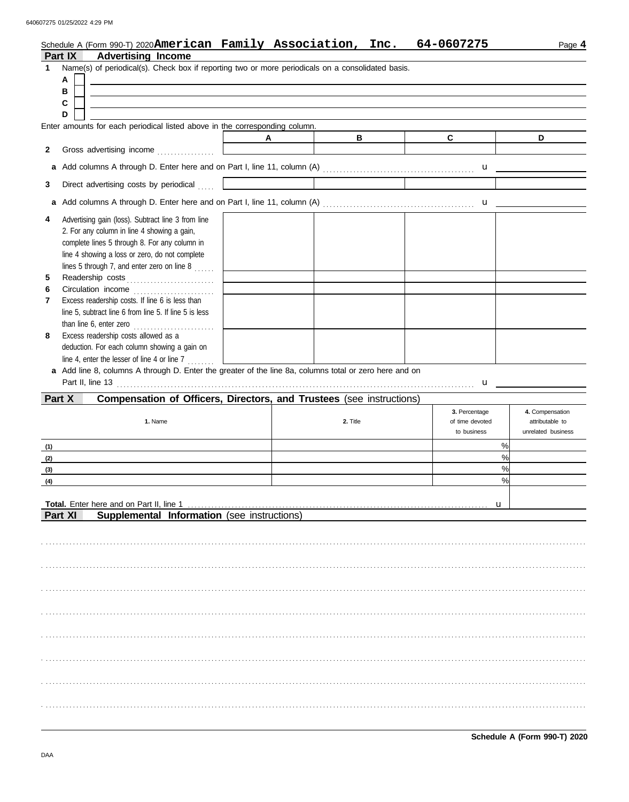|              | Schedule A (Form 990-T) 2020American Family Association, Inc.                                          |          |   | 64-0607275                     | Page 4                                                          |
|--------------|--------------------------------------------------------------------------------------------------------|----------|---|--------------------------------|-----------------------------------------------------------------|
|              | Part IX<br><b>Advertising Income</b>                                                                   |          |   |                                |                                                                 |
| 1            | Name(s) of periodical(s). Check box if reporting two or more periodicals on a consolidated basis.      |          |   |                                |                                                                 |
|              | Α<br>в                                                                                                 |          |   |                                |                                                                 |
|              | $\mathbf C$                                                                                            |          |   |                                |                                                                 |
|              | D                                                                                                      |          |   |                                |                                                                 |
|              | Enter amounts for each periodical listed above in the corresponding column.                            |          |   |                                |                                                                 |
|              |                                                                                                        |          | В | C                              | D                                                               |
| $\mathbf{2}$ | Gross advertising income                                                                               |          |   |                                |                                                                 |
| a            |                                                                                                        |          |   |                                |                                                                 |
|              |                                                                                                        |          |   |                                |                                                                 |
| 3            | Direct advertising costs by periodical                                                                 |          |   |                                |                                                                 |
|              |                                                                                                        |          |   |                                |                                                                 |
| 4            | Advertising gain (loss). Subtract line 3 from line                                                     |          |   |                                |                                                                 |
|              | 2. For any column in line 4 showing a gain,                                                            |          |   |                                |                                                                 |
|              | complete lines 5 through 8. For any column in                                                          |          |   |                                |                                                                 |
|              | line 4 showing a loss or zero, do not complete                                                         |          |   |                                |                                                                 |
|              | lines 5 through 7, and enter zero on line 8 $\ldots$                                                   |          |   |                                |                                                                 |
| 5            |                                                                                                        |          |   |                                |                                                                 |
| 6<br>7       | Excess readership costs. If line 6 is less than                                                        |          |   |                                |                                                                 |
|              | line 5, subtract line 6 from line 5. If line 5 is less                                                 |          |   |                                |                                                                 |
|              | than line 6, enter zero                                                                                |          |   |                                |                                                                 |
| 8            | Excess readership costs allowed as a                                                                   |          |   |                                |                                                                 |
|              | deduction. For each column showing a gain on                                                           |          |   |                                |                                                                 |
|              | line 4, enter the lesser of line 4 or line 7 $\ldots$                                                  |          |   |                                |                                                                 |
|              | a Add line 8, columns A through D. Enter the greater of the line 8a, columns total or zero here and on |          |   |                                |                                                                 |
|              |                                                                                                        |          |   |                                |                                                                 |
|              | Part II, line 13                                                                                       |          |   |                                | $\mathbf{u}$ and $\mathbf{u}$ and $\mathbf{u}$ and $\mathbf{u}$ |
|              | Compensation of Officers, Directors, and Trustees (see instructions)<br>Part X                         |          |   |                                |                                                                 |
|              |                                                                                                        |          |   | 3. Percentage                  | 4. Compensation                                                 |
|              | 1. Name                                                                                                | 2. Title |   | of time devoted<br>to business | attributable to<br>unrelated business                           |
|              |                                                                                                        |          |   |                                |                                                                 |
| (1)<br>(2)   |                                                                                                        |          |   |                                | %<br>$\%$                                                       |
| (3)          |                                                                                                        |          |   |                                | %                                                               |
| (4)          |                                                                                                        |          |   |                                | %                                                               |
|              |                                                                                                        |          |   |                                |                                                                 |
|              | Total. Enter here and on Part II, line 1                                                               |          |   | u                              |                                                                 |
|              | Supplemental Information (see instructions)<br>Part XI                                                 |          |   |                                |                                                                 |
|              |                                                                                                        |          |   |                                |                                                                 |
|              |                                                                                                        |          |   |                                |                                                                 |
|              |                                                                                                        |          |   |                                |                                                                 |
|              |                                                                                                        |          |   |                                |                                                                 |
|              |                                                                                                        |          |   |                                |                                                                 |
|              |                                                                                                        |          |   |                                |                                                                 |
|              |                                                                                                        |          |   |                                |                                                                 |
|              |                                                                                                        |          |   |                                |                                                                 |
|              |                                                                                                        |          |   |                                |                                                                 |
|              |                                                                                                        |          |   |                                |                                                                 |
|              |                                                                                                        |          |   |                                |                                                                 |
|              |                                                                                                        |          |   |                                |                                                                 |
|              |                                                                                                        |          |   |                                |                                                                 |
|              |                                                                                                        |          |   |                                |                                                                 |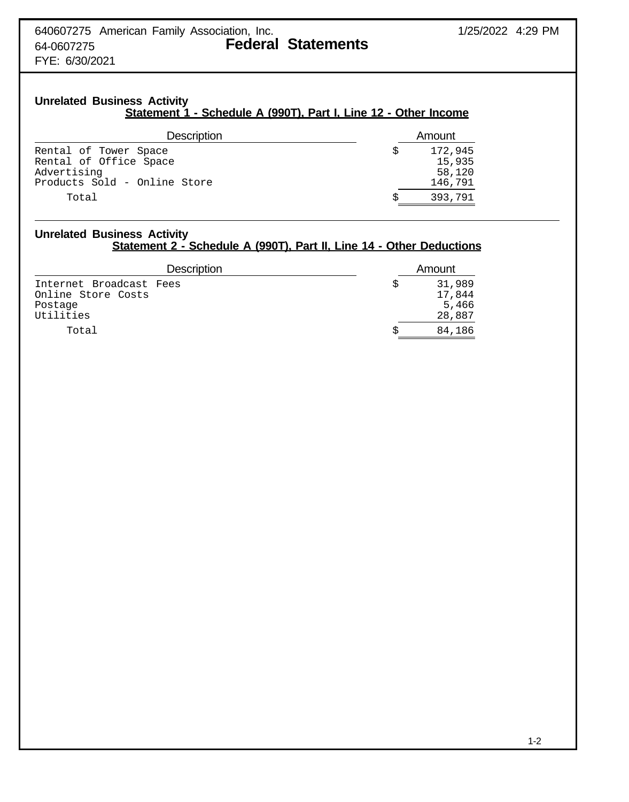# **Unrelated Business Activity Statement 1 - Schedule A (990T), Part I, Line 12 - Other Income**

| <b>Description</b>           | Amount  |
|------------------------------|---------|
| Rental of Tower Space        | 172,945 |
| Rental of Office Space       | 15,935  |
| Advertising                  | 58,120  |
| Products Sold - Online Store | 146,791 |
| Total                        | 393,791 |

# **Unrelated Business Activity Statement 2 - Schedule A (990T), Part II, Line 14 - Other Deductions**

| <b>Description</b>                                                    | Amount                              |
|-----------------------------------------------------------------------|-------------------------------------|
| Internet Broadcast Fees<br>Online Store Costs<br>Postage<br>Utilities | 31,989<br>17,844<br>5,466<br>28,887 |
| Total                                                                 | 84,186                              |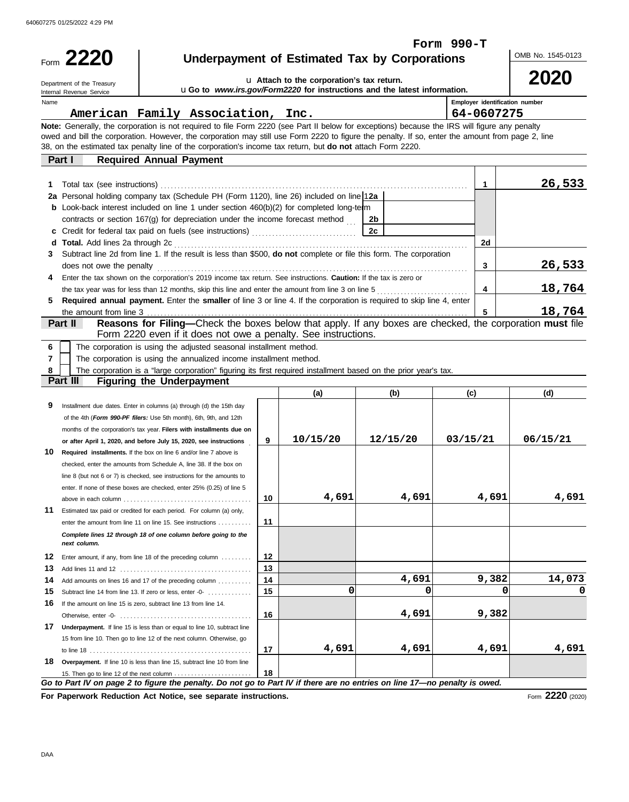# **Underpayment of Estimated Tax by Corporations Form 990-T**

OMB No. 1545-0123

Estimated tax paid or credited for each period. For column (a) only, **11** line 8 (but not 6 or 7) is checked, see instructions for the amounts to **b** Look-back interest included on line 1 under section 460(b)(2) for completed long-term 38, on the estimated tax penalty line of the corporation's income tax return, but **do not** attach Form 2220. **2220** Form **2020 Part II Reasons for Filing—Check the boxes below that apply. If any boxes are checked, the corporation must file Part III Figuring the Underpayment** u **Attach to the corporation's tax return.** u**Go to** *www.irs.gov/Form2220* **for instructions and the latest information. Employer identification number Note:** Generally, the corporation is not required to file Form 2220 (see Part II below for exceptions) because the IRS will figure any penalty **6 7 8 1 1** Total tax (see instructions) . . . . . . . . . . . . . . . . . . . . . . . . . . . . . . . . . . . . . . . . . . . . . . . . . . . . . . . . . . . . . . . . . . . . . . . . . . . . . . . . . . . . . . . . . . . **2a 2a** Personal holding company tax (Schedule PH (Form 1120), line 26) included on line 1 **2b c 2c** Credit for federal tax paid on fuels (see instructions) . . . . . . . . . . . . . . . . . . . . . . . . . . . . . . . **d Total.** Add lines 2a through 2c **2d 3 3 4 4 5 5 (a) (b) (c) (d) 9** Installment due dates. Enter in columns (a) through (d) the 15th day **9 10 Required installments.** If the box on line 6 and/or line 7 above is **10 11** owed and bill the corporation. However, the corporation may still use Form 2220 to figure the penalty. If so, enter the amount from page 2, line The corporation is using the adjusted seasonal installment method. The corporation is using the annualized income installment method. The corporation is a "large corporation" figuring its first required installment based on the prior year's tax. contracts or section  $167(q)$  for depreciation under the income forecast method Subtract line 2d from line 1. If the result is less than \$500, **do not** complete or file this form. The corporation does not owe the penalty Department of the Treasury Internal Revenue Service Name Enter the tax shown on the corporation's 2019 income tax return. See instructions. **Caution:** If the tax is zero or of the 4th (*Form 990-PF filers:* Use 5th month), 6th, 9th, and 12th months of the corporation's tax year. **Filers with installments due on** checked, enter the amounts from Schedule A, line 38. If the box on enter. If none of these boxes are checked, enter 25% (0.25) of line 5 above in each column . . . . . . . . . . . . . . . . . . . . . . . . . . . . . . . . . . . . . . enter the amount from line 11 on line 15. See instructions the tax year was for less than 12 months, skip this line and enter the amount from line 3 on line 5 **Part I Required Annual Payment Required annual payment.** Enter the **smaller** of line 3 or line 4. If the corporation is required to skip line 4, enter the amount from line 3 Form 2220 even if it does not owe a penalty. See instructions. **or after April 1, 2020, and before July 15, 2020, see instructions** . **American Family Association, Inc. 64-0607275 26,533 26,533 18,764 18,764 10/15/20 12/15/20 03/15/21 06/15/21 4,691 4,691 4,691 4,691**

*Go to Part IV on page 2 to figure the penalty. Do not go to Part IV if there are no entries on line 17—no penalty is owed.* **Overpayment.** If line 10 is less than line 15, subtract line 10 from line **18 17** Underpayment. If line 15 is less than or equal to line 10, subtract line Add amounts on lines 16 and 17 of the preceding column . . . . . . . . . . **14 14** *Complete lines 12 through 18 of one column before going to the* **12 Enter amount, if any, from line 18 of the preceding column . . . . . . . . . | 12 13 13** Add lines 11 and 12 . . . . . . . . . . . . . . . . . . . . . . . . . . . . . . . . . . . . . . . **15** Subtract line 14 from line 13. If zero or less, enter -0- . . . . . . . . . . . . 15 **16** If the amount on line 15 is zero, subtract line 13 from line 14. **16 17 18** Otherwise, enter -0- . . . . . . . . . . . . . . . . . . . . . . . . . . . . . . . . . . . . . . . 15 from line 10. Then go to line 12 of the next column. Otherwise, go to line 18 . . . . . . . . . . . . . . . . . . . . . . . . . . . . . . . . . . . . . . . . . . . . . . . . 15. Then go to line 12 of the next column . . . . . . . . . . . . . . . . *next column.* **4,691 9,382 14,073 0 0 0 0 4,691 9,382 4,691 4,691 4,691 4,691**

**For Paperwork Reduction Act Notice, see separate instructions.**

Form **2220** (2020)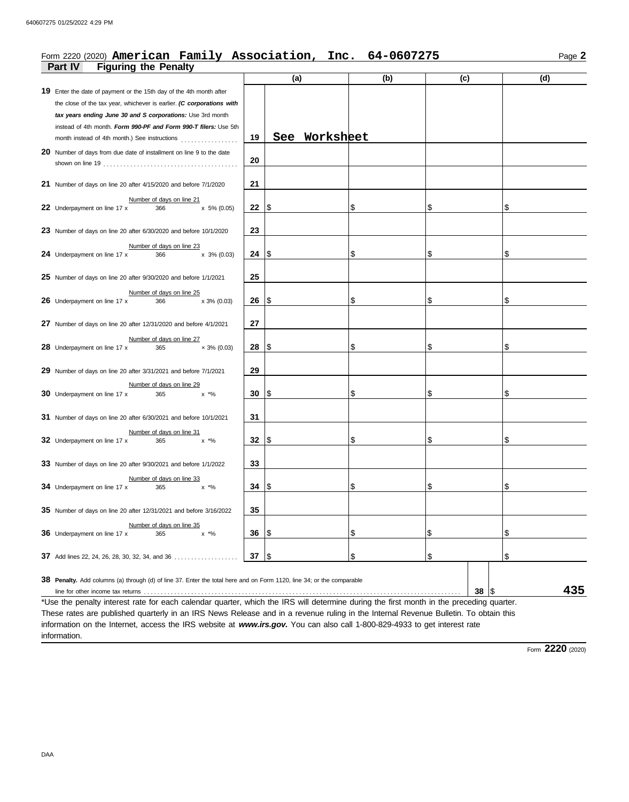### **21** Number of days on line 20 after 4/15/2020 and before 7/1/2020 **Part IV Figuring the Penalty (a) (b) (c) (d) 19** Enter the date of payment or the 15th day of the 4th month after **19 20** Number of days from due date of installment on line 9 to the date **20 21 22** Underpayment on line 17 x 366 x 5% (0.05) **22 23 23** Number of days on line 20 after 6/30/2020 and before 10/1/2020 **24** Underpayment on line 17 x  $366$  x  $3\%$  (0.03) **24**  $\frac{1}{9}$ **25 25** Number of days on line 20 after 9/30/2020 and before 1/1/2021 Form 2220 (2020) Page **2 American Family Association, Inc. 64-0607275** the close of the tax year, whichever is earlier. *(C corporations with tax years ending June 30 and S corporations:* Use 3rd month instead of 4th month. *Form 990-PF and Form 990-T filers:* Use 5th shown on line 19 . . . . . . . . . . . . . . . . . . . . . . . . . . . . . . . . . . . . . . . . Number of days on line 21 366 x 5% (0.05) 366 x 3% (0.03) Number of days on line 23 \$  $\sim$   $\sim$   $\sim$   $\sim$ \$ \$ \$ month instead of 4th month.) See instructions .................. **See Worksheet**

## Number of days on line 20 after 6/30/2021 and before 10/1/2021 **31 31 26** Underpayment on line 17 x 366 x 3% (0.03) **26 27 27** Number of days on line 20 after 12/31/2020 and before 4/1/2021 **28** Underpayment on line 17 x 365 x 3% (0.03) **28 29 29** Number of days on line 20 after 3/31/2021 and before 7/1/2021 **30** Underpayment on line 17 x 365 x  $*$ % | **30 32** Underpayment on line 17 x 365 x  $*$ % | **32 33 33** Number of days on line 20 after 9/30/2021 and before 1/1/2022 Number of days on line 25 366 x 3% (0.03) Number of days on line 27 365  $\times$  3% (0.03) 28 \$ Number of days on line 29 365 x \*% **30 \$** Number of days on line 31 365 x \*% **32 \$**  $365$  x  $*$ % Number of days on line 33 **34** Underpayment on line 17 x **34**

| <b>IV</b> Enter the date of payment of the Toth day of the Hill month after                |                 |     |               |          |    |
|--------------------------------------------------------------------------------------------|-----------------|-----|---------------|----------|----|
| the close of the tax year, whichever is earlier. (C corporations with                      |                 |     |               |          |    |
| tax years ending June 30 and S corporations: Use 3rd month                                 |                 |     |               |          |    |
| instead of 4th month. Form 990-PF and Form 990-T filers: Use 5th                           |                 |     |               |          |    |
| month instead of 4th month.) See instructions                                              | 19              |     | See Worksheet |          |    |
| 20 Number of days from due date of installment on line 9 to the date                       |                 |     |               |          |    |
|                                                                                            | 20              |     |               |          |    |
|                                                                                            |                 |     |               |          |    |
| 21 Number of days on line 20 after $4/15/2020$ and before $7/1/2020$                       | 21              |     |               |          |    |
| Number of days on line 21                                                                  |                 |     |               |          |    |
| 22 Underpayment on line 17 x<br>366<br>$x 5\% (0.05)$                                      | 22              | 1\$ |               | \$<br>\$ | \$ |
|                                                                                            |                 |     |               |          |    |
| 23 Number of days on line 20 after 6/30/2020 and before 10/1/2020                          | 23              |     |               |          |    |
| Number of days on line 23                                                                  |                 |     |               |          |    |
| 24 Underpayment on line 17 x<br>366<br>$x \frac{3\%}{0.03}$                                | 24   \$         |     |               | \$<br>\$ | \$ |
|                                                                                            |                 |     |               |          |    |
| 25 Number of days on line 20 after 9/30/2020 and before 1/1/2021                           | 25              |     |               |          |    |
|                                                                                            |                 |     |               |          |    |
| Number of days on line 25<br><b>26</b> Underpayment on line 17 x<br>366<br>x 3% (0.03)     | 26              | I\$ |               | \$<br>\$ | \$ |
|                                                                                            |                 |     |               |          |    |
| 27 Number of days on line 20 after 12/31/2020 and before $4/1/2021$                        | 27              |     |               |          |    |
|                                                                                            |                 |     |               |          |    |
| Number of days on line 27<br>28 Underpayment on line 17 $x$<br>365<br>$\times$ 3% (0.03)   | 28              | 1\$ |               | \$<br>\$ | \$ |
|                                                                                            |                 |     |               |          |    |
| 29 Number of days on line 20 after $3/31/2021$ and before $7/1/2021$                       | 29              |     |               |          |    |
|                                                                                            |                 |     |               |          |    |
| Number of days on line 29<br><b>30</b> Underpayment on line 17 $\times$<br>365<br>$x * \%$ | 30              | 1\$ |               | \$<br>\$ | \$ |
|                                                                                            |                 |     |               |          |    |
| 31 Number of days on line 20 after 6/30/2021 and before 10/1/2021                          | 31              |     |               |          |    |
|                                                                                            |                 |     |               |          |    |
| Number of days on line 31<br>32 Underpayment on line 17 $x$                                | $32 \,   \, \$$ |     |               | \$<br>\$ | \$ |
| 365<br>$x * \%$                                                                            |                 |     |               |          |    |
|                                                                                            |                 |     |               |          |    |
| 33 Number of days on line 20 after $9/30/2021$ and before $1/1/2022$                       | 33              |     |               |          |    |
| Number of days on line 33                                                                  |                 |     |               |          |    |
| 34 Underpayment on line 17 $x$<br>$x * 9/6$<br>365                                         | 34              | 1\$ |               | \$<br>\$ | \$ |
|                                                                                            |                 |     |               |          |    |
| 35 Number of days on line 20 after 12/31/2021 and before 3/16/2022                         | 35              |     |               |          |    |
| Number of days on line 35                                                                  |                 |     |               |          |    |
| 36 Underpayment on line 17 x<br>365<br>$x * 9/6$                                           | 36              | 1\$ |               | \$<br>\$ | \$ |
|                                                                                            |                 |     |               |          |    |
| 37 Add lines 22, 24, 26, 28, 30, 32, 34, and 36                                            | 37              | 1\$ |               | \$<br>\$ | \$ |

# **38 Penalty.** Add columns (a) through (d) of line 37. Enter the total here and on Form 1120, line 34; or the comparable line for other income tax returns . . . . . . . . . . . . . . . . . . . . . . . . . . . . . . . . . . . . . . . . . . . . . . . . . . . . . . . . . . . . . . . . . . . . . . . . . . . . . . . . . . . . . . . . . . . . . . \$

\*Use the penalty interest rate for each calendar quarter, which the IRS will determine during the first month in the preceding quarter. These rates are published quarterly in an IRS News Release and in a revenue ruling in the Internal Revenue Bulletin. To obtain this information on the Internet, access the IRS website at *www.irs.gov.* You can also call 1-800-829-4933 to get interest rate information.

**38**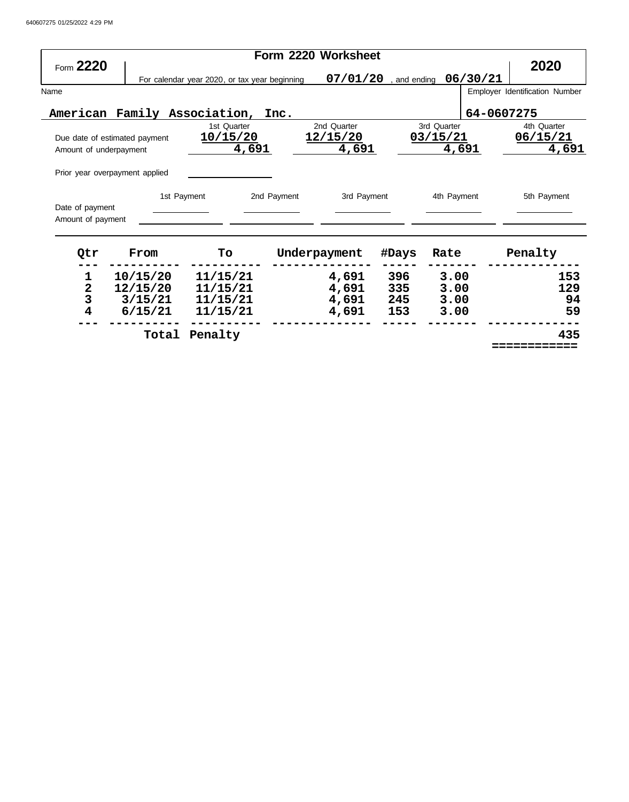| Form 2220                            |                                |                                               | Form 2220 Worksheet              |              |                                  | 2020                             |
|--------------------------------------|--------------------------------|-----------------------------------------------|----------------------------------|--------------|----------------------------------|----------------------------------|
|                                      |                                | For calendar year 2020, or tax year beginning | 07/01/20                         | , and ending | 06/30/21                         |                                  |
| Name                                 |                                |                                               |                                  |              |                                  | Employer Identification Number   |
|                                      |                                | American Family Association,                  | Inc.                             |              |                                  | 64-0607275                       |
| Amount of underpayment               | Due date of estimated payment  | 1st Quarter<br>10/15/20<br>4,691              | 2nd Quarter<br>12/15/20<br>4,691 |              | 3rd Quarter<br>03/15/21<br>4,691 | 4th Quarter<br>06/15/21<br>4,691 |
|                                      | Prior year overpayment applied |                                               |                                  |              |                                  |                                  |
|                                      |                                | 1st Payment<br>2nd Payment                    | 3rd Payment                      |              | 4th Payment                      | 5th Payment                      |
| Date of payment<br>Amount of payment |                                |                                               |                                  |              |                                  |                                  |
| Qtr                                  | From                           | To                                            | Underpayment                     | #Days        | Rate                             | Penalty                          |
| 1                                    | 10/15/20                       | 11/15/21                                      | 4,691                            | 396          | 3.00                             | 153                              |
| $\overline{\mathbf{2}}$              | 12/15/20                       | 11/15/21                                      | 4,691                            | 335          | 3.00                             | 129                              |
| 3                                    | 3/15/21                        | 11/15/21                                      | 4,691                            | 245          | 3.00                             | 94                               |
| 4                                    | 6/15/21                        | 11/15/21                                      | 4,691                            | 153          | 3.00                             | 59                               |
|                                      | Total                          | Penalty                                       |                                  |              |                                  | 435                              |
|                                      |                                |                                               |                                  |              |                                  |                                  |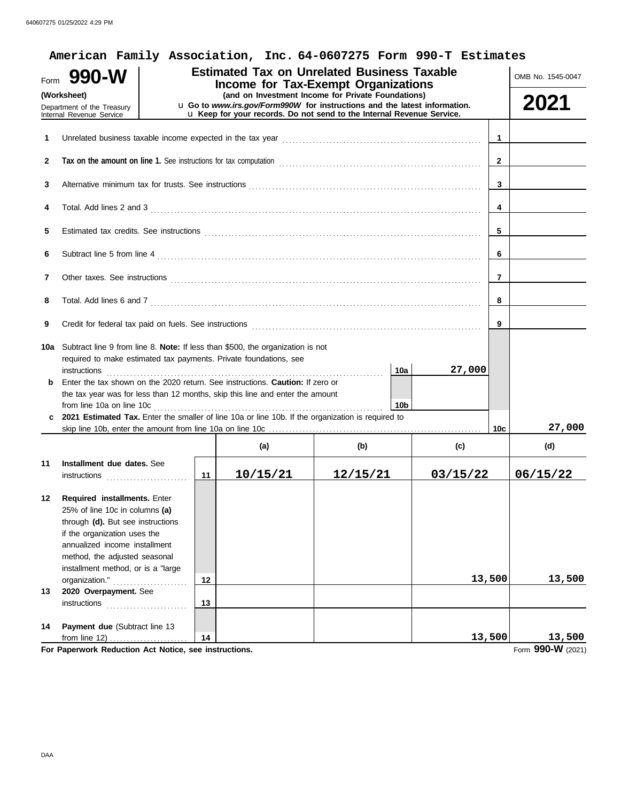|              | American Family Association, Inc. 64-0607275 Form 990-T Estimates                                                                                                                                                                                                                                                                                                                                                                              |    |                                                                                                                                                    |                                                    |                 |                   |
|--------------|------------------------------------------------------------------------------------------------------------------------------------------------------------------------------------------------------------------------------------------------------------------------------------------------------------------------------------------------------------------------------------------------------------------------------------------------|----|----------------------------------------------------------------------------------------------------------------------------------------------------|----------------------------------------------------|-----------------|-------------------|
|              | Form 990-W                                                                                                                                                                                                                                                                                                                                                                                                                                     |    | <b>Estimated Tax on Unrelated Business Taxable</b><br>Income for Tax-Exempt Organizations                                                          |                                                    |                 | OMB No. 1545-0047 |
|              | (Worksheet)<br>Department of the Treasury<br>Internal Revenue Service                                                                                                                                                                                                                                                                                                                                                                          |    | u Go to www.irs.gov/Form990W for instructions and the latest information.<br>u Keep for your records. Do not send to the Internal Revenue Service. | (and on Investment Income for Private Foundations) |                 | 2021              |
| 1            |                                                                                                                                                                                                                                                                                                                                                                                                                                                |    |                                                                                                                                                    |                                                    | -1              |                   |
| $\mathbf{2}$ |                                                                                                                                                                                                                                                                                                                                                                                                                                                |    |                                                                                                                                                    |                                                    | $\mathbf{2}$    |                   |
| 3            |                                                                                                                                                                                                                                                                                                                                                                                                                                                |    |                                                                                                                                                    |                                                    | 3               |                   |
| 4            |                                                                                                                                                                                                                                                                                                                                                                                                                                                |    |                                                                                                                                                    |                                                    | 4               |                   |
| 5            |                                                                                                                                                                                                                                                                                                                                                                                                                                                |    |                                                                                                                                                    |                                                    | 5               |                   |
| 6            |                                                                                                                                                                                                                                                                                                                                                                                                                                                |    |                                                                                                                                                    |                                                    | 6               |                   |
| 7            |                                                                                                                                                                                                                                                                                                                                                                                                                                                |    |                                                                                                                                                    |                                                    | 7               |                   |
| 8            |                                                                                                                                                                                                                                                                                                                                                                                                                                                |    |                                                                                                                                                    |                                                    | 8               |                   |
| 9            |                                                                                                                                                                                                                                                                                                                                                                                                                                                |    |                                                                                                                                                    |                                                    | 9               |                   |
| b.<br>C.     | 10a Subtract line 9 from line 8. Note: If less than \$500, the organization is not<br>required to make estimated tax payments. Private foundations, see<br>instructions<br>Enter the tax shown on the 2020 return. See instructions. Caution: If zero or<br>the tax year was for less than 12 months, skip this line and enter the amount<br>2021 Estimated Tax. Enter the smaller of line 10a or line 10b. If the organization is required to |    |                                                                                                                                                    | 10a<br>10b                                         | 27,000          |                   |
|              |                                                                                                                                                                                                                                                                                                                                                                                                                                                |    |                                                                                                                                                    |                                                    | 10 <sub>c</sub> | 27,000            |
|              |                                                                                                                                                                                                                                                                                                                                                                                                                                                |    | (a)                                                                                                                                                | (b)                                                | (c)             | (d)               |
| 11           | Installment due dates, See<br>instructions                                                                                                                                                                                                                                                                                                                                                                                                     | 11 | 10/15/21                                                                                                                                           | 12/15/21                                           | 03/15/22        | 06/15/22          |
| 12           | Required installments. Enter<br>25% of line 10c in columns (a)<br>through (d). But see instructions<br>if the organization uses the<br>annualized income installment<br>method, the adjusted seasonal<br>installment method, or is a "large<br>organization."                                                                                                                                                                                  | 12 |                                                                                                                                                    |                                                    | 13,500          | 13,500            |
| 13           | 2020 Overpayment. See                                                                                                                                                                                                                                                                                                                                                                                                                          | 13 |                                                                                                                                                    |                                                    |                 |                   |
| 14           | Payment due (Subtract line 13<br>from line 12)                                                                                                                                                                                                                                                                                                                                                                                                 | 14 |                                                                                                                                                    |                                                    | 13,500          | 13,500            |

**For Paperwork Reduction Act Notice, see instructions.**

Form **990-W** (2021)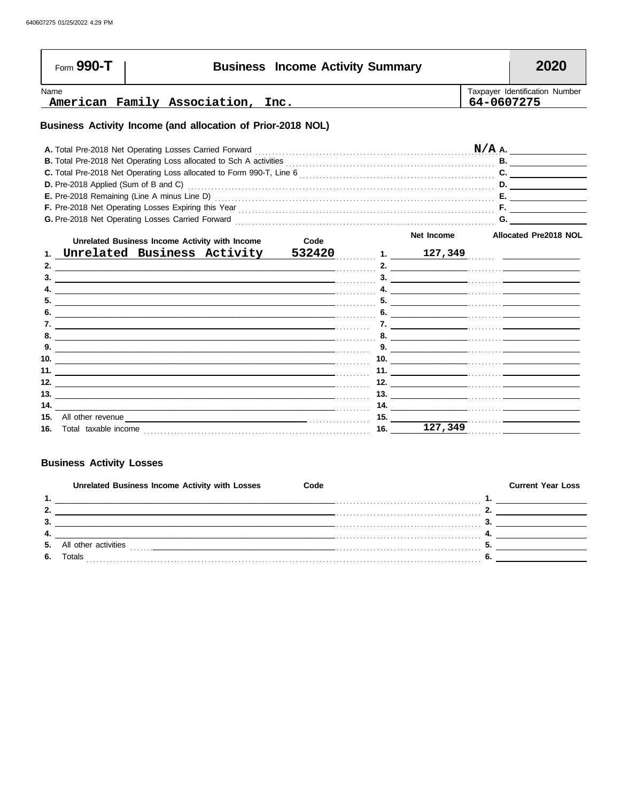| Form $990 - T$ | <b>Business Income Activity Summary</b>                     | 2020                                         |
|----------------|-------------------------------------------------------------|----------------------------------------------|
| Name           | American Family Association, Inc.                           | Taxpayer Identification Number<br>64-0607275 |
|                | Business Activity Income (and allocation of Prior-2018 NOL) |                                              |

| N/A A.<br>A. Total Pre-2018 Net Operating Losses Carried Forward          |  |
|---------------------------------------------------------------------------|--|
| <b>B.</b> Total Pre-2018 Net Operating Loss allocated to Sch A activities |  |
| C. Total Pre-2018 Net Operating Loss allocated to Form 990-T, Line 6      |  |
|                                                                           |  |
| E. Pre-2018 Remaining (Line A minus Line D)                               |  |
| F. Pre-2018 Net Operating Losses Expiring this Year                       |  |
| G. Pre-2018 Net Operating Losses Carried Forward                          |  |

|     | Unrelated Business Income Activity with Income | Code   |             | Net Income | <b>Allocated Pre2018 NOL</b> |
|-----|------------------------------------------------|--------|-------------|------------|------------------------------|
|     | 1. Unrelated Business Activity                 | 532420 | $\mathbf 1$ | 127,349    |                              |
| 2.  |                                                |        | 2.          |            |                              |
| 3.  |                                                |        | 3.          |            |                              |
| 4.  |                                                |        | 4.          |            |                              |
| 5.  |                                                |        | 5.          |            |                              |
|     |                                                |        | 6.          |            |                              |
|     |                                                |        |             |            |                              |
|     |                                                |        | 8.          |            |                              |
| 9.  |                                                |        | 9.          |            |                              |
| 10. |                                                |        | 10.         |            |                              |
| 11. |                                                |        | 11.         |            |                              |
| 12. |                                                |        | 12.         |            |                              |
| 13. |                                                |        | 13.         |            |                              |
| 14. |                                                |        | 14.         |            |                              |
| 15. | All other revenue                              |        | 15.         |            |                              |
| 16. | Total taxable income                           |        | 16.         | 127,349    |                              |

# **Business Activity Losses**

|         | Unrelated Business Income Activity with Losses | Code | <b>Current Year Loss</b> |
|---------|------------------------------------------------|------|--------------------------|
|         |                                                |      |                          |
| 7<br>Ζ. |                                                |      |                          |
| -3.     |                                                |      |                          |
| 4.      |                                                |      |                          |
|         | <b>5.</b> All other activities                 |      |                          |
| 6.      | Totals<br>.                                    |      |                          |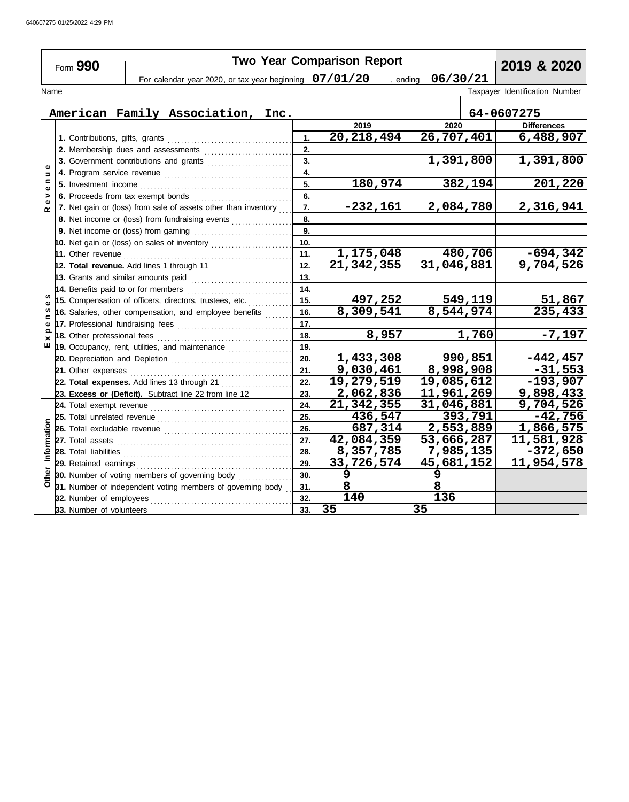|                   | Form 990                    |                                                                                                                                                                                                                                      |                | <b>Two Year Comparison Report</b> |                      |         | 2019 & 2020                    |
|-------------------|-----------------------------|--------------------------------------------------------------------------------------------------------------------------------------------------------------------------------------------------------------------------------------|----------------|-----------------------------------|----------------------|---------|--------------------------------|
|                   |                             | For calendar year 2020, or tax year beginning 07/01/20                                                                                                                                                                               |                |                                   | 06/30/21<br>, ending |         |                                |
| Name              |                             |                                                                                                                                                                                                                                      |                |                                   |                      |         | Taxpayer Identification Number |
|                   |                             |                                                                                                                                                                                                                                      |                |                                   |                      |         |                                |
|                   |                             | American Family Association, Inc.                                                                                                                                                                                                    |                |                                   |                      |         | 64-0607275                     |
|                   |                             |                                                                                                                                                                                                                                      |                | 2019                              | 2020                 |         | <b>Differences</b>             |
|                   |                             |                                                                                                                                                                                                                                      | 1.             | 20,218,494                        | 26,707,401           |         | 6,488,907                      |
|                   |                             |                                                                                                                                                                                                                                      | 2.             |                                   |                      |         |                                |
|                   |                             | 3. Government contributions and grants                                                                                                                                                                                               | 3.             |                                   | 1,391,800            |         | 1,391,800                      |
| $\Rightarrow$     |                             |                                                                                                                                                                                                                                      | 4.             |                                   |                      |         |                                |
| $\mathbf{C}$<br>Φ |                             |                                                                                                                                                                                                                                      | $\overline{5}$ | 180,974                           |                      | 382,194 | 201,220                        |
| >                 |                             |                                                                                                                                                                                                                                      | 6.             |                                   |                      |         |                                |
|                   |                             | 7. Net gain or (loss) from sale of assets other than inventory                                                                                                                                                                       | 7.             | $-232,161$                        | 2,084,780            |         | 2,316,941                      |
|                   |                             | 8. Net income or (loss) from fundraising events                                                                                                                                                                                      | 8.             |                                   |                      |         |                                |
|                   |                             |                                                                                                                                                                                                                                      | 9.             |                                   |                      |         |                                |
|                   |                             | 10. Net gain or (loss) on sales of inventory                                                                                                                                                                                         | 10.            |                                   |                      |         |                                |
|                   |                             |                                                                                                                                                                                                                                      | 11.            | 1,175,048                         |                      | 480,706 | $-694,342$                     |
|                   |                             | 12. Total revenue. Add lines 1 through 11                                                                                                                                                                                            | 12.            | 21,342,355                        | 31,046,881           |         | $\overline{9,704,526}$         |
|                   |                             | 13. Grants and similar amounts paid entitled and the state of the State of the State of the State of the State Orion and State of the State of the State of the State of the State of the State of the State of the State of t       | 13.            |                                   |                      |         |                                |
|                   |                             | 14. Benefits paid to or for members                                                                                                                                                                                                  |                |                                   |                      |         |                                |
|                   |                             | 15. Compensation of officers, directors, trustees, etc.                                                                                                                                                                              | 15.            | 497,252                           |                      | 549,119 | 51,867                         |
| $\mathbf{r}$      |                             | 16. Salaries, other compensation, and employee benefits                                                                                                                                                                              | 16.            | 8,309,541                         | 8,544,974            |         | 235, 433                       |
| Φ                 |                             | 17. Professional fundraising fees                                                                                                                                                                                                    | 17.            |                                   |                      |         |                                |
| ×                 | 18. Other professional fees |                                                                                                                                                                                                                                      | 18.            | 8,957                             |                      | 1,760   | $-7,197$                       |
| ш                 |                             |                                                                                                                                                                                                                                      | 19.            |                                   |                      |         |                                |
|                   |                             | 20. Depreciation and Depletion                                                                                                                                                                                                       | 20.            | 1,433,308                         |                      | 990,851 | $-442, 457$                    |
|                   | 21. Other expenses          |                                                                                                                                                                                                                                      | 21.            | $\overline{9}$ ,030,461           | 8,998,908            |         | $-31,553$                      |
|                   |                             | 22. Total expenses. Add lines 13 through 21                                                                                                                                                                                          | 22.            | 19,279,519                        | 19,085,612           |         | $-193,907$                     |
|                   |                             | 23. Excess or (Deficit). Subtract line 22 from line 12                                                                                                                                                                               | 23.            | 2,062,836                         | 11,961,269           |         | 9,898,433                      |
|                   |                             | 24. Total exempt revenue <i>[[[[[[[[[[[[[[[[[[[[[[[[[[[[[]]]]]</i> ]]                                                                                                                                                                | 24.            | 21,342,355                        | 31,046,881           |         | 9,704,526                      |
|                   |                             |                                                                                                                                                                                                                                      | 25.            | 436,547                           |                      | 393,791 | $-42,756$                      |
|                   |                             |                                                                                                                                                                                                                                      | 26.            | 687, 314                          | 2,553,889            |         | 1,866,575                      |
| Information       |                             |                                                                                                                                                                                                                                      | 27.            | 42,084,359                        | 53,666,287           |         | 11,581,928                     |
|                   |                             | 28. Total liabilities <b>constant in the set of the set of the set of the set of the set of the set of the set of the set of the set of the set of the set of the set of the set of the set of the set of the set of the set of </b> | 28.            | 8,357,785                         | 7,985,135            |         | $-372,650$                     |
|                   |                             |                                                                                                                                                                                                                                      | 29.            | 33,726,574                        | 45,681,152           |         | 11,954,578                     |
| Other             |                             | 30. Number of voting members of governing body                                                                                                                                                                                       | 30.            | 9                                 | 9                    |         |                                |
|                   |                             | 31. Number of independent voting members of governing body                                                                                                                                                                           | 31.            | 8                                 | 8                    |         |                                |
|                   | 32. Number of employees     |                                                                                                                                                                                                                                      | 32.            | 140                               | 136                  |         |                                |
|                   | 33. Number of volunteers    |                                                                                                                                                                                                                                      | 33.            | 35                                | 35                   |         |                                |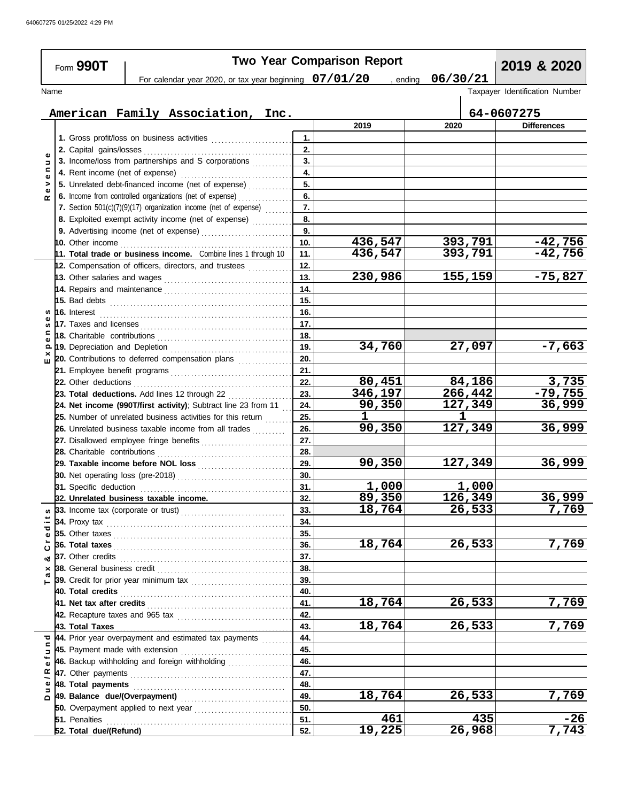|        | Form 990T       |                                                                                                                                                                                                                                           |            | <b>Two Year Comparison Report</b> | 06/30/21          | 2019 & 2020                    |
|--------|-----------------|-------------------------------------------------------------------------------------------------------------------------------------------------------------------------------------------------------------------------------------------|------------|-----------------------------------|-------------------|--------------------------------|
|        |                 | For calendar year 2020, or tax year beginning $07/01/20$                                                                                                                                                                                  |            | ending.                           |                   |                                |
| Name   |                 |                                                                                                                                                                                                                                           |            |                                   |                   | Taxpayer Identification Number |
|        |                 | American Family Association, Inc.                                                                                                                                                                                                         |            |                                   |                   | 64-0607275                     |
|        |                 |                                                                                                                                                                                                                                           |            | 2019                              | 2020              | <b>Differences</b>             |
|        |                 | 1. Gross profit/loss on business activities                                                                                                                                                                                               | -1.        |                                   |                   |                                |
|        |                 |                                                                                                                                                                                                                                           | 2.         |                                   |                   |                                |
| Φ<br>Б |                 | 3. Income/loss from partnerships and S corporations                                                                                                                                                                                       | 3.         |                                   |                   |                                |
| c      |                 |                                                                                                                                                                                                                                           | 4.         |                                   |                   |                                |
|        |                 | 5. Unrelated debt-financed income (net of expense)                                                                                                                                                                                        | 5.         |                                   |                   |                                |
| œ      |                 | 6. Income from controlled organizations (net of expense)                                                                                                                                                                                  | 6.         |                                   |                   |                                |
|        |                 | 7. Section 501(c)(7)(9)(17) organization income (net of expense)                                                                                                                                                                          | 7.         |                                   |                   |                                |
|        |                 | 8. Exploited exempt activity income (net of expense)                                                                                                                                                                                      | 8.         |                                   |                   |                                |
|        |                 |                                                                                                                                                                                                                                           | 9.         |                                   |                   |                                |
|        |                 | <b>10.</b> Other income <i>contract contract of the contract of the contract of the contract of the contract of the contract of the contract of the contract of the contract of the contract of the contract of the contract of the c</i> | 10.        | 436,547                           | 393,791           | $-42,756$                      |
|        |                 | 11. Total trade or business income. Combine lines 1 through 10                                                                                                                                                                            | 11.        | 436,547                           | 393,791           | -42,756                        |
|        |                 | 12. Compensation of officers, directors, and trustees                                                                                                                                                                                     | 12.        |                                   |                   |                                |
|        |                 |                                                                                                                                                                                                                                           | 13.        | 230,986                           | 155,159           | $-75,827$                      |
|        |                 |                                                                                                                                                                                                                                           | 14.        |                                   |                   |                                |
|        |                 |                                                                                                                                                                                                                                           | 15.        |                                   |                   |                                |
| n      |                 |                                                                                                                                                                                                                                           | 16.        |                                   |                   |                                |
|        |                 | 17. Taxes and licenses $\ldots \ldots \ldots \ldots \ldots \ldots \ldots \ldots \ldots \ldots \ldots \ldots$                                                                                                                              | 17.        |                                   |                   |                                |
| c      |                 |                                                                                                                                                                                                                                           | 18.        |                                   |                   |                                |
| ௨      |                 |                                                                                                                                                                                                                                           | 19.        | 34,760                            | 27,097            | $-7,663$                       |
|        |                 | 20. Contributions to deferred compensation plans                                                                                                                                                                                          | 20.        |                                   |                   |                                |
|        |                 |                                                                                                                                                                                                                                           | 21.        |                                   |                   |                                |
|        |                 |                                                                                                                                                                                                                                           | 22.        | 80,451<br>346,197                 | 84,186<br>266,442 | 3,735<br>$-79,755$             |
|        |                 | 23. Total deductions. Add lines 12 through 22<br>24. Net income (990T/first activity); Subtract line 23 from 11                                                                                                                           | 23.<br>24. | <u>90,350</u>                     | 127,349           | 36,999                         |
|        |                 | 25. Number of unrelated business activities for this return $\ldots$                                                                                                                                                                      | 25.        | ı                                 | ı                 |                                |
|        |                 | 26. Unrelated business taxable income from all trades [                                                                                                                                                                                   | 26.        | 90,350                            | 127,349           | 36,999                         |
|        |                 | 27. Disallowed employee fringe benefits                                                                                                                                                                                                   | 27.        |                                   |                   |                                |
|        |                 |                                                                                                                                                                                                                                           | 28.        |                                   |                   |                                |
|        |                 | 29. Taxable income before NOL loss                                                                                                                                                                                                        | 29.        | 90,350                            | 127,349           | 36,999                         |
|        |                 |                                                                                                                                                                                                                                           | 30.        |                                   |                   |                                |
|        |                 |                                                                                                                                                                                                                                           | 31.        | 1,000                             | 1,000             |                                |
|        |                 | 32. Unrelated business taxable income.                                                                                                                                                                                                    | 32.        | 89,350                            | 126,349           | 36,999                         |
|        |                 |                                                                                                                                                                                                                                           | 33.        | 18,764                            | 26,533            | 7,769                          |
|        |                 |                                                                                                                                                                                                                                           | 34.        |                                   |                   |                                |
| ত      |                 |                                                                                                                                                                                                                                           | 35.        |                                   |                   |                                |
| ပ      |                 |                                                                                                                                                                                                                                           | 36.        | 18,764                            | 26,533            | 7,769                          |
| య      |                 |                                                                                                                                                                                                                                           | 37.        |                                   |                   |                                |
| ×      |                 |                                                                                                                                                                                                                                           | 38.        |                                   |                   |                                |
|        |                 |                                                                                                                                                                                                                                           | 39.        |                                   |                   |                                |
|        |                 |                                                                                                                                                                                                                                           | 40.        |                                   |                   |                                |
|        |                 |                                                                                                                                                                                                                                           | 41.        | 18,764                            | 26,533            | 7,769                          |
|        |                 |                                                                                                                                                                                                                                           | 42.        |                                   |                   |                                |
|        | 43. Total Taxes |                                                                                                                                                                                                                                           | 43.        | 18,764                            | 26,533            | 7,769                          |
| ਹ<br>c |                 | 44. Prior year overpayment and estimated tax payments                                                                                                                                                                                     | 44.        |                                   |                   |                                |
| Б      |                 | 45. Payment made with extension                                                                                                                                                                                                           | 45.<br>46. |                                   |                   |                                |
| ≃      |                 |                                                                                                                                                                                                                                           | 47.        |                                   |                   |                                |
|        |                 |                                                                                                                                                                                                                                           | 48.        |                                   |                   |                                |
|        |                 | 49. Balance due/(Overpayment)                                                                                                                                                                                                             | 49.        | 18,764                            | 26,533            | 7,769                          |
|        |                 | 50. Overpayment applied to next year                                                                                                                                                                                                      | 50.        |                                   |                   |                                |
|        |                 |                                                                                                                                                                                                                                           |            |                                   |                   |                                |

**461 435 -26 19,225 26,968 7,743**

Penalties . . . . . . . . . . . . . . . . . . . . . . . . . . . . . . . . . . . . . . . . . . . . . . . . . . . . . . . Overpayment applied to next year . . . . . . . . . . . . . . . . . . . . . . . . . . . . .

**51. 51.**

**52. 52.**

**Total due/(Refund)**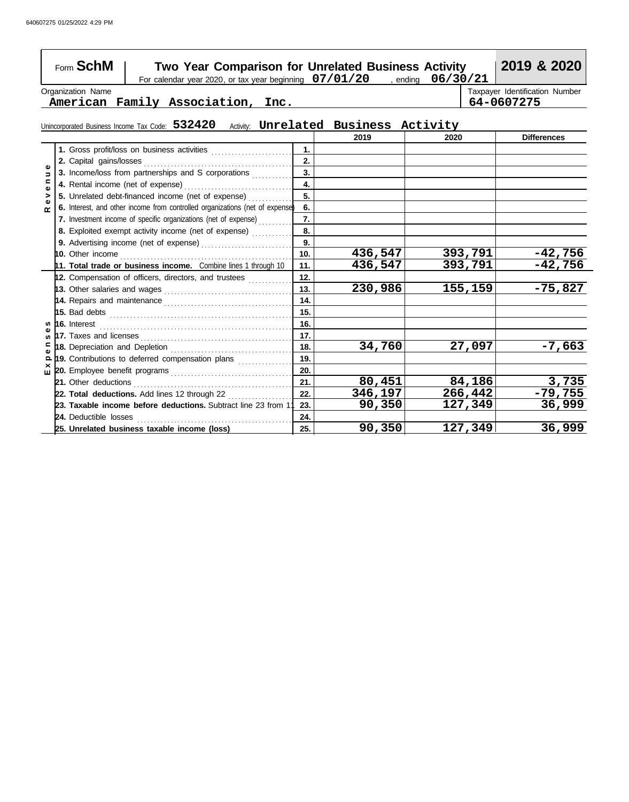### **Two Year Comparison for Unrelated Business Activity** Form **SchM**

For calendar year 2020, or tax year beginning , ending **07/01/20 06/30/21**

Organization Name Taxpayer Identification Number

American Family Association, Inc.  $|64-0607275$ 

### Activity: **Unrelated Business Activity** Unincorporated Business Income Tax Code:  $532420$ **2019 2020 Differences** Gross profit/loss on business activities . . . . . . . . . . . . . . . . . . . . . . . . **1. 1. 2.** Capital gains/losses . . . . . . . . . . . . . . . . . . . . . . . . . . . . . . . . . . . . . . . . . . . . **2. R e v e n u e 3. 3.** Income/loss from partnerships and S corporations ............ **4.** 4. Rental income (net of expense) **5.** Unrelated debt-financed income (net of expense) **5.** Unrelated debt-financed income (net of expense) ............ **6.** Interest, and other income from controlled organizations (net of expense) **6. 7. 7.** Investment income of specific organizations (net of expense) ......... **8.** Exploited exempt activity income (net of expense) . . . . . . . . . . . . **8. 9. 9.** Advertising income (net of expense) ............................ **436,547 393,791 -42,756 10.** Other income **10.** Other income . . . . . . . . . . . . . . . . . . . . . . . . . . . . . . . . . . . . . . . . . . . . . . . . . . . **436,547 393,791 -42,756 11. 11. Total trade or business income.** Combine lines 1 through 10 **12. 12.** Compensation of officers, directors, and trustees **..........**... **230,986 155,159 -75,827 13.** Other salaries and wages . . . . . . . . . . . . . . . . . . . . . . . . . . . . . . . . . . . . . . **13. 14.** Repairs and maintenance . . . . . . . . . . . . . . . . . . . . . . . . . . . . . . . . . . . . . . **14. 15.** Bad debts . . . . . . . . . . . . . . . . . . . . . . . . . . . . . . . . . . . . . . . . . . . . . . . . . . . . . . **15. 16.** Interest . . . . . . . . . . . . . . . . . . . . . . . . . . . . . . . . . . . . . . . . . . . . . . . . . . . . . . . . . **16. E x p e n s e s** pense **17. 17.** Taxes and licenses Taxes and licenses . . . . . . . . . . . . . . . . . . . . . . . . . . . . . . . . . . . . . . . . . . . . . **34,760 27,097 -7,663 18.** Depreciation and Depletion . . . . . . . . . . . . . . . . . . . . . . . . . . . . . . . . . . . . **18. 19. 19.** Contributions to deferred compensation plans  $\ldots$  $\overline{K}$ **20.** Employee benefit programs . . . . . . . . . . . . . . . . . . . . . . . . . . . . . . . . . . . . **20. 80,451 84,186 3,735 21.** Other deductions . . . . . . . . . . . . . . . . . . . . . . . . . . . . . . . . . . . . . . . . . . . . . . . **21. 22. 346,197 266,442 -79,755 Total deductions.** Add lines 12 through 22 . . . . . . . . . . . . . . . . . . . **22. 90,350 127,349 36,999 23. 23. Taxable income before deductions.** Subtract line 23 from 11 **24.** Deductible losses . . . . . . . . . . . . . . . . . . . . . . . . . . . . . . . . . . . . . . . . . . . . . . **24. 90,350 127,349 36,999 25. Unrelated business taxable income (loss) 25.**

**2019 & 2020**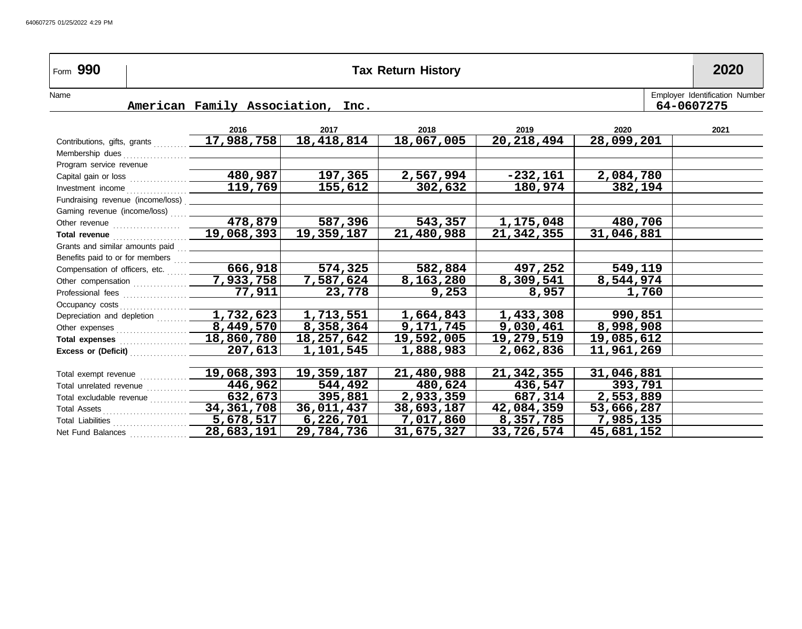| Form 990                                                                           |                                   |            | <b>Tax Return History</b> |              |            | 2020                                         |
|------------------------------------------------------------------------------------|-----------------------------------|------------|---------------------------|--------------|------------|----------------------------------------------|
| Name                                                                               | American Family Association, Inc. |            |                           |              |            | Employer Identification Number<br>64-0607275 |
|                                                                                    |                                   |            |                           |              |            |                                              |
|                                                                                    | 2016                              | 2017       | 2018                      | 2019         | 2020       | 2021                                         |
| Contributions, gifts, grants ______                                                | 17,988,758                        | 18,418,814 | 18,067,005                | 20,218,494   | 28,099,201 |                                              |
| Membership dues                                                                    |                                   |            |                           |              |            |                                              |
| Program service revenue                                                            |                                   |            |                           |              |            |                                              |
|                                                                                    |                                   | 197,365    | 2,567,994                 | $-232,161$   | 2,084,780  |                                              |
|                                                                                    |                                   | 155,612    | 302,632                   | 180,974      | 382,194    |                                              |
|                                                                                    |                                   |            |                           |              |            |                                              |
| Gaming revenue (income/loss)  ________                                             |                                   |            |                           |              |            |                                              |
|                                                                                    |                                   | 587,396    | 543,357                   | 1,175,048    | 480,706    |                                              |
| Other revenue 19,068,393                                                           |                                   | 19,359,187 | 21,480,988                | 21,342,355   | 31,046,881 |                                              |
| Grants and similar amounts paid                                                    |                                   |            |                           |              |            |                                              |
| Benefits paid to or for members  ________                                          |                                   |            |                           |              |            |                                              |
| Compensation of officers, etc.  600, 710                                           |                                   | 574,325    | 582,884                   | 497,252      | 549,119    |                                              |
|                                                                                    |                                   | 7,587,624  | 8,163,280                 | 8,309,541    | 8,544,974  |                                              |
|                                                                                    | 77,911                            | 23,778     | 9,253                     | 8,957        | 1,760      |                                              |
|                                                                                    |                                   |            |                           |              |            |                                              |
| Depreciation and depletion 2008 23                                                 |                                   | 1,713,551  | 1,664,843                 | 1,433,308    | 990,851    |                                              |
|                                                                                    | 8,449,570                         | 8,358,364  | 9,171,745                 | 9,030,461    | 8,998,908  |                                              |
|                                                                                    | 18,860,780                        | 18,257,642 | 19,592,005                | 19,279,519   | 19,085,612 |                                              |
| Excess or (Deficit) Material Assemblance Material Assemblance Material Assemblance | $\boxed{207,613}$                 | 1,101,545  | 1,888,983                 | 2,062,836    | 11,961,269 |                                              |
|                                                                                    |                                   |            |                           |              |            |                                              |
|                                                                                    |                                   | 19,359,187 | 21,480,988                | 21, 342, 355 | 31,046,881 |                                              |
|                                                                                    | 446,962                           | 544,492    | 480,624                   | 436,547      | 393,791    |                                              |
|                                                                                    | 632,673                           | 395,881    | 2,933,359                 | 687, 314     | 2,553,889  |                                              |
|                                                                                    | 34, 361, 708                      | 36,011,437 | 38,693,187                | 42,084,359   | 53,666,287 |                                              |
|                                                                                    |                                   | 6,226,701  | 7,017,860                 | 8,357,785    | 7,985,135  |                                              |
|                                                                                    | 28,683,191                        | 29,784,736 | 31,675,327                | 33,726,574   | 45,681,152 |                                              |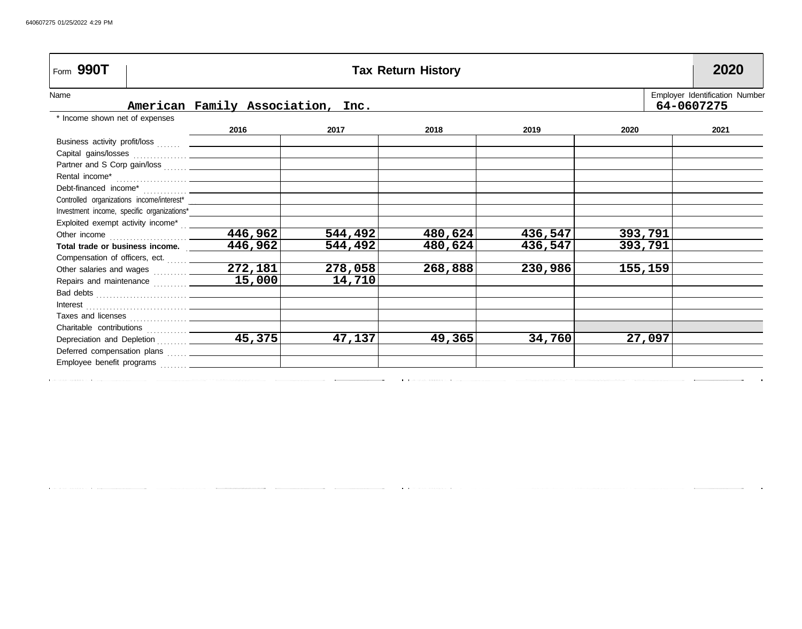$\epsilon$  $\overline{\phantom{a}}$ 

**CAR RENOVABLE CAR** 

| $\mid$ Form 990T<br><b>Tax Return History</b> |                                   |         |         |         |         | 2020                                         |
|-----------------------------------------------|-----------------------------------|---------|---------|---------|---------|----------------------------------------------|
| Name                                          | American Family Association, Inc. |         |         |         |         | Employer Identification Number<br>64-0607275 |
| * Income shown net of expenses                |                                   |         |         |         |         |                                              |
|                                               | 2016                              | 2017    | 2018    | 2019    | 2020    | 2021                                         |
| Business activity profit/loss  _____________  |                                   |         |         |         |         |                                              |
|                                               |                                   |         |         |         |         |                                              |
|                                               |                                   |         |         |         |         |                                              |
|                                               |                                   |         |         |         |         |                                              |
|                                               |                                   |         |         |         |         |                                              |
| Controlled organizations income/interest*     |                                   |         |         |         |         |                                              |
|                                               |                                   |         |         |         |         |                                              |
| Exploited exempt activity income* [11]        |                                   |         |         |         |         |                                              |
|                                               | 446,962                           | 544,492 | 480,624 | 436,547 | 393,791 |                                              |
| Total trade or business income.               | 446,962                           | 544,492 | 480,624 | 436,547 | 393,791 |                                              |
| Compensation of officers, ect.  ________      |                                   |         |         |         |         |                                              |
|                                               | 272,181                           | 278,058 | 268,888 | 230,986 | 155,159 |                                              |
|                                               | 15,000                            | 14,710  |         |         |         |                                              |
|                                               |                                   |         |         |         |         |                                              |
|                                               |                                   |         |         |         |         |                                              |
|                                               |                                   |         |         |         |         |                                              |
|                                               |                                   |         |         |         |         |                                              |
|                                               | 45,375                            | 47,137  | 49,365  | 34,760  | 27,097  |                                              |
|                                               |                                   |         |         |         |         |                                              |
|                                               |                                   |         |         |         |         |                                              |

 $\sim$   $\sim$ 

a sin

÷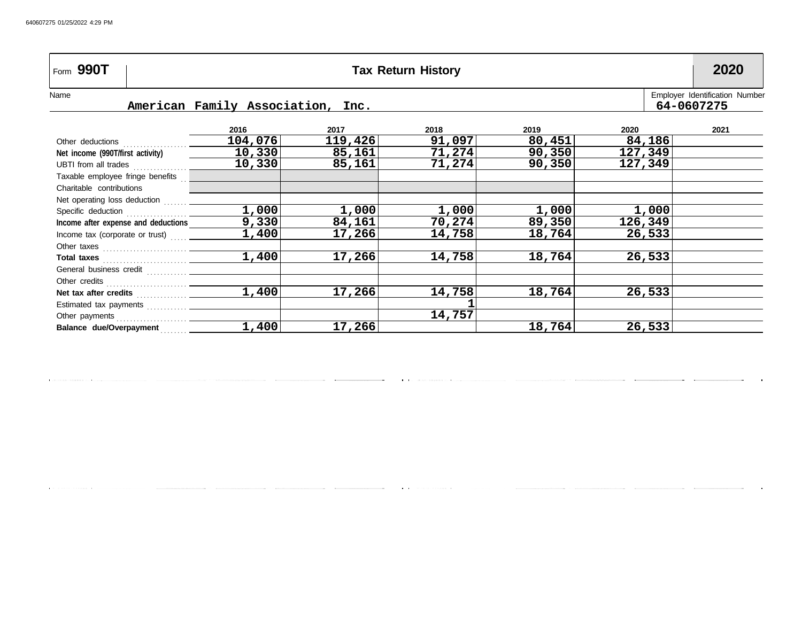$\label{eq:3.1} \mathcal{L}^{\mathcal{A}}(\mathcal{A}) = \mathcal{L}^{\mathcal{A}}(\mathcal{A}) = \mathcal{L}^{\mathcal{A}}(\mathcal{A}) = \mathcal{L}^{\mathcal{A}}(\mathcal{A}) = \mathcal{L}^{\mathcal{A}}(\mathcal{A}) = \mathcal{L}^{\mathcal{A}}(\mathcal{A})$ 

**CONTRACTOR** 

| $\mid$ Form 990T<br><b>Tax Return History</b> |                                   |         |         |         |         |                                              |
|-----------------------------------------------|-----------------------------------|---------|---------|---------|---------|----------------------------------------------|
| Name                                          | American Family Association, Inc. |         |         |         |         | Employer Identification Number<br>64-0607275 |
|                                               |                                   |         |         |         |         |                                              |
|                                               | 2016                              | 2017    | 2018    | 2019    | 2020    | 2021                                         |
| Other deductions                              | 104,076                           | 119,426 | 91,097  | 80,451  | 84,186  |                                              |
| Net income (990T/first activity)              | 10,330                            | 85,161  | 71, 274 | 90,350  | 127,349 |                                              |
| UBTI from all trades                          | 10,330                            | 85,161  | 71, 274 | 90, 350 | 127,349 |                                              |
| Taxable employee fringe benefits [100]        |                                   |         |         |         |         |                                              |
| Charitable contributions                      |                                   |         |         |         |         |                                              |
| Net operating loss deduction                  |                                   |         |         |         |         |                                              |
|                                               | 1,000                             | 1,000   | 1,000   | 1,000   | 1,000   |                                              |
| Income after expense and deductions ________  | 9,330                             | 84,161  | 70, 274 | 89,350  | 126,349 |                                              |
| Income tax (corporate or trust)               | 1,400                             | 17,266  | 14,758  | 18,764  | 26,533  |                                              |
|                                               |                                   |         |         |         |         |                                              |
| Total taxes <b>contained Total taxes</b>      | 1,400                             | 17,266  | 14,758  | 18,764  | 26,533  |                                              |
|                                               |                                   |         |         |         |         |                                              |
|                                               |                                   |         |         |         |         |                                              |
|                                               | 1,400                             | 17,266  | 14,758  | 18,764  | 26,533  |                                              |
|                                               |                                   |         |         |         |         |                                              |
|                                               |                                   |         | 14,757  |         |         |                                              |
| Balance due/Overpayment                       | 1,400                             | 17,266  |         | 18,764  | 26,533  |                                              |

the contract of the contract of the

 $\mathcal{L}^{\mathcal{L}}$  . The contract of the sequence  $\mathcal{L}^{\mathcal{L}}$ 

a.

 $\sim$ 

 $\sim$ 

 $\sim$ 

÷.

 $\sim$   $\sim$ 

---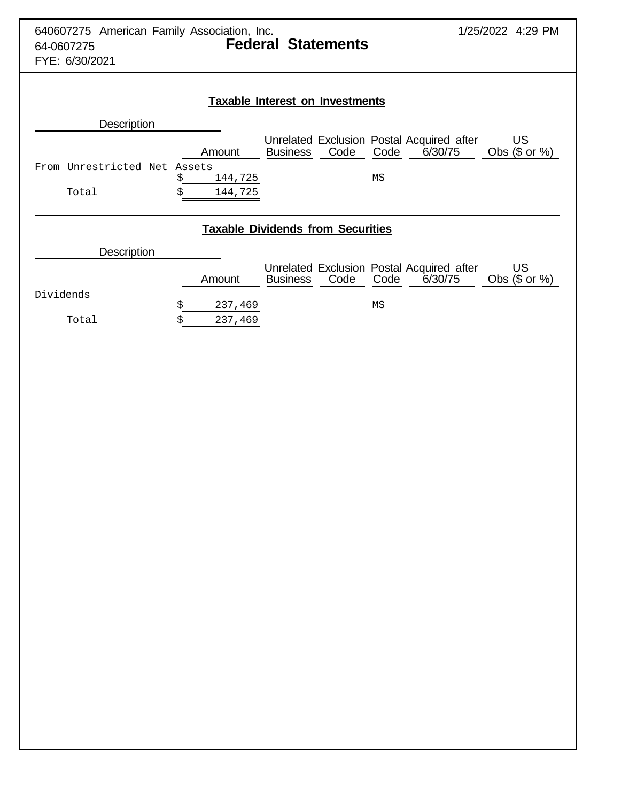| 640607275 American Family Association, Inc.<br>1/25/2022 4:29 PM<br><b>Federal Statements</b><br>64-0607275<br>FYE: 6/30/2021 |    |         |                                        |      |      |                                                      |                              |
|-------------------------------------------------------------------------------------------------------------------------------|----|---------|----------------------------------------|------|------|------------------------------------------------------|------------------------------|
|                                                                                                                               |    |         | <b>Taxable Interest on Investments</b> |      |      |                                                      |                              |
| <b>Description</b>                                                                                                            |    |         |                                        |      |      |                                                      |                              |
|                                                                                                                               |    | Amount  | <b>Business</b>                        | Code | Code | Unrelated Exclusion Postal Acquired after<br>6/30/75 | <b>US</b><br>Obs $($or %)$   |
| From Unrestricted Net Assets                                                                                                  | \$ | 144,725 |                                        |      | MS   |                                                      |                              |
| Total                                                                                                                         | Ś  | 144,725 |                                        |      |      |                                                      |                              |
| <b>Taxable Dividends from Securities</b>                                                                                      |    |         |                                        |      |      |                                                      |                              |
| <b>Description</b>                                                                                                            |    |         |                                        |      |      |                                                      |                              |
|                                                                                                                               |    | Amount  | <b>Business</b>                        | Code | Code | Unrelated Exclusion Postal Acquired after<br>6/30/75 | <b>US</b><br>Obs $($$ or $%$ |
| Dividends                                                                                                                     | \$ | 237,469 |                                        |      | MS   |                                                      |                              |
| Total                                                                                                                         | \$ | 237,469 |                                        |      |      |                                                      |                              |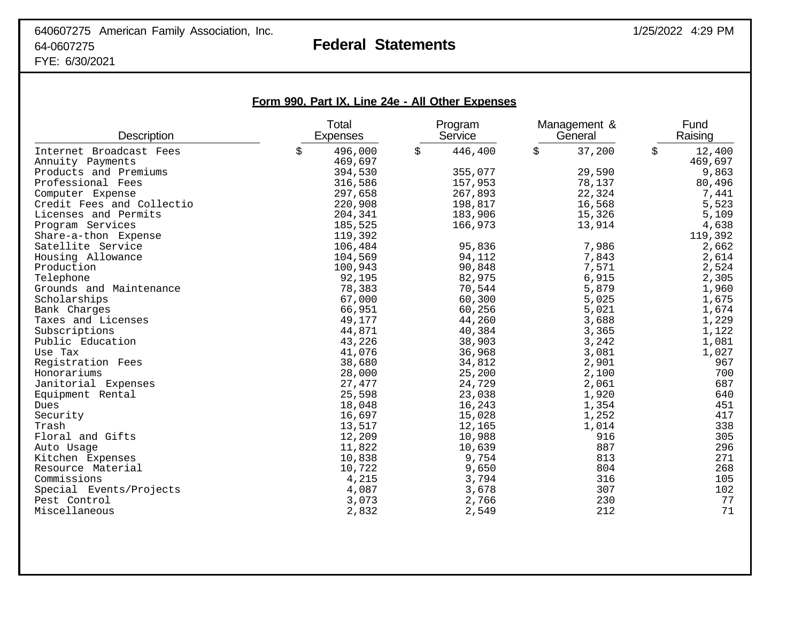## **Form 990, Part IX, Line 24e - All Other Expenses** Total Program Management & Fund Description **Expenses Service General Raising** Construction Construction Description Internet Broadcast Fees \$ 496,000 \$ 446,400 \$ 37,200 \$ 12,400 Annuity Payments 469,697 469,697 Products and Premiums 394,530 355,077 29,590 9,863 Professional Fees 316,586 157,953 78,137 80,496 Computer Expense 297,658 267,893 22,324 7,441 22,232 267,893 22,324 22,324 22,324 22,324 22,324 22,233 Credit Fees and Collectio 220,908 198,817 16,568 5,523 Licenses and Permits 204,341 183,906 15,326 5,109 Program Services 185,525 166,973 13,914 4,638 Share-a-thon Expense 119,392 119,392 Satellite Service 106,484 95,836 7,986 2,662 Housing Allowance 104,569 94,112 7,843 2,614 Production 2,524 100,943 90,848 7,571 2,524 Telephone 92,195 82,975 6,915 2,305 Grounds and Maintenance 78,383 70,544 5,879 1,960 Scholarships 67,000 67,000 60,300 5,025 1,675 Bank Charges 66,951 60,256 5,021 1,674 Taxes and Licenses 49,177 44,260 3,688 1,229 Subscriptions 1,122 Public Education 1.081<br>
Use Tax 1.027 1.081<br>
Use Tax 1.027 Use Tax 41,076 36,968 3,081 1,027 Registration Fees 38,680 34,812 2,901 967 Honorariums 28,000 25,200 2,100 700 Janitorial Expenses 27,477 24,729 2,061 687 Equipment Rental 25,598 23,038 1,920 640 Dues 18,048 16,243 1,354 1,354 1,354 1,354 1,354 1,354 1,354 1,51 Security 16,697 15,028 1,252 1,252 1,252 15,028 1,252 1,252 1,252 1,252 1,252 1,252 1,252 1,252 1,252 1,252 1,252 1,252 1,252 1,252 1,252 1,252 1,252 1,252 1,252 1,252 1,252 1,252 1,252 1,252 1,252 1,252 1,252 1,252 1,252 Trash 13,517 12,165 1,014 338 Floral and Gifts 12,209 10,988 916 305 Auto Usage 11,822 10,639 887 296 Kitchen Expenses 10,838 9,754 813 271 Resource Material 10,722 9,650 804 268<br>Commissions 105 3,794 316 Commissions 4,215 3,794 316 105 Special Events/Projects 4,087 3,678 307 102 Pest Control 3,073 2,766 230 77

Miscellaneous 2,832 2,549 212 71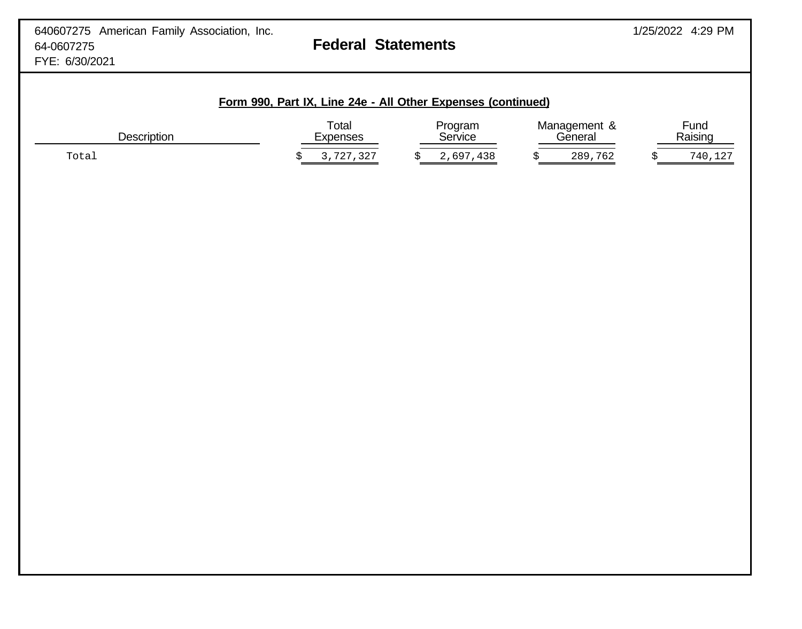| Description | Total<br>Expenses | Program<br>Service          | Management &<br>General   | Fund<br>Raising |
|-------------|-------------------|-----------------------------|---------------------------|-----------------|
| Total       | 3,727,327<br>\$   | $\frac{2,697,438}{ }$<br>\$ | $\frac{1}{289,762}$<br>\$ | 740,127<br>\$   |
|             |                   |                             |                           |                 |
|             |                   |                             |                           |                 |
|             |                   |                             |                           |                 |
|             |                   |                             |                           |                 |
|             |                   |                             |                           |                 |
|             |                   |                             |                           |                 |
|             |                   |                             |                           |                 |
|             |                   |                             |                           |                 |
|             |                   |                             |                           |                 |
|             |                   |                             |                           |                 |
|             |                   |                             |                           |                 |
|             |                   |                             |                           |                 |
|             |                   |                             |                           |                 |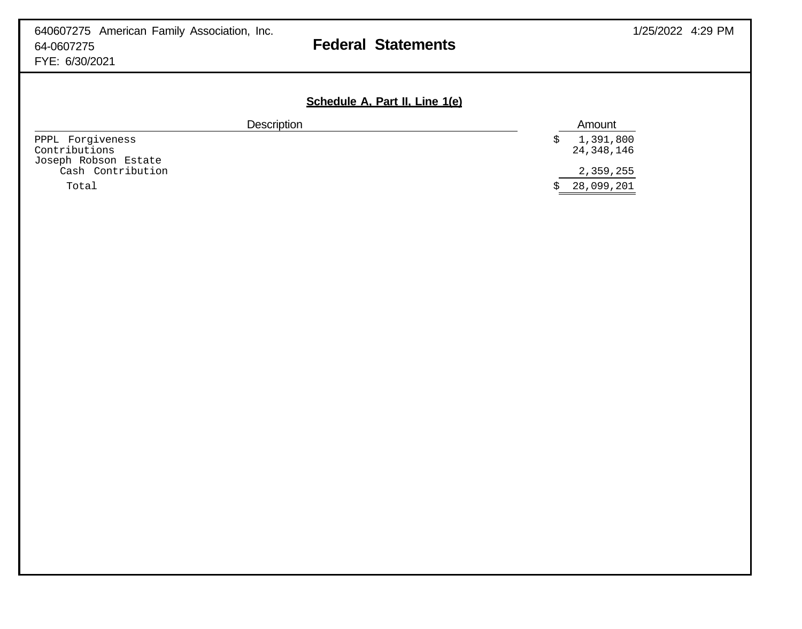640607275 American Family Association, Inc. 1/25/2022 4:29 PM 64-0607275 **Federal Statements**

FYE: 6/30/2021

# **Schedule A, Part II, Line 1(e)**

| <b>Description</b>                        | Amount                  |
|-------------------------------------------|-------------------------|
| PPPL Forgiveness<br>Contributions         | 1,391,800<br>24,348,146 |
| Joseph Robson Estate<br>Cash Contribution | 2,359,255               |
| Total                                     | 28,099,201              |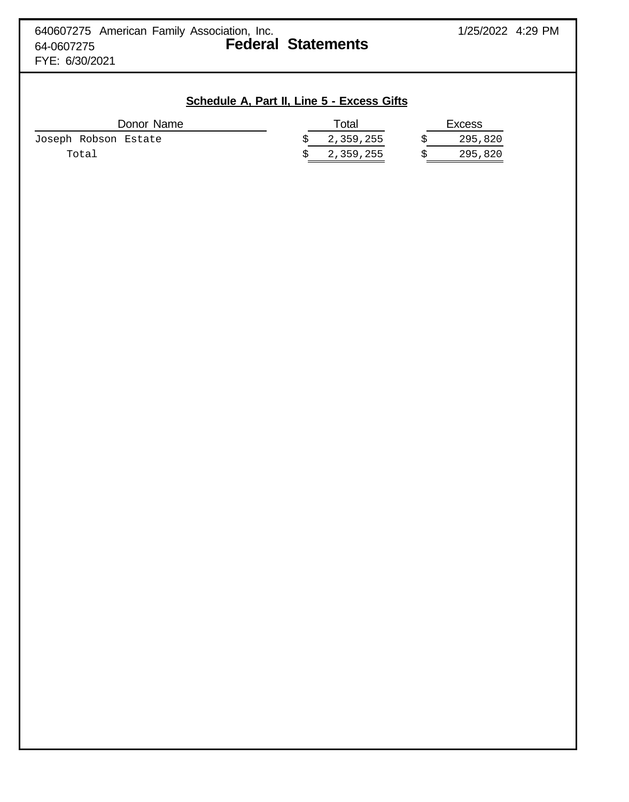|  | Schedule A, Part II, Line 5 - Excess Gifts |  |
|--|--------------------------------------------|--|
|--|--------------------------------------------|--|

| Donor Name           | Total<br>Excess |  |         |
|----------------------|-----------------|--|---------|
| Joseph Robson Estate | 2,359,255       |  | 295,820 |
| Total                | 2,359,255       |  | 295,820 |